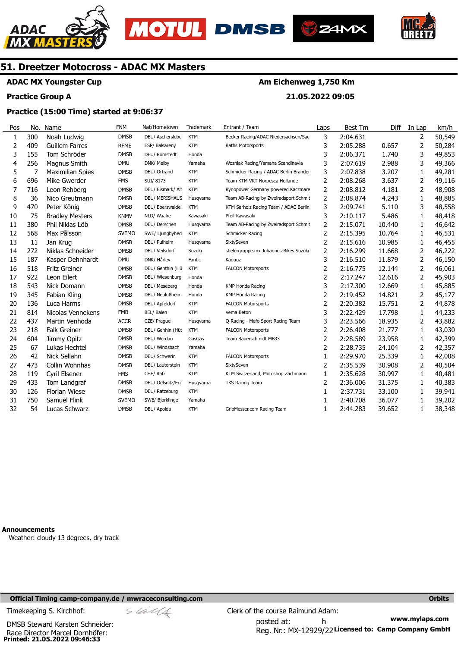





**Am Eichenweg 1,750 Km** 

**21.05.2022 09:05** 



# **51. Dreetzer Motocross - ADAC MX Masters**

# **ADAC MX Youngster Cup**

#### **Practice Group A**

# **Practice (15:00 Time) started at 9:06:37**

#### Pos 1 2 3 4 5 6 7 8 9 10 11 12 13 14 15 16 17 18 19 20 21 22 23  $24$ 25 26 27 28 29 30 31 32 No. 300 409 155 256 7 696 716 36 470 75 380 568 11 272 187 518 922 543 345 136 814 437 218 604 67 42 473 119 433 126 750 54 Name Noah Ludwig Guillem Farres Tom Schröder Magnus Smith Maximilian Spies Mike Gwerder Leon Rehberg Nico Greutmann Peter König Bradley Mesters Phil Niklas Löb Max Pålsson Jan Krug Niklas Schneider Kasper Dehnhardt Fritz Greiner Leon Eilert Nick Domann Fabian Kling Luca Harms Nicolas Vennekens Martin Venhoda Falk Greiner Jimmy Opitz Lukas Hechtel Nick Sellahn Collin Wohnhas Cyril Elsener Tom Landgraf Florian Wiese Samuel Flink Lucas Schwarz FNM **DMSB** RFME **DMSB** DMU DMSB FMS DMSB DMSB DMSB KNMV DMSB SVEMO DMSB DMSB DMU DMSB **DMSB DMSB DMSB** DMSB FMB ACCR DMSB DMSB DMSB DMSB DMSB FMS DMSB **DMSB SVFMO DMSB** Nat/Hometown DEU/ Ascherslebe ESP/ Balsareny DEU/ Römstedt DNK/ Melby DEU/ Ortrand SUI/ 8173 DEU/ Bismark/ Alt DEU/ MERISHAUS DEU/ Eberswalde NLD/ Waalre DEU/ Derschen SWE/ Ljungbyhed DEU/ Pulheim DEU/ Veilsdorf DNK/ Hårlev DEU/ Genthin (Hü DEU/ Wiesenburg DEU/ Meseberg DEU/ Neulußheim DEU/ Apfeldorf BEL/ Balen CZE/ Prague DEU/ Genhin (Hüt DEU/ Werdau DEU/ Windsbach DEU/ Schwerin DEU/ Lauterstein CHE/ Rafz DEU/ Oelsnitz/Erz DEU/ Ratzeburg SWE/ Bjorklinge DEU/ Apolda **Trademark** KTM **KTM** Honda Yamaha KTM KTM KTM Husqvarna KTM Kawasaki Husqvarna KTM Husqvarna Suzuki Fantic **KTM** Honda Honda Honda KTM KTM Husqvarna KTM GasGas Yamaha KTM KTM KTM Husqvarna KTM Yamaha KTM Entrant / Team Becker Racing/ADAC Niedersachsen/Sac Raths Motorsports Wozniak Racing/Yamaha Scandinavia Schmicker Racing / ADAC Berlin Branden Team KTM VRT Norpesca Hollande Rynopower Germany powered Kaczmare Team AB-Racing by Zweiradsport Schmit KTM Sarholz Racing Team / ADAC Berlin Pfeil-Kawasaki Team AB-Racing by Zweiradsport Schmit Schmicker Racing SixtySeven stielergruppe.mx Johannes-Bikes Suzuki Kaduuz FALCON Motorsports KMP Honda Racing KMP Honda Racing FALCON Motorsports Vema Beton Q-Racing - Mefo Sport Racing Team FALCON Motorsports Team Bauerschmidt MB33 FALCON Motorsports SixtySeven KTM Switzerland, Motoshop Zachmann TKS Racing Team GripMesser.com Racing Team Laps 3 3 3 3 3 2 2 2 3 3 2  $\overline{2}$ 2  $\overline{2}$ 3  $\overline{2}$ 2 3 2 2 3 3 2 2  $\overline{2}$ 1  $\overline{2}$ 1  $\overline{2}$ 1 1 1 Best Tm 2:04.631 2:05.288 2:06.371 2:07.619 2:07.838 2:08.268 2:08.812 2:08.874 2:09.741 2:10.117 2:15.071 2:15.395 2:15.616 2:16.299 2:16.510 2:16.775 2:17.247 2:17.300 2:19.452 2:20.382 2:22.429 2:23.566 2:26.408 2:28.589 2:28.735 2:29.970 2:35.539 2:35.628 2:36.006 2:37.731 2:40.708 2:44.283 Diff 0.657 1.740 2.988 3.207 3.637 4.181 4.243 5.110 5.486 10.440 10.764 10.985 11.668 11.879 12.144 12.616 12.669 14.821 15.751 17.798 18.935 21.777 23.958 24.104 25.339 30.908 30.997 31.375 33.100 36.077 39.652 In Lap 2 2 3 3 1 2 2 1 3 1 1 1 1  $\overline{2}$ 2  $\overline{2}$ 2 1 2 2 1 2 1 1 2 1  $\overline{\phantom{0}}$ 1 1 1 1 1 km/h 50,549 50,284 49,853 49,366 49,281 49,116 48,908 48,885 48,558 48,418 46,642 46,531 46,455 46,222 46,150 46,061 45,903 45,885 45,177 44,878 44,233 43,882 43,030 42,399 42,357 42,008 40,504 40,481 40,383 39,941 39,202 38,348

**Announcements** 

Weather: cloudy 13 degrees, dry track

#### **Official Timing camp-company.de / mwraceconsulting.com Orbits**

**Printed: 21.05.2022 09:46:33**  DMSB Steward Karsten Schneider: Race Director Marcel Dornhöfer: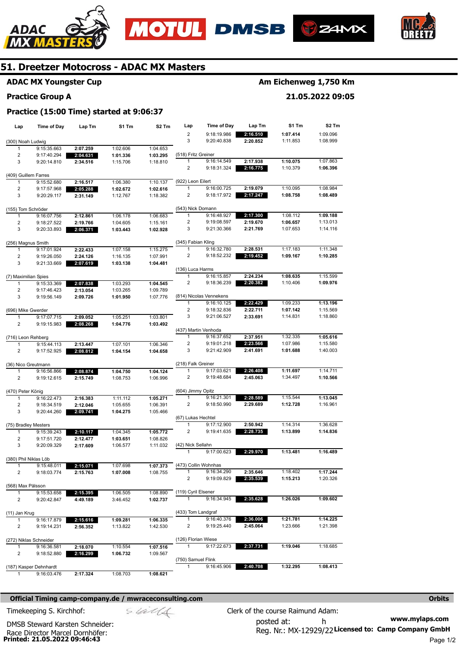







# **ADAC MX Youngster Cup**

#### **Practice Group A**

# **Am Eichenweg 1,750 Km**

## **21.05.2022 09:05**

## **Practice (15:00 Time) started at 9:06:37**

| Lap                               | Time of Day                | Lap Tm               | S1 Tm                | S2 Tm                | Lap                                  | <b>Time of Day</b>         | Lap Tm               | S1 Tm                | S2 Tm                |
|-----------------------------------|----------------------------|----------------------|----------------------|----------------------|--------------------------------------|----------------------------|----------------------|----------------------|----------------------|
|                                   |                            |                      |                      |                      | $\overline{2}$                       | 9:18:19.986                | 2:16.510             | 1:07.414             | 1:09.096             |
| (300) Noah Ludwig                 |                            |                      |                      |                      | 3                                    | 9:20:40.838                | 2:20.852             | 1:11.853             | 1:08.999             |
| 1                                 | 9:15:35.663                | 2:07.259             | 1:02.606             | 1:04.653             |                                      |                            |                      |                      |                      |
| 2                                 | 9:17:40.294                | 2:04.631             | 1:01.336             | 1:03.295             | (518) Fritz Greiner                  |                            |                      |                      |                      |
| 3                                 | 9:20:14.810                | 2:34.516             | 1:15.706             | 1:18.810             | 1                                    | 9:16:14.549                | 2:17.938             | 1:10.075             | 1:07.863             |
|                                   |                            |                      |                      |                      | 2                                    | 9:18:31.324                | 2:16.775             | 1:10.379             | 1:06.396             |
| (409) Guillem Farres              |                            |                      |                      |                      |                                      |                            |                      |                      |                      |
| 1                                 | 9:15:52.680                | 2:16.517             | 1:06.380             | 1:10.137             | (922) Leon Eilert                    |                            |                      |                      |                      |
| 2                                 | 9:17:57.968                | 2:05.288             | 1:02.672             | 1:02.616             | 1                                    | 9:16:00.725                | 2:19.079             | 1:10.095             | 1:08.984             |
| 3                                 | 9:20:29.117                | 2:31.149             | 1:12.767             | 1:18.382             | 2                                    | 9:18:17.972                | 2:17.247             | 1:08.758             | 1:08.489             |
|                                   |                            |                      |                      |                      | (543) Nick Domann                    |                            |                      |                      |                      |
| (155) Tom Schröder<br>1           | 9:16:07.756                | 2:12.861             | 1:06.178             | 1:06.683             | 1                                    | 9:16:48.927                | 2:17.300             | 1:08.112             | 1:09.188             |
| 2                                 | 9:18:27.522                | 2:19.766             | 1:04.605             | 1:15.161             | $\overline{\mathbf{c}}$              | 9:19:08.597                | 2:19.670             | 1:06.657             | 1:13.013             |
| 3                                 | 9:20:33.893                | 2:06.371             | 1:03.443             | 1:02.928             | 3                                    | 9:21:30.366                | 2:21.769             | 1:07.653             | 1:14.116             |
|                                   |                            |                      |                      |                      |                                      |                            |                      |                      |                      |
| (256) Magnus Smith                |                            |                      |                      |                      | (345) Fabian Kling                   |                            |                      |                      |                      |
| 1                                 | 9:17:01.924                | 2:22.433             | 1:07.158             | 1:15.275             | 1                                    | 9:16:32.780                | 2:28.531             | 1:17.183             | 1:11.348             |
| 2                                 | 9:19:26.050                | 2:24.126             | 1:16.135             | 1:07.991             | 2                                    | 9:18:52.232                | 2:19.452             | 1:09.167             | 1:10.285             |
| 3                                 | 9:21:33.669                | 2:07.619             | 1:03.138             | 1:04.481             |                                      |                            |                      |                      |                      |
|                                   |                            |                      |                      |                      | (136) Luca Harms                     |                            |                      |                      |                      |
| (7) Maximilian Spies              |                            |                      |                      |                      | 1                                    | 9:16:15.857                | 2:24.234             | 1:08.635             | 1:15.599             |
| 1                                 | 9:15:33.369                | 2:07.838             | 1:03.293             | 1:04.545             | 2                                    | 9:18:36.239                | 2:20.382             | 1:10.406             | 1:09.976             |
| $\overline{\mathbf{c}}$           | 9:17:46.423                | 2:13.054             | 1:03.265             | 1:09.789             |                                      |                            |                      |                      |                      |
| 3                                 | 9:19:56.149                | 2:09.726             | 1:01.950             | 1:07.776             |                                      | (814) Nicolas Vennekens    |                      |                      |                      |
|                                   |                            |                      |                      |                      | 1                                    | 9:16:10.125                | 2:22.429             | 1:09.233             | 1:13.196             |
| (696) Mike Gwerder                |                            |                      |                      |                      | 2                                    | 9:18:32.836                | 2:22.711             | 1:07.142             | 1:15.569             |
| 1                                 | 9:17:07.715                | 2:09.052             | 1:05.251             | 1:03.801             | 3                                    | 9:21:06.527                | 2:33.691             | 1:14.831             | 1:18.860             |
| 2                                 | 9:19:15.983                | 2:08.268             | 1:04.776             | 1:03.492             |                                      |                            |                      |                      |                      |
|                                   |                            |                      |                      |                      | (437) Martin Venhoda<br>$\mathbf{1}$ | 9:16:37.652                |                      | 1:32.335             |                      |
| (716) Leon Rehberg                |                            |                      |                      |                      | $\overline{\mathbf{c}}$              |                            | 2:37.951<br>2:23.566 |                      | 1:05.616             |
| 1<br>2                            | 9:15:44.113                | 2:13.447             | 1:07.101             | 1:06.346             | 3                                    | 9:19:01.218<br>9:21:42.909 | 2:41.691             | 1:07.986<br>1:01.688 | 1:15.580<br>1:40.003 |
|                                   | 9:17:52.925                | 2:08.812             | 1:04.154             | 1:04.658             |                                      |                            |                      |                      |                      |
| (36) Nico Greutmann               |                            |                      |                      |                      | (218) Falk Greiner                   |                            |                      |                      |                      |
| 1                                 | 9:16:56.866                | 2:08.874             | 1:04.750             | 1:04.124             | 1                                    | 9:17:03.621                | 2:26.408             | 1:11.697             | 1:14.711             |
| 2                                 | 9:19:12.615                | 2:15.749             | 1:08.753             | 1:06.996             | 2                                    | 9:19:48.684                | 2:45.063             | 1:34.497             | 1:10.566             |
|                                   |                            |                      |                      |                      |                                      |                            |                      |                      |                      |
| (470) Peter König                 |                            |                      |                      |                      | (604) Jimmy Opitz                    |                            |                      |                      |                      |
| 1                                 | 9:16:22.473                | 2:16.383             | 1:11.112             | 1:05.271             | 1                                    | 9:16:21.301                | 2:28.589             | 1:15.544             | 1:13.045             |
| 2                                 | 9:18:34.519                | 2:12.046             | 1:05.655             | 1:06.391             | 2                                    | 9:18:50.990                | 2:29.689             | 1:12.728             | 1:16.961             |
| 3                                 | 9:20:44.260                | 2:09.741             | 1:04.275             | 1:05.466             |                                      |                            |                      |                      |                      |
|                                   |                            |                      |                      |                      | (67) Lukas Hechtel                   |                            |                      |                      |                      |
| (75) Bradley Mesters              |                            |                      |                      |                      | 1                                    | 9:17:12.900                | 2:50.942             | 1:14.314             | 1:36.628             |
| 1                                 | 9:15:39.243                | 2:10.117             | 1:04.345             | 1:05.772             | 2                                    | 9:19:41.635                | 2:28.735             | 1:13.899             | 1:14.836             |
| $\overline{\mathbf{c}}$           | 9:17:51.720                | 2:12.477             | 1:03.651             | 1:08.826             |                                      |                            |                      |                      |                      |
| 3                                 | 9:20:09.329                | 2:17.609             | 1:06.577             | 1:11.032             | (42) Nick Sellahn                    |                            |                      |                      |                      |
|                                   |                            |                      |                      |                      |                                      | 9:17:00.623                | 2:29.970             | 1:13.481             | 1:16.489             |
| (380) Phil Niklas Löb             |                            |                      |                      |                      |                                      |                            |                      |                      |                      |
|                                   | 9:15:48.011                | 2:15.071             | 1:07.698             | 1:07.373             | (473) Collin Wohnhas                 |                            |                      |                      |                      |
| 2                                 | 9:18:03.774                | 2:15.763             | 1:07.008             | 1:08.755             | $\mathbf{1}$<br>$\overline{2}$       | 9:16:34.290<br>9:19:09.829 | 2:35.646             | 1:18.402             | 1:17.244<br>1:20.326 |
|                                   |                            |                      |                      |                      |                                      |                            | 2:35.539             | 1:15.213             |                      |
| (568) Max Pålsson<br>$\mathbf{1}$ |                            |                      |                      |                      | (119) Cyril Elsener                  |                            |                      |                      |                      |
| 2                                 | 9:15:53.658<br>9:20:42.847 | 2:15.395<br>4:49.189 | 1:06.505<br>3:46.452 | 1:08.890<br>1:02.737 | $\mathbf{1}$                         | 9:16:34.945                | 2:35.628             | 1:26.026             | 1:09.602             |
|                                   |                            |                      |                      |                      |                                      |                            |                      |                      |                      |
| (11) Jan Krug                     |                            |                      |                      |                      | (433) Tom Landgraf                   |                            |                      |                      |                      |
| 1                                 | 9:16:17.879                | 2:15.616             | 1:09.281             | 1:06.335             | 1                                    | 9:16:40.376                | 2:36.006             | 1:21.781             | 1:14.225             |
| 2                                 | 9:19:14.231                | 2:56.352             | 1:13.822             | 1:42.530             | 2                                    | 9:19:25.440                | 2:45.064             | 1:23.666             | 1:21.398             |
|                                   |                            |                      |                      |                      |                                      |                            |                      |                      |                      |
|                                   | (272) Niklas Schneider     |                      |                      |                      | (126) Florian Wiese                  |                            |                      |                      |                      |
| 1                                 | 9:16:36.581                | 2:18.070             | 1:10.554             | 1:07.516             |                                      | 9:17:22.673                | 2:37.731             | 1:19.046             | 1:18.685             |
| 2                                 | 9:18:52.880                | 2:16.299             | 1:06.732             | 1:09.567             |                                      |                            |                      |                      |                      |
|                                   |                            |                      |                      |                      | (750) Samuel Flink                   |                            |                      |                      |                      |
|                                   | (187) Kasper Dehnhardt     |                      |                      |                      | $\mathbf{1}$                         | 9:16:45.906                | 2:40.708             | 1:32.295             | 1:08.413             |
|                                   | 9:16:03.476                | 2:17.324             | 1:08.703             | 1:08.621             |                                      |                            |                      |                      |                      |

#### **Official Timing camp-company.de / mwraceconsulting.com <b>Orbits and Company.de Company** orbits **Orbits Orbits**

**Printed: 21.05.2022 09:46:43**  Race Director Marcel Dornhöfer:

DMSB Steward Karsten Schneider: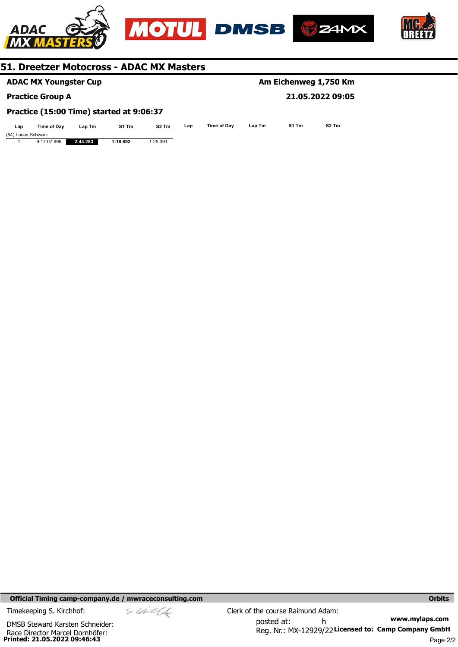

|                                          | <b>ADAC MX Youngster Cup</b> |          |          |                   |     | Am Eichenweg 1,750 Km |        |       |                   |  |
|------------------------------------------|------------------------------|----------|----------|-------------------|-----|-----------------------|--------|-------|-------------------|--|
|                                          | <b>Practice Group A</b>      |          |          |                   |     |                       |        |       | 21.05.2022 09:05  |  |
| Practice (15:00 Time) started at 9:06:37 |                              |          |          |                   |     |                       |        |       |                   |  |
| Lap                                      | Time of Dav                  | Lap Tm   | S1 Tm    | S <sub>2</sub> Tm | Lap | Time of Dav           | Lap Tm | S1 Tm | S <sub>2</sub> Tm |  |
|                                          | (54) Lucas Schwarz           |          |          |                   |     |                       |        |       |                   |  |
|                                          | 9:17:07.999                  | 2:44.283 | 1:18.892 | 1:25.391          |     |                       |        |       |                   |  |

**Official Timing camp-company.de / mwraceconsulting.com <b>Orbits Orbits Orbits Orbits** 

**Printed: 21.05.2022 09:46:43**  Race Director Marcel Dornhöfer: DMSB Steward Karsten Schneider:

**www.mylaps.com**  Reg. Nr.: MX-12929/22 Licensed to: Camp Company GmbH posted at: h Timekeeping S. Kirchhof:  $\le \& \& \& \& \& \& \& \& \qquad \qquad$  Clerk of the course Raimund Adam: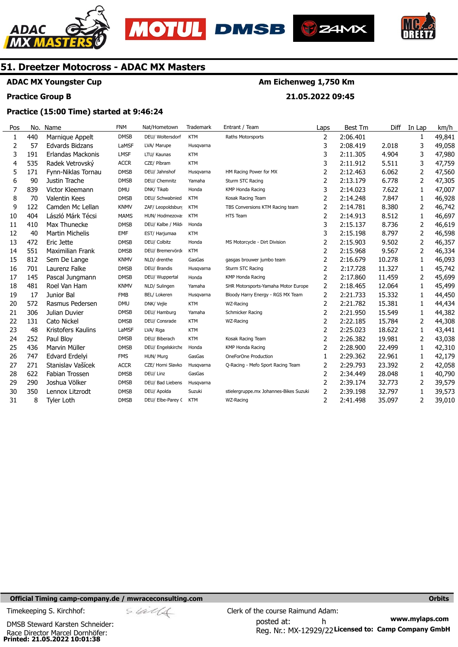





**Am Eichenweg 1,750 Km** 

**21.05.2022 09:45** 



# **51. Dreetzer Motocross - ADAC MX Masters**

# **ADAC MX Youngster Cup**

## **Practice Group B**

# **Practice (15:00 Time) started at 9:46:24**

| Pos | No. | Name                    | <b>FNM</b>  | Nat/Hometown      | <b>Trademark</b> | Entrant / Team                         | Laps | <b>Best Tm</b> | Diff   | In Lap | km/h   |
|-----|-----|-------------------------|-------------|-------------------|------------------|----------------------------------------|------|----------------|--------|--------|--------|
| 1   | 440 | Marnique Appelt         | <b>DMSB</b> | DEU/ Woltersdorf  | <b>KTM</b>       | Raths Motorsports                      | 2    | 2:06.401       |        | 1      | 49,841 |
| 2   | 57  | Edvards Bidzans         | LaMSF       | LVA/ Marupe       | Husqvarna        |                                        | 3    | 2:08.419       | 2.018  | 3      | 49,058 |
| 3   | 191 | Erlandas Mackonis       | <b>LMSF</b> | LTU/ Kaunas       | <b>KTM</b>       |                                        | 3    | 2:11.305       | 4.904  | 3      | 47,980 |
| 4   | 535 | Radek Vetrovský         | <b>ACCR</b> | CZE/ Píbram       | <b>KTM</b>       |                                        | 3    | 2:11.912       | 5.511  | 3      | 47,759 |
| 5   | 171 | Fynn-Niklas Tornau      | <b>DMSB</b> | DEU/ Jahnshof     | Husqvarna        | HM Racing Power for MX                 | 2    | 2:12.463       | 6.062  | 2      | 47,560 |
| 6   | 90  | Justin Trache           | <b>DMSB</b> | DEU/ Chemnitz     | Yamaha           | Sturm STC Racing                       | 2    | 2:13.179       | 6.778  | 2      | 47,305 |
| 7   | 839 | Victor Kleemann         | <b>DMU</b>  | DNK/ Tikøb        | Honda            | <b>KMP Honda Racing</b>                | 3    | 2:14.023       | 7.622  | 1      | 47,007 |
| 8   | 70  | <b>Valentin Kees</b>    | <b>DMSB</b> | DEU/ Schwabnied   | <b>KTM</b>       | Kosak Racing Team                      | 2    | 2:14.248       | 7.847  | 1      | 46,928 |
| 9   | 122 | Camden Mc Lellan        | <b>KNMV</b> | ZAF/ Leopoldsburg | <b>KTM</b>       | TBS Conversions KTM Racing team        | 2    | 2:14.781       | 8.380  | 2      | 46,742 |
| 10  | 404 | László Márk Técsi       | <b>MAMS</b> | HUN/ Hodmezova:   | <b>KTM</b>       | HTS Team                               | 2    | 2:14.913       | 8.512  | 1      | 46,697 |
| 11  | 410 | Max Thunecke            | <b>DMSB</b> | DEU/ Kalbe / Mild | Honda            |                                        | 3    | 2:15.137       | 8.736  | 2      | 46,619 |
| 12  | 40  | <b>Martin Michelis</b>  | <b>EMF</b>  | EST/ Harjumaa     | <b>KTM</b>       |                                        | 3    | 2:15.198       | 8.797  | 2      | 46,598 |
| 13  | 472 | Eric Jette              | <b>DMSB</b> | DEU/ Colbitz      | Honda            | MS Motorcycle - Dirt Division          | 2    | 2:15.903       | 9.502  | 2      | 46,357 |
| 14  | 551 | <b>Maximilian Frank</b> | <b>DMSB</b> | DEU/ Bremervörd   | <b>KTM</b>       |                                        | 2    | 2:15.968       | 9.567  | 2      | 46,334 |
| 15  | 812 | Sem De Lange            | <b>KNMV</b> | NLD/ drenthe      | GasGas           | gasgas brouwer jumbo team              | 2    | 2:16.679       | 10.278 | 1      | 46,093 |
| 16  | 701 | Laurenz Falke           | <b>DMSB</b> | DEU/ Brandis      | Husqvarna        | Sturm STC Racing                       | 2    | 2:17.728       | 11.327 | 1      | 45,742 |
| 17  | 145 | Pascal Jungmann         | <b>DMSB</b> | DEU/ Wuppertal    | Honda            | KMP Honda Racing                       | 2    | 2:17.860       | 11.459 | 2      | 45,699 |
| 18  | 481 | Roel Van Ham            | <b>KNMV</b> | NLD/ Sulingen     | Yamaha           | SHR Motorsports-Yamaha Motor Europe    | 2    | 2:18.465       | 12.064 | 1      | 45,499 |
| 19  | 17  | Junior Bal              | <b>FMB</b>  | BEL/ Lokeren      | Husqvarna        | Bloody Harry Energy - RGS MX Team      | 2    | 2:21.733       | 15.332 | 1      | 44,450 |
| 20  | 572 | Rasmus Pedersen         | <b>DMU</b>  | DNK/ Vejle        | <b>KTM</b>       | WZ-Racing                              | 2    | 2:21.782       | 15.381 | 1      | 44,434 |
| 21  | 306 | Julian Duvier           | <b>DMSB</b> | DEU/ Hamburg      | Yamaha           | Schmicker Racing                       | 2    | 2:21.950       | 15.549 | 1      | 44,382 |
| 22  | 131 | Cato Nickel             | <b>DMSB</b> | DEU/ Consrade     | <b>KTM</b>       | WZ-Racing                              | 2    | 2:22.185       | 15.784 | 2      | 44,308 |
| 23  | 48  | Kristofers Kaulins      | LaMSF       | LVA/ Riga         | <b>KTM</b>       |                                        | 2    | 2:25.023       | 18.622 | 1      | 43,441 |
| 24  | 252 | Paul Bloy               | <b>DMSB</b> | DEU/ Biberach     | <b>KTM</b>       | Kosak Racing Team                      | 2    | 2:26.382       | 19.981 | 2      | 43,038 |
| 25  | 436 | Marvin Müller           | <b>DMSB</b> | DEU/ Engelskirche | Honda            | <b>KMP Honda Racing</b>                | 2    | 2:28.900       | 22.499 | 1      | 42,310 |
| 26  | 747 | Edvard Erdelyi          | <b>FMS</b>  | HUN/ Murg         | GasGas           | OneForOne Production                   | 1    | 2:29.362       | 22.961 | 1      | 42,179 |
| 27  | 271 | Stanislav Vašícek       | <b>ACCR</b> | CZE/ Horni Slavko | Husqvarna        | Q-Racing - Mefo Sport Racing Team      | 2    | 2:29.793       | 23.392 | 2      | 42,058 |
| 28  | 622 | <b>Fabian Trossen</b>   | <b>DMSB</b> | DEU/ Linz         | GasGas           |                                        | 2    | 2:34.449       | 28.048 | 1      | 40,790 |
| 29  | 290 | Joshua Völker           | <b>DMSB</b> | DEU/ Bad Liebens  | Husqvarna        |                                        | 2    | 2:39.174       | 32.773 | 2      | 39,579 |
| 30  | 350 | Lennox Litzrodt         | <b>DMSB</b> | DEU/ Apolda       | Suzuki           | stielergruppe.mx Johannes-Bikes Suzuki | 2    | 2:39.198       | 32.797 | 1      | 39,573 |
| 31  | 8   | <b>Tyler Loth</b>       | <b>DMSB</b> | DEU/ Elbe-Parey ( | <b>KTM</b>       | WZ-Racing                              | 2    | 2:41.498       | 35.097 | 2      | 39,010 |

## **Official Timing camp-company.de / mwraceconsulting.com <b>Orbits and Company.de Company** orbits **Orbits Orbits**

**Printed: 21.05.2022 10:01:38**  Race Director Marcel Dornhöfer: DMSB Steward Karsten Schneider:

$$
\mathscr{A}\mathscr{A}
$$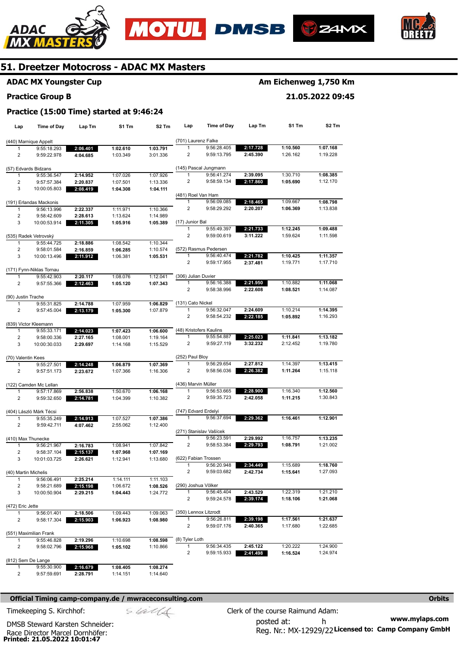







# **ADAC MX Youngster Cup**

#### **Practice Group B**

# **Am Eichenweg 1,750 Km**

**21.05.2022 09:45** 

|  | Practice (15:00 Time) started at 9:46:24 |  |
|--|------------------------------------------|--|
|--|------------------------------------------|--|

| Lap                     | <b>Time of Day</b>                    | Lap Tm   | S1 Tm    | S <sub>2</sub> Tm | Lap                     | <b>Time of Day</b>                  | Lap Tm               | S1 Tm                | S2 Tm                |
|-------------------------|---------------------------------------|----------|----------|-------------------|-------------------------|-------------------------------------|----------------------|----------------------|----------------------|
|                         | (440) Marnique Appelt                 |          |          |                   | (701) Laurenz Falke     |                                     |                      |                      |                      |
| 1                       | 9:55:18.293                           | 2:06.401 | 1:02.610 | 1:03.791          | 1                       | 9:56:28.405                         | 2:17.728             | 1:10.560             | 1:07.168             |
| 2                       | 9:59:22.978                           | 4:04.685 | 1:03.349 | 3:01.336          | 2                       | 9:59:13.795                         | 2:45.390             | 1:26.162             | 1:19.228             |
|                         | (57) Edvards Bidzans                  |          |          |                   |                         | (145) Pascal Jungmann               |                      |                      |                      |
| 1                       | 9:55:36.547                           | 2:14.952 | 1:07.026 | 1:07.926          | 1                       | 9:56:41.274                         | 2:39.095             | 1:30.710             | 1:08.385             |
| 2                       | 9:57:57.384                           | 2:20.837 | 1:07.501 | 1:13.336          | 2                       | 9:58:59.134                         | 2:17.860             | 1:05.690             | 1:12.170             |
| 3                       | 10:00:05.803                          | 2:08.419 | 1:04.308 | 1:04.111          |                         |                                     |                      |                      |                      |
|                         |                                       |          |          |                   | (481) Roel Van Ham      |                                     |                      |                      |                      |
|                         | (191) Erlandas Mackonis               |          |          |                   | 1                       | 9:56:09.085                         | 2:18.465             | 1:09.667             | 1:08.798             |
| 1                       | 9:56:13.996                           | 2:22.337 | 1:11.971 | 1:10.366          | $\overline{\mathbf{c}}$ | 9:58:29.292                         | 2:20.207             | 1:06.369             | 1:13.838             |
| $\overline{2}$          | 9:58:42.609                           | 2:28.613 | 1:13.624 | 1:14.989          |                         |                                     |                      |                      |                      |
| 3                       | 10:00:53.914                          | 2:11.305 | 1:05.916 | 1:05.389          | (17) Junior Bal<br>1    | 9:55:49.397                         |                      |                      |                      |
|                         | (535) Radek Vetrovský                 |          |          |                   | $\overline{c}$          | 9:59:00.619                         | 2:21.733<br>3:11.222 | 1:12.245<br>1:59.624 | 1:09.488<br>1:11.598 |
| 1                       | 9:55:44.725                           | 2:18.886 | 1:08.542 | 1:10.344          |                         |                                     |                      |                      |                      |
| 2                       | 9:58:01.584                           | 2:16.859 | 1:06.285 | 1:10.574          |                         | (572) Rasmus Pedersen               |                      |                      |                      |
| 3                       | 10:00:13.496                          | 2:11.912 | 1:06.381 | 1:05.531          | 1                       | 9:56:40.474                         | 2:21.782             | 1:10.425             | 1:11.357             |
|                         |                                       |          |          |                   | 2                       | 9:59:17.955                         | 2:37.481             | 1:19.771             | 1:17.710             |
|                         | (171) Fynn-Niklas Tornau              |          |          |                   |                         |                                     |                      |                      |                      |
| 1                       | 9:55:42.903                           | 2:20.117 | 1:08.076 | 1:12.041          | (306) Julian Duvier     |                                     |                      |                      |                      |
| 2                       | 9:57:55.366                           | 2:12.463 | 1:05.120 | 1:07.343          | 1                       | 9:56:16.388                         | 2:21.950             | 1:10.882             | 1:11.068             |
|                         |                                       |          |          |                   | 2                       | 9:58:38.996                         | 2:22.608             | 1:08.521             | 1:14.087             |
| (90) Justin Trache<br>1 | 9:55:31.825                           | 2:14.788 | 1:07.959 | 1:06.829          | (131) Cato Nickel       |                                     |                      |                      |                      |
| $\overline{2}$          | 9:57:45.004                           | 2:13.179 | 1:05.300 | 1:07.879          | 1                       | 9:56:32.047                         | 2:24.609             | 1:10.214             | 1:14.395             |
|                         |                                       |          |          |                   | 2                       | 9:58:54.232                         | 2:22.185             | 1:05.892             | 1:16.293             |
|                         | (839) Victor Kleemann                 |          |          |                   |                         |                                     |                      |                      |                      |
| 1                       | 9:55:33.171                           | 2:14.023 | 1:07.423 | 1:06.600          |                         | (48) Kristofers Kaulins             |                      |                      |                      |
| 2                       | 9:58:00.336                           | 2:27.165 | 1:08.001 | 1:19.164          |                         | 9:55:54.887                         | 2:25.023             | 1:11.841             | 1:13.182             |
| 3                       | 10:00:30.033                          | 2:29.697 | 1:14.168 | 1:15.529          | 2                       | 9:59:27.119                         | 3:32.232             | 2:12.452             | 1:19.780             |
|                         |                                       |          |          |                   |                         |                                     |                      |                      |                      |
| (70) Valentin Kees      |                                       |          |          |                   | (252) Paul Bloy         |                                     |                      |                      |                      |
| 1                       | 9:55:27.501                           | 2:14.248 | 1:06.879 | 1:07.369          | 1<br>2                  | 9:56:29.654<br>9:58:56.036          | 2:27.812             | 1:14.397             | 1:13.415<br>1:15.118 |
| 2                       | 9:57:51.173                           | 2:23.672 | 1:07.366 | 1:16.306          |                         |                                     | 2:26.382             | 1:11.264             |                      |
|                         | (122) Camden Mc Lellan                |          |          |                   | (436) Marvin Müller     |                                     |                      |                      |                      |
| 1                       | 9:57:17.869                           | 2:56.838 | 1:50.670 | 1:06.168          | 1                       | 9:56:53.665                         | 2:28.900             | 1:16.340             | 1:12.560             |
| 2                       | 9:59:32.650                           | 2:14.781 | 1:04.399 | 1:10.382          | 2                       | 9:59:35.723                         | 2:42.058             | 1:11.215             | 1:30.843             |
|                         |                                       |          |          |                   |                         |                                     |                      |                      |                      |
|                         | (404) László Márk Técsi               |          |          |                   | (747) Edvard Erdelyi    |                                     |                      |                      |                      |
| 1                       | 9:55:35.249                           | 2:14.913 | 1:07.527 | 1:07.386          |                         | 9:56:37.694                         | 2:29.362             | 1:16.461             | 1:12.901             |
| 2                       | 9:59:42.711                           | 4:07.462 | 2:55.062 | 1:12.400          |                         |                                     |                      |                      |                      |
|                         |                                       |          |          |                   |                         | (271) Stanislav Vašícek             |                      |                      |                      |
|                         | (410) Max Thunecke                    |          |          |                   | 1                       | 9:56:23.591                         | 2:29.992             | 1:16.757             | 1:13.235             |
| 1                       | 9:56:21.967                           | 2:16.783 | 1:08.941 | 1:07.842          | 2                       | 9:58:53.384                         | 2:29.793             | 1:08.791             | 1:21.002             |
| 2                       | 9:58:37.104                           | 2:15.137 | 1:07.968 | 1:07.169          |                         |                                     |                      |                      |                      |
| 3                       | 10:01:03.725                          | 2:26.621 | 1:12.941 | 1:13.680          | 1                       | (622) Fabian Trossen<br>9:56:20.948 | 2:34.449             | 1:15.689             | 1:18.760             |
| (40) Martin Michelis    |                                       |          |          |                   | 2                       | 9:59:03.682                         | 2:42.734             | 1:15.641             | 1:27.093             |
| 1                       | 9:56:06.491                           | 2:25.214 | 1:14.111 | 1:11.103          |                         |                                     |                      |                      |                      |
| 2                       | 9:58:21.689                           | 2:15.198 | 1:06.672 | 1:08.526          | (290) Joshua Völker     |                                     |                      |                      |                      |
| 3                       | 10:00:50.904                          | 2:29.215 | 1:04.443 | 1:24.772          | 1                       | 9:56:45.404                         | 2:43.529             | 1:22.319             | 1:21.210             |
|                         |                                       |          |          |                   | 2                       | 9:59:24.578                         | 2:39.174             | 1:18.106             | 1:21.068             |
| (472) Eric Jette        |                                       |          |          |                   |                         |                                     |                      |                      |                      |
| 1                       | 9:56:01.401                           | 2:18.506 | 1:09.443 | 1:09.063          |                         | (350) Lennox Litzrodt               |                      |                      |                      |
| 2                       | 9:58:17.304                           | 2:15.903 | 1:06.923 | 1:08.980          | 1                       | 9:56:26.811                         | 2:39.198             | 1:17.561             | 1:21.637             |
|                         |                                       |          |          |                   | 2                       | 9:59:07.176                         | 2:40.365             | 1:17.680             | 1:22.685             |
| 1                       | (551) Maximilian Frank<br>9:55:46.828 | 2:19.296 | 1:10.698 | 1:08.598          | (8) Tyler Loth          |                                     |                      |                      |                      |
| 2                       | 9:58:02.796                           | 2:15.968 | 1:05.102 | 1:10.866          | 1                       | 9:56:34.435                         | 2:45.122             | 1:20.222             | 1:24.900             |
|                         |                                       |          |          |                   | 2                       | 9:59:15.933                         | 2:41.498             | 1:16.524             | 1:24.974             |
|                         | (812) Sem De Lange                    |          |          |                   |                         |                                     |                      |                      |                      |
| 1                       | 9:55:30.900                           | 2:16.679 | 1:08.405 | 1:08.274          |                         |                                     |                      |                      |                      |
| 2                       | 9:57:59.691                           | 2:28.791 | 1:14.151 | 1:14.640          |                         |                                     |                      |                      |                      |

### **Official Timing camp-company.de / mwraceconsulting.com <b>Orbits and Company.de Company** orbits **Orbits Orbits**

Timekeeping S. Kirchhof:  $\frac{C}{2}$  Clerk of the course Raimund Adam:

Race Director Marcel Dornhöfer:<br>**Printed: 21.05.2022 10:01:47** DMSB Steward Karsten Schneider:

**www.mylaps.com**  Reg. Nr.: MX-12929/22 Licensed to: Camp Company GmbH posted at: h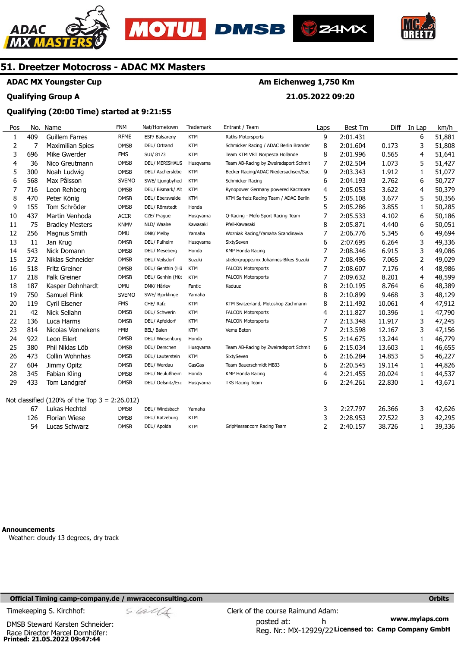





**Am Eichenweg 1,750 Km** 

**21.05.2022 09:20** 



# **51. Dreetzer Motocross - ADAC MX Masters**

**ADAC MX Youngster Cup** 

## **Qualifying Group A**

# **Qualifying (20:00 Time) started at 9:21:55**

#### Pos 1 2 3 4 5 6 7 8 9 10 11 12 13 14 15 16 17 18 19 20 21 22 23  $24$ 25 26 27 28  $29$ Not classified (120% of the Top 3 = 2:26.012) No. 409 7 696 36 300 568 716 470 155 437 75 256 11 543 272 518 218 187 750 119 42 136 814 922 380 473 604 345 433 67 126 54 Name Guillem Farres Maximilian Spies Mike Gwerder Nico Greutmann Noah Ludwig Max Pålsson Leon Rehberg Peter König Tom Schröder Martin Venhoda Bradley Mesters Magnus Smith Jan Krug Nick Domann Niklas Schneider Fritz Greiner Falk Greiner Kasper Dehnhardt Samuel Flink Cyril Elsener Nick Sellahn Luca Harms Nicolas Vennekens Leon Eilert Phil Niklas Löb Collin Wohnhas Jimmy Opitz Fabian Kling Tom Landgraf Lukas Hechtel Florian Wiese Lucas Schwarz FNM RFME **DMSB FMS** DMSB DMSB SVEMO DMSB DMSB DMSB **ACCR** KNMV DMU DMSB DMSB DMSB **DMSB DMSB DMU** SVEMO FMS DMSB DMSB FMB DMSB DMSB DMSB DMSB DMSB DMSB **DMSB** DMSB DMSB Nat/Hometown ESP/ Balsareny DEU/ Ortrand SUI/ 8173 DEU/ MERISHAUS DEU/ Ascherslebe SWE/ Ljungbyhed DEU/ Bismark/ Alt DEU/ Eberswalde DEU/ Römstedt CZE/ Prague NLD/ Waalre DNK/ Melby DEU/ Pulheim DEU/ Meseberg DEU/ Veilsdorf DEU/ Genthin (Hü DEU/ Genhin (Hüt DNK/ Hårlev SWE/ Bjorklinge CHE/ Rafz DEU/ Schwerin DEU/ Apfeldorf BEL/ Balen DEU/ Wiesenburg DEU/ Derschen DEU/ Lauterstein DEU/ Werdau DEU/ Neulußheim DEU/ Oelsnitz/Erz DEU/ Windsbach DEU/ Ratzeburg DEU/ Apolda **Trademark** KTM **KTM** KTM Husqvarna KTM KTM KTM KTM Honda Husqvarna Kawasaki Yamaha Husqvarna Honda Suzuki **KTM KTM** Fantic Yamaha KTM KTM KTM KTM Honda Husqvarna KTM GasGas Honda Husqvarna Yamaha **KTM** KTM Entrant / Team Raths Motorsports Schmicker Racing / ADAC Berlin Branden Team KTM VRT Norpesca Hollande Team AB-Racing by Zweiradsport Schmit Becker Racing/ADAC Niedersachsen/Sac Schmicker Racing Rynopower Germany powered Kaczmare KTM Sarholz Racing Team / ADAC Berlin Q-Racing - Mefo Sport Racing Team Pfeil-Kawasaki Wozniak Racing/Yamaha Scandinavia SixtySeven KMP Honda Racing stielergruppe.mx Johannes-Bikes Suzuki FALCON Motorsports FALCON Motorsports Kaduuz KTM Switzerland, Motoshop Zachmann FALCON Motorsports FALCON Motorsports Vema Beton Team AB-Racing by Zweiradsport Schmit SixtySeven Team Bauerschmidt MB33 KMP Honda Racing TKS Racing Team GripMesser.com Racing Team Laps 9 8 8 7 9 6 4 5 5 7 8 7 6 7 7 7 7 8 8 8 4 7 7 5 6 6 6 4 6 3 3  $\overline{2}$ Best Tm 2:01.431 2:01.604 2:01.996 2:02.504 2:03.343 2:04.193 2:05.053 2:05.108 2:05.286 2:05.533 2:05.871 2:06.776 2:07.695 2:08.346 2:08.496 2:08.607 2:09.632 2:10.195 2:10.899 2:11.492 2:11.827 2:13.348 2:13.598 2:14.675 2:15.034 2:16.284 2:20.545 2:21.455 2:24.261 2:27.797 2:28.953 2:40.157 Diff 0.173 0.565 1.073 1.912 2.762 3.622 3.677 3.855 4.102 4.440 5.345 6.264 6.915 7.065 7.176 8.201 8.764 9.468 10.061 10.396 11.917 12.167 13.244 13.603 14.853 19.114 20.024 22.830 26.366 27.522 38.726 In Lap 6 3 4 5 1 6 4 5 1 6 6 6 3 3 2 4 4 6 3 4 1 3 3 1 1 5 1 1 1 3 3 1 km/h 51,881 51,808 51,641 51,427 51,077 50,727 50,379 50,356 50,285 50,186 50,051 49,694 49,336 49,086 49,029 48,986 48,599 48,389 48,129 47,912 47,790 47,245 47,156 46,779 46,655 46,227 44,826 44,537 43,671 42,626 42,295 39,336

**Announcements** 

Weather: cloudy 13 degrees, dry track

## **Official Timing camp-company.de / mwraceconsulting.com Orbits**

Timekeeping S. Kirchhof:  $\frac{C}{2}$  Clerk of the course Raimund Adam:

**Printed: 21.05.2022 09:47:44**  DMSB Steward Karsten Schneider: Race Director Marcel Dornhöfer:

**www.mylaps.com**  Reg. Nr.: MX-12929/22 Licensed to: Camp Company GmbH posted at: h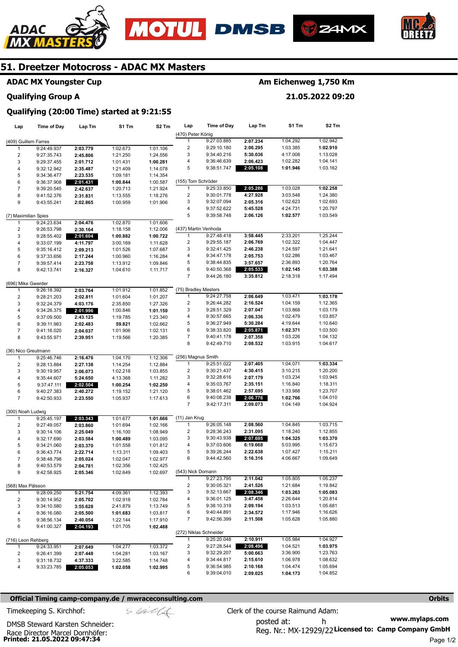







**Qualifying (20:00 Time) started at 9:21:55** 

# **ADAC MX Youngster Cup**

#### **Qualifying Group A**

# **Am Eichenweg 1,750 Km**

**21.05.2022 09:20** 

| 2:03.779<br>2:45.806<br>2:01.712<br>2:35.487<br>2:23.535<br>2:01.431<br>2:42.637<br>2:31.831<br>2:02.865<br>2:04.476<br>2:30.164<br>2:01.604<br>4:11.797<br>2:09.213<br>2:17.244 | 1:02.673<br>1:21.250<br>1:01.431<br>1:21.409<br>1:09.181<br>1:00.844<br>1:20.713<br>1:13.555<br>1:00.959<br>1:02.870<br>1:18.158<br>1:00.882 | 1:01.106<br>1:24.556<br>1:00.281<br>1:14.078<br>1:14.354<br>1:00.587<br>1:21.924<br>1:18.276<br>1:01.906<br>1:01.606 | (470) Peter König<br>$\mathbf{1}$<br>2<br>3<br>4<br>5<br>(155) Tom Schröder<br>1<br>2<br>3<br>4<br>5                 | 9:27:03.885<br>9:29:10.180<br>9:34:40.216<br>9:36:46.639<br>9:38:51.747<br>9:25:33.850<br>9:30:01.778<br>9:32:07.094<br>9:37:52.622 | 2:07.234<br>2:06.295<br>5:30.036<br>2:06.423<br>2:05.108<br>2:05.286<br>4:27.928<br>2:05.316<br>5:45.528                                                                                                                  | 1:04.292<br>1:03.385<br>4:17.008<br>1:02.282<br>1:01.946<br>1:03.028<br>3:03.548<br>1:02.623<br>4:24.731                                                 | 1:02.942<br>1:02.910<br>1:13.028<br>1:04.141<br>1:03.162<br>1:02.258<br>1:24.380<br>1:02.693                                                             |
|----------------------------------------------------------------------------------------------------------------------------------------------------------------------------------|----------------------------------------------------------------------------------------------------------------------------------------------|----------------------------------------------------------------------------------------------------------------------|----------------------------------------------------------------------------------------------------------------------|-------------------------------------------------------------------------------------------------------------------------------------|---------------------------------------------------------------------------------------------------------------------------------------------------------------------------------------------------------------------------|----------------------------------------------------------------------------------------------------------------------------------------------------------|----------------------------------------------------------------------------------------------------------------------------------------------------------|
|                                                                                                                                                                                  |                                                                                                                                              |                                                                                                                      |                                                                                                                      |                                                                                                                                     |                                                                                                                                                                                                                           |                                                                                                                                                          |                                                                                                                                                          |
|                                                                                                                                                                                  |                                                                                                                                              |                                                                                                                      |                                                                                                                      |                                                                                                                                     |                                                                                                                                                                                                                           |                                                                                                                                                          |                                                                                                                                                          |
|                                                                                                                                                                                  |                                                                                                                                              |                                                                                                                      |                                                                                                                      |                                                                                                                                     |                                                                                                                                                                                                                           |                                                                                                                                                          |                                                                                                                                                          |
|                                                                                                                                                                                  |                                                                                                                                              |                                                                                                                      |                                                                                                                      |                                                                                                                                     |                                                                                                                                                                                                                           |                                                                                                                                                          |                                                                                                                                                          |
|                                                                                                                                                                                  |                                                                                                                                              |                                                                                                                      |                                                                                                                      |                                                                                                                                     |                                                                                                                                                                                                                           |                                                                                                                                                          |                                                                                                                                                          |
|                                                                                                                                                                                  |                                                                                                                                              |                                                                                                                      |                                                                                                                      |                                                                                                                                     |                                                                                                                                                                                                                           |                                                                                                                                                          |                                                                                                                                                          |
|                                                                                                                                                                                  |                                                                                                                                              |                                                                                                                      |                                                                                                                      |                                                                                                                                     |                                                                                                                                                                                                                           |                                                                                                                                                          |                                                                                                                                                          |
|                                                                                                                                                                                  |                                                                                                                                              |                                                                                                                      |                                                                                                                      |                                                                                                                                     |                                                                                                                                                                                                                           |                                                                                                                                                          |                                                                                                                                                          |
|                                                                                                                                                                                  |                                                                                                                                              |                                                                                                                      |                                                                                                                      |                                                                                                                                     |                                                                                                                                                                                                                           |                                                                                                                                                          |                                                                                                                                                          |
|                                                                                                                                                                                  |                                                                                                                                              |                                                                                                                      |                                                                                                                      |                                                                                                                                     |                                                                                                                                                                                                                           |                                                                                                                                                          |                                                                                                                                                          |
|                                                                                                                                                                                  |                                                                                                                                              |                                                                                                                      |                                                                                                                      |                                                                                                                                     |                                                                                                                                                                                                                           |                                                                                                                                                          |                                                                                                                                                          |
|                                                                                                                                                                                  |                                                                                                                                              |                                                                                                                      |                                                                                                                      |                                                                                                                                     |                                                                                                                                                                                                                           |                                                                                                                                                          | 1:20.797                                                                                                                                                 |
|                                                                                                                                                                                  |                                                                                                                                              |                                                                                                                      |                                                                                                                      | 9:39:58.748                                                                                                                         | 2:06.126                                                                                                                                                                                                                  | 1:02.577                                                                                                                                                 | 1:03.549                                                                                                                                                 |
|                                                                                                                                                                                  |                                                                                                                                              |                                                                                                                      |                                                                                                                      | (437) Martin Venhoda                                                                                                                |                                                                                                                                                                                                                           |                                                                                                                                                          |                                                                                                                                                          |
|                                                                                                                                                                                  |                                                                                                                                              | 1:12.006                                                                                                             | 1                                                                                                                    | 9:27:48.418                                                                                                                         | 3:58.445                                                                                                                                                                                                                  | 2:33.201                                                                                                                                                 | 1:25.244                                                                                                                                                 |
|                                                                                                                                                                                  |                                                                                                                                              | 1:00.722                                                                                                             | 2                                                                                                                    | 9:29:55.187                                                                                                                         | 2:06.769                                                                                                                                                                                                                  | 1:02.322                                                                                                                                                 | 1:04.447                                                                                                                                                 |
|                                                                                                                                                                                  | 3:00.169                                                                                                                                     | 1:11.628                                                                                                             | 3                                                                                                                    | 9:32:41.425                                                                                                                         | 2:46.238                                                                                                                                                                                                                  | 1:24.597                                                                                                                                                 | 1:21.641                                                                                                                                                 |
|                                                                                                                                                                                  | 1:01.526                                                                                                                                     | 1:07.687<br>1:16.284                                                                                                 | 4                                                                                                                    | 9:34:47.178                                                                                                                         | 2:05.753                                                                                                                                                                                                                  | 1:02.286                                                                                                                                                 | 1:03.467                                                                                                                                                 |
|                                                                                                                                                                                  | 1:00.960                                                                                                                                     |                                                                                                                      | 5                                                                                                                    | 9:38:44.835                                                                                                                         | 3:57.657                                                                                                                                                                                                                  | 2:36.893                                                                                                                                                 | 1:20.764                                                                                                                                                 |
| 2:23.758                                                                                                                                                                         | 1:13.912                                                                                                                                     | 1:09.846                                                                                                             | 6                                                                                                                    | 9:40:50.368                                                                                                                         | 2:05.533                                                                                                                                                                                                                  | 1:02.145                                                                                                                                                 | 1:03.388                                                                                                                                                 |
| 2:16.327                                                                                                                                                                         | 1:04.610                                                                                                                                     | 1:11.717                                                                                                             | 7                                                                                                                    | 9:44:26.180                                                                                                                         | 3:35.812                                                                                                                                                                                                                  | 2:18.318                                                                                                                                                 | 1:17.494                                                                                                                                                 |
|                                                                                                                                                                                  |                                                                                                                                              |                                                                                                                      |                                                                                                                      |                                                                                                                                     |                                                                                                                                                                                                                           |                                                                                                                                                          |                                                                                                                                                          |
| 2:03.764                                                                                                                                                                         | 1:01.912                                                                                                                                     | 1:01.852                                                                                                             | (75) Bradley Mesters                                                                                                 |                                                                                                                                     |                                                                                                                                                                                                                           |                                                                                                                                                          |                                                                                                                                                          |
| 2:02.811                                                                                                                                                                         | 1:01.604                                                                                                                                     | 1:01.207                                                                                                             | 1                                                                                                                    | 9:24:27.758                                                                                                                         | 2:06.649                                                                                                                                                                                                                  | 1:03.471                                                                                                                                                 | 1:03.178                                                                                                                                                 |
| 4:03.176                                                                                                                                                                         | 2:35.850                                                                                                                                     | 1:27.326                                                                                                             | $\overline{2}$                                                                                                       | 9:26:44.282                                                                                                                         | 2:16.524                                                                                                                                                                                                                  | 1:04.159                                                                                                                                                 | 1:12.365                                                                                                                                                 |
| 2:01.996                                                                                                                                                                         | 1:00.846                                                                                                                                     | 1:01.150                                                                                                             | 3                                                                                                                    | 9:28:51.329                                                                                                                         | 2:07.047                                                                                                                                                                                                                  | 1:03.868                                                                                                                                                 | 1:03.179                                                                                                                                                 |
| 2:43.125                                                                                                                                                                         | 1:19.785                                                                                                                                     | 1:23.340                                                                                                             | 4                                                                                                                    | 9:30:57.665                                                                                                                         | 2:06.336                                                                                                                                                                                                                  | 1:02.479                                                                                                                                                 | 1:03.857                                                                                                                                                 |
| 2:02.483                                                                                                                                                                         | 59.821                                                                                                                                       | 1:02.662                                                                                                             | 5                                                                                                                    | 9:36:27.949                                                                                                                         | 5:30.284                                                                                                                                                                                                                  | 4:19.644                                                                                                                                                 | 1:10.640                                                                                                                                                 |
| 2:04.037                                                                                                                                                                         | 1:01.906                                                                                                                                     | 1:02.131                                                                                                             | 6                                                                                                                    | 9:38:33.820                                                                                                                         | 2:05.871                                                                                                                                                                                                                  | 1:02.371                                                                                                                                                 | 1:03.500                                                                                                                                                 |
| 2:39.951                                                                                                                                                                         | 1:19.566                                                                                                                                     | 1:20.385                                                                                                             | 7                                                                                                                    | 9:40:41.178                                                                                                                         | 2:07.358                                                                                                                                                                                                                  | 1:03.226                                                                                                                                                 | 1:04.132                                                                                                                                                 |
|                                                                                                                                                                                  |                                                                                                                                              |                                                                                                                      | 8                                                                                                                    | 9:42:49.710                                                                                                                         | 2:08.532                                                                                                                                                                                                                  | 1:03.915                                                                                                                                                 | 1:04.617                                                                                                                                                 |
|                                                                                                                                                                                  |                                                                                                                                              |                                                                                                                      |                                                                                                                      |                                                                                                                                     |                                                                                                                                                                                                                           |                                                                                                                                                          |                                                                                                                                                          |
| 2:16.476                                                                                                                                                                         | 1:04.170                                                                                                                                     | 1:12.306                                                                                                             | (256) Magnus Smith                                                                                                   |                                                                                                                                     |                                                                                                                                                                                                                           |                                                                                                                                                          |                                                                                                                                                          |
| 2:27.138                                                                                                                                                                         | 1:14.254                                                                                                                                     | 1:12.884                                                                                                             | 1                                                                                                                    | 9:25:51.022                                                                                                                         | 2:07.405                                                                                                                                                                                                                  | 1:04.071                                                                                                                                                 | 1:03.334                                                                                                                                                 |
| 2:06.073                                                                                                                                                                         | 1:02.218                                                                                                                                     | 1:03.855                                                                                                             | 2                                                                                                                    | 9:30:21.437                                                                                                                         | 4:30.415                                                                                                                                                                                                                  | 3:10.215                                                                                                                                                 | 1:20.200                                                                                                                                                 |
| 5:24.650                                                                                                                                                                         | 4:13.368                                                                                                                                     | 1:11.282                                                                                                             | 3                                                                                                                    | 9:32:28.616                                                                                                                         | 2:07.179                                                                                                                                                                                                                  | 1:03.234                                                                                                                                                 | 1:03.945                                                                                                                                                 |
| 2:02.504                                                                                                                                                                         | 1:00.254                                                                                                                                     | 1:02.250                                                                                                             | 4                                                                                                                    | 9:35:03.767                                                                                                                         | 2:35.151                                                                                                                                                                                                                  | 1:16.840                                                                                                                                                 | 1:18.311                                                                                                                                                 |
| 2:40.272                                                                                                                                                                         | 1:19.152                                                                                                                                     | 1:21.120                                                                                                             | 5                                                                                                                    | 9:38:01.462                                                                                                                         | 2:57.695                                                                                                                                                                                                                  | 1:33.988                                                                                                                                                 | 1:23.707                                                                                                                                                 |
| 2:23.550                                                                                                                                                                         | 1:05.937                                                                                                                                     | 1:17.613                                                                                                             | 6                                                                                                                    | 9:40:08.238                                                                                                                         | 2:06.776                                                                                                                                                                                                                  | 1:02.766                                                                                                                                                 | 1:04.010                                                                                                                                                 |
|                                                                                                                                                                                  |                                                                                                                                              |                                                                                                                      | $\overline{7}$                                                                                                       | 9:42:17.311                                                                                                                         | 2:09.073                                                                                                                                                                                                                  | 1:04.149                                                                                                                                                 | 1:04.924                                                                                                                                                 |
|                                                                                                                                                                                  |                                                                                                                                              |                                                                                                                      |                                                                                                                      |                                                                                                                                     |                                                                                                                                                                                                                           |                                                                                                                                                          |                                                                                                                                                          |
| 2:03.343                                                                                                                                                                         | 1:01.677                                                                                                                                     | 1:01.666                                                                                                             | (11) Jan Krug                                                                                                        |                                                                                                                                     |                                                                                                                                                                                                                           |                                                                                                                                                          |                                                                                                                                                          |
| 2:03.860                                                                                                                                                                         | 1:01.694                                                                                                                                     | 1:02.166                                                                                                             | 1                                                                                                                    | 9:26:05.148                                                                                                                         | 2:08.560                                                                                                                                                                                                                  | 1:04.845                                                                                                                                                 | 1:03.715                                                                                                                                                 |
| 2:25.049                                                                                                                                                                         | 1:16.100                                                                                                                                     | 1:08.949                                                                                                             | $\overline{2}$                                                                                                       | 9:28:36.243                                                                                                                         | 2:31.095                                                                                                                                                                                                                  | 1:18.240                                                                                                                                                 | 1:12.855                                                                                                                                                 |
| 2:03.584                                                                                                                                                                         | 1:00.489                                                                                                                                     | 1:03.095                                                                                                             | 3                                                                                                                    | 9:30:43.938                                                                                                                         | 2:07.695                                                                                                                                                                                                                  | 1:04.325                                                                                                                                                 | 1:03.370                                                                                                                                                 |
| 2:03.370                                                                                                                                                                         | 1:01.558                                                                                                                                     | 1:01.812                                                                                                             | 4                                                                                                                    | 9:37:03.606                                                                                                                         | 6:19.668                                                                                                                                                                                                                  | 5:03.995                                                                                                                                                 | 1:15.673                                                                                                                                                 |
| 2:22.714                                                                                                                                                                         | 1:13.311                                                                                                                                     | 1:09.403                                                                                                             | 5                                                                                                                    | 9:39:26.244                                                                                                                         | 2:22.638                                                                                                                                                                                                                  | 1:07.427                                                                                                                                                 | 1:15.211                                                                                                                                                 |
| 2:05.024                                                                                                                                                                         | 1:02.047                                                                                                                                     | 1:02.977                                                                                                             | 6                                                                                                                    | 9:44:42.560                                                                                                                         | 5:16.316                                                                                                                                                                                                                  | 4:06.667                                                                                                                                                 | 1:09.649                                                                                                                                                 |
| 2:04.781                                                                                                                                                                         | 1:02.356                                                                                                                                     | 1:02.425                                                                                                             |                                                                                                                      |                                                                                                                                     |                                                                                                                                                                                                                           |                                                                                                                                                          |                                                                                                                                                          |
| 2:05.346                                                                                                                                                                         | 1:02.649                                                                                                                                     | 1:02.697                                                                                                             | (543) Nick Domann                                                                                                    |                                                                                                                                     |                                                                                                                                                                                                                           |                                                                                                                                                          |                                                                                                                                                          |
|                                                                                                                                                                                  |                                                                                                                                              |                                                                                                                      |                                                                                                                      |                                                                                                                                     |                                                                                                                                                                                                                           |                                                                                                                                                          | 1:05.237                                                                                                                                                 |
|                                                                                                                                                                                  |                                                                                                                                              |                                                                                                                      |                                                                                                                      |                                                                                                                                     |                                                                                                                                                                                                                           |                                                                                                                                                          | 1:19.842                                                                                                                                                 |
|                                                                                                                                                                                  |                                                                                                                                              |                                                                                                                      |                                                                                                                      |                                                                                                                                     |                                                                                                                                                                                                                           |                                                                                                                                                          | 1:05.083                                                                                                                                                 |
|                                                                                                                                                                                  |                                                                                                                                              |                                                                                                                      |                                                                                                                      |                                                                                                                                     |                                                                                                                                                                                                                           |                                                                                                                                                          | 1:20.814                                                                                                                                                 |
|                                                                                                                                                                                  |                                                                                                                                              |                                                                                                                      |                                                                                                                      |                                                                                                                                     |                                                                                                                                                                                                                           |                                                                                                                                                          | 1:05.681                                                                                                                                                 |
|                                                                                                                                                                                  |                                                                                                                                              |                                                                                                                      |                                                                                                                      |                                                                                                                                     |                                                                                                                                                                                                                           |                                                                                                                                                          | 1:16.626                                                                                                                                                 |
|                                                                                                                                                                                  |                                                                                                                                              |                                                                                                                      |                                                                                                                      |                                                                                                                                     |                                                                                                                                                                                                                           |                                                                                                                                                          | 1:05.880                                                                                                                                                 |
|                                                                                                                                                                                  |                                                                                                                                              |                                                                                                                      |                                                                                                                      |                                                                                                                                     |                                                                                                                                                                                                                           |                                                                                                                                                          |                                                                                                                                                          |
|                                                                                                                                                                                  |                                                                                                                                              |                                                                                                                      |                                                                                                                      |                                                                                                                                     |                                                                                                                                                                                                                           |                                                                                                                                                          |                                                                                                                                                          |
|                                                                                                                                                                                  |                                                                                                                                              |                                                                                                                      |                                                                                                                      |                                                                                                                                     |                                                                                                                                                                                                                           |                                                                                                                                                          | 1:04.927<br>1:03.975                                                                                                                                     |
|                                                                                                                                                                                  |                                                                                                                                              |                                                                                                                      |                                                                                                                      |                                                                                                                                     |                                                                                                                                                                                                                           |                                                                                                                                                          |                                                                                                                                                          |
|                                                                                                                                                                                  |                                                                                                                                              |                                                                                                                      |                                                                                                                      |                                                                                                                                     |                                                                                                                                                                                                                           |                                                                                                                                                          | 1:23.763                                                                                                                                                 |
|                                                                                                                                                                                  |                                                                                                                                              |                                                                                                                      |                                                                                                                      |                                                                                                                                     |                                                                                                                                                                                                                           |                                                                                                                                                          | 1:08.632<br>1:05.694                                                                                                                                     |
|                                                                                                                                                                                  |                                                                                                                                              |                                                                                                                      |                                                                                                                      |                                                                                                                                     |                                                                                                                                                                                                                           |                                                                                                                                                          | 1:04.852                                                                                                                                                 |
|                                                                                                                                                                                  |                                                                                                                                              |                                                                                                                      |                                                                                                                      |                                                                                                                                     |                                                                                                                                                                                                                           |                                                                                                                                                          |                                                                                                                                                          |
|                                                                                                                                                                                  |                                                                                                                                              |                                                                                                                      |                                                                                                                      |                                                                                                                                     |                                                                                                                                                                                                                           |                                                                                                                                                          |                                                                                                                                                          |
|                                                                                                                                                                                  | 5:21.754<br>2:05.702<br>3:55.628<br>2:05.500<br>2:40.054<br>2:04.193<br>2:07.649<br>2:07.448<br>4:37.333<br>2:05.053                         | 4:09.361<br>1:02.918<br>2:41.879<br>1:01.683<br>1:22.144<br>1:01.705<br>1:04.277<br>1:04.281<br>3:22.585<br>1:02.058 | 1:12.393<br>1:02.784<br>1:13.749<br>1:03.817<br>1:17.910<br>1:02.488<br>1:03.372<br>1:03.167<br>1:14.748<br>1:02.995 | 1<br>2<br>3<br>4<br>5<br>6<br>$\overline{7}$<br>1<br>$\overline{2}$<br>3<br>4<br>5<br>6                                             | 9:27:23.795<br>9:30:05.321<br>9:32:13.667<br>9:36:01.125<br>9:38:10.319<br>9:40:44.891<br>9:42:56.399<br>(272) Niklas Schneider<br>9:25:20.048<br>9:27:28.544<br>9:32:29.207<br>9:34:44.817<br>9:36:54.985<br>9:39:04.010 | 2:11.042<br>2:41.526<br>2:08.346<br>3:47.458<br>2:09.194<br>2:34.572<br>2:11.508<br>2:10.911<br>2:08.496<br>5:00.663<br>2:15.610<br>2:10.168<br>2:09.025 | 1:05.805<br>1:21.684<br>1:03.263<br>2:26.644<br>1:03.513<br>1:17.946<br>1:05.628<br>1:05.984<br>1:04.521<br>3:36.900<br>1:06.978<br>1:04.474<br>1:04.173 |

#### **Official Timing camp-company.de / mwraceconsulting.com Orbits**

**Printed: 21.05.2022 09:47:34** 

DMSB Steward Karsten Schneider: Race Director Marcel Dornhöfer: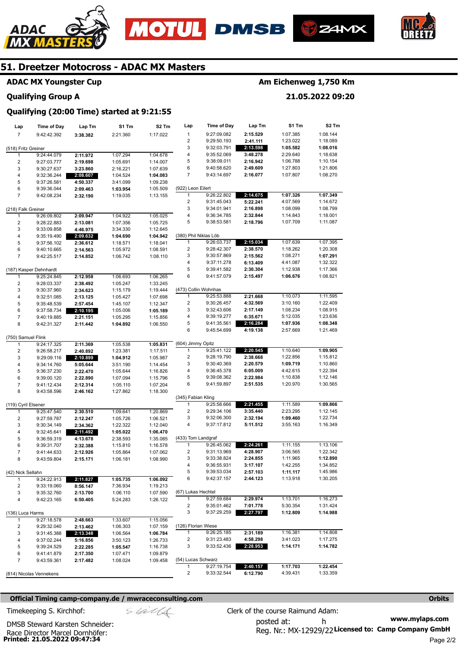







# **ADAC MX Youngster Cup**

# **Qualifying Group A**

# **Am Eichenweg 1,750 Km**

**21.05.2022 09:20** 

# **Qualifying (20:00 Time) started at 9:21:55**

| Lap                     | <b>Time of Day</b>         | Lap Tm               | S1 Tm                | S2 Tm                | Lap                   | Time of Day                | Lap Tm   | S1 Tm                | S2 Tm                |
|-------------------------|----------------------------|----------------------|----------------------|----------------------|-----------------------|----------------------------|----------|----------------------|----------------------|
| $\overline{7}$          | 9:42:42.392                | 3:38.382             | 2:21.360             | 1:17.022             | $\mathbf{1}$          | 9:27:09.082                | 2:15.529 | 1:07.385             | 1:08.144             |
|                         |                            |                      |                      |                      | 2                     | 9:29:50.193                | 2:41.111 | 1:23.022             | 1:18.089             |
| (518) Fritz Greiner     |                            |                      |                      |                      | 3                     | 9:32:03.791                | 2:13.598 | 1:05.582             | 1:08.016             |
| 1                       | 9:24:44.079                | 2:11.972             | 1:07.294             | 1:04.678             | 4                     | 9:35:52.069                | 3:48.278 | 2:29.640             | 1:18.638             |
| $\overline{\mathbf{c}}$ | 9:27:03.777                | 2:19.698             | 1:05.691             | 1:14.007             | 5                     | 9:38:09.011                | 2:16.942 | 1:06.788             | 1:10.154             |
| 3                       | 9:30:27.637                | 3:23.860             | 2:16.221             | 1:07.639             | 6                     | 9:40:58.620                | 2:49.609 | 1:27.803             | 1:21.806             |
| 4                       | 9:32:36.244                | 2:08.607             | 1:04.524             | 1:04.083             | 7                     | 9:43:14.697                | 2:16.077 | 1:07.807             | 1:08.270             |
| 5                       | 9:37:26.581                | 4:50.337             | 3:41.099             | 1:09.238             | (922) Leon Eilert     |                            |          |                      |                      |
| 6<br>$\overline{7}$     | 9:39:36.044<br>9:42:08.234 | 2:09.463<br>2:32.190 | 1:03.954<br>1:19.035 | 1:05.509<br>1:13.155 | 1                     | 9:26:22.802                | 2:14.675 | 1:07.326             | 1:07.349             |
|                         |                            |                      |                      |                      | 2                     | 9:31:45.043                | 5:22.241 | 4:07.569             | 1:14.672             |
| (218) Falk Greiner      |                            |                      |                      |                      | 3                     | 9:34:01.941                | 2:16.898 | 1:08.099             | 1:08.799             |
| $\mathbf{1}$            | 9:26:09.802                | 2:09.947             | 1:04.922             | 1:05.025             | 4                     | 9:36:34.785                | 2:32.844 | 1:14.843             | 1:18.001             |
| $\overline{c}$          | 9:28:22.883                | 2:13.081             | 1:07.356             | 1:05.725             | 5                     | 9:38:53.581                | 2:18.796 | 1:07.709             | 1:11.087             |
| 3                       | 9:33:09.858                | 4:46.975             | 3:34.330             | 1:12.645             |                       |                            |          |                      |                      |
| 4                       | 9:35:19.490                | 2:09.632             | 1:04.690             | 1:04.942             | (380) Phil Niklas Löb |                            |          |                      |                      |
| 5                       | 9:37:56.102                | 2:36.612             | 1:18.571             | 1:18.041             | 1                     | 9:26:03.737                | 2:15.034 | 1:07.639             | 1:07.395             |
| 6                       | 9:40:10.665                | 2:14.563             | 1:05.972             | 1:08.591             | 2                     | 9:28:42.307                | 2:38.570 | 1:18.262             | 1:20.308             |
| $\overline{7}$          | 9:42:25.517                | 2:14.852             | 1:06.742             | 1:08.110             | 3                     | 9:30:57.869                | 2:15.562 | 1:08.271             | 1:07.291             |
|                         |                            |                      |                      |                      | 4                     | 9:37:11.278                | 6:13.409 | 4:41.087             | 1:32.322             |
|                         | (187) Kasper Dehnhardt     |                      |                      |                      | 5                     | 9:39:41.582                | 2:30.304 | 1:12.938             | 1:17.366             |
| 1                       | 9:25:24.845                | 2:12.958             | 1:06.693             | 1:06.265             | 6                     | 9:41:57.079                | 2:15.497 | 1:06.676             | 1:08.821             |
| $\overline{c}$          | 9:28:03.337                | 2:38.492             | 1:05.247             | 1:33.245             | (473) Collin Wohnhas  |                            |          |                      |                      |
| 3<br>4                  | 9:30:37.960                | 2:34.623<br>2:13.125 | 1:15.179             | 1:19.444<br>1:07.698 | 1                     | 9:25:53.888                | 2:21.668 | 1:10.073             | 1:11.595             |
| 5                       | 9:32:51.085<br>9:35:48.539 | 2:57.454             | 1:05.427<br>1:45.107 | 1:12.347             | 2                     | 9:30:26.457                | 4:32.569 | 3:10.160             | 1:22.409             |
| 6                       | 9:37:58.734                | 2:10.195             | 1:05.006             | 1:05.189             | 3                     | 9:32:43.606                | 2:17.149 | 1:08.234             | 1:08.915             |
| 7                       | 9:40:19.885                | 2:21.151             | 1:05.295             | 1:15.856             | 4                     | 9:39:19.277                | 6:35.671 | 5:12.035             | 1:23.636             |
| 8                       | 9:42:31.327                | 2:11.442             | 1:04.892             | 1:06.550             | 5                     | 9:41:35.561                | 2:16.284 | 1:07.936             | 1:08.348             |
|                         |                            |                      |                      |                      | 6                     | 9:45:54.699                | 4:19.138 | 2:57.669             | 1:21.469             |
| (750) Samuel Flink      |                            |                      |                      |                      |                       |                            |          |                      |                      |
| 1                       | 9:24:17.325                | 2:11.369             | 1:05.538             | 1:05.831             | (604) Jimmy Opitz     |                            |          |                      |                      |
| $\overline{\mathbf{c}}$ | 9:26:58.217                | 2:40.892             | 1:23.381             | 1:17.511             | 1                     | 9:25:41.122                | 2:20.545 | 1:10.640             | 1:09.905             |
| 3                       | 9:29:09.116                | 2:10.899             | 1:04.912             | 1:05.987             | 2                     | 9:28:19.790                | 2:38.668 | 1:22.856             | 1:15.812             |
| 4                       | 9:34:14.760                | 5:05.644             | 3:51.190             | 1:14.454             | 3                     | 9:30:40.369                | 2:20.579 | 1:09.719             | 1:10.860             |
| 5                       | 9:36:37.230                | 2:22.470             | 1:05.644             | 1:16.826             | 4                     | 9:36:45.378                | 6:05.009 | 4:42.615             | 1:22.394             |
| 6                       | 9:39:00.120                | 2:22.890             | 1:07.094             | 1:15.796             | 5<br>6                | 9:39:08.362<br>9:41:59.897 | 2:22.984 | 1:10.838<br>1:20.970 | 1:12.146<br>1:30.565 |
| $\overline{7}$<br>8     | 9:41:12.434                | 2:12.314             | 1:05.110<br>1:27.862 | 1:07.204<br>1:18.300 |                       |                            | 2:51.535 |                      |                      |
|                         | 9:43:58.596                | 2:46.162             |                      |                      | (345) Fabian Kling    |                            |          |                      |                      |
| (119) Cyril Elsener     |                            |                      |                      |                      | 1                     | 9:25:58.666                | 2:21.455 | 1:11.589             | 1:09.866             |
| 1                       | 9:25:47.540                | 2:30.510             | 1:09.641             | 1:20.869             | 2                     | 9:29:34.106                | 3:35.440 | 2:23.295             | 1:12.145             |
| $\overline{\mathbf{c}}$ | 9:27:59.787                | 2:12.247             | 1:05.726             | 1:06.521             | 3                     | 9:32:06.300                | 2:32.194 | 1:09.460             | 1:22.734             |
| 3                       | 9:30:34.149                | 2:34.362             | 1:22.322             | 1:12.040             | 4                     | 9:37:17.812                | 5:11.512 | 3:55.163             | 1:16.349             |
| 4                       | 9:32:45.641                | 2:11.492             | 1:05.022             | 1:06.470             |                       |                            |          |                      |                      |
| 5                       | 9:36:59.319                | 4:13.678             | 2:38.593             | 1:35.085             | (433) Tom Landgraf    |                            |          |                      |                      |
| 6                       | 9:39:31.707                | 2:32.388             | 1:15.810             | 1:16.578             | 1                     | 9:26:45.062                | 2:24.261 | 1:11.155             | 1:13.106             |
| $\overline{7}$          | 9:41:44.633                | 2:12.926             | 1:05.864             | 1:07.062             | 2                     | 9:31:13.969                | 4:28.907 | 3:06.565             | 1:22.342             |
| 8                       | 9:43:59.804                | 2:15.171             | 1:06.181             | 1:08.990             | 3                     | 9:33:38.824                | 2:24.855 | 1:11.965             | 1:12.890             |
|                         |                            |                      |                      |                      | 4                     | 9:36:55.931                | 3:17.107 | 1:42.255             | 1:34.852             |
| (42) Nick Sellahn       |                            |                      |                      |                      | 5<br>6                | 9:39:53.034                | 2:57.103 | 1:11.117             | 1:45.986             |
| 1<br>2                  | 9:24:22.913                | 2:11.827             | 1:05.735             | 1:06.092             |                       | 9:42:37.157                | 2:44.123 | 1:13.918             | 1:30.205             |
| 3                       | 9:33:19.060<br>9:35:32.760 | 8:56.147<br>2:13.700 | 7:36.934<br>1:06.110 | 1:19.213<br>1:07.590 | (67) Lukas Hechtel    |                            |          |                      |                      |
| 4                       | 9:42:23.165                | 6:50.405             | 5:24.283             | 1:26.122             | $\mathbf{1}$          | 9:27:59.684                | 2:29.974 | 1:13.701             | 1:16.273             |
|                         |                            |                      |                      |                      | 2                     | 9:35:01.462                | 7:01.778 | 5:30.354             | 1:31.424             |
| (136) Luca Harms        |                            |                      |                      |                      | 3                     | 9:37:29.259                | 2:27.797 | 1:12.809             | 1:14.988             |
| 1                       | 9:27:18.578                | 2:48.663             | 1:33.607             | 1:15.056             |                       |                            |          |                      |                      |
| 2                       | 9:29:32.040                | 2:13.462             | 1:06.303             | 1:07.159             | (126) Florian Wiese   |                            |          |                      |                      |
| 3                       | 9:31:45.388                | 2:13.348             | 1:06.564             | 1:06.784             | $\mathbf{1}$          | 9:26:25.185                | 2:31.189 | 1:16.381             | 1:14.808             |
| 4                       | 9:37:02.244                | 5:16.856             | 3:50.123             | 1:26.733             | 2                     | 9:31:23.483                | 4:58.298 | 3:41.023             | 1:17.275             |
| 5                       | 9:39:24.529                | 2:22.285             | 1:05.547             | 1:16.738             | 3                     | 9:33:52.436                | 2:28.953 | 1:14.171             | 1:14.782             |
| 6                       | 9:41:41.879                | 2:17.350             | 1:07.471             | 1:09.879             |                       |                            |          |                      |                      |
| 7                       | 9:43:59.361                | 2:17.482             | 1:08.024             | 1:09.458             | (54) Lucas Schwarz    |                            |          |                      |                      |
|                         |                            |                      |                      |                      | 1                     | 9:27:19.754                | 2:40.157 | 1:17.703             | 1:22.454             |
|                         | (814) Nicolas Vennekens    |                      |                      |                      | 2                     | 9:33:32.544                | 6:12.790 | 4:39.431             | 1:33.359             |

## **Official Timing camp-company.de / mwraceconsulting.com <b>Orbits Orbits Orbits Orbits**

**www.mylaps.com**  Reg. Nr.: MX-12929/22 Licensed to: Camp Company GmbH posted at: h Timekeeping S. Kirchhof:  $\frac{1}{2}$  Clerk of the course Raimund Adam:

**Printed: 21.05.2022 09:47:34**  Race Director Marcel Dornhöfer: DMSB Steward Karsten Schneider: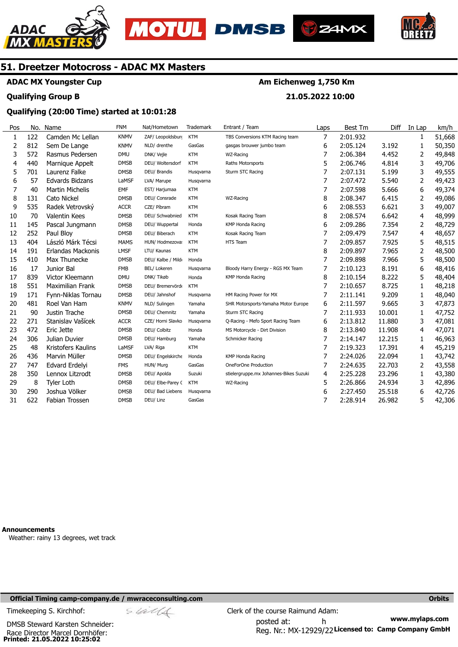





**Am Eichenweg 1,750 Km** 

**21.05.2022 10:00** 



# **51. Dreetzer Motocross - ADAC MX Masters**

**ADAC MX Youngster Cup** 

## **Qualifying Group B**

# **Qualifying (20:00 Time) started at 10:01:28**

| Pos | No. | Name                    | <b>FNM</b>  | Nat/Hometown      | Trademark  | Entrant / Team                         | Laps | Best Tm  | Diff   | In Lap | km/h   |
|-----|-----|-------------------------|-------------|-------------------|------------|----------------------------------------|------|----------|--------|--------|--------|
| 1   | 122 | Camden Mc Lellan        | <b>KNMV</b> | ZAF/ Leopoldsburr | <b>KTM</b> | TBS Conversions KTM Racing team        | 7    | 2:01.932 |        | 1      | 51,668 |
| 2   | 812 | Sem De Lange            | <b>KNMV</b> | NLD/ drenthe      | GasGas     | gasgas brouwer jumbo team              | 6    | 2:05.124 | 3.192  | 1      | 50,350 |
| 3   | 572 | Rasmus Pedersen         | <b>DMU</b>  | DNK/ Vejle        | <b>KTM</b> | WZ-Racing                              | 7    | 2:06.384 | 4.452  | 2      | 49,848 |
| 4   | 440 | Marnique Appelt         | <b>DMSB</b> | DEU/ Woltersdorf  | <b>KTM</b> | Raths Motorsports                      | 5    | 2:06.746 | 4.814  | 3      | 49,706 |
| 5   | 701 | Laurenz Falke           | <b>DMSB</b> | DEU/ Brandis      | Husqvarna  | Sturm STC Racing                       | 7    | 2:07.131 | 5.199  | 3      | 49,555 |
| 6   | 57  | <b>Edvards Bidzans</b>  | LaMSF       | LVA/ Marupe       | Husqvarna  |                                        | 7    | 2:07.472 | 5.540  | 2      | 49,423 |
| 7   | 40  | <b>Martin Michelis</b>  | EMF         | EST/ Harjumaa     | <b>KTM</b> |                                        | 7    | 2:07.598 | 5.666  | 6      | 49,374 |
| 8   | 131 | <b>Cato Nickel</b>      | <b>DMSB</b> | DEU/ Consrade     | <b>KTM</b> | WZ-Racing                              | 8    | 2:08.347 | 6.415  | 2      | 49,086 |
| 9   | 535 | Radek Vetrovský         | <b>ACCR</b> | CZE/ Píbram       | <b>KTM</b> |                                        | 6    | 2:08.553 | 6.621  | 3      | 49,007 |
| 10  | 70  | <b>Valentin Kees</b>    | <b>DMSB</b> | DEU/ Schwabnied   | <b>KTM</b> | Kosak Racing Team                      | 8    | 2:08.574 | 6.642  | 4      | 48,999 |
| 11  | 145 | Pascal Jungmann         | <b>DMSB</b> | DEU/ Wuppertal    | Honda      | <b>KMP Honda Racing</b>                | 6    | 2:09.286 | 7.354  | 2      | 48,729 |
| 12  | 252 | Paul Bloy               | <b>DMSB</b> | DEU/ Biberach     | <b>KTM</b> | Kosak Racing Team                      | 7    | 2:09.479 | 7.547  | 4      | 48,657 |
| 13  | 404 | László Márk Técsi       | <b>MAMS</b> | HUN/ Hodmezova:   | <b>KTM</b> | HTS Team                               | 7    | 2:09.857 | 7.925  | 5      | 48,515 |
| 14  | 191 | Erlandas Mackonis       | <b>LMSF</b> | LTU/ Kaunas       | <b>KTM</b> |                                        | 8    | 2:09.897 | 7.965  | 2      | 48,500 |
| 15  | 410 | Max Thunecke            | <b>DMSB</b> | DEU/ Kalbe / Mild | Honda      |                                        | 7    | 2:09.898 | 7.966  | 5      | 48,500 |
| 16  | 17  | Junior Bal              | <b>FMB</b>  | BEL/ Lokeren      | Husqvarna  | Bloody Harry Energy - RGS MX Team      | 7    | 2:10.123 | 8.191  | 6      | 48,416 |
| 17  | 839 | Victor Kleemann         | <b>DMU</b>  | DNK/ Tikøb        | Honda      | <b>KMP Honda Racing</b>                | 8    | 2:10.154 | 8.222  | 5      | 48,404 |
| 18  | 551 | <b>Maximilian Frank</b> | <b>DMSB</b> | DEU/ Bremervörd   | <b>KTM</b> |                                        | 7    | 2:10.657 | 8.725  | 1      | 48,218 |
| 19  | 171 | Fynn-Niklas Tornau      | <b>DMSB</b> | DEU/ Jahnshof     | Husqvarna  | HM Racing Power for MX                 | 7    | 2:11.141 | 9.209  | 1      | 48,040 |
| 20  | 481 | Roel Van Ham            | <b>KNMV</b> | NLD/ Sulingen     | Yamaha     | SHR Motorsports-Yamaha Motor Europe    | 6    | 2:11.597 | 9.665  | 3      | 47,873 |
| 21  | 90  | Justin Trache           | <b>DMSB</b> | DEU/ Chemnitz     | Yamaha     | Sturm STC Racing                       | 7    | 2:11.933 | 10.001 | 1      | 47,752 |
| 22  | 271 | Stanislav Vašícek       | <b>ACCR</b> | CZE/ Horni Slavko | Husqvarna  | Q-Racing - Mefo Sport Racing Team      | 6    | 2:13.812 | 11.880 | 3      | 47,081 |
| 23  | 472 | Eric Jette              | <b>DMSB</b> | DEU/ Colbitz      | Honda      | MS Motorcycle - Dirt Division          | 8    | 2:13.840 | 11.908 | 4      | 47,071 |
| 24  | 306 | Julian Duvier           | <b>DMSB</b> | DEU/ Hamburg      | Yamaha     | Schmicker Racing                       | 7    | 2:14.147 | 12.215 | 1      | 46,963 |
| 25  | 48  | Kristofers Kaulins      | LaMSF       | LVA/ Riga         | <b>KTM</b> |                                        | 7    | 2:19.323 | 17.391 | 4      | 45,219 |
| 26  | 436 | Marvin Müller           | <b>DMSB</b> | DEU/ Engelskirche | Honda      | <b>KMP Honda Racing</b>                | 7    | 2:24.026 | 22.094 | 1      | 43,742 |
| 27  | 747 | Edvard Erdelyi          | <b>FMS</b>  | HUN/ Murg         | GasGas     | OneForOne Production                   | 7    | 2:24.635 | 22,703 | 2      | 43,558 |
| 28  | 350 | Lennox Litzrodt         | <b>DMSB</b> | DEU/ Apolda       | Suzuki     | stielergruppe.mx Johannes-Bikes Suzuki | 4    | 2:25.228 | 23.296 | 1      | 43,380 |
| 29  | 8   | <b>Tyler Loth</b>       | <b>DMSB</b> | DEU/ Elbe-Parey ( | <b>KTM</b> | WZ-Racing                              | 5    | 2:26.866 | 24.934 | 3      | 42,896 |
| 30  | 290 | Joshua Völker           | <b>DMSB</b> | DEU/ Bad Liebens  | Husqvarna  |                                        | 6    | 2:27.450 | 25.518 | 6      | 42,726 |
| 31  | 622 | <b>Fabian Trossen</b>   | <b>DMSB</b> | DEU/ Linz         | GasGas     |                                        | 7    | 2:28.914 | 26.982 | 5      | 42,306 |

**Announcements** 

Weather: rainy 13 degrees, wet track

## **Official Timing camp-company.de / mwraceconsulting.com <b>Orbits and Company.de Company** orbits **Orbits Orbits**

**Printed: 21.05.2022 10:25:02**  Race Director Marcel Dornhöfer: DMSB Steward Karsten Schneider: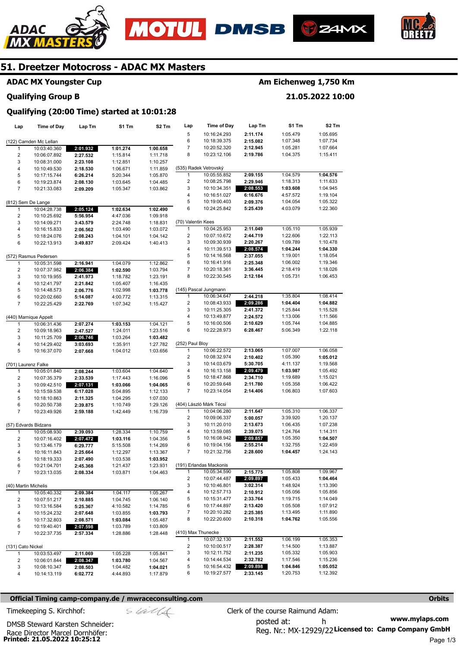







# **ADAC MX Youngster Cup**

# **Qualifying Group B**

# **Am Eichenweg 1,750 Km**

**21.05.2022 10:00** 

# **Qualifying (20:00 Time) started at 10:01:28**

| Lap                     | <b>Time of Day</b>     | Lap Tm               | S1 Tm    | S2 Tm    | Lap                     | <b>Time of Day</b>      | Lap Tm   | S1 Tm    | S2 Tm    |
|-------------------------|------------------------|----------------------|----------|----------|-------------------------|-------------------------|----------|----------|----------|
|                         |                        |                      |          |          | 5                       | 10:16:24.293            | 2:11.174 | 1:05.479 | 1:05.695 |
|                         | (122) Camden Mc Lellan |                      |          |          | 6                       | 10:18:39.375            | 2:15.082 | 1:07.348 | 1:07.734 |
| 1                       | 10:03:40.360           | 2:01.932             | 1:01.274 | 1:00.658 | 7                       | 10:20:52.320            | 2:12.945 | 1:05.281 | 1:07.664 |
| $\overline{2}$          | 10:06:07.892           | 2:27.532             | 1:15.814 | 1:11.718 | 8                       | 10:23:12.106            | 2:19.786 | 1:04.375 | 1:15.411 |
| 3                       | 10:08:31.000           | 2:23.108             | 1:12.851 | 1:10.257 |                         |                         |          |          |          |
| $\overline{\mathbf{4}}$ | 10:10:49.530           | 2:18.530             | 1:06.671 | 1:11.859 |                         | (535) Radek Vetrovský   |          |          |          |
| 5                       | 10:17:15.744           | 6:26.214             | 5:20.344 | 1:05.870 | 1                       | 10:05:55.852            | 2:09.155 | 1:04.579 | 1:04.576 |
| 6                       | 10:19:23.874           | 2:08.130             | 1:03.645 | 1:04.485 | 2                       | 10:08:25.798            | 2:29.946 | 1:18.313 | 1:11.633 |
| $\overline{7}$          | 10:21:33.083           | 2:09.209             | 1:05.347 | 1:03.862 | 3                       | 10:10:34.351            | 2:08.553 | 1:03.608 | 1:04.945 |
|                         |                        |                      |          |          | 4                       | 10:16:51.027            | 6:16.676 | 4:57.572 | 1:19.104 |
|                         | (812) Sem De Lange     |                      |          |          | 5                       | 10:19:00.403            | 2:09.376 | 1:04.054 | 1:05.322 |
| 1                       | 10:04:28.738           | 2:05.124             | 1:02.634 | 1:02.490 | 6                       | 10:24:25.842            | 5:25.439 | 4:03.079 | 1:22.360 |
| $\overline{2}$          | 10:10:25.692           | 5:56.954             | 4:47.036 | 1:09.918 |                         |                         |          |          |          |
| 3                       | 10:14:09.271           | 3:43.579             | 2:24.748 | 1:18.831 | (70) Valentin Kees      |                         |          |          |          |
| 4                       | 10:16:15.833           | 2:06.562             | 1:03.490 | 1:03.072 | $\mathbf{1}$            | 10:04:25.953            | 2:11.049 | 1:05.110 | 1:05.939 |
| 5                       | 10:18:24.076           | 2:08.243             | 1:04.101 | 1:04.142 | 2                       | 10:07:10.672            | 2:44.719 | 1:22.606 | 1:22.113 |
| 6                       | 10:22:13.913           | 3:49.837             | 2:09.424 | 1:40.413 | 3                       | 10:09:30.939            | 2:20.267 | 1:09.789 | 1:10.478 |
|                         |                        |                      |          |          | 4                       | 10:11:39.513            | 2:08.574 | 1:04.244 | 1:04.330 |
|                         | (572) Rasmus Pedersen  |                      |          |          | 5                       | 10:14:16.568            | 2:37.055 | 1:19.001 | 1:18.054 |
| 1                       | 10:05:31.598           | 2:16.941             | 1:04.079 | 1:12.862 | 6                       | 10:16:41.916            | 2:25.348 | 1:06.002 | 1:19.346 |
| $\overline{2}$          |                        |                      |          | 1:03.794 | 7                       | 10:20:18.361            | 3:36.445 | 2:18.419 | 1:18.026 |
|                         | 10:07:37.982           | 2:06.384             | 1:02.590 |          | 8                       | 10:22:30.545            | 2:12.184 | 1:05.731 | 1:06.453 |
| 3                       | 10:10:19.955           | 2:41.973             | 1:18.782 | 1:23.191 |                         |                         |          |          |          |
| $\overline{\mathbf{4}}$ | 10:12:41.797           | 2:21.842             | 1:05.407 | 1:16.435 |                         |                         |          |          |          |
| 5                       | 10:14:48.573           | 2:06.776             | 1:02.998 | 1:03.778 |                         | (145) Pascal Jungmann   |          |          |          |
| 6                       | 10:20:02.660           | 5:14.087             | 4:00.772 | 1:13.315 | 1                       | 10:06:34.647            | 2:44.218 | 1:35.804 | 1:08.414 |
| $\overline{7}$          | 10:22:25.429           | 2:22.769             | 1:07.342 | 1:15.427 | $\overline{\mathbf{c}}$ | 10:08:43.933            | 2:09.286 | 1:04.404 | 1:04.882 |
|                         |                        |                      |          |          | 3                       | 10:11:25.305            | 2:41.372 | 1:25.844 | 1:15.528 |
|                         | (440) Marnique Appelt  |                      |          |          | 4                       | 10:13:49.877            | 2:24.572 | 1:13.006 | 1:11.566 |
| $\mathbf{1}$            | 10:06:31.436           | 2:07.274             | 1:03.153 | 1:04.121 | 5                       | 10:16:00.506            | 2:10.629 | 1:05.744 | 1:04.885 |
| $\overline{2}$          | 10:09:18.963           | 2:47.527             | 1:24.011 | 1:23.516 | 6                       | 10:22:28.973            | 6:28.467 | 5:06.349 | 1:22.118 |
| 3                       | 10:11:25.709           | 2:06.746             | 1:03.264 | 1:03.482 |                         |                         |          |          |          |
| $\overline{\mathbf{4}}$ | 10:14:29.402           | 3:03.693             | 1:35.911 | 1:27.782 | (252) Paul Bloy         |                         |          |          |          |
| 5                       | 10:16:37.070           | 2:07.668             | 1:04.012 | 1:03.656 | 1                       | 10:06:22.572            | 2:13.065 | 1:07.007 | 1:06.058 |
|                         |                        |                      |          |          | $\overline{c}$          | 10:08:32.974            | 2:10.402 | 1:05.390 | 1:05.012 |
|                         | (701) Laurenz Falke    |                      |          |          | 3                       | 10:14:03.679            | 5:30.705 | 4:11.137 | 1:19.568 |
| $\mathbf{1}$            | 10:05:01.840           | 2:08.244             | 1:03.604 | 1:04.640 | 4                       | 10:16:13.158            | 2:09.479 | 1:03.987 | 1:05.492 |
| $\overline{\mathbf{c}}$ | 10:07:35.379           | 2:33.539             | 1:17.443 | 1:16.096 | 5                       | 10:18:47.868            | 2:34.710 | 1:19.689 | 1:15.021 |
| 3                       | 10:09:42.510           | 2:07.131             | 1:03.066 | 1:04.065 | 6                       | 10:20:59.648            | 2:11.780 | 1:05.358 | 1:06.422 |
| 4                       | 10:15:59.538           | 6:17.028             | 5:04.895 | 1:12.133 | $\overline{7}$          | 10:23:14.054            | 2:14.406 | 1:06.803 | 1:07.603 |
| 5                       | 10:18:10.863           | 2:11.325             | 1:04.295 | 1:07.030 |                         |                         |          |          |          |
| 6                       | 10:20:50.738           | 2:39.875             | 1:10.749 | 1:29.126 |                         | (404) László Márk Técsi |          |          |          |
| $\overline{7}$          | 10:23:49.926           | 2:59.188             | 1:42.449 | 1:16.739 | 1                       | 10:04:06.280            | 2:11.647 | 1:05.310 | 1:06.337 |
|                         |                        |                      |          |          | 2                       | 10:09:06.337            | 5:00.057 | 3:39.920 | 1:20.137 |
|                         | (57) Edvards Bidzans   |                      |          |          | 3                       | 10:11:20.010            | 2:13.673 | 1:06.435 | 1:07.238 |
| $\mathbf{1}$            | 10:05:08.930           | 2:39.093             | 1:28.334 | 1:10.759 | 4                       | 10:13:59.085            | 2:39.075 | 1:24.764 | 1:14.311 |
| $\overline{\mathbf{c}}$ |                        |                      |          |          | 5                       | 10:16:08.942            | 2:09.857 | 1:05.350 | 1:04.507 |
| 3                       | 10:07:16.402           | 2:07.472             | 1:03.116 | 1:04.356 | 6                       | 10:19:04.156            | 2:55.214 | 1:32.755 | 1:22.459 |
| 4                       | 10:13:46.179           | 6:29.777<br>2:25.664 | 5:15.508 | 1:14.269 | 7                       | 10:21:32.756            | 2:28.600 | 1:04.457 | 1:24.143 |
| 5                       | 10:16:11.843           |                      | 1:12.297 | 1:13.367 |                         |                         |          |          |          |
| 6                       | 10:18:19.333           | 2:07.490             | 1:03.538 | 1:03.952 |                         | (191) Erlandas Mackonis |          |          |          |
|                         | 10:21:04.701           | 2:45.368             | 1:21.437 | 1:23.931 | 1                       | 10:05:34.590            | 2:15.775 |          |          |
| $\overline{7}$          | 10:23:13.035           | 2:08.334             | 1:03.871 | 1:04.463 | 2                       |                         | 2:09.897 | 1:05.808 | 1:09.967 |
|                         |                        |                      |          |          |                         | 10:07:44.487            |          | 1:05.433 | 1:04.464 |
| (40) Martin Michelis    |                        |                      |          |          | 3                       | 10:10:46.801            | 3:02.314 | 1:48.924 | 1:13.390 |
| 1                       | 10:05:40.332           | 2:09.384             | 1:04.117 | 1:05.267 | 4                       | 10:12:57.713            | 2:10.912 | 1:05.056 | 1:05.856 |
| $\overline{2}$          | 10:07:51.217           | 2:10.885             | 1:04.745 | 1:06.140 | 5                       | 10:15:31.477            | 2:33.764 | 1:19.715 | 1:14.049 |
| 3                       | 10:13:16.584           | 5:25.367             | 4:10.582 | 1:14.785 | 6                       | 10:17:44.897            | 2:13.420 | 1:05.508 | 1:07.912 |
| 4                       | 10:15:24.232           | 2:07.648             | 1:03.855 | 1:03.793 | 7                       | 10:20:10.282            | 2:25.385 | 1:13.495 | 1:11.890 |
| 5                       | 10:17:32.803           | 2:08.571             | 1:03.084 | 1:05.487 | 8                       | 10:22:20.600            | 2:10.318 | 1:04.762 | 1:05.556 |
| 6                       | 10:19:40.401           | 2:07.598             | 1:03.789 | 1:03.809 |                         |                         |          |          |          |
| $\overline{7}$          | 10:22:37.735           | 2:57.334             | 1:28.886 | 1:28.448 | (410) Max Thunecke      |                         |          |          |          |
|                         |                        |                      |          |          | $\mathbf{1}$            | 10:07:32.130            | 2:11.552 | 1:06.199 | 1:05.353 |
| (131) Cato Nickel       |                        |                      |          |          | $\overline{\mathbf{c}}$ | 10:10:00.517            | 2:28.387 | 1:14.500 | 1:13.887 |
| 1                       | 10:03:53.497           | 2:11.069             | 1:05.228 | 1:05.841 | 3                       | 10:12:11.752            | 2:11.235 | 1:05.332 | 1:05.903 |
| $\overline{c}$          | 10:06:01.844           | 2:08.347             | 1:03.780 | 1:04.567 | 4                       | 10:14:44.534            | 2:32.782 | 1:17.546 | 1:15.236 |
| 3                       | 10:08:10.347           | 2:08.503             | 1:04.482 | 1:04.021 | 5                       | 10:16:54.432            | 2:09.898 | 1:04.846 | 1:05.052 |
| 4                       | 10:14:13.119           | 6:02.772             | 4:44.893 | 1:17.879 | 6                       | 10:19:27.577            | 2:33.145 | 1:20.753 | 1:12.392 |

#### **Official Timing camp-company.de / mwraceconsulting.com <b>Orbits and Company.de Company** orbits **Orbits Orbits**

**www.mylaps.com**  Reg. Nr.: MX-12929/22 Licensed to: Camp Company GmbH posted at: h Timekeeping S. Kirchhof:  $\le \frac{1}{2}$  Clerk of the course Raimund Adam: Page 1/3

**Printed: 21.05.2022 10:25:12**  Race Director Marcel Dornhöfer: DMSB Steward Karsten Schneider: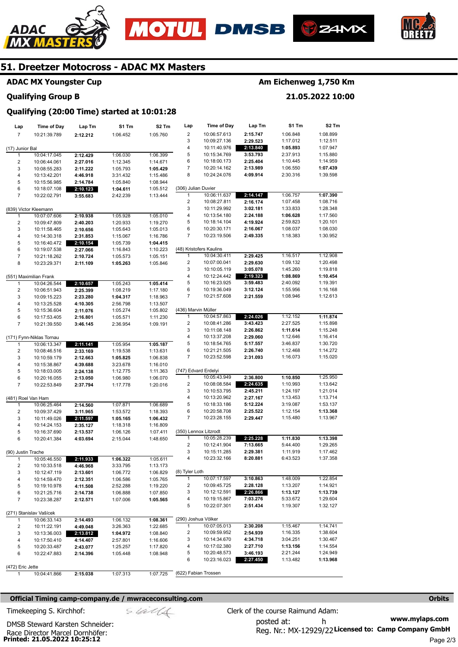



**Time of Day** 

**Lap Tm** 





# **51. Dreetzer Motocross - ADAC MX Masters**

# **ADAC MX Youngster Cup**

#### **Qualifying Group B**

# **Am Eichenweg 1,750 Km**

**S1 Tm** 

**21.05.2022 10:00** 

**S2 Tm** 

#### **Lap Lap Time of Day Lap Tm S1 Tm S2 Tm Qualifying (20:00 Time) started at 10:01:28**

| $\overline{7}$          | 10:21:39.789             | 2:12.212 | 1:06.452 | 1:05.760 | 2                   | 10:06:57.613            | 2:15.747 | 1:06.848 | 1:08.899 |
|-------------------------|--------------------------|----------|----------|----------|---------------------|-------------------------|----------|----------|----------|
|                         |                          |          |          |          | 3                   | 10:09:27.136            | 2:29.523 | 1:17.012 | 1:12.511 |
| (17) Junior Bal         |                          |          |          |          | 4                   | 10:11:40.976            | 2:13.840 | 1:05.893 | 1:07.947 |
| $\mathbf{1}$            | 10:04:17.045             | 2:12.429 | 1:06.030 | 1:06.399 | 5                   | 10:15:34.769            | 3:53.793 | 2:37.913 | 1:15.880 |
| 2                       | 10:06:44.061             | 2:27.016 | 1:12.345 | 1:14.671 | 6                   | 10:18:00.173            | 2:25.404 | 1:10.445 | 1:14.959 |
| 3                       | 10:08:55.283             | 2:11.222 | 1:05.793 | 1:05.429 | 7                   | 10:20:14.162            | 2:13.989 | 1:06.550 | 1:07.439 |
| 4                       | 10:13:42.201             | 4:46.918 | 3:31.432 | 1:15.486 | 8                   | 10:24:24.076            | 4:09.914 | 2:30.316 | 1:39.598 |
|                         |                          |          |          |          |                     |                         |          |          |          |
| 5                       | 10:15:56.985             | 2:14.784 | 1:05.840 | 1:08.944 |                     |                         |          |          |          |
| 6                       | 10:18:07.108             | 2:10.123 | 1:04.611 | 1:05.512 | (306) Julian Duvier |                         |          |          |          |
| $\overline{7}$          | 10:22:02.791             | 3:55.683 | 2:42.239 | 1:13.444 | 1                   | 10:06:11.637            | 2:14.147 | 1:06.757 | 1:07.390 |
|                         |                          |          |          |          | 2                   | 10:08:27.811            | 2:16.174 | 1:07.458 | 1:08.716 |
|                         | (839) Victor Kleemann    |          |          |          | 3                   | 10:11:29.992            | 3:02.181 | 1:33.833 | 1:28.348 |
| 1                       | 10:07:07.606             | 2:10.938 | 1:05.928 | 1:05.010 | 4                   | 10:13:54.180            | 2:24.188 | 1:06.628 | 1:17.560 |
| $\overline{\mathbf{c}}$ | 10:09:47.809             | 2:40.203 | 1:20.933 | 1:19.270 | 5                   | 10:18:14.104            | 4:19.924 | 2:59.823 | 1:20.101 |
|                         |                          |          |          |          | 6                   | 10:20:30.171            | 2:16.067 | 1:08.037 | 1:08.030 |
| 3                       | 10:11:58.465             | 2:10.656 | 1:05.643 | 1:05.013 |                     |                         |          |          |          |
| 4                       | 10:14:30.318             | 2:31.853 | 1:15.067 | 1:16.786 | 7                   | 10:23:19.506            | 2:49.335 | 1:18.383 | 1:30.952 |
| 5                       | 10:16:40.472             | 2:10.154 | 1:05.739 | 1:04.415 |                     |                         |          |          |          |
| 6                       | 10:19:07.538             | 2:27.066 | 1:16.843 | 1:10.223 |                     | (48) Kristofers Kaulins |          |          |          |
| $\overline{7}$          | 10:21:18.262             | 2:10.724 | 1:05.573 | 1:05.151 | 1                   | 10:04:30.411            | 2:29.425 | 1:16.517 | 1:12.908 |
| 8                       | 10:23:29.371             | 2:11.109 | 1:05.263 | 1:05.846 | 2                   | 10:07:00.041            | 2:29.630 | 1:09.132 | 1:20.498 |
|                         |                          |          |          |          | 3                   | 10:10:05.119            | 3:05.078 | 1:45.260 | 1:19.818 |
|                         |                          |          |          |          | 4                   | 10:12:24.442            | 2:19.323 | 1:08.869 | 1:10.454 |
|                         | (551) Maximilian Frank   |          |          |          |                     |                         |          |          |          |
| 1                       | 10:04:26.544             | 2:10.657 | 1:05.243 | 1:05.414 | 5                   | 10:16:23.925            | 3:59.483 | 2:40.092 | 1:19.391 |
| 2                       | 10:06:51.943             | 2:25.399 | 1:08.219 | 1:17.180 | 6                   | 10:19:36.049            | 3:12.124 | 1:55.956 | 1:16.168 |
| 3                       | 10:09:15.223             | 2:23.280 | 1:04.317 | 1:18.963 | $\overline{7}$      | 10:21:57.608            | 2:21.559 | 1:08.946 | 1:12.613 |
| 4                       | 10:13:25.528             | 4:10.305 | 2:56.798 | 1:13.507 |                     |                         |          |          |          |
| 5                       | 10:15:36.604             | 2:11.076 | 1:05.274 | 1:05.802 | (436) Marvin Müller |                         |          |          |          |
| 6                       | 10:17:53.405             | 2:16.801 | 1:05.571 | 1:11.230 | $\mathbf{1}$        | 10:04:57.863            | 2:24.026 | 1:12.152 | 1:11.874 |
|                         |                          |          |          |          | 2                   | 10:08:41.286            |          | 2:27.525 | 1:15.898 |
| $\overline{7}$          | 10:21:39.550             | 3:46.145 | 2:36.954 | 1:09.191 |                     |                         | 3:43.423 |          |          |
|                         |                          |          |          |          | 3                   | 10:11:08.148            | 2:26.862 | 1:11.614 | 1:15.248 |
|                         | (171) Fynn-Niklas Tornau |          |          |          | 4                   | 10:13:37.208            | 2:29.060 | 1:12.646 | 1:16.414 |
| 1                       | 10:06:13.347             | 2:11.141 | 1:05.954 | 1:05.187 | 5                   | 10:18:54.765            | 5:17.557 | 3:46.837 | 1:30.720 |
| 2                       | 10:08:46.516             | 2:33.169 | 1:19.538 | 1:13.631 | 6                   | 10:21:21.505            | 2:26.740 | 1:12.468 | 1:14.272 |
| 3                       | 10:10:59.179             | 2:12.663 | 1:05.825 | 1:06.838 | 7                   | 10:23:52.598            | 2:31.093 | 1:16.073 | 1:15.020 |
| 4                       | 10:15:38.867             | 4:39.688 | 3:23.678 | 1:16.010 |                     |                         |          |          |          |
|                         |                          |          |          |          |                     | (747) Edvard Erdelyi    |          |          |          |
| 5                       | 10:18:03.005             | 2:24.138 | 1:12.775 | 1:11.363 |                     |                         |          |          |          |
| 6                       | 10:20:16.055             | 2:13.050 | 1:06.980 | 1:06.070 | 1                   | 10:05:43.949            | 2:36.800 | 1:10.850 | 1:25.950 |
| $\overline{7}$          | 10:22:53.849             | 2:37.794 | 1:17.778 | 1:20.016 | 2                   | 10:08:08.584            | 2:24.635 | 1:10.993 | 1:13.642 |
|                         |                          |          |          |          | 3                   | 10:10:53.795            | 2:45.211 | 1:24.197 | 1:21.014 |
|                         | (481) Roel Van Ham       |          |          |          | 4                   | 10:13:20.962            | 2:27.167 | 1:13.453 | 1:13.714 |
| $\mathbf{1}$            | 10:06:25.464             | 2:14.560 | 1:07.871 | 1:06.689 | 5                   | 10:18:33.186            | 5:12.224 | 3:19.087 | 1:53.137 |
| $\overline{\mathbf{c}}$ | 10:09:37.429             | 3:11.965 | 1:53.572 | 1:18.393 | 6                   | 10:20:58.708            | 2:25.522 | 1:12.154 | 1:13.368 |
|                         |                          |          |          |          | $\overline{7}$      | 10:23:28.155            | 2:29.447 | 1:15.480 | 1:13.967 |
| 3                       | 10:11:49.026             | 2:11.597 | 1:05.165 | 1:06.432 |                     |                         |          |          |          |
| 4                       | 10:14:24.153             | 2:35.127 | 1:18.318 | 1:16.809 |                     |                         |          |          |          |
| 5                       | 10:16:37.690             | 2:13.537 | 1:06.126 | 1:07.411 |                     | (350) Lennox Litzrodt   |          |          |          |
| 6                       | 10:20:41.384             | 4:03.694 | 2:15.044 | 1:48.650 | 1                   | 10:05:28.239            | 2:25.228 | 1:11.830 | 1:13.398 |
|                         |                          |          |          |          | 2                   | 10:12:41.904            | 7:13.665 | 5:44.400 | 1:29.265 |
| (90) Justin Trache      |                          |          |          |          | 3                   | 10:15:11.285            | 2:29.381 | 1:11.919 | 1:17.462 |
| $\mathbf{1}$            | 10:05:46.550             | 2:11.933 | 1:06.322 | 1:05.611 | 4                   | 10:23:32.166            | 8:20.881 | 6:43.523 | 1:37.358 |
| 2                       | 10:10:33.518             | 4:46.968 | 3:33.795 | 1:13.173 |                     |                         |          |          |          |
|                         |                          |          |          |          | (8) Tyler Loth      |                         |          |          |          |
| 3                       | 10:12:47.119             | 2:13.601 | 1:06.772 | 1:06.829 |                     |                         |          |          |          |
| 4                       | 10:14:59.470             | 2:12.351 | 1:06.586 | 1:05.765 | $\mathbf{1}$        | 10:07:17.597            | 3:10.863 | 1:48.009 | 1:22.854 |
| 5                       | 10:19:10.978             | 4:11.508 | 2:52.288 | 1:19.220 | 2                   | 10:09:45.725            | 2:28.128 | 1:13.207 | 1:14.921 |
| 6                       | 10:21:25.716             | 2:14.738 | 1:06.888 | 1:07.850 | 3                   | 10:12:12.591            | 2:26.866 | 1:13.127 | 1:13.739 |
| 7                       | 10:23:38.287             | 2:12.571 | 1:07.006 | 1:05.565 | 4                   | 10:19:15.867            | 7:03.276 | 5:33.672 | 1:29.604 |
|                         |                          |          |          |          | 5                   | 10:22:07.301            | 2:51.434 | 1:19.307 | 1:32.127 |
|                         | (271) Stanislav Vašícek  |          |          |          |                     |                         |          |          |          |
|                         |                          |          |          |          |                     |                         |          |          |          |
| $\mathbf{1}$            | 10:06:33.143             | 2:14.493 | 1:06.132 | 1:08.361 |                     | (290) Joshua Völker     |          |          |          |
| 2                       | 10:11:22.191             | 4:49.048 | 3:26.363 | 1:22.685 | 1                   | 10:07:05.013            | 2:30.208 | 1:15.467 | 1:14.741 |
| 3                       | 10:13:36.003             | 2:13.812 | 1:04.972 | 1:08.840 | 2                   | 10:09:59.952            | 2:54.939 | 1:16.335 | 1:38.604 |
| 4                       | 10:17:50.410             | 4:14.407 | 2:57.801 | 1:16.606 | 3                   | 10:14:34.670            | 4:34.718 | 3:04.251 | 1:30.467 |
| 5                       | 10:20:33.487             | 2:43.077 | 1:25.257 | 1:17.820 | 4                   | 10:17:02.380            | 2:27.710 | 1:13.156 | 1:14.554 |
| 6                       | 10:22:47.883             | 2:14.396 | 1:05.448 | 1:08.948 | 5                   | 10:20:48.573            | 3:46.193 | 2:21.244 | 1:24.949 |
|                         |                          |          |          |          | 6                   | 10:23:16.023            | 2:27.450 | 1:13.482 | 1:13.968 |
|                         |                          |          |          |          |                     |                         |          |          |          |
| (472) Eric Jette        |                          |          |          |          |                     |                         |          |          |          |
| 1                       | 10:04:41.866             | 2:15.038 | 1:07.313 | 1:07.725 |                     | (622) Fabian Trossen    |          |          |          |

#### **Official Timing camp-company.de / mwraceconsulting.com <b>Orbits and Company.de Company** orbits **Orbits Orbits**

**Printed: 21.05.2022 10:25:12**  Race Director Marcel Dornhöfer:

DMSB Steward Karsten Schneider:

**www.mylaps.com**  Reg. Nr.: MX-12929/22 Licensed to: Camp Company GmbH posted at: h Timekeeping S. Kirchhof:  $\le \& \& \& \& \& \& \& \& \qquad$  Clerk of the course Raimund Adam: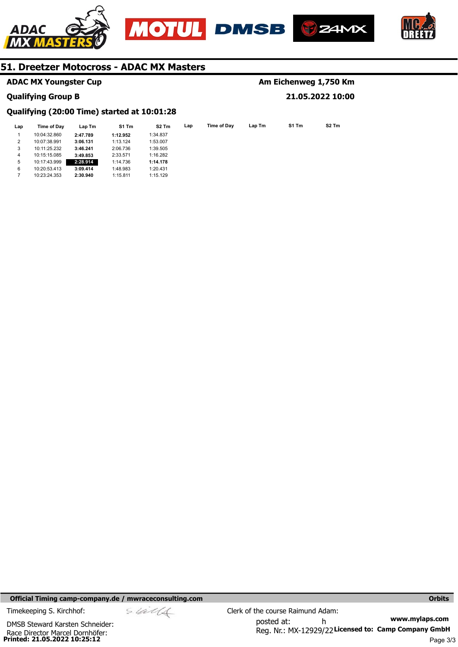





**Am Eichenweg 1,750 Km** 

**21.05.2022 10:00** 



# **51. Dreetzer Motocross - ADAC MX Masters**

|  |  | <b>ADAC MX Youngster Cup</b> |  |
|--|--|------------------------------|--|
|--|--|------------------------------|--|

## **Qualifying Group B**

# **Qualifying (20:00 Time) started at 10:01:28**

| Lap | Time of Day  | Lap Tm   | S1 Tm    | S <sub>2</sub> Tm | Lap | Time of Dav | Lap Tm | S1 Tm | S <sub>2</sub> Tm |
|-----|--------------|----------|----------|-------------------|-----|-------------|--------|-------|-------------------|
|     | 10:04:32.860 | 2:47.789 | 1:12.952 | 1:34.837          |     |             |        |       |                   |
| 2   | 10:07:38.991 | 3:06.131 | 1:13.124 | 1:53.007          |     |             |        |       |                   |
| 3   | 10:11:25.232 | 3:46.241 | 2:06.736 | 1:39.505          |     |             |        |       |                   |
| 4   | 10:15:15.085 | 3:49.853 | 2:33.571 | 1:16.282          |     |             |        |       |                   |
| 5   | 10:17:43.999 | 2:28.914 | 1:14.736 | 1:14.178          |     |             |        |       |                   |
| 6   | 10:20:53.413 | 3:09.414 | 1:48.983 | 1:20.431          |     |             |        |       |                   |
|     | 10:23:24.353 | 2:30.940 | 1:15.811 | 1:15.129          |     |             |        |       |                   |

**Official Timing camp-company.de / mwraceconsulting.com and a strategies of the control of the control orbits of the control orbits** 

**Printed: 21.05.2022 10:25:12**  Race Director Marcel Dornhöfer: DMSB Steward Karsten Schneider:

$$
\mathcal{A}^{\mathcal{A}}
$$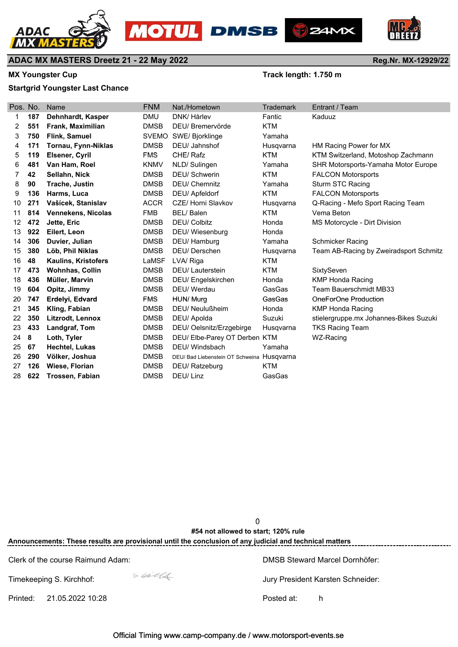







**Reg.Nr. MX-12929/22**

# **ADAC MX MASTERS Dreetz 21 - 22 May 2022**

# MX Youngster Cup **MX Youngster Cup Track length: 1.750 m**

# **Startgrid Youngster Last Chance**

| Pos. No. |     | Name                       | <b>FNM</b>   | Nat./Hometown                             | Trademark  | Entrant / Team                         |
|----------|-----|----------------------------|--------------|-------------------------------------------|------------|----------------------------------------|
| 1        | 187 | Dehnhardt, Kasper          | <b>DMU</b>   | DNK/Hårlev                                | Fantic     | Kaduuz                                 |
| 2        | 551 | Frank, Maximilian          | <b>DMSB</b>  | DEU/Bremervörde                           | <b>KTM</b> |                                        |
| 3        | 750 | Flink, Samuel              | <b>SVEMO</b> | SWE/Bjorklinge                            | Yamaha     |                                        |
| 4        | 171 | Tornau, Fynn-Niklas        | <b>DMSB</b>  | DEU/ Jahnshof                             | Husqvarna  | HM Racing Power for MX                 |
| 5        | 119 | Elsener, Cyril             | <b>FMS</b>   | CHE/Rafz                                  | <b>KTM</b> | KTM Switzerland, Motoshop Zachmann     |
| 6        | 481 | Van Ham, Roel              | <b>KNMV</b>  | NLD/Sulingen                              | Yamaha     | SHR Motorsports-Yamaha Motor Europe    |
| 7        | 42  | Sellahn, Nick              | <b>DMSB</b>  | <b>DEU/Schwerin</b>                       | <b>KTM</b> | <b>FALCON Motorsports</b>              |
| 8        | 90  | Trache, Justin             | <b>DMSB</b>  | <b>DEU/ Chemnitz</b>                      | Yamaha     | Sturm STC Racing                       |
| 9        | 136 | Harms, Luca                | <b>DMSB</b>  | DEU/ Apfeldorf                            | <b>KTM</b> | <b>FALCON Motorsports</b>              |
| 10       | 271 | Vašícek, Stanislav         | <b>ACCR</b>  | CZE/ Horni Slavkov                        | Husqvarna  | Q-Racing - Mefo Sport Racing Team      |
| 11       | 814 | <b>Vennekens, Nicolas</b>  | <b>FMB</b>   | BEL/Balen                                 | KTM        | Vema Beton                             |
| 12       | 472 | Jette, Eric                | <b>DMSB</b>  | <b>DEU/ Colbitz</b>                       | Honda      | MS Motorcycle - Dirt Division          |
| 13       | 922 | Eilert, Leon               | <b>DMSB</b>  | DEU/ Wiesenburg                           | Honda      |                                        |
| 14       | 306 | Duvier, Julian             | <b>DMSB</b>  | DEU/ Hamburg                              | Yamaha     | Schmicker Racing                       |
| 15       | 380 | Löb, Phil Niklas           | <b>DMSB</b>  | DEU/Derschen                              | Husqvarna  | Team AB-Racing by Zweiradsport Schmitz |
| 16       | 48  | <b>Kaulins, Kristofers</b> | LaMSF        | LVA/ Riga                                 | <b>KTM</b> |                                        |
| 17       | 473 | <b>Wohnhas, Collin</b>     | <b>DMSB</b>  | <b>DEU/Lauterstein</b>                    | <b>KTM</b> | SixtySeven                             |
| 18       | 436 | Müller, Marvin             | <b>DMSB</b>  | DEU/Engelskirchen                         | Honda      | <b>KMP Honda Racing</b>                |
| 19       | 604 | Opitz, Jimmy               | <b>DMSB</b>  | DEU/ Werdau                               | GasGas     | <b>Team Bauerschmidt MB33</b>          |
| 20       | 747 | Erdelyi, Edvard            | <b>FMS</b>   | HUN/ Murg                                 | GasGas     | OneForOne Production                   |
| 21       | 345 | Kling, Fabian              | <b>DMSB</b>  | DEU/ Neulußheim                           | Honda      | <b>KMP Honda Racing</b>                |
| 22       | 350 | Litzrodt, Lennox           | <b>DMSB</b>  | DEU/ Apolda                               | Suzuki     | stielergruppe.mx Johannes-Bikes Suzuki |
| 23       | 433 | Landgraf, Tom              | <b>DMSB</b>  | DEU/ Oelsnitz/Erzgebirge                  | Husqvarna  | <b>TKS Racing Team</b>                 |
| 24       | 8   | Loth, Tyler                | <b>DMSB</b>  | DEU/ Elbe-Parey OT Derben KTM             |            | WZ-Racing                              |
| 25       | 67  | Hechtel, Lukas             | <b>DMSB</b>  | DEU/ Windsbach                            | Yamaha     |                                        |
| 26       | 290 | Völker, Joshua             | <b>DMSB</b>  | DEU/Bad Liebenstein OT Schweina Husqvarna |            |                                        |
| 27       | 126 | Wiese, Florian             | <b>DMSB</b>  | DEU/ Ratzeburg                            | <b>KTM</b> |                                        |
| 28       | 622 | Trossen, Fabian            | <b>DMSB</b>  | DEU/Linz                                  | GasGas     |                                        |

**0 0, 0** 0 0 0 0 **Announcements: These results are provisional until the conclusion of any judicial and technical matters #54 not allowed to start; 120% rule**

Clerk of the course Raimund Adam: DMSB Steward Marcel Dornhöfer:

Timekeeping S. Kirchhof:  $\frac{1}{2}$  States 1 and 1 and 1 and 1 and 1 and 1 and 1 and 1 and 1 and 1 and 1 and 1 and 1 and 1 and 1 and 1 and 1 and 1 and 1 and 1 and 1 and 1 and 1 and 1 and 1 and 1 and 1 and 1 and 1 and 1 and

Printed: 21.05.2022 10:28 Posted at: h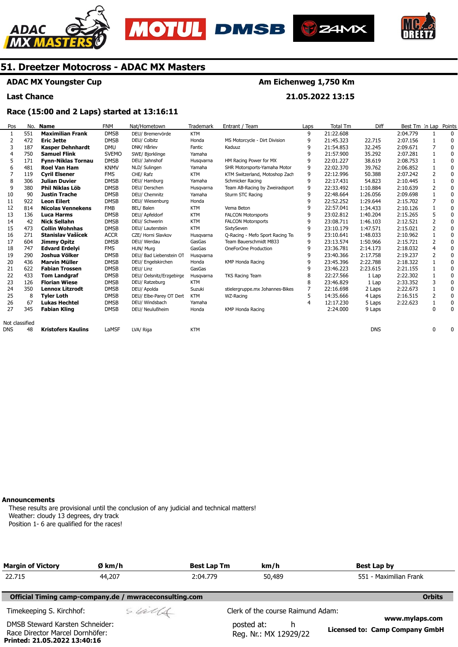





**Am Eichenweg 1,750 Km** 

**21.05.2022 13:15** 



# **51. Dreetzer Motocross - ADAC MX Masters**

# **ADAC MX Youngster Cup**

**Last Chance** 

# **Race (15:00 and 2 Laps) started at 13:16:11**

| Pos            | No. | <b>Name</b>               | <b>FNM</b>   | Nat/Hometown             | <b>Trademark</b> | Entrant / Team                  | Laps | <b>Total Tm</b> | Diff       | Best Tm In Lap |                | Points       |
|----------------|-----|---------------------------|--------------|--------------------------|------------------|---------------------------------|------|-----------------|------------|----------------|----------------|--------------|
|                | 551 | <b>Maximilian Frank</b>   | <b>DMSB</b>  | DEU/ Bremervörde         | <b>KTM</b>       |                                 | 9    | 21:22.608       |            | 2:04.779       |                | $\mathbf{0}$ |
| 2              | 472 | <b>Eric Jette</b>         | <b>DMSB</b>  | DEU/ Colbitz             | Honda            | MS Motorcycle - Dirt Division   | 9    | 21:45.323       | 22.715     | 2:07.156       |                | 0            |
| 3              | 187 | Kasper Dehnhardt          | <b>DMU</b>   | DNK/ Hårlev              | Fantic           | Kaduuz                          | 9    | 21:54.853       | 32.245     | 2:09.671       |                | 0            |
| 4              | 750 | <b>Samuel Flink</b>       | <b>SVEMO</b> | SWE/ Bjorklinge          | Yamaha           |                                 | 9    | 21:57.900       | 35.292     | 2:07.281       |                | 0            |
| 5              | 171 | <b>Fynn-Niklas Tornau</b> | <b>DMSB</b>  | DEU/ Jahnshof            | Husgvarna        | HM Racing Power for MX          | 9    | 22:01.227       | 38.619     | 2:08.753       |                | 0            |
| 6              | 481 | <b>Roel Van Ham</b>       | <b>KNMV</b>  | NLD/ Sulingen            | Yamaha           | SHR Motorsports-Yamaha Motor    | 9    | 22:02.370       | 39.762     | 2:06.852       |                | 0            |
|                | 119 | <b>Cyril Elsener</b>      | <b>FMS</b>   | CHE/ Rafz                | <b>KTM</b>       | KTM Switzerland, Motoshop Zach  | 9    | 22:12.996       | 50.388     | 2:07.242       | 2              | 0            |
| 8              | 306 | <b>Julian Duvier</b>      | <b>DMSB</b>  | DEU/ Hamburg             | Yamaha           | Schmicker Racing                | 9    | 22:17.431       | 54.823     | 2:10.445       |                | 0            |
| 9              | 380 | Phil Niklas Löb           | <b>DMSB</b>  | DEU/ Derschen            | Husqvarna        | Team AB-Racing by Zweiradsport  | 9    | 22:33.492       | 1:10.884   | 2:10.639       | 2              | 0            |
| 10             | 90  | <b>Justin Trache</b>      | <b>DMSB</b>  | DEU/ Chemnitz            | Yamaha           | Sturm STC Racing                | 9    | 22:48.664       | 1:26.056   | 2:09.698       |                | 0            |
| 11             | 922 | <b>Leon Eilert</b>        | <b>DMSB</b>  | DEU/ Wiesenburg          | Honda            |                                 | 9    | 22:52.252       | 1:29.644   | 2:15.702       |                | 0            |
| 12             | 814 | <b>Nicolas Vennekens</b>  | <b>FMB</b>   | BEL/ Balen               | <b>KTM</b>       | Vema Beton                      | 9    | 22:57.041       | 1:34.433   | 2:10.126       |                | 0            |
| 13             | 136 | <b>Luca Harms</b>         | <b>DMSB</b>  | DEU/ Apfeldorf           | <b>KTM</b>       | <b>FALCON Motorsports</b>       | 9    | 23:02.812       | 1:40.204   | 2:15.265       |                | 0            |
| 14             | 42  | <b>Nick Sellahn</b>       | <b>DMSB</b>  | DEU/ Schwerin            | <b>KTM</b>       | <b>FALCON Motorsports</b>       | 9    | 23:08.711       | 1:46.103   | 2:12.521       | 2              | 0            |
| 15             | 473 | <b>Collin Wohnhas</b>     | <b>DMSB</b>  | DEU/ Lauterstein         | <b>KTM</b>       | SixtySeven                      | 9    | 23:10.179       | 1:47.571   | 2:15.021       | $\overline{2}$ | $\mathbf{0}$ |
| 16             | 271 | Stanislav Vašícek         | <b>ACCR</b>  | CZE/ Horni Slavkov       | Husgvarna        | Q-Racing - Mefo Sport Racing Te | 9    | 23:10.641       | 1:48.033   | 2:10.962       |                | 0            |
| 17             | 604 | Jimmy Opitz               | <b>DMSB</b>  | DEU/ Werdau              | GasGas           | Team Bauerschmidt MB33          | 9    | 23:13.574       | 1:50.966   | 2:15.721       |                | 0            |
| 18             | 747 | <b>Edvard Erdelyi</b>     | <b>FMS</b>   | HUN/ Murg                | GasGas           | OneForOne Production            | 9    | 23:36.781       | 2:14.173   | 2:18.032       |                | 0            |
| 19             | 290 | Joshua Völker             | <b>DMSB</b>  | DEU/ Bad Liebenstein OT  | Husqvarna        |                                 | 9    | 23:40.366       | 2:17.758   | 2:19.237       | 2              | 0            |
| 20             | 436 | <b>Marvin Müller</b>      | <b>DMSB</b>  | DEU/ Engelskirchen       | Honda            | KMP Honda Racing                | 9    | 23:45.396       | 2:22.788   | 2:18.322       |                | $\mathbf{0}$ |
| 21             | 622 | <b>Fabian Trossen</b>     | <b>DMSB</b>  | DEU/ Linz                | GasGas           |                                 | 9    | 23:46.223       | 2:23.615   | 2:21.155       |                | 0            |
| 22             | 433 | <b>Tom Landgraf</b>       | <b>DMSB</b>  | DEU/ Oelsnitz/Erzgebirge | Husqvarna        | <b>TKS Racing Team</b>          | 8    | 22:27.566       | 1 Lap      | 2:22.302       |                | 0            |
| 23             | 126 | <b>Florian Wiese</b>      | <b>DMSB</b>  | DEU/ Ratzeburg           | <b>KTM</b>       |                                 | 8    | 23:46.829       | 1 Lap      | 2:33.352       |                | 0            |
| 24             | 350 | <b>Lennox Litzrodt</b>    | <b>DMSB</b>  | DEU/ Apolda              | Suzuki           | stielergruppe.mx Johannes-Bikes |      | 22:16.698       | 2 Laps     | 2:22.673       |                | 0            |
| 25             | 8   | <b>Tyler Loth</b>         | <b>DMSB</b>  | DEU/ Elbe-Parey OT Dert  | <b>KTM</b>       | WZ-Racing                       | 5    | 14:35.666       | 4 Laps     | 2:16.515       | 2              | 0            |
| 26             | 67  | <b>Lukas Hechtel</b>      | <b>DMSB</b>  | DEU/ Windsbach           | Yamaha           |                                 | 4    | 12:17.230       | 5 Laps     | 2:22.623       |                | 0            |
| 27             | 345 | <b>Fabian Kling</b>       | <b>DMSB</b>  | DEU/ Neulußheim          | Honda            | KMP Honda Racing                |      | 2:24.000        | 9 Laps     |                | 0              | $\mathbf{0}$ |
| Not classified |     |                           |              |                          |                  |                                 |      |                 |            |                |                |              |
| <b>DNS</b>     | 48  | <b>Kristofers Kaulins</b> | LaMSF        | LVA/ Riga                | <b>KTM</b>       |                                 |      |                 | <b>DNS</b> |                | 0              | 0            |

#### **Announcements**

**Printed: 21.05.2022 13:40:16** 

These results are provisional until the conclusion of any judicial and technical matters! Weather: cloudy 13 degrees, dry track Position 1- 6 are qualified for the races!

| <b>Margin of Victory</b>                                           | Ø km/h                                                 | <b>Best Lap Tm</b> | km/h                                      | Best Lap by                                             |
|--------------------------------------------------------------------|--------------------------------------------------------|--------------------|-------------------------------------------|---------------------------------------------------------|
| 22.715                                                             | 44,207                                                 | 2:04.779           | 50,489                                    | 551 - Maximilian Frank                                  |
|                                                                    | Official Timing camp-company.de / mwraceconsulting.com |                    |                                           | <b>Orbits</b>                                           |
| Timekeeping S. Kirchhof:                                           | sulls                                                  |                    | Clerk of the course Raimund Adam:         |                                                         |
| DMSB Steward Karsten Schneider:<br>Race Director Marcel Dornhöfer: |                                                        |                    | posted at:<br>h.<br>Reg. Nr.: MX 12929/22 | www.mylaps.com<br><b>Licensed to: Camp Company GmbH</b> |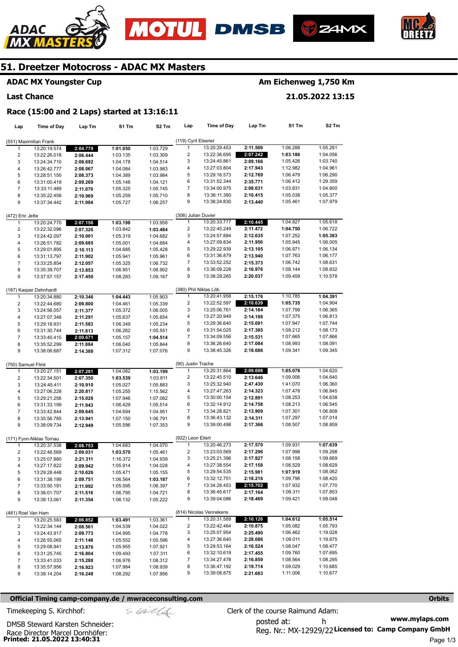







# **ADAC MX Youngster Cup**

#### **Last Chance**

# **Am Eichenweg 1,750 Km**

**21.05.2022 13:15** 

#### **Race (15:00 and 2 Laps) started at 13:16:11**

| Lap                     | <b>Time of Day</b>                       | Lap Tm   | S1 Tm                | S <sub>2</sub> Tm | Lap                               | Time of Day             | Lap Tm               | S1 Tm    | S2 Tm                |
|-------------------------|------------------------------------------|----------|----------------------|-------------------|-----------------------------------|-------------------------|----------------------|----------|----------------------|
|                         |                                          |          |                      |                   | (119) Cyril Elsener               |                         |                      |          |                      |
|                         | (551) Maximilian Frank                   |          |                      |                   | 1                                 | 13:20:29.453            | 2:11.569             | 1:06.288 | 1:05.281             |
| 1                       | 13:20:19.574                             | 2:04.779 | 1:01.050             | 1:03.729          |                                   |                         |                      |          | 1:04.056             |
| $\overline{2}$          | 13:22:26.018                             | 2:06.444 | 1:03.135             | 1:03.309          | 2                                 | 13:22:36.695            | 2:07.242             | 1:03.186 |                      |
| 3                       | 13:24:34.710                             | 2:08.692 | 1:04.178             | 1:04.514          | 3                                 | 13:24:45.861            | 2:09.166             | 1:05.426 | 1:03.740             |
| $\overline{\mathbf{4}}$ | 13:26:42.777                             | 2:08.067 | 1:04.084             | 1:03.983          | 4                                 | 13:27:03.804            | 2:17.943             | 1:12.982 | 1:04.961             |
| 5                       | 13:28:51.150                             | 2:08.373 | 1:04.389             | 1:03.984          | 5                                 | 13:29:16.573            | 2:12.769             | 1:06.479 | 1:06.290             |
| 6                       | 13:31:00.419                             | 2:09.269 | 1:05.148             | 1:04.121          | 6                                 | 13:31:52.344            | 2:35.771             | 1:06.412 | 1:29.359             |
| $\overline{7}$          | 13:33:11.489                             | 2:11.070 | 1:05.325             | 1:05.745          | 7                                 | 13:34:00.975            | 2:08.631             | 1:03.831 | 1:04.800             |
| 8                       | 13:35:22.458                             | 2:10.969 | 1:05.259             | 1:05.710          | 8                                 | 13:36:11.390            | 2:10.415             | 1:05.038 | 1:05.377             |
| 9                       | 13:37:34.442                             | 2:11.984 | 1:05.727             | 1:06.257          | 9                                 | 13:38:24.830            | 2:13.440             | 1:05.461 | 1:07.979             |
| (472) Eric Jette        |                                          |          |                      |                   | (306) Julian Duvier               |                         |                      |          |                      |
| $\mathbf{1}$            | 13:20:24.770                             | 2:07.156 | 1:03.198             | 1:03.958          | $\mathbf{1}$                      | 13:20:33.777            | 2:10.445             | 1:04.827 | 1:05.618             |
| $\overline{2}$          | 13:22:32.096                             | 2:07.326 | 1:03.842             | 1:03.484          | $\overline{\mathbf{c}}$           | 13:22:45.249            | 2:11.472             | 1:04.750 | 1:06.722             |
|                         |                                          | 2:10.001 | 1:05.319             |                   | 3                                 | 13:24:57.884            | 2:12.635             | 1:07.252 | 1:05.383             |
| 3<br>4                  | 13:24:42.097                             |          |                      | 1:04.682          | 4                                 | 13:27:09.834            | 2:11.950             | 1:05.945 | 1:06.005             |
|                         | 13:26:51.782                             | 2:09.685 | 1:05.001             | 1:04.684          | 5                                 | 13:29:22.939            |                      | 1:06.971 | 1:06.134             |
| 5                       | 13:29:01.895                             | 2:10.113 | 1:04.685             | 1:05.428          | 6                                 | 13:31:36.879            | 2:13.105<br>2:13.940 | 1:07.763 | 1:06.177             |
| 6                       | 13:31:13.797                             | 2:11.902 | 1:05.941             | 1:05.961          | 7                                 |                         |                      |          |                      |
| $\overline{7}$          | 13:33:25.854                             | 2:12.057 | 1:05.325             | 1:06.732          |                                   | 13:33:52.252            | 2:15.373             | 1:06.742 | 1:08.631             |
| 8                       | 13:35:39.707                             | 2:13.853 | 1:06.951             | 1:06.902          | 8                                 | 13:36:09.228            | 2:16.976             | 1:08.144 | 1:08.832             |
| 9                       | 13:37:57.157                             | 2:17.450 | 1:08.283             | 1:09.167          | 9                                 | 13:38:29.265            | 2:20.037             | 1:09.459 | 1:10.578             |
|                         | (187) Kasper Dehnhardt                   |          |                      |                   | (380) Phil Niklas Löb             |                         |                      |          |                      |
| 1                       | 13:20:34.880                             | 2:10.346 | 1:04.443             | 1:05.903          | $\mathbf{1}$                      | 13:20:41.958            | 2:15.176             | 1:10.785 | 1:04.391             |
| $\overline{2}$          | 13:22:44.680                             | 2:09.800 | 1:04.461             | 1:05.339          | $\overline{\mathbf{c}}$           | 13:22:52.597            | 2:10.639             | 1:05.735 | 1:04.904             |
| 3                       | 13:24:56.057                             | 2:11.377 | 1:05.372             | 1:06.005          | 3                                 | 13:25:06.761            | 2:14.164             | 1:07.799 | 1:06.365             |
| 4                       | 13:27:07.348                             | 2:11.291 | 1:05.637             | 1:05.654          | 4                                 | 13:27:20.949            | 2:14.188             | 1:07.375 | 1:06.813             |
| 5                       | 13:29:18.931                             | 2:11.583 | 1:06.349             | 1:05.234          | 5                                 | 13:29:36.640            | 2:15.691             | 1:07.947 | 1:07.744             |
| 6                       | 13:31:30.744                             | 2:11.813 | 1:06.262             | 1:05.551          | 6                                 | 13:31:54.025            | 2:17.385             | 1:09.212 | 1:08.173             |
| 7                       | 13:33:40.415                             | 2:09.671 | 1:05.157             | 1:04.514          | 7                                 | 13:34:09.556            | 2:15.531             | 1:07.665 | 1:07.866             |
| 8                       | 13:35:52.299                             | 2:11.884 |                      | 1:05.844          | 8                                 | 13:36:26.640            | 2:17.084             | 1:08.993 | 1:08.091             |
| 9                       | 13:38:06.687                             | 2:14.388 | 1:06.040<br>1:07.312 | 1:07.076          | 9                                 | 13:38:45.326            | 2:18.686             | 1:09.341 | 1:09.345             |
|                         |                                          |          |                      |                   |                                   |                         |                      |          |                      |
| (750) Samuel Flink      |                                          |          |                      |                   | (90) Justin Trache                |                         |                      |          |                      |
| $\mathbf{1}$            | 13:20:27.151                             | 2:07.281 | 1:04.082             | 1:03.199          | 1                                 | 13:20:31.864            | 2:09.698             | 1:05.078 | 1:04.620             |
| $\overline{2}$          | 13:22:34.501                             | 2:07.350 | 1:03.539             | 1:03.811          | $\overline{\mathbf{c}}$           | 13:22:45.510            | 2:13.646             | 1:09.006 | 1:04.640             |
| 3                       | 13:24:45.411                             | 2:10.910 | 1:05.027             | 1:05.883          | 3                                 | 13:25:32.940            | 2:47.430             | 1:41.070 | 1:06.360             |
| 4                       | 13:27:06.228                             | 2:20.817 | 1:05.255             | 1:15.562          | 4                                 | 13:27:47.263            | 2:14.323             | 1:07.478 | 1:06.845             |
| 5                       | 13:29:21.256                             | 2:15.028 | 1:07.946             | 1:07.082          | 5                                 | 13:30:00.154            | 2:12.891             | 1:08.253 | 1:04.638             |
| 6                       | 13:31:33.199                             | 2:11.943 | 1:06.429             | 1:05.514          | 6                                 | 13:32:14.912            | 2:14.758             | 1:08.213 | 1:06.545             |
| $\overline{7}$          | 13:33:42.844                             | 2:09.645 | 1:04.694             | 1:04.951          | 7                                 | 13:34:28.821            | 2:13.909             | 1:07.301 | 1:06.608             |
| 8                       | 13:35:56.785                             | 2:13.941 | 1:07.150             | 1:06.791          | 8                                 | 13:36:43.132            | 2:14.311             | 1:07.297 | 1:07.014             |
| 9                       | 13:38:09.734                             | 2:12.949 | 1:05.596             | 1:07.353          | 9                                 | 13:39:00.498            | 2:17.366             | 1:08.507 | 1:08.859             |
|                         |                                          |          |                      |                   |                                   |                         |                      |          |                      |
| 1                       | (171) Fynn-Niklas Tornau<br>13:20:37.538 | 2:08.753 | 1:04.683             | 1:04.070          | (922) Leon Eilert<br>$\mathbf{1}$ | 13:20:46.273            | 2:17.570             | 1:09.931 | 1:07.639             |
| 2                       | 13:22:46.569                             | 2:09.031 | 1:03.570             | 1:05.461          | 2                                 | 13:23:03.569            | 2:17.296             | 1:07.998 | 1:09.298             |
| 3                       | 13:25:07.880                             | 2:21.311 | 1:16.372             | 1:04.939          | 3                                 | 13:25:21.396            | 2:17.827             | 1:08.158 | 1:09.669             |
| $\overline{4}$          | 13:27:17.822                             | 2:09.942 | 1:05.914             | 1:04.028          | 4                                 | 13:27:38.554            | 2:17.158             | 1:08.529 | 1:08.629             |
|                         |                                          |          |                      |                   | 5                                 | 13:29:54.535            | 2:15.981             | 1:07.919 | 1:08.062             |
| 5                       | 13:29:28.448                             | 2:10.626 | 1:05.471             | 1:05.155          | 6                                 | 13:32:12.751            | 2:18.216             | 1:09.796 | 1:08.420             |
| 6                       | 13:31:38.199                             | 2:09.751 | 1:06.564             | 1:03.187          |                                   |                         |                      |          |                      |
| 7                       | 13:33:50.191                             | 2:11.992 | 1:05.595             | 1:06.397          | 7                                 | 13:34:28.453            | 2:15.702             | 1:07.932 | 1:07.770<br>1:07.853 |
| 8                       | 13:36:01.707                             | 2:11.516 | 1:06.795             | 1:04.721          | 8<br>9                            | 13:36:45.617            | 2:17.164             | 1:09.311 |                      |
| 9                       | 13:38:13.061                             | 2:11.354 | 1:06.132             | 1:05.222          |                                   | 13:39:04.086            | 2:18.469             | 1:09.421 | 1:09.048             |
|                         | (481) Roel Van Ham                       |          |                      |                   |                                   | (814) Nicolas Vennekens |                      |          |                      |
| $\mathbf{1}$            | 13:20:25.583                             | 2:06.852 | 1:03.491             | 1:03.361          | $\mathbf{1}$                      | 13:20:31.589            | 2:10.126             | 1:04.612 | 1:05.514             |
| 2                       | 13:22:34.144                             | 2:08.561 | 1:04.539             | 1:04.022          | 2                                 | 13:22:42.464            | 2:10.875             | 1:05.082 | 1:05.793             |
| 3                       | 13:24:43.917                             | 2:09.773 | 1:04.995             | 1:04.778          | 3                                 | 13:25:07.954            | 2:25.490             | 1:06.462 | 1:19.028             |
| 4                       | 13:26:55.065                             | 2:11.148 | 1:05.552             | 1:05.596          | 4                                 | 13:27:36.640            | 2:28.686             | 1:09.011 | 1:19.675             |
| 5                       | 13:29:08.941                             | 2:13.876 | 1:05.955             | 1:07.921          | 5                                 | 13:29:53.164            | 2:16.524             | 1:08.047 | 1:08.477             |
| 6                       | 13:31:25.745                             | 2:16.804 | 1:09.493             | 1:07.311          | 6                                 | 13:32:10.619            | 2:17.455             | 1:09.760 | 1:07.695             |
| $\overline{7}$          | 13:33:41.033                             | 2:15.288 | 1:06.976             | 1:08.312          | 7                                 | 13:34:27.478            | 2:16.859             | 1:08.564 | 1:08.295             |
| 8                       | 13:35:57.956                             | 2:16.923 | 1:07.984             | 1:08.939          | 8                                 | 13:36:47.192            | 2:19.714             | 1:09.029 | 1:10.685             |
| 9                       | 13:38:14.204                             | 2:16.248 | 1:08.292             | 1:07.956          | 9                                 | 13:39:08.875            | 2:21.683             | 1:11.006 | 1:10.677             |
|                         |                                          |          |                      |                   |                                   |                         |                      |          |                      |

### **Official Timing camp-company.de / mwraceconsulting.com <b>Orbits Orbits Orbits Orbits**

Race Director Marcel Dornhöfer:<br>**Printed: 21.05.2022 13:40:31** 

DMSB Steward Karsten Schneider: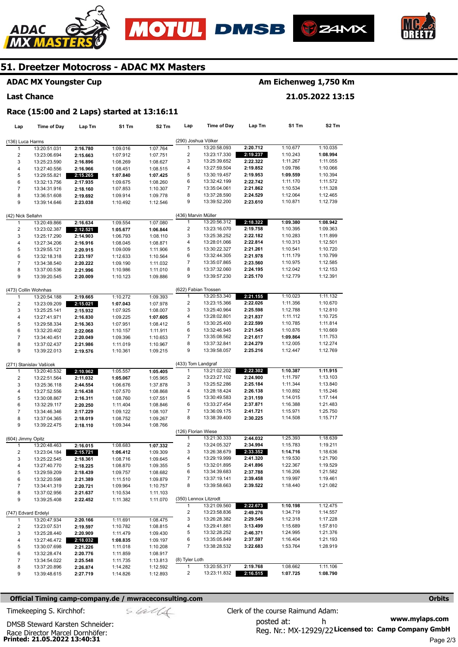







# **ADAC MX Youngster Cup**

#### **Last Chance**

# **Am Eichenweg 1,750 Km**

**21.05.2022 13:15** 

#### **Race (15:00 and 2 Laps) started at 13:16:11**

| Lap                     | <b>Time of Day</b>           | Lap Tm   | S1 Tm                | S2 Tm                | Lap                  | Time of Day           | Lap Tm   | S1 Tm    | S2 Tm    |
|-------------------------|------------------------------|----------|----------------------|----------------------|----------------------|-----------------------|----------|----------|----------|
|                         |                              |          |                      |                      | (290) Joshua Völker  |                       |          |          |          |
| (136) Luca Harms<br>1   |                              |          | 1:09.016             |                      | 1                    | 13:20:58.093          | 2:20.712 | 1:10.677 | 1:10.035 |
|                         | 13:20:51.031                 | 2:16.780 |                      | 1:07.764             |                      |                       |          |          |          |
| 2                       | 13:23:06.694                 | 2:15.663 | 1:07.912             | 1:07.751             | 2                    | 13:23:17.330          | 2:19.237 | 1:10.243 | 1:08.994 |
| 3                       | 13:25:23.590                 | 2:16.896 | 1:08.269             | 1:08.627             | 3                    | 13:25:39.652          | 2:22.322 | 1:11.267 | 1:11.055 |
| $\overline{\mathbf{4}}$ | 13:27:40.556                 | 2:16.966 | 1:08.451             | 1:08.515             | 4                    | 13:27:59.504          | 2:19.852 | 1:09.786 | 1:10.066 |
| 5                       | 13:29:55.821                 | 2:15.265 | 1:07.840             | 1:07.425             | 5                    | 13:30:19.457          | 2:19.953 | 1:09.559 | 1:10.394 |
| 6                       | 13:32:13.756                 | 2:17.935 | 1:09.675             | 1:08.260             | 6                    | 13:32:42.199          | 2:22.742 | 1:11.170 | 1:11.572 |
| $\overline{7}$          | 13:34:31.916                 | 2:18.160 | 1:07.853             | 1:10.307             | 7                    | 13:35:04.061          | 2:21.862 | 1:10.534 | 1:11.328 |
| 8                       | 13:36:51.608                 | 2:19.692 | 1:09.914             | 1:09.778             | 8                    | 13:37:28.590          | 2:24.529 | 1:12.064 | 1:12.465 |
| 9                       | 13:39:14.646                 | 2:23.038 | 1:10.492             | 1:12.546             | 9                    | 13:39:52.200          | 2:23.610 | 1:10.871 | 1:12.739 |
|                         |                              |          |                      |                      |                      |                       |          |          |          |
| (42) Nick Sellahn       |                              |          |                      |                      | (436) Marvin Müller  |                       |          |          |          |
| 1                       | 13:20:49.866                 | 2:16.634 | 1:09.554             | 1:07.080             | 1                    | 13:20:56.312          | 2:18.322 | 1:09.380 | 1:08.942 |
| 2                       | 13:23:02.387                 | 2:12.521 | 1:05.677             | 1:06.844             | 2                    | 13:23:16.070          | 2:19.758 | 1:10.395 | 1:09.363 |
| 3                       | 13:25:17.290                 | 2:14.903 | 1:06.793             | 1:08.110             | 3                    | 13:25:38.252          | 2:22.182 | 1:10.283 | 1:11.899 |
| 4                       | 13:27:34.206                 | 2:16.916 | 1:08.045             | 1:08.871             | 4                    | 13:28:01.066          | 2:22.814 | 1:10.313 | 1:12.501 |
| 5                       | 13:29:55.121                 | 2:20.915 | 1:09.009             | 1:11.906             | 5                    | 13:30:22.327          | 2:21.261 | 1:10.541 | 1:10.720 |
| 6                       | 13:32:18.318                 | 2:23.197 | 1:12.633             | 1:10.564             | 6                    | 13:32:44.305          | 2:21.978 | 1:11.179 | 1:10.799 |
| $\overline{7}$          | 13:34:38.540                 | 2:20.222 | 1:09.190             | 1:11.032             | 7                    | 13:35:07.865          | 2:23.560 | 1:10.975 | 1:12.585 |
| 8                       | 13:37:00.536                 | 2:21.996 | 1:10.986             | 1:11.010             | 8                    | 13:37:32.060          | 2:24.195 | 1:12.042 | 1:12.153 |
| 9                       | 13:39:20.545                 | 2:20.009 | 1:10.123             | 1:09.886             | 9                    | 13:39:57.230          | 2:25.170 | 1:12.779 | 1:12.391 |
|                         |                              |          |                      |                      |                      |                       |          |          |          |
|                         | (473) Collin Wohnhas         |          |                      |                      | (622) Fabian Trossen |                       |          |          |          |
| 1                       | 13:20:54.188                 | 2:19.665 | 1:10.272             | 1:09.393             | $\mathbf{1}$         | 13:20:53.340          | 2:21.155 | 1:10.023 | 1:11.132 |
| $\overline{\mathbf{c}}$ | 13:23:09.209                 | 2:15.021 | 1:07.043             | 1:07.978             | $\overline{c}$       | 13:23:15.366          | 2:22.026 | 1:11.356 | 1:10.670 |
| 3                       | 13:25:25.141                 | 2:15.932 | 1:07.925             | 1:08.007             | 3                    | 13:25:40.964          | 2:25.598 | 1:12.788 | 1:12.810 |
| 4                       | 13:27:41.971                 | 2:16.830 | 1:09.225             | 1:07.605             | 4                    | 13:28:02.801          | 2:21.837 | 1:11.112 | 1:10.725 |
| 5                       | 13:29:58.334                 | 2:16.363 | 1:07.951             | 1:08.412             | 5                    | 13:30:25.400          | 2:22.599 | 1:10.785 | 1:11.814 |
| 6                       | 13:32:20.402                 | 2:22.068 | 1:10.157             | 1:11.911             | 6                    | 13:32:46.945          | 2:21.545 | 1:10.876 | 1:10.669 |
| 7                       | 13:34:40.451                 | 2:20.049 | 1:09.396             | 1:10.653             | 7                    | 13:35:08.562          | 2:21.617 | 1:09.864 | 1:11.753 |
| 8                       |                              | 2:21.986 |                      |                      | 8                    | 13:37:32.841          | 2:24.279 | 1:12.005 | 1:12.274 |
| 9                       | 13:37:02.437<br>13:39:22.013 |          | 1:11.019<br>1:10.361 | 1:10.967<br>1:09.215 | 9                    | 13:39:58.057          | 2:25.216 | 1:12.447 | 1:12.769 |
|                         |                              | 2:19.576 |                      |                      |                      |                       |          |          |          |
|                         | (271) Stanislav Vašícek      |          |                      |                      | (433) Tom Landgraf   |                       |          |          |          |
| 1                       | 13:20:40.532                 | 2:10.962 | 1:05.557             | 1:05.405             | 1                    | 13:21:02.202          | 2:22.302 | 1:10.387 | 1:11.915 |
| 2                       | 13:22:51.564                 | 2:11.032 | 1:05.067             | 1:05.965             | $\overline{c}$       | 13:23:27.102          | 2:24.900 | 1:11.797 | 1:13.103 |
| 3                       | 13:25:36.118                 | 2:44.554 | 1:06.676             | 1:37.878             | 3                    | 13:25:52.286          | 2:25.184 | 1:11.344 | 1:13.840 |
| 4                       | 13:27:52.556                 | 2:16.438 | 1:07.570             | 1:08.868             | 4                    | 13:28:18.424          | 2:26.138 | 1:10.892 | 1:15.246 |
| 5                       | 13:30:08.867                 | 2:16.311 | 1:08.760             | 1:07.551             | 5                    | 13:30:49.583          | 2:31.159 | 1:14.015 | 1:17.144 |
| 6                       | 13:32:29.117                 | 2:20.250 | 1:11.404             | 1:08.846             | 6                    | 13:33:27.454          | 2:37.871 | 1:16.388 | 1:21.483 |
| $\overline{7}$          | 13:34:46.346                 | 2:17.229 | 1:09.122             | 1:08.107             | 7                    | 13:36:09.175          | 2:41.721 | 1:15.971 | 1:25.750 |
| 8                       | 13:37:04.365                 | 2:18.019 | 1:08.752             | 1:09.267             | 8                    | 13:38:39.400          | 2:30.225 | 1:14.508 | 1:15.717 |
| 9                       | 13:39:22.475                 | 2:18.110 | 1:09.344             | 1:08.766             |                      |                       |          |          |          |
|                         |                              |          |                      |                      | (126) Florian Wiese  |                       |          |          |          |
| (604) Jimmy Opitz       |                              |          |                      |                      | 1                    | 13:21:30.333          | 2:44.032 | 1:25.393 | 1:18.639 |
| 1                       | 13:20:48.463                 | 2:16.015 | 1:08.683             | 1:07.332             | 2                    | 13:24:05.327          | 2:34.994 | 1:15.783 | 1:19.211 |
| 2                       | 13:23:04.184                 | 2:15.721 | 1:06.412             | 1:09.309             | 3                    | 13:26:38.679          | 2:33.352 | 1:14.716 | 1:18.636 |
| 3                       | 13:25:22.545                 | 2:18.361 | 1:08.716             | 1:09.645             | 4                    | 13:29:19.999          | 2:41.320 | 1:19.530 | 1:21.790 |
| $\overline{4}$          | 13:27:40.770                 | 2:18.225 | 1:08.870             | 1:09.355             | 5                    | 13:32:01.895          | 2:41.896 | 1:22.367 | 1:19.529 |
|                         |                              |          |                      |                      | 6                    | 13:34:39.683          | 2:37.788 | 1:16.206 | 1:21.582 |
| 5                       | 13:29:59.209                 | 2:18.439 | 1:09.757             | 1:08.682             |                      | 13:37:19.141          |          |          |          |
| 6                       | 13:32:20.598                 | 2:21.389 | 1:11.510             | 1:09.879             | 7                    |                       | 2:39.458 | 1:19.997 | 1:19.461 |
| 7                       | 13:34:41.319                 | 2:20.721 | 1:09.964             | 1:10.757             | 8                    | 13:39:58.663          | 2:39.522 | 1:18.440 | 1:21.082 |
| 8                       | 13:37:02.956                 | 2:21.637 | 1:10.534             | 1:11.103             |                      |                       |          |          |          |
| 9                       | 13:39:25.408                 | 2:22.452 | 1:11.382             | 1:11.070             |                      | (350) Lennox Litzrodt |          |          |          |
|                         |                              |          |                      |                      | $\mathbf{1}$         | 13:21:09.560          | 2:22.673 | 1:10.198 | 1:12.475 |
|                         | (747) Edvard Erdelyi         |          |                      |                      | 2                    | 13:23:58.836          | 2:49.276 | 1:34.719 | 1:14.557 |
| 1                       | 13:20:47.934                 | 2:20.166 | 1:11.691             | 1:08.475             | 3                    | 13:26:28.382          | 2:29.546 | 1:12.318 | 1:17.228 |
| 2                       | 13:23:07.531                 | 2:19.597 | 1:10.782             | 1:08.815             | 4                    | 13:29:41.881          | 3:13.499 | 1:15.689 | 1:57.810 |
| 3                       | 13:25:28.440                 | 2:20.909 | 1:11.479             | 1:09.430             | 5                    | 13:32:28.252          | 2:46.371 | 1:24.995 | 1:21.376 |
| 4                       | 13:27:46.472                 | 2:18.032 | 1:08.835             | 1:09.197             | 6                    | 13:35:05.849          | 2:37.597 | 1:16.404 | 1:21.193 |
| 5                       | 13:30:07.698                 | 2:21.226 | 1:11.018             | 1:10.208             | 7                    | 13:38:28.532          | 3:22.683 | 1:53.764 | 1:28.919 |
|                         |                              | 2:20.776 |                      |                      |                      |                       |          |          |          |
| 6<br>7                  | 13:32:28.474                 |          | 1:11.859             | 1:08.917             | (8) Tyler Loth       |                       |          |          |          |
|                         | 13:34:54.022                 | 2:25.548 | 1:11.735             | 1:13.813             | $\mathbf{1}$         | 13:20:55.317          | 2:19.768 | 1:08.662 | 1:11.106 |
| 8                       | 13:37:20.896                 | 2:26.874 | 1:14.282             | 1:12.592             |                      |                       |          |          |          |
| 9                       | 13:39:48.615                 | 2:27.719 | 1:14.826             | 1:12.893             | 2                    | 13:23:11.832          | 2:16.515 | 1:07.725 | 1:08.790 |

### **Official Timing camp-company.de / mwraceconsulting.com <b>Orbits and Company.de Company** orbits **Orbits Orbits**

Race Director Marcel Dornhöfer:<br>**Printed: 21.05.2022 13:40:31** 

DMSB Steward Karsten Schneider:

$$
\mathcal{S}\text{ with } \mathcal{C}
$$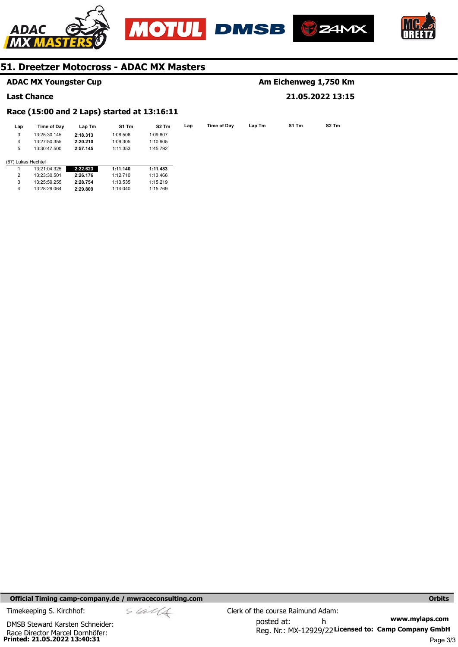







## **ADAC MX Youngster Cup**

## **Last Chance**

# **Am Eichenweg 1,750 Km 21.05.2022 13:15**

# **Race (15:00 and 2 Laps) started at 13:16:11**

| Lap | Time of Dav        | Lap Tm   | S1 Tm    | S <sub>2</sub> Tm | Lap | Time of Day | Lap Tm | S1 Tm |
|-----|--------------------|----------|----------|-------------------|-----|-------------|--------|-------|
| 3   | 13:25:30.145       | 2:18.313 | 1:08.506 | 1:09.807          |     |             |        |       |
| 4   | 13:27:50.355       | 2:20.210 | 1:09.305 | 1:10.905          |     |             |        |       |
| 5   | 13:30:47.500       | 2:57.145 | 1:11.353 | 1:45.792          |     |             |        |       |
|     |                    |          |          |                   |     |             |        |       |
|     | (67) Lukas Hechtel |          |          |                   |     |             |        |       |
|     |                    |          |          |                   |     |             |        |       |

|   | 13:21:04.325 | 2:22.623 | 1:11.140 | 1:11.483 |
|---|--------------|----------|----------|----------|
| 2 | 13.23.30.501 | 2:26.176 | 1.12710  | 1.13466  |
| 3 | 13:25:59.255 | 2:28.754 | 1:13.535 | 1:15.219 |
| 4 | 13.28.29064  | 2:29.809 | 1:14.040 | 1:15.769 |

**Official Timing camp-company.de / mwraceconsulting.com <b>Orbits Orbits Orbits Orbits** 

Race Director Marcel Dornhöfer:<br>**Printed: 21.05.2022 13:40:31** DMSB Steward Karsten Schneider: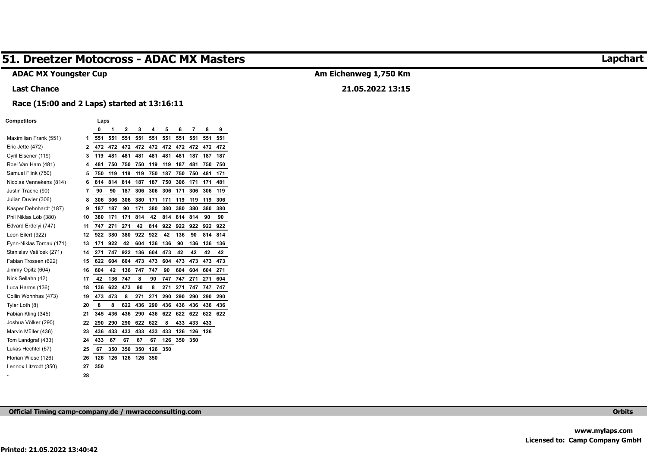# **ADAC MX Youngster Cup**

# **Am Eichenweg 1,750 Km**

**21.05.2022 13:15** 

# **Race (15:00 and 2 Laps) started at 13:16:11**

#### **Competitors Laps**

**Last Chance** 

|                          |                | 0   | 1   | $\overline{2}$ | 3   | 4   | 5   | 6   | 7   | 8   | 9   |
|--------------------------|----------------|-----|-----|----------------|-----|-----|-----|-----|-----|-----|-----|
| Maximilian Frank (551)   | 1              | 551 | 551 | 551            | 551 | 551 | 551 | 551 | 551 | 551 | 551 |
| Eric Jette (472)         | $\overline{2}$ | 472 | 472 | 472            | 472 | 472 | 472 | 472 | 472 | 472 | 472 |
| Cyril Elsener (119)      | 3              | 119 | 481 | 481            | 481 | 481 | 481 | 481 | 187 | 187 | 187 |
| Roel Van Ham (481)       | 4              | 481 | 750 | 750            | 750 | 119 | 119 | 187 | 481 | 750 | 750 |
| Samuel Flink (750)       | 5              | 750 | 119 | 119            | 119 | 750 | 187 | 750 | 750 | 481 | 171 |
| Nicolas Vennekens (814)  | 6              | 814 | 814 | 814            | 187 | 187 | 750 | 306 | 171 | 171 | 481 |
| Justin Trache (90)       | 7              | 90  | 90  | 187            | 306 | 306 | 306 | 171 | 306 | 306 | 119 |
| Julian Duvier (306)      | 8              | 306 | 306 | 306            | 380 | 171 | 171 | 119 | 119 | 119 | 306 |
| Kasper Dehnhardt (187)   | 9              | 187 | 187 | 90             | 171 | 380 | 380 | 380 | 380 | 380 | 380 |
| Phil Niklas Löb (380)    | 10             | 380 | 171 | 171            | 814 | 42  | 814 | 814 | 814 | 90  | 90  |
| Edvard Erdelyi (747)     | 11             | 747 | 271 | 271            | 42  | 814 | 922 | 922 | 922 | 922 | 922 |
| Leon Eilert (922)        | 12             | 922 | 380 | 380            | 922 | 922 | 42  | 136 | 90  | 814 | 814 |
| Fynn-Niklas Tornau (171) | 13             | 171 | 922 | 42             | 604 | 136 | 136 | 90  | 136 | 136 | 136 |
| Stanislav Vašícek (271)  | 14             | 271 | 747 | 922            | 136 | 604 | 473 | 42  | 42  | 42  | 42  |
| Fabian Trossen (622)     | 15             | 622 | 604 | 604            | 473 | 473 | 604 | 473 | 473 | 473 | 473 |
| Jimmy Opitz (604)        | 16             | 604 | 42  | 136            | 747 | 747 | 90  | 604 | 604 | 604 | 271 |
| Nick Sellahn (42)        | 17             | 42  | 136 | 747            | 8   | 90  | 747 | 747 | 271 | 271 | 604 |
| Luca Harms (136)         | 18             | 136 | 622 | 473            | 90  | 8   | 271 | 271 | 747 | 747 | 747 |
| Collin Wohnhas (473)     | 19             | 473 | 473 | 8              | 271 | 271 | 290 | 290 | 290 | 290 | 290 |
| Tyler Loth (8)           | 20             | 8   | 8   | 622            | 436 | 290 | 436 | 436 | 436 | 436 | 436 |
| Fabian Kling (345)       | 21             | 345 | 436 | 436            | 290 | 436 | 622 | 622 | 622 | 622 | 622 |
| Joshua Völker (290)      | 22             | 290 | 290 | 290            | 622 | 622 | 8   | 433 | 433 | 433 |     |
| Marvin Müller (436)      | 23             | 436 | 433 | 433            | 433 | 433 | 433 | 126 | 126 | 126 |     |
| Tom Landgraf (433)       | 24             | 433 | 67  | 67             | 67  | 67  | 126 | 350 | 350 |     |     |
| Lukas Hechtel (67)       | 25             | 67  | 350 | 350            | 350 | 126 | 350 |     |     |     |     |
| Florian Wiese (126)      | 26             | 126 | 126 | 126            | 126 | 350 |     |     |     |     |     |
| Lennox Litzrodt (350)    | 27             | 350 |     |                |     |     |     |     |     |     |     |
|                          | 28             |     |     |                |     |     |     |     |     |     |     |

**Official Timing camp-company.de / mwraceconsulting.com Orbits** 

# **Lapchart**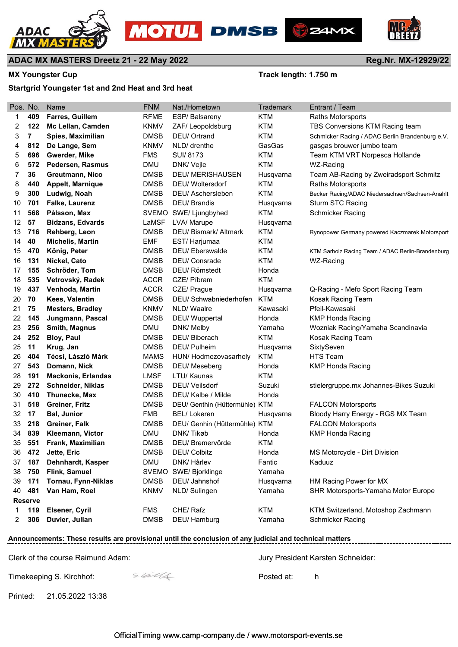







**Reg.Nr. MX-12929/22**

# **ADAC MX MASTERS Dreetz 21 - 22 May 2022**

MX Youngster Cup **MX Youngster Cup Track length: 1.750 m** 

# **Startgrid Youngster 1st and 2nd Heat and 3rd heat**

| Pos. No. |                | <b>Name</b>               | <b>FNM</b>  | Nat./Hometown                  | <b>Trademark</b> | Entrant / Team                                    |
|----------|----------------|---------------------------|-------------|--------------------------------|------------------|---------------------------------------------------|
| 1        | 409            | <b>Farres, Guillem</b>    | <b>RFME</b> | ESP/Balsareny                  | <b>KTM</b>       | <b>Raths Motorsports</b>                          |
| 2        | 122            | Mc Lellan, Camden         | <b>KNMV</b> | ZAF/Leopoldsburg               | <b>KTM</b>       | TBS Conversions KTM Racing team                   |
| 3        | $\overline{7}$ | Spies, Maximilian         | <b>DMSB</b> | DEU/ Ortrand                   | <b>KTM</b>       | Schmicker Racing / ADAC Berlin Brandenburg e.V.   |
| 4        | 812            | De Lange, Sem             | <b>KNMV</b> | NLD/ drenthe                   | GasGas           | gasgas brouwer jumbo team                         |
| 5        | 696            | Gwerder, Mike             | <b>FMS</b>  | SUI/8173                       | <b>KTM</b>       | Team KTM VRT Norpesca Hollande                    |
| 6        | 572            | Pedersen, Rasmus          | <b>DMU</b>  | DNK/ Vejle                     | <b>KTM</b>       | WZ-Racing                                         |
| 7        | 36             | Greutmann, Nico           | <b>DMSB</b> | <b>DEU/ MERISHAUSEN</b>        | Husqvarna        | Team AB-Racing by Zweiradsport Schmitz            |
| 8        | 440            | <b>Appelt, Marnique</b>   | <b>DMSB</b> | DEU/ Woltersdorf               | <b>KTM</b>       | <b>Raths Motorsports</b>                          |
| 9        | 300            | Ludwig, Noah              | <b>DMSB</b> | DEU/ Aschersleben              | <b>KTM</b>       | Becker Racing/ADAC Niedersachsen/Sachsen-Anahlt   |
| 10       | 701            | <b>Falke, Laurenz</b>     | <b>DMSB</b> | DEU/ Brandis                   | Husqvarna        | <b>Sturm STC Racing</b>                           |
| 11       | 568            | Pålsson, Max              |             | SVEMO SWE/ Ljungbyhed          | <b>KTM</b>       | Schmicker Racing                                  |
| 12       | 57             | <b>Bidzans, Edvards</b>   | LaMSF       | LVA/ Marupe                    | Husqvarna        |                                                   |
| 13       | 716            | Rehberg, Leon             | <b>DMSB</b> | DEU/ Bismark/ Altmark          | <b>KTM</b>       | Rynopower Germany powered Kaczmarek Motorsport    |
| 14       | 40             | <b>Michelis, Martin</b>   | <b>EMF</b>  | EST/Harjumaa                   | <b>KTM</b>       |                                                   |
| 15       | 470            | König, Peter              | <b>DMSB</b> | <b>DEU/Eberswalde</b>          | <b>KTM</b>       | KTM Sarholz Racing Team / ADAC Berlin-Brandenburg |
| 16       | 131            | Nickel, Cato              | <b>DMSB</b> | DEU/ Consrade                  | <b>KTM</b>       | WZ-Racing                                         |
| 17       | 155            | Schröder, Tom             | <b>DMSB</b> | DEU/ Römstedt                  | Honda            |                                                   |
| 18       | 535            | Vetrovský, Radek          | <b>ACCR</b> | CZE/ Píbram                    | <b>KTM</b>       |                                                   |
| 19       | 437            | Venhoda, Martin           | <b>ACCR</b> | CZE/ Prague                    | Husqvarna        | Q-Racing - Mefo Sport Racing Team                 |
| 20       | 70             | Kees, Valentin            | <b>DMSB</b> | DEU/ Schwabniederhofen         | <b>KTM</b>       | Kosak Racing Team                                 |
| 21       | 75             | <b>Mesters, Bradley</b>   | <b>KNMV</b> | NLD/ Waalre                    | Kawasaki         | Pfeil-Kawasaki                                    |
| 22       | 145            | Jungmann, Pascal          | <b>DMSB</b> | DEU/ Wuppertal                 | Honda            | <b>KMP Honda Racing</b>                           |
| 23       | 256            | <b>Smith, Magnus</b>      | <b>DMU</b>  | DNK/ Melby                     | Yamaha           | Wozniak Racing/Yamaha Scandinavia                 |
| 24       | 252            | <b>Bloy, Paul</b>         | <b>DMSB</b> | DEU/ Biberach                  | <b>KTM</b>       | Kosak Racing Team                                 |
| 25       | 11             | Krug, Jan                 | <b>DMSB</b> | DEU/ Pulheim                   | Husqvarna        | SixtySeven                                        |
| 26       | 404            | Técsi, László Márk        | <b>MAMS</b> | HUN/ Hodmezovasarhely          | <b>KTM</b>       | <b>HTS Team</b>                                   |
| 27       | 543            | Domann, Nick              | <b>DMSB</b> | DEU/ Meseberg                  | Honda            | <b>KMP Honda Racing</b>                           |
| 28       | 191            | <b>Mackonis, Erlandas</b> | <b>LMSF</b> | LTU/ Kaunas                    | <b>KTM</b>       |                                                   |
| 29       | 272            | Schneider, Niklas         | <b>DMSB</b> | DEU/ Veilsdorf                 | Suzuki           | stielergruppe.mx Johannes-Bikes Suzuki            |
| 30       | 410            | <b>Thunecke, Max</b>      | <b>DMSB</b> | DEU/ Kalbe / Milde             | Honda            |                                                   |
| 31       | 518            | Greiner, Fritz            | <b>DMSB</b> | DEU/ Genthin (Hüttermühle) KTM |                  | <b>FALCON Motorsports</b>                         |
| 32       | 17             | <b>Bal, Junior</b>        | <b>FMB</b>  | <b>BEL/Lokeren</b>             | Husqvarna        | Bloody Harry Energy - RGS MX Team                 |
| 33       | 218            | Greiner, Falk             | <b>DMSB</b> | DEU/ Genhin (Hüttermühle) KTM  |                  | <b>FALCON Motorsports</b>                         |
| 34       | 839            | Kleemann, Victor          | <b>DMU</b>  | DNK/Tikøb                      | Honda            | <b>KMP Honda Racing</b>                           |
| 35       | 551            | Frank, Maximilian         | <b>DMSB</b> | DEU/ Bremervörde               | <b>KTM</b>       |                                                   |
| 36       | 472            | Jette, Eric               | <b>DMSB</b> | DEU/ Colbitz                   | Honda            | MS Motorcycle - Dirt Division                     |
| 37       | 187            | Dehnhardt, Kasper         | <b>DMU</b>  | DNK/ Hårlev                    | Fantic           | Kaduuz                                            |
| 38       | 750            | Flink, Samuel             |             | SVEMO SWE/ Bjorklinge          | Yamaha           |                                                   |
| 39       | 171            | Tornau, Fynn-Niklas       | <b>DMSB</b> | DEU/ Jahnshof                  | Husqvarna        | HM Racing Power for MX                            |
| 40       | 481            | Van Ham, Roel             | <b>KNMV</b> | NLD/Sulingen                   | Yamaha           | SHR Motorsports-Yamaha Motor Europe               |
|          | <b>Reserve</b> |                           |             |                                |                  |                                                   |
| 1        | 119            | Elsener, Cyril            | <b>FMS</b>  | CHE/Rafz                       | <b>KTM</b>       | KTM Switzerland, Motoshop Zachmann                |
| 2        | 306            | Duvier, Julian            | <b>DMSB</b> | DEU/ Hamburg                   | Yamaha           | <b>Schmicker Racing</b>                           |
|          |                |                           |             |                                |                  |                                                   |

# **Announcements: These results are provisional until the conclusion of any judicial and technical matters**

Clerk of the course Raimund Adam: Jury President Karsten Schneider:

---------------------------

Timekeeping S. Kirchhof:  $\frac{1}{2}$   $\frac{1}{2}$  executive Posted at: h

Printed: 21.05.2022 13:38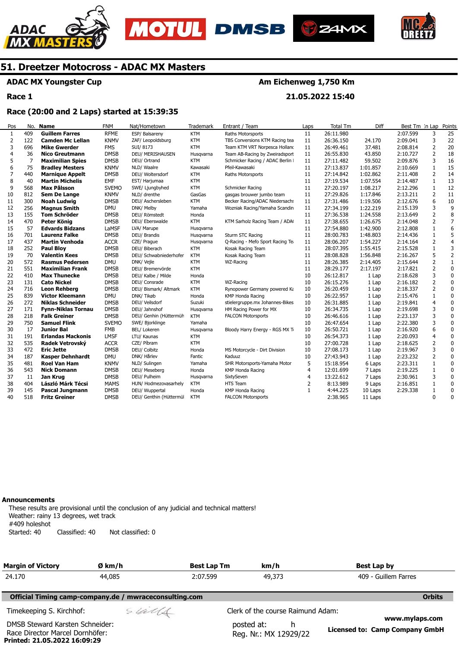







# **ADAC MX Youngster Cup**

**Race 1** 

# **Am Eichenweg 1,750 Km**

**21.05.2022 15:40** 

## **Race (20:00 and 2 Laps) started at 15:39:35**

| Pos | No. | Name                      | <b>FNM</b>   | Nat/Hometown            | Trademark  | Entrant / Team                   | Laps | <b>Total Tm</b> | Diff     | Best Tm In Lap |                | Points         |
|-----|-----|---------------------------|--------------|-------------------------|------------|----------------------------------|------|-----------------|----------|----------------|----------------|----------------|
| 1   | 409 | <b>Guillem Farres</b>     | <b>RFME</b>  | ESP/ Balsareny          | <b>KTM</b> | Raths Motorsports                | 11   | 26:11.980       |          | 2:07.599       | 3              | 25             |
| 2   | 122 | <b>Camden Mc Lellan</b>   | <b>KNMV</b>  | ZAF/ Leopoldsburg       | <b>KTM</b> | TBS Conversions KTM Racing tea   | 11   | 26:36.150       | 24.170   | 2:09.041       | 3              | 22             |
| 3   | 696 | <b>Mike Gwerder</b>       | <b>FMS</b>   | SUI/8173                | <b>KTM</b> | Team KTM VRT Norpesca Holland    | 11   | 26:49.461       | 37.481   | 2:08.814       | $\overline{2}$ | 20             |
| 4   | 36  | Nico Greutmann            | <b>DMSB</b>  | DEU/ MERISHAUSEN        | Husgvarna  | Team AB-Racing by Zweiradsport   | 11   | 26:55.830       | 43.850   | 2:10.727       | 2              | 18             |
| 5   | 7   | <b>Maximilian Spies</b>   | <b>DMSB</b>  | DEU/ Ortrand            | <b>KTM</b> | Schmicker Racing / ADAC Berlin I | 11   | 27:11.482       | 59.502   | 2:09.876       | 3              | 16             |
| 6   | 75  | <b>Bradley Mesters</b>    | <b>KNMV</b>  | NLD/ Waalre             | Kawasaki   | Pfeil-Kawasaki                   | 11   | 27:13.837       | 1:01.857 | 2:10.669       | $\mathbf{1}$   | 15             |
| 7   | 440 | <b>Marnique Appelt</b>    | <b>DMSB</b>  | DEU/ Woltersdorf        | <b>KTM</b> | Raths Motorsports                | 11   | 27:14.842       | 1:02.862 | 2:11.408       | 2              | 14             |
| 8   | 40  | <b>Martin Michelis</b>    | <b>EMF</b>   | EST/ Harjumaa           | <b>KTM</b> |                                  | 11   | 27:19.534       | 1:07.554 | 2:14.487       | 1              | 13             |
| 9   | 568 | Max Pålsson               | <b>SVEMO</b> | SWE/ Ljungbyhed         | <b>KTM</b> | Schmicker Racing                 | 11   | 27:20.197       | 1:08.217 | 2:12.296       | $\mathbf{1}$   | 12             |
| 10  | 812 | Sem De Lange              | <b>KNMV</b>  | NLD/ drenthe            | GasGas     | gasgas brouwer jumbo team        | 11   | 27:29.826       | 1:17.846 | 2:13.211       | $\overline{2}$ | 11             |
| 11  | 300 | <b>Noah Ludwig</b>        | <b>DMSB</b>  | DEU/ Aschersleben       | <b>KTM</b> | Becker Racing/ADAC Niedersachs   | 11   | 27:31.486       | 1:19.506 | 2:12.676       | 6              | 10             |
| 12  | 256 | <b>Magnus Smith</b>       | <b>DMU</b>   | DNK/ Melby              | Yamaha     | Wozniak Racing/Yamaha Scandin    | 11   | 27:34.199       | 1:22.219 | 2:15.139       | 3              | 9              |
| 13  | 155 | <b>Tom Schröder</b>       | <b>DMSB</b>  | DEU/ Römstedt           | Honda      |                                  | 11   | 27:36.538       | 1:24.558 | 2:13.649       | $\overline{2}$ | 8              |
| 14  | 470 | Peter König               | <b>DMSB</b>  | DEU/ Eberswalde         | <b>KTM</b> | KTM Sarholz Racing Team / ADA    | 11   | 27:38.655       | 1:26.675 | 2:14.048       | $\overline{2}$ | $\overline{7}$ |
| 15  | 57  | <b>Edvards Bidzans</b>    | LaMSF        | LVA/ Marupe             | Husgvarna  |                                  | 11   | 27:54.880       | 1:42.900 | 2:12.808       | $\mathbf{1}$   | 6              |
| 16  | 701 | <b>Laurenz Falke</b>      | <b>DMSB</b>  | DEU/ Brandis            | Husgvarna  | Sturm STC Racing                 | 11   | 28:00.783       | 1:48.803 | 2:14.436       | $\mathbf{1}$   | 5              |
| 17  | 437 | <b>Martin Venhoda</b>     | <b>ACCR</b>  | CZE/ Praque             | Husgvarna  | Q-Racing - Mefo Sport Racing Te  | 11   | 28:06.207       | 1:54.227 | 2:14.164       | $\overline{2}$ | $\overline{4}$ |
| 18  | 252 | <b>Paul Bloy</b>          | <b>DMSB</b>  | DEU/ Biberach           | <b>KTM</b> | Kosak Racing Team                | 11   | 28:07.395       | 1:55.415 | 2:15.528       | 1              | 3              |
| 19  | 70  | <b>Valentin Kees</b>      | <b>DMSB</b>  | DEU/ Schwabniederhofer  | <b>KTM</b> | Kosak Racing Team                | 11   | 28:08.828       | 1:56.848 | 2:16.267       | 5              | 2              |
| 20  | 572 | <b>Rasmus Pedersen</b>    | <b>DMU</b>   | DNK/ Vejle              | <b>KTM</b> | WZ-Racing                        | 11   | 28:26.385       | 2:14.405 | 2:15.644       | $\overline{2}$ | $\mathbf{1}$   |
| 21  | 551 | <b>Maximilian Frank</b>   | <b>DMSB</b>  | DEU/ Bremervörde        | <b>KTM</b> |                                  | 11   | 28:29.177       | 2:17.197 | 2:17.821       | 2              | $\mathbf 0$    |
| 22  | 410 | <b>Max Thunecke</b>       | <b>DMSB</b>  | DEU/ Kalbe / Milde      | Honda      |                                  | 10   | 26:12.817       | 1 Lap    | 2:18.628       | 3              | 0              |
| 23  | 131 | <b>Cato Nickel</b>        | <b>DMSB</b>  | DEU/ Consrade           | <b>KTM</b> | WZ-Racing                        | 10   | 26:15.276       | 1 Lap    | 2:16.182       | $\overline{2}$ | $\mathbf 0$    |
| 24  | 716 | <b>Leon Rehberg</b>       | <b>DMSB</b>  | DEU/ Bismark/ Altmark   | <b>KTM</b> | Rynopower Germany powered Ka     | 10   | 26:20.459       | 1 Lap    | 2:18.337       | $\overline{2}$ | $\mathbf 0$    |
| 25  | 839 | <b>Victor Kleemann</b>    | <b>DMU</b>   | DNK/ Tikøb              | Honda      | KMP Honda Racing                 | 10   | 26:22.957       | 1 Lap    | 2:15.476       | $\mathbf{1}$   | $\mathbf 0$    |
| 26  | 272 | <b>Niklas Schneider</b>   | <b>DMSB</b>  | DEU/ Veilsdorf          | Suzuki     | stielergruppe.mx Johannes-Bikes  | 10   | 26:31.885       | 1 Lap    | 2:19.841       | $\overline{4}$ | 0              |
| 27  | 171 | <b>Fynn-Niklas Tornau</b> | <b>DMSB</b>  | DEU/ Jahnshof           | Husqvarna  | HM Racing Power for MX           | 10   | 26:34.735       | 1 Lap    | 2:19.698       | 3              | 0              |
| 28  | 218 | <b>Falk Greiner</b>       | <b>DMSB</b>  | DEU/ Genhin (Hüttermüh  | <b>KTM</b> | <b>FALCON Motorsports</b>        | 10   | 26:46.616       | 1 Lap    | 2:23.137       | 3              | 0              |
| 29  | 750 | <b>Samuel Flink</b>       | <b>SVEMO</b> | SWE/ Bjorklinge         | Yamaha     |                                  | 10   | 26:47.654       | 1 Lap    | 2:22.380       | 3              | 0              |
| 30  | 17  | Junior Bal                | <b>FMB</b>   | BEL/ Lokeren            | Husgvarna  | Bloody Harry Energy - RGS MX Ti  | 10   | 26:50.721       | 1 Lap    | 2:16.920       | 6              | $\mathbf 0$    |
| 31  | 191 | <b>Erlandas Mackonis</b>  | <b>LMSF</b>  | LTU/ Kaunas             | <b>KTM</b> |                                  | 10   | 26:54.373       | 1 Lap    | 2:20.093       | $\overline{4}$ | 0              |
| 32  | 535 | Radek Vetrovský           | <b>ACCR</b>  | CZE/ Píbram             | <b>KTM</b> |                                  | 10   | 27:00.728       | 1 Lap    | 2:18.625       | $\overline{2}$ | 0              |
| 33  | 472 | <b>Eric Jette</b>         | <b>DMSB</b>  | DEU/ Colbitz            | Honda      | MS Motorcycle - Dirt Division    | 10   | 27:08.173       | 1 Lap    | 2:19.967       | 3              | $\mathbf 0$    |
| 34  | 187 | <b>Kasper Dehnhardt</b>   | <b>DMU</b>   | DNK/ Hårlev             | Fantic     | Kaduuz                           | 10   | 27:43.943       | 1 Lap    | 2:23.232       | 2              | $\mathbf 0$    |
| 35  | 481 | Roel Van Ham              | <b>KNMV</b>  | NLD/ Sulingen           | Yamaha     | SHR Motorsports-Yamaha Motor     | 5    | 15:18.954       | 6 Laps   | 2:23.311       | 1              | $\pmb{0}$      |
| 36  | 543 | <b>Nick Domann</b>        | <b>DMSB</b>  | DEU/ Meseberg           | Honda      | KMP Honda Racing                 | 4    | 12:01.699       | 7 Laps   | 2:19.225       | $\mathbf{1}$   | 0              |
| 37  | 11  | Jan Krug                  | <b>DMSB</b>  | DEU/ Pulheim            | Husqvarna  | SixtySeven                       | 4    | 13:22.612       | 7 Laps   | 2:30.961       | 3              | 0              |
| 38  | 404 | László Márk Técsi         | <b>MAMS</b>  | HUN/ Hodmezovasarhely   | <b>KTM</b> | HTS Team                         | 2    | 8:13.989        | 9 Laps   | 2:16.851       | 1              | 0              |
| 39  | 145 | Pascal Jungmann           | <b>DMSB</b>  | DEU/ Wuppertal          | Honda      | <b>KMP Honda Racing</b>          | 1    | 4:44.225        | 10 Laps  | 2:29.338       | $\mathbf{1}$   | $\mathbf 0$    |
| 40  | 518 | <b>Fritz Greiner</b>      | <b>DMSB</b>  | DEU/ Genthin (Hüttermül | <b>KTM</b> | <b>FALCON Motorsports</b>        |      | 2:38.965        | 11 Laps  |                | $\mathbf{0}$   | $\mathbf{0}$   |

#### **Announcements**

**Printed: 21.05.2022 16:09:29** 

These results are provisional until the conclusion of any judicial and technical matters! Weather: rainy 13 degrees, wet track #409 holeshot Started: 40 Classified: 40 Not classified: 0

| <b>Margin of Victory</b>                                           | Ø km/h                                                 | <b>Best Lap Tm</b> | km/h                                     | Best Lap by                                      |
|--------------------------------------------------------------------|--------------------------------------------------------|--------------------|------------------------------------------|--------------------------------------------------|
| 24.170                                                             | 44,085                                                 | 2:07.599           | 49,373                                   | 409 - Guillem Farres                             |
|                                                                    | Official Timing camp-company.de / mwraceconsulting.com |                    |                                          | <b>Orbits</b>                                    |
| Timekeeping S. Kirchhof:                                           | sulls                                                  |                    | Clerk of the course Raimund Adam:        |                                                  |
| DMSB Steward Karsten Schneider:<br>Race Director Marcel Dornhöfer: |                                                        |                    | posted at:<br>h<br>Reg. Nr.: MX 12929/22 | www.mylaps.com<br>Licensed to: Camp Company GmbH |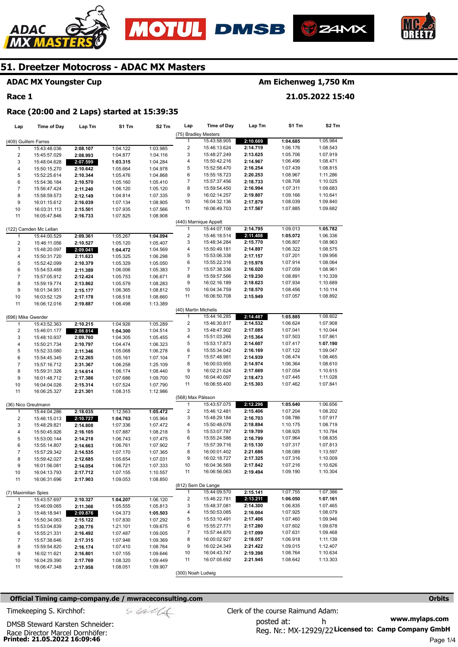







# **ADAC MX Youngster Cup**

## **Race 1**

# **Am Eichenweg 1,750 Km**

**21.05.2022 15:40** 

# **Race (20:00 and 2 Laps) started at 15:39:35**

| Lap                     | <b>Time of Day</b>     | Lap Tm   | S1 Tm    | S <sub>2</sub> Tm | Lap                     | <b>Time of Day</b>    | Lap Tm   | S1 Tm    | S <sub>2</sub> Tm |
|-------------------------|------------------------|----------|----------|-------------------|-------------------------|-----------------------|----------|----------|-------------------|
|                         |                        |          |          |                   | (75) Bradley Mesters    |                       |          |          |                   |
| (409) Guillem Farres    |                        |          |          |                   | 1                       | 15:43:58.905          | 2:10.669 | 1:04.685 | 1:05.984          |
| 1                       | 15:43:48.036           | 2:08.107 | 1:04.122 | 1:03.985          | $\overline{\mathbf{c}}$ | 15:46:13.624          | 2:14.719 | 1:06.176 | 1:08.543          |
| $\overline{\mathbf{c}}$ | 15:45:57.029           | 2:08.993 | 1:04.877 | 1:04.116          | 3                       | 15:48:27.249          | 2:13.625 | 1:05.706 | 1:07.919          |
| 3                       | 15:48:04.628           | 2:07.599 | 1:03.315 | 1:04.284          | 4                       | 15:50:42.216          | 2:14.967 | 1:06.496 | 1:08.471          |
| $\overline{\mathbf{4}}$ | 15:50:15.270           | 2:10.642 | 1:05.664 | 1:04.978          | 5                       | 15:52:58.470          | 2:16.254 | 1:07.439 | 1:08.815          |
| 5                       | 15:52:25.614           | 2:10.344 | 1:05.476 | 1:04.868          | 6                       | 15:55:18.723          | 2:20.253 | 1:08.967 | 1:11.286          |
| 6                       | 15:54:36.184           | 2:10.570 | 1:05.160 | 1:05.410          | 7                       | 15:57:37.456          | 2:18.733 | 1:08.708 | 1:10.025          |
| $\boldsymbol{7}$        | 15:56:47.424           | 2:11.240 | 1:06.120 | 1:05.120          | 8                       | 15:59:54.450          | 2:16.994 | 1:07.311 | 1:09.683          |
| 8                       | 15:58:59.573           | 2:12.149 | 1:04.814 | 1:07.335          | 9                       | 16:02:14.257          | 2:19.807 | 1:09.166 | 1:10.641          |
| 9                       | 16:01:15.612           | 2:16.039 | 1:07.134 | 1:08.905          | 10                      | 16:04:32.136          | 2:17.879 | 1:08.039 | 1:09.840          |
| 10                      | 16:03:31.113           | 2:15.501 | 1:07.935 | 1:07.566          | 11                      | 16:06:49.703          | 2:17.567 | 1:07.885 | 1:09.682          |
| 11                      | 16:05:47.846           | 2:16.733 | 1:07.825 | 1:08.908          |                         |                       |          |          |                   |
|                         |                        |          |          |                   |                         | (440) Marnique Appelt |          |          |                   |
|                         | (122) Camden Mc Lellan |          |          |                   | 1                       | 15:44:07.106          | 2:14.795 | 1:09.013 | 1:05.782          |
| 1                       | 15:44:00.529           | 2:09.361 | 1:05.267 | 1:04.094          | $\overline{\mathbf{c}}$ | 15:46:18.514          | 2:11.408 | 1:05.072 | 1:06.336          |
| $\overline{\mathbf{c}}$ | 15:46:11.056           | 2:10.527 | 1:05.120 | 1:05.407          | 3                       | 15:48:34.284          | 2:15.770 | 1:06.807 | 1:08.963          |
| 3                       | 15:48:20.097           | 2:09.041 | 1:04.472 | 1:04.569          | 4                       | 15:50:49.181          | 2:14.897 | 1:06.322 | 1:08.575          |
| 4                       | 15:50:31.720           | 2:11.623 | 1:05.325 | 1:06.298          | 5                       | 15:53:06.338          | 2:17.157 | 1:07.201 | 1:09.956          |
| 5                       | 15:52:42.099           | 2:10.379 | 1:05.329 | 1:05.050          | 6                       | 15:55:22.316          | 2:15.978 | 1:07.914 | 1:08.064          |
| 6                       | 15:54:53.488           | 2:11.389 | 1:06.006 | 1:05.383          | 7                       | 15:57:38.336          | 2:16.020 | 1:07.059 | 1:08.961          |
| $\overline{7}$          | 15:57:05.912           | 2:12.424 | 1:05.753 | 1:06.671          | 8                       | 15:59:57.566          | 2:19.230 | 1:08.891 | 1:10.339          |
| 8                       | 15:59:19.774           | 2:13.862 | 1:05.579 | 1:08.283          | 9                       | 16:02:16.189          | 2:18.623 | 1:07.934 | 1:10.689          |
| 9                       | 16:01:34.951           | 2:15.177 | 1:06.365 | 1:08.812          | 10                      | 16:04:34.759          | 2:18.570 | 1:08.456 | 1:10.114          |
| 10                      | 16:03:52.129           | 2:17.178 | 1:08.518 | 1:08.660          | 11                      | 16:06:50.708          | 2:15.949 | 1:07.057 | 1:08.892          |
| 11                      | 16:06:12.016           | 2:19.887 | 1:06.498 | 1:13.389          |                         |                       |          |          |                   |
|                         |                        |          |          |                   | (40) Martin Michelis    |                       |          |          |                   |
| (696) Mike Gwerder      |                        |          |          |                   | 1                       | 15:44:16.285          | 2:14.487 | 1:05.885 | 1:08.602          |
| $\mathbf{1}$            | 15:43:52.363           | 2:10.215 | 1:04.926 | 1:05.289          | $\overline{\mathbf{c}}$ | 15:46:30.817          | 2:14.532 | 1:06.624 | 1:07.908          |
| $\overline{\mathbf{c}}$ | 15:46:01.177           | 2:08.814 | 1:04.300 | 1:04.514          | 3                       | 15:48:47.902          | 2:17.085 | 1:07.041 | 1:10.044          |
| 3                       | 15:48:10.937           | 2:09.760 | 1:04.305 | 1:05.455          | 4                       | 15:51:03.266          | 2:15.364 | 1:07.503 | 1:07.861          |
| 4                       | 15:50:21.734           | 2:10.797 | 1:04.474 | 1:06.323          | 5                       | 15:53:17.873          | 2:14.607 | 1:07.417 | 1:07.190          |
| 5                       | 15:52:33.080           | 2:11.346 | 1:05.068 | 1:06.278          | 6                       | 15:55:34.042          | 2:16.169 | 1:07.122 | 1:09.047          |
| 6                       | 15:54:45.345           | 2:12.265 | 1:05.161 | 1:07.104          | 7                       | 15:57:48.981          | 2:14.939 | 1:06.474 | 1:08.465          |
| $\overline{7}$          | 15:57:16.712           | 2:31.367 | 1:06.258 | 1:25.109          | 8                       | 16:00:03.955          | 2:14.974 | 1:06.364 | 1:08.610          |
| 8                       | 15:59:31.326           | 2:14.614 | 1:06.174 | 1:08.440          | 9                       | 16:02:21.624          | 2:17.669 | 1:07.054 | 1:10.615          |
| 9                       | 16:01:48.712           | 2:17.386 | 1:07.686 | 1:09.700          | 10                      | 16:04:40.097          | 2:18.473 | 1:07.445 | 1:11.028          |
| 10                      | 16:04:04.026           | 2:15.314 | 1:07.524 | 1:07.790          | 11                      | 16:06:55.400          | 2:15.303 | 1:07.462 | 1:07.841          |
| 11                      | 16:06:25.327           | 2:21.301 | 1:08.315 | 1:12.986          |                         |                       |          |          |                   |
|                         |                        |          |          |                   | (568) Max Pålsson       |                       |          |          |                   |
|                         | (36) Nico Greutmann    |          |          |                   | 1                       | 15:43:57.075          | 2:12.296 | 1:05.640 | 1:06.656          |
| $\mathbf{1}$            | 15:44:04.286           | 2:18.035 | 1:12.563 | 1:05.472          | $\overline{\mathbf{c}}$ | 15:46:12.481          | 2:15.406 | 1:07.204 | 1:08.202          |
| $\overline{\mathbf{c}}$ | 15:46:15.013           | 2:10.727 | 1:04.763 | 1:05.964          | 3                       | 15:48:29.184          | 2:16.703 | 1:08.786 | 1:07.917          |
| 3                       | 15:48:29.821           | 2:14.808 | 1:07.336 | 1:07.472          | 4                       | 15:50:48.078          | 2:18.894 | 1:10.175 | 1:08.719          |
| 4                       | 15:50:45.926           | 2:16.105 | 1:07.887 | 1:08.218          | 5                       | 15:53:07.787          | 2:19.709 | 1:08.925 | 1:10.784          |
| 5                       | 15:53:00.144           | 2:14.218 | 1:06.743 | 1:07.475          | 6                       | 15:55:24.586          | 2:16.799 | 1:07.964 | 1:08.835          |
| 6                       | 15:55:14.807           | 2:14.663 | 1:06.761 | 1:07.902          | 7                       | 15:57:39.716          | 2:15.130 | 1:07.317 | 1:07.813          |
| $\overline{7}$          | 15:57:29.342           | 2:14.535 | 1:07.170 | 1:07.365          | 8                       | 16:00:01.402          | 2:21.686 | 1:08.089 | 1:13.597          |
| 8                       | 15:59:42.027           | 2:12.685 | 1:05.654 | 1:07.031          | 9                       | 16:02:18.727          | 2:17.325 | 1:07.316 | 1:10.009          |
| 9                       | 16:01:56.081           | 2:14.054 | 1:06.721 | 1:07.333          | 10                      | 16:04:36.569          | 2:17.842 | 1:07.216 | 1:10.626          |
| 10                      | 16:04:13.793           | 2:17.712 | 1:07.155 | 1:10.557          | 11                      | 16:06:56.063          | 2:19.494 | 1:09.190 | 1:10.304          |
| 11                      | 16:06:31.696           | 2:17.903 | 1:09.053 | 1:08.850          |                         |                       |          |          |                   |
|                         |                        |          |          |                   | (812) Sem De Lange      |                       |          |          |                   |
| (7) Maximilian Spies    |                        |          |          |                   | 1                       | 15:44:09.570          | 2:15.141 | 1:07.755 | 1:07.386          |
| 1                       | 15:43:57.697           | 2:10.327 | 1:04.207 | 1:06.120          | 2                       | 15:46:22.781          | 2:13.211 | 1:06.050 | 1:07.161          |
| 2                       | 15:46:09.065           | 2:11.368 | 1:05.555 | 1:05.813          | 3                       | 15:48:37.081          | 2:14.300 | 1:06.835 | 1:07.465          |
| 3                       | 15:48:18.941           | 2:09.876 | 1:04.373 | 1:05.503          | 4                       | 15:50:53.085          | 2:16.004 | 1:07.925 | 1:08.079          |
| 4                       | 15:50:34.063           | 2:15.122 | 1:07.830 | 1:07.292          | 5                       | 15:53:10.491          | 2:17.406 | 1:07.460 | 1:09.946          |
| 5                       | 15:53:04.839           | 2:30.776 | 1:21.101 | 1:09.675          | 6                       | 15:55:27.771          | 2:17.280 | 1:07.602 | 1:09.678          |
| 6                       | 15:55:21.331           | 2:16.492 | 1:07.487 | 1:09.005          | 7                       | 15:57:44.870          | 2:17.099 | 1:07.631 | 1:09.468          |
| $\overline{7}$          | 15:57:38.646           | 2:17.315 | 1:07.946 | 1:09.369          | 8                       | 16:00:02.927          | 2:18.057 | 1:06.918 | 1:11.139          |
| 8                       | 15:59:54.820           | 2:16.174 | 1:07.410 | 1:08.764          | 9                       | 16:02:24.349          | 2:21.422 | 1:09.015 | 1:12.407          |
| 9                       | 16:02:11.621           | 2:16.801 | 1:07.155 | 1:09.646          | 10                      | 16:04:43.747          | 2:19.398 | 1:08.764 | 1:10.634          |
| 10                      | 16:04:29.390           | 2:17.769 | 1:08.320 | 1:09.449          | 11                      | 16:07:05.692          | 2:21.945 | 1:08.642 | 1:13.303          |
| 11                      | 16:06:47.348           | 2:17.958 | 1:08.051 | 1:09.907          |                         |                       |          |          |                   |
|                         |                        |          |          |                   | (300) Noah Ludwig       |                       |          |          |                   |

### **Official Timing camp-company.de / mwraceconsulting.com <b>Orbits Orbits Orbits Orbits**

**Printed: 21.05.2022 16:09:46**  Race Director Marcel Dornhöfer:

DMSB Steward Karsten Schneider: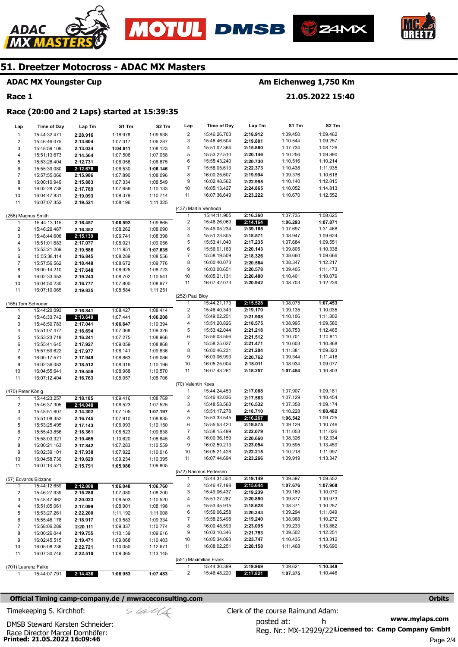





#### **ADAC MX Youngster Cup**

# **Race 1**

ADAC

# **Am Eichenweg 1,750 Km**

**21.05.2022 15:40** 

# **Race (20:00 and 2 Laps) started at 15:39:35**

| Lap               | <b>Time of Day</b>   | Lap Tm   | S1 Tm    | S2 Tm                | Lap                     | <b>Time of Day</b>     | Lap Tm               | S1 Tm    | S2 Tm                |
|-------------------|----------------------|----------|----------|----------------------|-------------------------|------------------------|----------------------|----------|----------------------|
| $\mathbf{1}$      | 15:44:32.471         | 2:28.916 | 1:18.978 | 1:09.938             | $\overline{\mathbf{c}}$ | 15:46:26.703           | 2:18.912             | 1:09.450 | 1:09.462             |
| 2                 | 15:46:46.075         | 2:13.604 | 1:07.317 | 1:06.287             | 3                       | 15:48:46.504           | 2:19.801             | 1:10.544 | 1:09.257             |
| 3                 | 15:48:59.109         | 2:13.034 | 1:04.911 | 1:08.123             | 4                       | 15:51:02.364           | 2:15.860             | 1:07.734 | 1:08.126             |
| 4                 | 15:51:13.673         | 2:14.564 | 1:07.506 | 1:07.058             | 5                       | 15:53:22.510           | 2:20.146             | 1:10.256 | 1:09.890             |
| 5                 | 15:53:26.404         | 2:12.731 | 1:06.056 | 1:06.675             | 6                       | 15:55:43.240           | 2:20.730             | 1:10.516 | 1:10.214             |
| 6                 | 15:55:39.080         | 2:12.676 | 1:06.530 | 1:06.146             | 7                       | 15:58:05.613           | 2:22.373             | 1:10.438 | 1:11.935             |
| $\overline{7}$    | 15:57:55.066         | 2:15.986 | 1:07.890 | 1:08.096             | 8                       | 16:00:25.607           | 2:19.994             | 1:09.376 | 1:10.618             |
| 8                 | 16:00:10.949         | 2:15.883 | 1:07.334 | 1:08.549             | 9                       | 16:02:48.562           | 2:22.955             | 1:10.140 | 1:12.815             |
| 9                 | 16:02:28.738         | 2:17.789 | 1:07.656 | 1:10.133             | 10                      | 16:05:13.427           | 2:24.865             | 1:10.052 | 1:14.813             |
| 10                | 16:04:47.831         | 2:19.093 | 1:08.379 | 1:10.714             | 11                      | 16:07:36.649           | 2:23.222             | 1:10.670 | 1:12.552             |
| 11                | 16:07:07.352         | 2:19.521 | 1:08.196 | 1:11.325             |                         |                        |                      |          |                      |
|                   |                      |          |          |                      |                         | (437) Martin Venhoda   |                      |          |                      |
|                   | (256) Magnus Smith   |          |          |                      | 1                       | 15:44:11.905           | 2:16.360             | 1:07.735 | 1:08.625             |
| 1                 | 15:44:13.115         | 2:16.457 | 1:06.592 | 1:09.865             | $\overline{\mathbf{c}}$ | 15:46:26.069           | 2:14.164             | 1:06.293 | 1:07.871             |
| 2                 | 15:46:29.467         | 2:16.352 | 1:08.262 | 1:08.090             | 3                       | 15:49:05.234           | 2:39.165             | 1:07.697 | 1:31.468             |
| 3                 | 15:48:44.606         | 2:15.139 | 1:06.741 | 1:08.398             | 4                       | 15:51:23.805           | 2:18.571             | 1:08.947 | 1:09.624             |
| 4                 | 15:51:01.683         | 2:17.077 | 1:08.021 | 1:09.056             | 5                       | 15:53:41.040           | 2:17.235             | 1:07.684 | 1:09.551             |
| 5                 | 15:53:21.269         | 2:19.586 | 1:11.951 | 1:07.635             | 6                       | 15:56:01.183           | 2:20.143             | 1:09.805 | 1:10.338             |
| 6                 | 15:55:38.114         | 2:16.845 | 1:08.289 | 1:08.556             | 7                       | 15:58:19.509           | 2:18.326             | 1:08.660 | 1:09.666             |
| 7                 | 15:57:56.562         | 2:18.448 | 1:08.672 | 1:09.776             | 8                       | 16:00:40.073           | 2:20.564             | 1:08.347 | 1:12.217             |
| 8                 | 16:00:14.210         | 2:17.648 | 1:08.925 | 1:08.723             | 9                       | 16:03:00.651           | 2:20.578<br>2:20.480 | 1:09.405 | 1:11.173             |
| 9                 | 16:02:33.453         | 2:19.243 | 1:08.702 | 1:10.541             | 10                      | 16:05:21.131           |                      | 1:10.401 | 1:10.079<br>1:12.239 |
| 10                | 16:04:50.230         | 2:16.777 | 1:07.800 | 1:08.977             | 11                      | 16:07:42.073           | 2:20.942             | 1:08.703 |                      |
| 11                | 16:07:10.065         | 2:19.835 | 1:08.584 | 1:11.251             | (252) Paul Bloy         |                        |                      |          |                      |
|                   | (155) Tom Schröder   |          |          |                      | 1                       | 15:44:21.173           | 2:15.528             | 1:08.075 | 1:07.453             |
| 1                 | 15:44:20.093         | 2:16.841 | 1:08.427 | 1:08.414             | $\overline{\mathbf{c}}$ | 15:46:40.343           | 2:19.170             | 1:09.135 | 1:10.035             |
| 2                 | 15:46:33.742         | 2:13.649 | 1:07.441 |                      | 3                       | 15:49:02.251           | 2:21.908             | 1:10.106 | 1:11.802             |
| 3                 | 15:48:50.783         | 2:17.041 | 1:06.647 | 1:06.208<br>1:10.394 | 4                       | 15:51:20.826           | 2:18.575             | 1:08.995 | 1:09.580             |
| 4                 | 15:51:07.477         | 2:16.694 | 1:07.368 | 1:09.326             | 5                       | 15:53:42.044           | 2:21.218             | 1:08.753 | 1:12.465             |
| 5                 | 15:53:23.718         | 2:16.241 | 1:07.275 | 1:08.966             | 6                       | 15:56:03.556           | 2:21.512             | 1:10.701 | 1:10.811             |
| 6                 | 15:55:41.645         | 2:17.927 | 1:09.059 | 1:08.868             | 7                       | 15:58:25.027           | 2:21.471             | 1:10.603 | 1:10.868             |
| $\overline{7}$    | 15:57:59.622         | 2:17.977 | 1:08.141 | 1:09.836             | 8                       | 16:00:46.231           | 2:21.204             | 1:11.381 | 1:09.823             |
| 8                 | 16:00:17.571         | 2:17.949 | 1:08.863 | 1:09.086             | 9                       | 16:03:06.993           | 2:20.762             | 1:09.344 | 1:11.418             |
| 9                 | 16:02:36.083         | 2:18.512 | 1:08.316 | 1:10.196             | 10                      | 16:05:25.004           | 2:18.011             | 1:08.934 | 1:09.077             |
| 10                | 16:04:55.641         | 2:19.558 | 1:08.988 | 1:10.570             | 11                      | 16:07:43.261           | 2:18.257             | 1:07.454 | 1:10.803             |
| 11                | 16:07:12.404         | 2:16.763 | 1:08.057 | 1:08.706             |                         |                        |                      |          |                      |
|                   |                      |          |          |                      | (70) Valentin Kees      |                        |                      |          |                      |
| (470) Peter König |                      |          |          |                      | $\mathbf{1}$            | 15:44:24.453           | 2:17.088             | 1:07.907 | 1:09.181             |
| 1                 | 15:44:23.257         | 2:18.185 | 1:09.416 | 1:08.769             | $\overline{\mathbf{c}}$ | 15:46:42.036           | 2:17.583             | 1:07.129 | 1:10.454             |
| 2                 | 15:46:37.305         | 2:14.048 | 1:06.523 | 1:07.525             | 3                       | 15:48:58.568           | 2:16.532             | 1:07.358 | 1:09.174             |
| 3                 | 15:48:51.607         | 2:14.302 | 1:07.105 | 1:07.197             | 4                       | 15:51:17.278           | 2:18.710             | 1:10.228 | 1:08.482             |
| 4                 | 15:51:08.352         | 2:16.745 | 1:07.910 | 1:08.835             | 5                       | 15:53:33.545           | 2:16.267             | 1:06.542 | 1:09.725             |
| 5                 | 15:53:25.495         | 2:17.143 | 1:06.993 | 1:10.150             | 6                       | 15:55:53.420           | 2:19.875             | 1:09.129 | 1:10.746             |
| 6                 | 15:55:43.856         | 2:18.361 | 1:08.523 | 1:09.838             | 7                       | 15:58:15.499           | 2:22.079             | 1:11.053 | 1:11.026             |
| $\overline{7}$    | 15:58:03.321         | 2:19.465 | 1:10.620 | 1:08.845             | 8                       | 16:00:36.159           | 2:20.660             | 1:08.326 | 1:12.334             |
| 8                 | 16:00:21.163         | 2:17.842 | 1:07.283 | 1:10.559             | 9                       | 16:02:59.213           | 2:23.054             | 1:09.595 | 1:13.459             |
| 9                 | 16:02:39.101         | 2:17.938 | 1:07.922 | 1:10.016             | 10                      | 16:05:21.428           | 2:22.215             | 1:10.218 | 1:11.997             |
| 10                | 16:04:58.730         | 2:19.629 | 1:09.234 | 1:10.395             | 11                      | 16:07:44.694           | 2:23.266             | 1:09.919 | 1:13.347             |
| 11                | 16:07:14.521         | 2:15.791 | 1:05.986 | 1:09.805             |                         |                        |                      |          |                      |
|                   |                      |          |          |                      |                         | (572) Rasmus Pedersen  |                      |          |                      |
|                   | (57) Edvards Bidzans |          |          |                      | 1                       | 15:44:31.554           | 2:19.149             | 1:09.597 | 1:09.552             |
| 1                 | 15:44:12.659         | 2:12.808 | 1:06.048 | 1:06.760             | 2                       | 15:46:47.198           | 2:15.644             | 1:07.676 | 1:07.968             |
| 2                 | 15:46:27.939         | 2:15.280 | 1:07.080 | 1:08.200             | 3                       | 15:49:06.437           | 2:19.239             | 1:09.169 | 1:10.070             |
| 3                 | 15:48:47.962         | 2:20.023 | 1:09.503 | 1:10.520             | 4                       | 15:51:27.287           | 2:20.850             | 1:09.877 | 1:10.973             |
| 4                 | 15:51:05.061         | 2:17.099 | 1:08.901 | 1:08.198             | 5                       | 15:53:45.915           | 2:18.628             | 1:08.371 | 1:10.257             |
| 5                 | 15:53:27.261         | 2:22.200 | 1:11.192 | 1:11.008             | 6                       | 15:56:06.258           | 2:20.343             | 1:09.294 | 1:11.049             |
| 6                 | 15:55:46.178         | 2:18.917 | 1:09.583 | 1:09.334             | 7                       | 15:58:25.498           | 2:19.240             | 1:08.968 | 1:10.272             |
| $\overline{7}$    | 15:58:06.289         | 2:20.111 | 1:09.337 | 1:10.774             | 8                       | 16:00:48.593           | 2:23.095             | 1:09.233 | 1:13.862             |
| 8                 | 16:00:26.044         | 2:19.755 | 1:10.139 | 1:09.616             | 9                       | 16:03:10.346           | 2:21.753             | 1:09.502 | 1:12.251             |
| 9                 | 16:02:45.515         | 2:19.471 | 1:09.068 | 1:10.403             | 10                      | 16:05:34.093           | 2:23.747             | 1:10.435 | 1:13.312             |
| 10                | 16:05:08.236         | 2:22.721 | 1:10.050 | 1:12.671             | 11                      | 16:08:02.251           | 2:28.158             | 1:11.468 | 1:16.690             |
| 11                | 16:07:30.746         | 2:22.510 | 1:09.365 | 1:13.145             |                         |                        |                      |          |                      |
|                   |                      |          |          |                      |                         | (551) Maximilian Frank |                      |          |                      |
|                   | (701) Laurenz Falke  |          |          |                      | 1                       | 15:44:30.399           | 2:19.969             | 1:09.621 | 1:10.348             |
| $\mathbf{1}$      | 15:44:07.791         | 2:14.436 | 1:06.953 | 1:07.483             | $\overline{c}$          | 15:46:48.220           | 2:17.821             | 1:07.375 | 1:10.446             |

#### **Official Timing camp-company.de / mwraceconsulting.com <b>Orbits and Company.de Company** orbits **Orbits Orbits**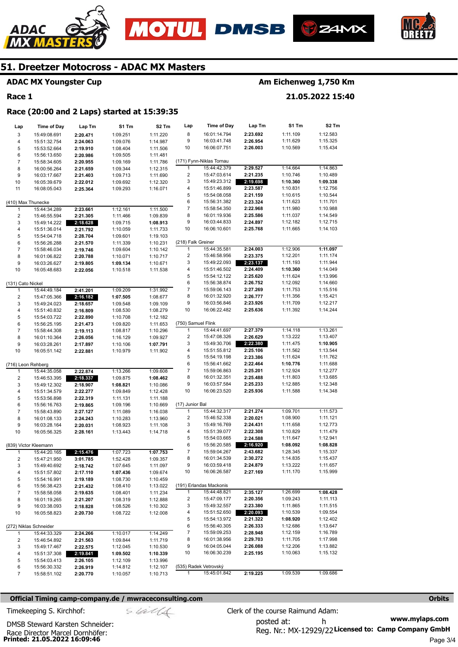





# **ADAC MX Youngster Cup**

# **Race 1**

# **Am Eichenweg 1,750 Km**

**21.05.2022 15:40** 

## **Race (20:00 and 2 Laps) started at 15:39:35**

| Lap                     | <b>Time of Day</b>     | Lap Tm   | S1 Tm    | S2 Tm    | Lap                      | <b>Time of Day</b>       | Lap Tm   | S1 Tm    | S <sub>2</sub> Tm |
|-------------------------|------------------------|----------|----------|----------|--------------------------|--------------------------|----------|----------|-------------------|
| 3                       | 15:49:08.691           | 2:20.471 | 1:09.251 | 1:11.220 | 8                        | 16:01:14.794             | 2:23.692 | 1:11.109 | 1:12.583          |
| 4                       | 15:51:32.754           | 2:24.063 | 1:09.076 | 1:14.987 | 9                        | 16:03:41.748             | 2:26.954 | 1:11.629 | 1:15.325          |
| 5                       | 15:53:52.664           | 2:19.910 | 1:08.404 | 1:11.506 | 10                       | 16:06:07.751             | 2:26.003 | 1:10.569 | 1:15.434          |
| 6                       | 15:56:13.650           | 2:20.986 | 1:09.505 | 1:11.481 |                          |                          |          |          |                   |
| $\overline{7}$          | 15:58:34.605           | 2:20.955 | 1:09.169 | 1:11.786 |                          | (171) Fynn-Niklas Tornau |          |          |                   |
| 8                       | 16:00:56.264           | 2:21.659 | 1:09.344 | 1:12.315 | 1                        | 15:44:42.379             | 2:29.527 | 1:14.664 | 1:14.863          |
| 9                       | 16:03:17.667           | 2:21.403 | 1:09.713 | 1:11.690 | 2                        | 15:47:03.614             | 2:21.235 | 1:10.746 | 1:10.489          |
| 10                      | 16:05:39.679           | 2:22.012 | 1:09.692 | 1:12.320 | 3                        | 15:49:23.312             | 2:19.698 | 1:10.360 | 1:09.338          |
| 11                      | 16:08:05.043           | 2:25.364 | 1:09.293 | 1:16.071 | 4                        | 15:51:46.899             | 2:23.587 | 1:10.831 | 1:12.756          |
|                         |                        |          |          |          | 5                        | 15:54:08.058             | 2:21.159 | 1:10.615 | 1:10.544          |
|                         | (410) Max Thunecke     |          |          |          | 6                        | 15:56:31.382             | 2:23.324 | 1:11.623 | 1:11.701          |
| 1                       | 15:44:34.289           | 2:23.661 | 1:12.161 | 1:11.500 | $\overline{\mathcal{I}}$ | 15:58:54.350             | 2:22.968 | 1:11.980 | 1:10.988          |
| $\overline{\mathbf{c}}$ | 15:46:55.594           | 2:21.305 | 1:11.466 | 1:09.839 | 8                        | 16:01:19.936             | 2:25.586 | 1:11.037 | 1:14.549          |
| 3                       | 15:49:14.222           | 2:18.628 | 1:09.715 | 1:08.913 | 9                        | 16:03:44.833             | 2:24.897 | 1:12.182 | 1:12.715          |
| 4                       | 15:51:36.014           | 2:21.792 | 1:10.059 | 1:11.733 | 10                       | 16:06:10.601             | 2:25.768 | 1:11.665 | 1:14.103          |
| 5                       | 15:54:04.718           | 2:28.704 | 1:09.601 | 1:19.103 |                          |                          |          |          |                   |
| 6                       | 15:56:26.288           | 2:21.570 | 1:11.339 | 1:10.231 | (218) Falk Greiner       |                          |          |          |                   |
| $\overline{7}$          | 15:58:46.034           | 2:19.746 | 1:09.604 | 1:10.142 | 1                        | 15:44:35.581             | 2:24.003 | 1:12.906 | 1:11.097          |
| 8                       | 16:01:06.822           | 2:20.788 | 1:10.071 | 1:10.717 | $\overline{\mathbf{c}}$  | 15:46:58.956             | 2:23.375 | 1:12.201 | 1:11.174          |
| 9                       | 16:03:26.627           | 2:19.805 | 1:09.134 | 1:10.671 | 3                        | 15:49:22.093             | 2:23.137 | 1:11.193 | 1:11.944          |
| 10                      | 16:05:48.683           | 2:22.056 | 1:10.518 | 1:11.538 | 4                        | 15:51:46.502             | 2:24.409 | 1:10.360 | 1:14.049          |
|                         |                        |          |          |          | 5                        | 15:54:12.122             | 2:25.620 | 1:11.624 | 1:13.996          |
| (131) Cato Nickel       |                        |          |          |          | 6                        | 15:56:38.874             | 2:26.752 | 1:12.092 | 1:14.660          |
| 1                       | 15:44:49.184           | 2:41.201 | 1:09.209 | 1:31.992 | 7                        | 15:59:06.143             | 2:27.269 | 1:11.753 | 1:15.516          |
| $\overline{\mathbf{c}}$ | 15:47:05.366           | 2:16.182 | 1:07.505 | 1:08.677 | 8                        | 16:01:32.920             | 2:26.777 | 1:11.356 | 1:15.421          |
| 3                       | 15:49:24.023           | 2:18.657 | 1:09.548 | 1:09.109 | 9                        | 16:03:56.846             | 2:23.926 | 1:11.709 | 1:12.217          |
| 4                       | 15:51:40.832           | 2:16.809 | 1:08.530 | 1:08.279 | 10                       | 16:06:22.482             | 2:25.636 | 1:11.392 | 1:14.244          |
| 5                       | 15:54:03.722           | 2:22.890 | 1:10.708 | 1:12.182 |                          |                          |          |          |                   |
| 6                       | 15:56:25.195           | 2:21.473 | 1:09.820 | 1:11.653 | (750) Samuel Flink       |                          |          |          |                   |
| $\overline{7}$          | 15:58:44.308           | 2:19.113 | 1:08.817 | 1:10.296 | 1                        | 15:44:41.697             | 2:27.379 | 1:14.118 | 1:13.261          |
| 8                       | 16:01:10.364           | 2:26.056 | 1:16.129 | 1:09.927 | $\overline{2}$           | 15:47:08.326             | 2:26.629 | 1:13.222 | 1:13.407          |
| 9                       | 16:03:28.261           | 2:17.897 | 1:10.106 | 1:07.791 | 3                        | 15:49:30.706             | 2:22.380 | 1:11.475 | 1:10.905          |
| 10                      | 16:05:51.142           | 2:22.881 | 1:10.979 | 1:11.902 | 4                        | 15:51:55.812             | 2:25.106 | 1:11.562 | 1:13.544          |
|                         |                        |          |          |          | 5                        | 15:54:19.198             | 2:23.386 | 1:11.624 | 1:11.762          |
| (716) Leon Rehberg      |                        |          |          |          | 6                        | 15:56:41.662             | 2:22.464 | 1:10.776 | 1:11.688          |
| 1                       | 15:44:35.058           | 2:22.874 | 1:13.266 | 1:09.608 | 7                        | 15:59:06.863             | 2:25.201 | 1:12.924 | 1:12.277          |
| $\overline{\mathbf{c}}$ | 15:46:53.395           | 2:18.337 | 1:09.875 | 1:08.462 | 8                        | 16:01:32.351             | 2:25.488 | 1:11.803 | 1:13.685          |
| 3                       | 15:49:12.302           | 2:18.907 | 1:08.821 | 1:10.086 | 9                        | 16:03:57.584             | 2:25.233 | 1:12.885 | 1:12.348          |
| 4                       | 15:51:34.579           | 2:22.277 | 1:09.849 | 1:12.428 | 10                       | 16:06:23.520             | 2:25.936 | 1:11.588 | 1:14.348          |
| 5                       | 15:53:56.898           | 2:22.319 | 1:11.131 | 1:11.188 |                          |                          |          |          |                   |
| 6                       | 15:56:16.763           | 2:19.865 | 1:09.196 | 1:10.669 | (17) Junior Bal          |                          |          |          |                   |
| $\overline{7}$          | 15:58:43.890           | 2:27.127 | 1:11.089 | 1:16.038 | 1                        | 15:44:32.317             | 2:21.274 | 1:09.701 | 1:11.573          |
| 8                       | 16:01:08.133           | 2:24.243 | 1:10.283 | 1:13.960 | 2                        | 15:46:52.338             | 2:20.021 | 1:08.900 | 1:11.121          |
| 9                       | 16:03:28.164           | 2:20.031 | 1:08.923 | 1:11.108 | 3                        | 15:49:16.769             | 2:24.431 | 1:11.658 | 1:12.773          |
| 10                      | 16:05:56.325           | 2:28.161 | 1:13.443 | 1:14.718 | 4                        | 15:51:39.077             | 2:22.308 | 1:10.829 | 1:11.479          |
|                         |                        |          |          |          | 5                        | 15:54:03.665             | 2:24.588 | 1:11.647 | 1:12.941          |
|                         | (839) Victor Kleemann  |          |          |          | 6                        | 15:56:20.585             | 2:16.920 | 1:08.092 | 1:08.828          |
| 1                       | 15:44:20.165           | 2:15.476 | 1:07.723 | 1:07.753 | 7                        | 15:59:04.267             | 2:43.682 | 1:28.345 | 1:15.337          |
| 2                       | 15:47:21.950           | 3:01.785 | 1:52.428 | 1:09.357 | 8                        | 16:01:34.539             | 2:30.272 | 1:14.835 | 1:15.437          |
| 3                       | 15:49:40.692           | 2:18.742 | 1:07.645 | 1:11.097 | 9                        | 16:03:59.418             | 2:24.879 | 1:13.222 | 1:11.657          |
| 4                       | 15:51:57.802           | 2:17.110 | 1:07.436 | 1:09.674 | 10                       | 16:06:26.587             | 2:27.169 | 1:11.170 | 1:15.999          |
| 5                       | 15:54:16.991           | 2:19.189 | 1:08.730 | 1:10.459 |                          |                          |          |          |                   |
| 6                       | 15:56:38.423           | 2:21.432 | 1:08.410 | 1:13.022 |                          | (191) Erlandas Mackonis  |          |          |                   |
| $\overline{7}$          | 15:58:58.058           | 2:19.635 | 1:08.401 | 1:11.234 | $\mathbf{1}$             | 15:44:48.821             | 2:35.127 | 1:26.699 | 1:08.428          |
| 8                       | 16:01:19.265           | 2:21.207 | 1:08.319 | 1:12.888 | 2                        | 15:47:09.177             | 2:20.356 | 1:09.243 | 1:11.113          |
| 9                       | 16:03:38.093           | 2:18.828 | 1:08.526 | 1:10.302 | 3                        | 15:49:32.557             | 2:23.380 | 1:11.865 | 1:11.515          |
| 10                      | 16:05:58.823           | 2:20.730 | 1:08.722 | 1:12.008 | 4                        | 15:51:52.650             | 2:20.093 | 1:10.539 | 1:09.554          |
|                         |                        |          |          |          | 5                        | 15:54:13.972             | 2:21.322 | 1:08.920 | 1:12.402          |
|                         | (272) Niklas Schneider |          |          |          | 6                        | 15:56:40.305             | 2:26.333 | 1:12.686 | 1:13.647          |
| $\mathbf{1}$            | 15:44:33.329           | 2:24.266 | 1:10.017 | 1:14.249 | 7                        | 15:59:09.253             | 2:28.948 | 1:12.159 | 1:16.789          |
| 2                       | 15:46:54.892           | 2:21.563 | 1:09.844 | 1:11.719 | 8                        | 16:01:38.956             | 2:29.703 | 1:11.705 | 1:17.998          |
| 3                       | 15:49:17.467           | 2:22.575 | 1:12.045 | 1:10.530 | 9                        | 16:04:05.044             | 2:26.088 | 1:12.206 | 1:13.882          |
| 4                       | 15:51:37.308           | 2:19.841 | 1:09.502 | 1:10.339 | 10                       | 16:06:30.239             | 2:25.195 | 1:10.063 | 1:15.132          |
| 5                       | 15:54:03.413           | 2:26.105 | 1:12.109 | 1:13.996 |                          |                          |          |          |                   |
| 6                       | 15:56:30.332           | 2:26.919 | 1:14.812 | 1:12.107 |                          | (535) Radek Vetrovský    |          |          |                   |
| $\overline{7}$          | 15:58:51.102           | 2:20.770 | 1:10.057 | 1:10.713 | $\mathbf{1}$             | 15:45:01.842             | 2:19.225 | 1:09.539 | 1:09.686          |

## **Official Timing camp-company.de / mwraceconsulting.com <b>Orbits Orbits Orbits Orbits**

**Printed: 21.05.2022 16:09:46**  Race Director Marcel Dornhöfer:

DMSB Steward Karsten Schneider:

$$
\mathcal{S}\text{ with } \mathcal{C}
$$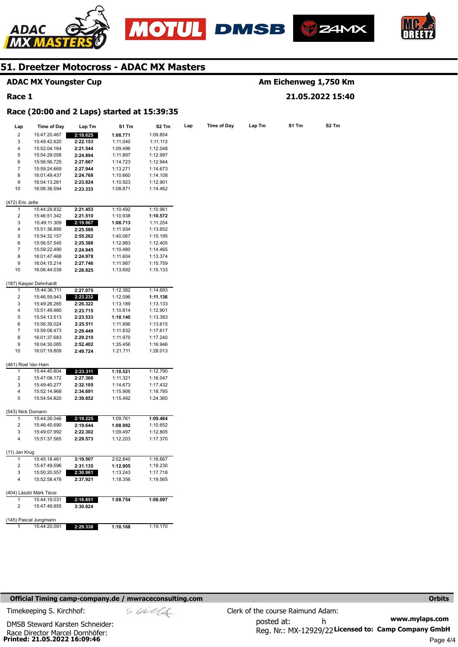







|                         | <b>ADAC MX Youngster Cup</b>                |                      |          |                   |     |                    |        |       | Am Eichenweg 1,750 Km |
|-------------------------|---------------------------------------------|----------------------|----------|-------------------|-----|--------------------|--------|-------|-----------------------|
| Race 1                  |                                             |                      |          |                   |     |                    |        |       | 21.05.2022 15:40      |
|                         | Race (20:00 and 2 Laps) started at 15:39:35 |                      |          |                   |     |                    |        |       |                       |
| Lap                     | Time of Day                                 | Lap Tm               | S1 Tm    | S <sub>2</sub> Tm | Lap | <b>Time of Day</b> | Lap Tm | S1 Tm | S <sub>2</sub> Tm     |
| 2                       | 15:47:20.467                                | 2:18.625             | 1:08.771 | 1:09.854          |     |                    |        |       |                       |
| 3                       | 15:49:42.620                                | 2:22.153             | 1:11.040 | 1:11.113          |     |                    |        |       |                       |
| 4                       | 15:52:04.164                                | 2:21.544             | 1:09.496 | 1:12.048          |     |                    |        |       |                       |
| 5                       | 15:54:29.058                                | 2:24.894             | 1:11.897 | 1:12.997          |     |                    |        |       |                       |
| 6                       | 15:56:56.725                                | 2:27.667             | 1:14.723 | 1:12.944          |     |                    |        |       |                       |
| 7                       | 15:59:24.669                                |                      |          |                   |     |                    |        |       |                       |
|                         |                                             | 2:27.944             | 1:13.271 | 1:14.673          |     |                    |        |       |                       |
| 8                       | 16:01:49.437                                | 2:24.768             | 1:10.660 | 1:14.108          |     |                    |        |       |                       |
| 9                       | 16:04:13.261                                | 2:23.824             | 1:10.923 | 1:12.901          |     |                    |        |       |                       |
| 10                      | 16:06:36.594                                | 2:23.333             | 1:08.871 | 1:14.462          |     |                    |        |       |                       |
| (472) Eric Jette        |                                             |                      |          |                   |     |                    |        |       |                       |
| 1                       | 15:44:29.832                                | 2:21.453             | 1:10.492 | 1:10.961          |     |                    |        |       |                       |
| 2                       | 15:46:51.342                                | 2:21.510             | 1:10.938 | 1:10.572          |     |                    |        |       |                       |
| 3                       | 15:49:11.309                                | 2:19.967             | 1:08.713 | 1:11.254          |     |                    |        |       |                       |
| 4                       | 15:51:36.895                                | 2:25.586             | 1:11.934 | 1:13.652          |     |                    |        |       |                       |
| 5                       | 15:54:32.157                                | 2:55.262             | 1:40.067 | 1:15.195          |     |                    |        |       |                       |
| 6                       | 15:56:57.545                                | 2:25.388             | 1:12.983 | 1:12.405          |     |                    |        |       |                       |
| $\overline{7}$          | 15:59:22.490                                | 2:24.945             | 1:10.480 | 1:14.465          |     |                    |        |       |                       |
| 8                       | 16:01:47.468                                | 2:24.978             | 1:11.604 | 1:13.374          |     |                    |        |       |                       |
| 9                       | 16:04:15.214                                | 2:27.746             | 1:11.987 | 1:15.759          |     |                    |        |       |                       |
| 10                      | 16:06:44.039                                | 2:28.825             | 1:13.692 | 1:15.133          |     |                    |        |       |                       |
|                         | (187) Kasper Dehnhardt                      |                      |          |                   |     |                    |        |       |                       |
| 1                       | 15:44:36.711                                | 2:27.075             | 1:12.382 | 1:14.693          |     |                    |        |       |                       |
| 2                       | 15:46:59.943                                | 2:23.232             | 1:12.096 | 1:11.136          |     |                    |        |       |                       |
| 3                       | 15:49:26.265                                | 2:26.322             | 1:13.189 | 1:13.133          |     |                    |        |       |                       |
| 4                       |                                             |                      |          |                   |     |                    |        |       |                       |
| 5                       | 15:51:49.980                                | 2:23.715             | 1:10.814 | 1:12.901          |     |                    |        |       |                       |
|                         | 15:54:13.513                                | 2:23.533             | 1:10.140 | 1:13.393          |     |                    |        |       |                       |
| 6                       | 15:56:39.024                                | 2:25.511             | 1:11.896 | 1:13.615          |     |                    |        |       |                       |
| 7                       | 15:59:08.473                                | 2:29.449             | 1:11.832 | 1:17.617          |     |                    |        |       |                       |
| 8                       | 16:01:37.683                                | 2:29.210             | 1:11.970 | 1:17.240          |     |                    |        |       |                       |
| 9                       | 16:04:30.085                                | 2:52.402             | 1:35.456 | 1:16.946          |     |                    |        |       |                       |
| 10                      | 16:07:19.809                                | 2:49.724             | 1:21.711 | 1:28.013          |     |                    |        |       |                       |
| (481) Roel Van Ham      |                                             |                      |          |                   |     |                    |        |       |                       |
| 1                       | 15:44:40.804                                | 2:23.311             | 1:10.521 | 1:12.790          |     |                    |        |       |                       |
| 2                       | 15:47:08.172                                | 2:27.368             | 1:11.321 | 1:16.047          |     |                    |        |       |                       |
| 3                       | 15:49:40.277                                | 2:32.105             | 1:14.673 | 1:17.432          |     |                    |        |       |                       |
| 4                       | 15:52:14.968                                | 2:34.691             | 1:15.906 | 1:18.785          |     |                    |        |       |                       |
| 5                       | 15:54:54.820                                | 2:39.852             | 1:15.492 | 1:24.360          |     |                    |        |       |                       |
| (543) Nick Domann       |                                             |                      |          |                   |     |                    |        |       |                       |
|                         | 15:44:26.046                                | 2:19.225             | 1:09.761 | 1:09.464          |     |                    |        |       |                       |
| $\overline{\mathbf{c}}$ | 15:46:45.690                                | 2:19.644             | 1:08.992 | 1:10.652          |     |                    |        |       |                       |
| 3                       | 15:49:07.992                                | 2:22.302             | 1:09.497 | 1:12.805          |     |                    |        |       |                       |
| 4                       | 15:51:37.565                                | 2:29.573             | 1:12.203 | 1:17.370          |     |                    |        |       |                       |
| (11) Jan Krug           |                                             |                      |          |                   |     |                    |        |       |                       |
| 1                       | 15:45:18.461                                | 3:19.507             | 2:02.840 | 1:16.667          |     |                    |        |       |                       |
| 2                       | 15:47:49.596                                | 2:31.135             | 1:12.905 | 1:18.230          |     |                    |        |       |                       |
| 3                       | 15:50:20.557                                | 2:30.961             | 1:13.243 | 1:17.718          |     |                    |        |       |                       |
| 4                       | 15:52:58.478                                | 2:37.921             | 1:18.356 | 1:19.565          |     |                    |        |       |                       |
|                         | (404) László Márk Técsi                     |                      |          |                   |     |                    |        |       |                       |
| 1                       | 15:44:19.031                                |                      | 1:08.754 |                   |     |                    |        |       |                       |
| 2                       | 15:47:49.855                                | 2:16.851<br>3:30.824 |          | 1:08.097          |     |                    |        |       |                       |
|                         |                                             |                      |          |                   |     |                    |        |       |                       |
|                         | (145) Pascal Jungmann                       |                      |          |                   |     |                    |        |       |                       |
| 1                       | 15:44:20.091                                | 2:29.338             | 1:10.168 | 1:19.170          |     |                    |        |       |                       |

### **Official Timing camp-company.de / mwraceconsulting.com <b>Orbits Orbits Orbits Orbits**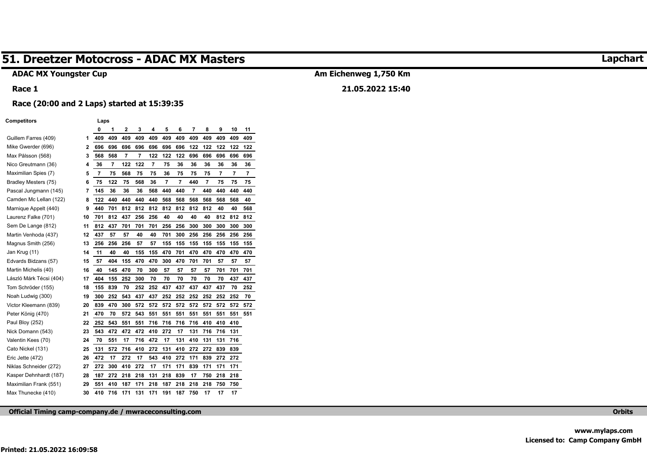# **ADAC MX Youngster Cup**

#### **Race 1**

# **Am Eichenweg 1,750 Km**

# **21.05.2022 15:40**

#### **Race (20:00 and 2 Laps) started at 15:39:35**

#### **Competitors Laps**

|                         |    | 0   | 1   | $\overline{\mathbf{2}}$ | 3   | 4   | 5   | 6   | 7   | 8   | 9   | 10  | 11  |
|-------------------------|----|-----|-----|-------------------------|-----|-----|-----|-----|-----|-----|-----|-----|-----|
| Guillem Farres (409)    | 1  | 409 | 409 | 409                     | 409 | 409 | 409 | 409 | 409 | 409 | 409 | 409 | 409 |
| Mike Gwerder (696)      | 2  | 696 | 696 | 696                     | 696 | 696 | 696 | 696 | 122 | 122 | 122 | 122 | 122 |
| Max Pålsson (568)       | 3  | 568 | 568 | $\overline{7}$          | 7   | 122 | 122 | 122 | 696 | 696 | 696 | 696 | 696 |
| Nico Greutmann (36)     | 4  | 36  | 7   | 122                     | 122 | 7   | 75  | 36  | 36  | 36  | 36  | 36  | 36  |
| Maximilian Spies (7)    | 5  | 7   | 75  | 568                     | 75  | 75  | 36  | 75  | 75  | 75  | 7   | 7   | 7   |
| Bradley Mesters (75)    | 6  | 75  | 122 | 75                      | 568 | 36  | 7   | 7   | 440 | 7   | 75  | 75  | 75  |
| Pascal Jungmann (145)   | 7  | 145 | 36  | 36                      | 36  | 568 | 440 | 440 | 7   | 440 | 440 | 440 | 440 |
| Camden Mc Lellan (122)  | 8  | 122 | 440 | 440                     | 440 | 440 | 568 | 568 | 568 | 568 | 568 | 568 | 40  |
| Marnique Appelt (440)   | 9  | 440 | 701 | 812                     | 812 | 812 | 812 | 812 | 812 | 812 | 40  | 40  | 568 |
| Laurenz Falke (701)     | 10 | 701 | 812 | 437                     | 256 | 256 | 40  | 40  | 40  | 40  | 812 | 812 | 812 |
| Sem De Lange (812)      | 11 | 812 | 437 | 701                     | 701 | 701 | 256 | 256 | 300 | 300 | 300 | 300 | 300 |
| Martin Venhoda (437)    | 12 | 437 | 57  | 57                      | 40  | 40  | 701 | 300 | 256 | 256 | 256 | 256 | 256 |
| Magnus Smith (256)      | 13 | 256 | 256 | 256                     | 57  | 57  | 155 | 155 | 155 | 155 | 155 | 155 | 155 |
| Jan Krug (11)           | 14 | 11  | 40  | 40                      | 155 | 155 | 470 | 701 | 470 | 470 | 470 | 470 | 470 |
| Edvards Bidzans (57)    | 15 | 57  | 404 | 155                     | 470 | 470 | 300 | 470 | 701 | 701 | 57  | 57  | 57  |
| Martin Michelis (40)    | 16 | 40  | 145 | 470                     | 70  | 300 | 57  | 57  | 57  | 57  | 701 | 701 | 701 |
| László Márk Técsi (404) | 17 | 404 | 155 | 252                     | 300 | 70  | 70  | 70  | 70  | 70  | 70  | 437 | 437 |
| Tom Schröder (155)      | 18 | 155 | 839 | 70                      | 252 | 252 | 437 | 437 | 437 | 437 | 437 | 70  | 252 |
| Noah Ludwig (300)       | 19 | 300 | 252 | 543                     | 437 | 437 | 252 | 252 | 252 | 252 | 252 | 252 | 70  |
| Victor Kleemann (839)   | 20 | 839 | 470 | 300                     | 572 | 572 | 572 | 572 | 572 | 572 | 572 | 572 | 572 |
| Peter König (470)       | 21 | 470 | 70  | 572                     | 543 | 551 | 551 | 551 | 551 | 551 | 551 | 551 | 551 |
| Paul Bloy (252)         | 22 | 252 | 543 | 551                     | 551 | 716 | 716 | 716 | 716 | 410 | 410 | 410 |     |
| Nick Domann (543)       | 23 | 543 | 472 | 472                     | 472 | 410 | 272 | 17  | 131 | 716 | 716 | 131 |     |
| Valentin Kees (70)      | 24 | 70  | 551 | 17                      | 716 | 472 | 17  | 131 | 410 | 131 | 131 | 716 |     |
| Cato Nickel (131)       | 25 | 131 | 572 | 716                     | 410 | 272 | 131 | 410 | 272 | 272 | 839 | 839 |     |
| Eric Jette (472)        | 26 | 472 | 17  | 272                     | 17  | 543 | 410 | 272 | 171 | 839 | 272 | 272 |     |
| Niklas Schneider (272)  | 27 | 272 | 300 | 410                     | 272 | 17  | 171 | 171 | 839 | 171 | 171 | 171 |     |
| Kasper Dehnhardt (187)  | 28 | 187 | 272 | 218                     | 218 | 131 | 218 | 839 | 17  | 750 | 218 | 218 |     |
| Maximilian Frank (551)  | 29 | 551 | 410 | 187                     | 171 | 218 | 187 | 218 | 218 | 218 | 750 | 750 |     |
| Max Thunecke (410)      | 30 | 410 | 716 | 171                     | 131 | 171 | 191 | 187 | 750 | 17  | 17  | 17  |     |

**Official Timing camp-company.de / mwraceconsulting.com Orbits** 

# **Lapchart**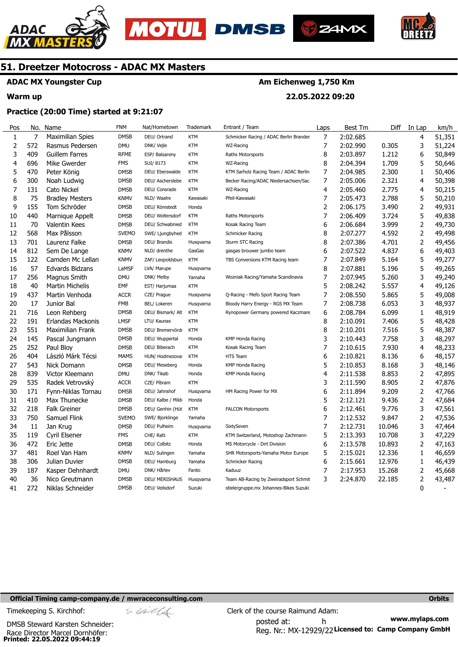





**22.05.2022 09:20** 

**Am Eichenweg 1,750 Km** 



# **51. Dreetzer Motocross - ADAC MX Masters**

# **ADAC MX Youngster Cup**

# **Warm up**

## **Practice (20:00 Time) started at 9:21:07**

| Pos              |     | No. Name                | <b>FNM</b>   | Nat/Hometown          | Trademark  | Entrant / Team                         | Laps           | Best Tm  | Diff   | In Lap         | km/h   |
|------------------|-----|-------------------------|--------------|-----------------------|------------|----------------------------------------|----------------|----------|--------|----------------|--------|
| $\mathbf{1}$     | 7   | <b>Maximilian Spies</b> | <b>DMSB</b>  | DEU/ Ortrand          | <b>KTM</b> | Schmicker Racing / ADAC Berlin Brander | $\overline{7}$ | 2:02.685 |        | 4              | 51,351 |
| 2                | 572 | Rasmus Pedersen         | <b>DMU</b>   | DNK/ Vejle            | <b>KTM</b> | WZ-Racing                              | 7              | 2:02.990 | 0.305  | 3              | 51,224 |
| 3                | 409 | Guillem Farres          | <b>RFME</b>  | ESP/ Balsareny        | KTM        | Raths Motorsports                      | 8              | 2:03.897 | 1.212  | 6              | 50,849 |
| 4                | 696 | Mike Gwerder            | <b>FMS</b>   | SUI/8173              | <b>KTM</b> | WZ-Racing                              | 8              | 2:04.394 | 1.709  | 5              | 50,646 |
| 5                | 470 | Peter König             | <b>DMSB</b>  | DEU/ Eberswalde       | <b>KTM</b> | KTM Sarholz Racing Team / ADAC Berlin  | $\overline{7}$ | 2:04.985 | 2.300  | $\mathbf{1}$   | 50,406 |
| 6                | 300 | Noah Ludwig             | <b>DMSB</b>  | DEU/ Ascherslebe      | <b>KTM</b> | Becker Racing/ADAC Niedersachsen/Sac   | 7              | 2:05.006 | 2.321  | 4              | 50,398 |
| $\boldsymbol{7}$ | 131 | Cato Nickel             | <b>DMSB</b>  | DEU/ Consrade         | <b>KTM</b> | WZ-Racing                              | 4              | 2:05.460 | 2.775  | 4              | 50,215 |
| 8                | 75  | <b>Bradley Mesters</b>  | <b>KNMV</b>  | NLD/ Waalre           | Kawasaki   | Pfeil-Kawasaki                         | 7              | 2:05.473 | 2.788  | 5              | 50,210 |
| 9                | 155 | Tom Schröder            | <b>DMSB</b>  | DEU/ Römstedt         | Honda      |                                        | $\overline{2}$ | 2:06.175 | 3.490  | $\overline{2}$ | 49,931 |
| 10               | 440 | Marnique Appelt         | <b>DMSB</b>  | DEU/ Woltersdorf      | <b>KTM</b> | Raths Motorsports                      | 7              | 2:06.409 | 3.724  | 5              | 49,838 |
| 11               | 70  | <b>Valentin Kees</b>    | <b>DMSB</b>  | DEU/ Schwabnied       | <b>KTM</b> | Kosak Racing Team                      | 6              | 2:06.684 | 3.999  | 2              | 49,730 |
| 12               | 568 | Max Pålsson             | <b>SVEMO</b> | SWE/ Ljungbyhed       | <b>KTM</b> | Schmicker Racing                       | 8              | 2:07.277 | 4.592  | 2              | 49,498 |
| 13               | 701 | Laurenz Falke           | <b>DMSB</b>  | DEU/ Brandis          | Husqvarna  | Sturm STC Racing                       | 8              | 2:07.386 | 4.701  | 2              | 49,456 |
| 14               | 812 | Sem De Lange            | <b>KNMV</b>  | NLD/ drenthe          | GasGas     | gasgas brouwer jumbo team              | 6              | 2:07.522 | 4.837  | 6              | 49,403 |
| 15               | 122 | Camden Mc Lellan        | <b>KNMV</b>  | ZAF/ Leopoldsburg     | <b>KTM</b> | TBS Conversions KTM Racing team        | 7              | 2:07.849 | 5.164  | 5              | 49,277 |
| 16               | 57  | Edvards Bidzans         | LaMSF        | LVA/ Marupe           | Husqvarna  |                                        | 8              | 2:07.881 | 5.196  | 5              | 49,265 |
| 17               | 256 | Magnus Smith            | <b>DMU</b>   | DNK/ Melby            | Yamaha     | Wozniak Racing/Yamaha Scandinavia      | 7              | 2:07.945 | 5.260  | 3              | 49,240 |
| 18               | 40  | <b>Martin Michelis</b>  | <b>EMF</b>   | EST/ Harjumaa         | <b>KTM</b> |                                        | 5              | 2:08.242 | 5.557  | 4              | 49,126 |
| 19               | 437 | Martin Venhoda          | <b>ACCR</b>  | CZE/ Prague           | Husqvarna  | Q-Racing - Mefo Sport Racing Team      | 7              | 2:08.550 | 5.865  | 5              | 49,008 |
| 20               | 17  | Junior Bal              | <b>FMB</b>   | BEL/ Lokeren          | Husqvarna  | Bloody Harry Energy - RGS MX Team      | 7              | 2:08.738 | 6.053  | 3              | 48,937 |
| 21               | 716 | Leon Rehberg            | <b>DMSB</b>  | DEU/ Bismark/ Alt     | <b>KTM</b> | Rynopower Germany powered Kaczmare     | 6              | 2:08.784 | 6.099  | 1              | 48,919 |
| 22               | 191 | Erlandas Mackonis       | <b>LMSF</b>  | LTU/ Kaunas           | <b>KTM</b> |                                        | 8              | 2:10.091 | 7.406  | 5              | 48,428 |
| 23               | 551 | Maximilian Frank        | <b>DMSB</b>  | DEU/ Bremervörd       | <b>KTM</b> |                                        | 8              | 2:10.201 | 7.516  | 5              | 48,387 |
| 24               | 145 | Pascal Jungmann         | <b>DMSB</b>  | DEU/ Wuppertal        | Honda      | <b>KMP Honda Racing</b>                | 3              | 2:10.443 | 7.758  | 3              | 48,297 |
| 25               | 252 | Paul Bloy               | <b>DMSB</b>  | DEU/ Biberach         | <b>KTM</b> | Kosak Racing Team                      | 7              | 2:10.615 | 7.930  | 4              | 48,233 |
| 26               | 404 | László Márk Técsi       | <b>MAMS</b>  | HUN/ Hodmezova:       | <b>KTM</b> | HTS Team                               | 6              | 2:10.821 | 8.136  | 6              | 48,157 |
| 27               | 543 | Nick Domann             | <b>DMSB</b>  | DEU/ Meseberg         | Honda      | <b>KMP Honda Racing</b>                | 5              | 2:10.853 | 8.168  | 3              | 48,146 |
| 28               | 839 | Victor Kleemann         | <b>DMU</b>   | DNK/ Tikøb            | Honda      | <b>KMP Honda Racing</b>                | 4              | 2:11.538 | 8.853  | 2              | 47,895 |
| 29               | 535 | Radek Vetrovský         | <b>ACCR</b>  | CZE/ Píbram           | <b>KTM</b> |                                        | 3              | 2:11.590 | 8.905  | $\overline{2}$ | 47,876 |
| 30               | 171 | Fynn-Niklas Tornau      | <b>DMSB</b>  | DEU/ Jahnshof         | Husqvarna  | HM Racing Power for MX                 | 6              | 2:11.894 | 9.209  | 2              | 47,766 |
| 31               | 410 | Max Thunecke            | <b>DMSB</b>  | DEU/ Kalbe / Mild     | Honda      |                                        | 5              | 2:12.121 | 9.436  | 2              | 47,684 |
| 32               | 218 | <b>Falk Greiner</b>     | <b>DMSB</b>  | DEU/ Genhin (Hüt      | <b>KTM</b> | <b>FALCON Motorsports</b>              | 6              | 2:12.461 | 9.776  | 3              | 47,561 |
| 33               | 750 | Samuel Flink            | <b>SVEMO</b> | SWE/ Bjorklinge       | Yamaha     |                                        | 7              | 2:12.532 | 9.847  | $\overline{2}$ | 47,536 |
| 34               | 11  | Jan Krug                | <b>DMSB</b>  | DEU/ Pulheim          | Husqvarna  | SixtySeven                             | 7              | 2:12.731 | 10.046 | 3              | 47,464 |
| 35               | 119 | Cyril Elsener           | <b>FMS</b>   | CHE/ Rafz             | <b>KTM</b> | KTM Switzerland, Motoshop Zachmann     | 5              | 2:13.393 | 10.708 | 3              | 47,229 |
| 36               | 472 | Eric Jette              | <b>DMSB</b>  | DEU/ Colbitz          | Honda      | MS Motorcycle - Dirt Division          | 6              | 2:13.578 | 10.893 | 2              | 47,163 |
| 37               | 481 | Roel Van Ham            | <b>KNMV</b>  | NLD/ Sulingen         | Yamaha     | SHR Motorsports-Yamaha Motor Europe    | 5              | 2:15.021 | 12.336 | $\mathbf{1}$   | 46,659 |
| 38               | 306 | Julian Duvier           | <b>DMSB</b>  | DEU/ Hamburg          | Yamaha     | Schmicker Racing                       | 6              | 2:15.661 | 12.976 | $\mathbf{1}$   | 46,439 |
| 39               | 187 | Kasper Dehnhardt        | <b>DMU</b>   | DNK/ Hårlev           | Fantic     | Kaduuz                                 | 7              | 2:17.953 | 15.268 | 2              | 45,668 |
| 40               | 36  | Nico Greutmann          | <b>DMSB</b>  | <b>DEU/ MERISHAUS</b> | Husqvarna  | Team AB-Racing by Zweiradsport Schmit  | 3              | 2:24.870 | 22.185 | 2              | 43,487 |
| 41               | 272 | Niklas Schneider        | <b>DMSB</b>  | DEU/ Veilsdorf        | Suzuki     | stielergruppe.mx Johannes-Bikes Suzuki |                |          |        | 0              |        |

#### **Official Timing camp-company.de / mwraceconsulting.com <b>Orbits and Company.de Company** orbits **Orbits Orbits**

Timekeeping S. Kirchhof:  $\le \frac{1}{2}$  Clerk of the course Raimund Adam:

**Printed: 22.05.2022 09:44:19**  Race Director Marcel Dornhöfer: DMSB Steward Karsten Schneider:

**www.mylaps.com**  Reg. Nr.: MX-12929/22 Licensed to: Camp Company GmbH posted at: h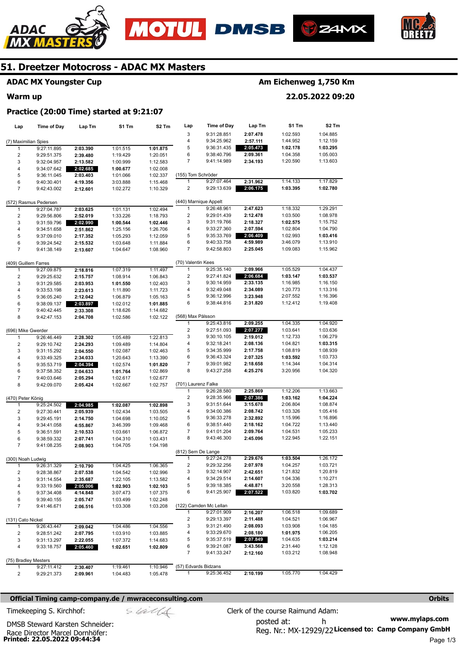





**S2 Tm**  1:04.885 1:12.159 **1:03.295**  1:05.003 1:13.603

1:17.829 **1:02.780** 

1:29.291 1:08.978 1:15.752 1:04.790 **1:03.416**  1:13.910 1:15.962

**S1 Tm** 

**Am Eichenweg 1,750 Km** 

**22.05.2022 09:20** 



# **51. Dreetzer Motocross - ADAC MX Masters**

# **ADAC MX Youngster Cup**

#### **Warm up**

|                      | Practice (20:00 Time) started at 9:21:07 |          |          |                   |                    |                       |          |          |
|----------------------|------------------------------------------|----------|----------|-------------------|--------------------|-----------------------|----------|----------|
| Lap                  | Time of Day                              | Lap Tm   | S1 Tm    | S <sub>2</sub> Tm | Lap                | Time of Day           | Lap Tm   | S1 Tm    |
|                      |                                          |          |          |                   | 3                  | 9:31:28.851           | 2:07.478 | 1:02.593 |
| (7) Maximilian Spies |                                          |          |          |                   | 4                  | 9:34:25.962           | 2:57.111 | 1:44.952 |
|                      | 9:27:11.895                              | 2:03.390 | 1:01.515 | 1:01.875          | 5                  | 9:36:31.435           | 2:05.473 | 1:02.178 |
| 2                    | 9:29:51.375                              | 2:39.480 | 1:19.429 | 1:20.051          | 6                  | 9:38:40.796           | 2:09.361 | 1:04.358 |
| 3                    | 9:32:04.957                              | 2:13.582 | 1:00.999 | 1:12.583          | 7                  | 9:41:14.989           | 2:34.193 | 1:20.590 |
| 4                    | 9:34:07.642                              | 2:02.685 | 1:00.677 | 1:02.008          |                    |                       |          |          |
| 5                    | 9:36:11.045                              | 2:03.403 | 1:01.066 | 1:02.337          | (155) Tom Schröder |                       |          |          |
| 6                    | 9:40:30.401                              | 4:19.356 | 3:03.888 | 1:15.468          |                    | 9:27:07.464           | 2:31.962 | 1:14.133 |
| 7                    | 9:42:43.002                              | 2:12.601 | 1:02.272 | 1:10.329          | 2                  | 9:29:13.639           | 2:06.175 | 1:03.395 |
|                      | (572) Rasmus Pedersen                    |          |          |                   |                    | (440) Marnique Appelt |          |          |
|                      | 9:27:04.787                              | 2:03.625 | 1:01.131 | 1:02.494          |                    | 9:26:48.961           | 2:47.623 | 1:18.332 |
| 2                    | 9:29:56.806                              | 2:52.019 | 1:33.226 | 1:18.793          | 2                  | 9:29:01.439           | 2:12.478 | 1:03.500 |
| 3                    | 9:31:59.796                              | 2:02.990 | 1:00.544 | 1:02.446          | 3                  | 9:31:19.766           | 2:18.327 | 1:02.575 |
| 4                    | 9:34:51.658                              | 2:51.862 | 1:25.156 | 1:26.706          | 4                  | 9:33:27.360           | 2:07.594 | 1:02.804 |
| 5                    | 9:37:09.010                              | 2:17.352 | 1:05.293 | 1:12.059          | 5                  | 9:35:33.769           | 2:06.409 | 1:02.993 |
| 6                    | 9:39:24.542                              | 2:15.532 | 1:03.648 | 1:11.884          | 6                  | 9:40:33.758           | 4:59.989 | 3:46.079 |
| 7                    | 9:41:38.149                              | 2:13.607 | 1:04.647 | 1:08.960          | 7                  | 9:42:58.803           | 2:25.045 | 1:09.083 |

| (409) Guillem Farres |             |          |          |          | (70) Valentin Kees  |                        |          |          |          |
|----------------------|-------------|----------|----------|----------|---------------------|------------------------|----------|----------|----------|
| 1                    | 9:27:09.875 | 2:18.816 | 1:07.319 | 1:11.497 | $\overline{1}$      | 9:25:35.140            | 2:09.966 | 1:05.529 | 1:04.437 |
| 2                    | 9:29:25.632 | 2:15.757 | 1:08.914 | 1:06.843 | 2                   | 9:27:41.824            | 2:06.684 | 1:03.147 | 1:03.537 |
| 3                    | 9:31:29.585 | 2:03.953 | 1:01.550 | 1:02.403 | 3                   | 9:30:14.959            | 2:33.135 | 1:16.985 | 1:16.150 |
| 4                    | 9:33:53.198 | 2:23.613 | 1:11.890 | 1:11.723 | 4                   | 9:32:49.048            | 2:34.089 | 1:20.773 | 1:13.316 |
| 5                    | 9:36:05.240 | 2:12.042 | 1:06.879 | 1:05.163 | 5                   | 9:36:12.996            | 3:23.948 | 2:07.552 | 1:16.396 |
| 6                    | 9:38:09.137 | 2:03.897 | 1:02.012 | 1:01.885 | 6                   | 9:38:44.816            | 2:31.820 | 1:12.412 | 1:19.408 |
| 7                    | 9:40:42.445 | 2:33.308 | 1:18.626 | 1:14.682 |                     |                        |          |          |          |
| 8                    | 9:42:47.153 | 2:04.708 | 1:02.586 | 1:02.122 | (568) Max Pålsson   |                        |          |          |          |
|                      |             |          |          |          | 1                   | 9:25:43.816            | 2:09.255 | 1:04.335 | 1:04.920 |
| (696) Mike Gwerder   |             |          |          |          | $\overline{2}$      | 9:27:51.093            | 2:07.277 | 1:03.641 | 1:03.636 |
| 1                    | 9:26:46.449 | 2:28.302 | 1:05.489 | 1:22.813 | 3                   | 9:30:10.105            | 2:19.012 | 1:12.733 | 1:06.279 |
| $\overline{2}$       | 9:29:10.742 | 2:24.293 | 1:09.489 | 1:14.804 | 4                   | 9:32:18.241            | 2:08.136 | 1:04.821 | 1:03.315 |
| 3                    | 9:31:15.292 | 2:04.550 | 1:02.087 | 1:02.463 | 5                   | 9:34:35.999            | 2:17.758 | 1:08.819 | 1:08.939 |
| 4                    | 9:33:49.325 | 2:34.033 | 1:20.643 | 1:13.390 | 6                   | 9:36:43.324            | 2:07.325 | 1:03.592 | 1:03.733 |
| 5                    | 9:35:53.719 | 2:04.394 | 1:02.574 | 1:01.820 | 7                   | 9:39:01.982            | 2:18.658 | 1:14.344 | 1:04.314 |
| 6                    | 9:37:58.352 | 2:04.633 | 1:01.764 | 1:02.869 | 8                   | 9:43:27.258            | 4:25.276 | 3:20.956 | 1:04.320 |
| $\overline{7}$       | 9:40:03.646 | 2:05.294 | 1:02.617 | 1:02.677 |                     |                        |          |          |          |
| 8                    | 9:42:09.070 | 2:05.424 | 1:02.667 | 1:02.757 | (701) Laurenz Falke |                        |          |          |          |
|                      |             |          |          |          | 1                   | 9:26:28.580            | 2:25.869 | 1:12.206 | 1:13.663 |
| (470) Peter König    |             |          |          |          | 2                   | 9:28:35.966            | 2:07.386 | 1:03.162 | 1:04.224 |
| 1                    | 9:25:24.502 | 2:04.985 | 1:02.087 | 1:02.898 | 3                   | 9:31:51.644            | 3:15.678 | 2:06.804 | 1:08.874 |
| $\overline{2}$       | 9:27:30.441 | 2:05.939 | 1:02.434 | 1:03.505 | 4                   | 9:34:00.386            | 2:08.742 | 1:03.326 | 1:05.416 |
| 3                    | 9:29:45.191 | 2:14.750 | 1:04.698 | 1:10.052 | 5                   | 9:36:33.278            | 2:32.892 | 1:15.996 | 1:16.896 |
| 4                    | 9:34:41.058 | 4:55.867 | 3:46.399 | 1:09.468 | 6                   | 9:38:51.440            | 2:18.162 | 1:04.722 | 1:13.440 |
| 5                    | 9:36:51.591 | 2:10.533 | 1:03.661 | 1:06.872 | 7                   | 9:41:01.204            | 2:09.764 | 1:04.531 | 1:05.233 |
| 6                    | 9:38:59.332 | 2:07.741 | 1:04.310 | 1:03.431 | 8                   | 9:43:46.300            | 2:45.096 | 1:22.945 | 1:22.151 |
| $\overline{7}$       | 9:41:08.235 | 2:08.903 | 1:04.705 | 1:04.198 |                     |                        |          |          |          |
|                      |             |          |          |          |                     | (812) Sem De Lange     |          |          |          |
| (300) Noah Ludwig    |             |          |          |          | 1                   | 9:27:24.278            | 2:29.676 | 1:03.504 | 1:26.172 |
| 1                    | 9:26:31.329 | 2:10.790 | 1:04.425 | 1:06.365 | $\overline{2}$      | 9:29:32.256            | 2:07.978 | 1:04.257 | 1:03.721 |
| $\overline{2}$       | 9:28:38.867 | 2:07.538 | 1:04.542 | 1:02.996 | 3                   | 9:32:14.907            | 2:42.651 | 1:21.832 | 1:20.819 |
| 3                    | 9:31:14.554 | 2:35.687 | 1:22.105 | 1:13.582 | 4                   | 9:34:29.514            | 2:14.607 | 1:04.336 | 1:10.271 |
| 4                    | 9:33:19.560 | 2:05.006 | 1:02.903 | 1:02.103 | 5                   | 9:39:18.385            | 4:48.871 | 3:20.558 | 1:28.313 |
| 5                    | 9:37:34.408 | 4:14.848 | 3:07.473 | 1:07.375 | 6                   | 9:41:25.907            | 2:07.522 | 1:03.820 | 1:03.702 |
| 6                    | 9:39:40.155 | 2:05.747 | 1:03.499 | 1:02.248 |                     |                        |          |          |          |
| $\overline{7}$       | 9:41:46.671 | 2:06.516 | 1:03.308 | 1:03.208 |                     | (122) Camden Mc Lellan |          |          |          |
|                      |             |          |          |          | 1                   | 9:27:01.909            | 2:16.207 | 1:06.518 | 1:09.689 |
| (131) Cato Nickel    |             |          |          |          | 2                   | 9:29:13.397            | 2:11.488 | 1:04.521 | 1:06.967 |
| 1                    | 9:26:43.447 | 2:09.042 | 1:04.486 | 1:04.556 | 3                   | 9:31:21.490            | 2:08.093 | 1:03.908 | 1:04.185 |
| $\overline{2}$       | 9:28:51.242 | 2:07.795 | 1:03.910 | 1:03.885 | 4                   | 9:33:29.670            | 2:08.180 | 1:01.975 | 1:06.205 |
| 3                    | 9:31:13.297 | 2:22.055 | 1:07.372 | 1:14.683 | 5                   | 9:35:37.519            | 2:07.849 | 1:04.635 | 1:03.214 |
| 4                    | 9:33:18.757 | 2:05.460 | 1:02.651 | 1:02.809 | 6                   | 9:39:21.087            | 3:43.568 | 2:31.440 | 1:12.128 |
|                      |             |          |          |          | $\overline{7}$      | 9:41:33.247            | 2:12.160 | 1:03.212 | 1:08.948 |
| (75) Bradley Mesters |             |          |          |          |                     |                        |          |          |          |
| 1                    | 9:27:11.412 | 2:30.407 | 1:19.461 | 1:10.946 |                     | (57) Edvards Bidzans   |          |          |          |
| $\overline{2}$       | 9:29:21.373 | 2:09.961 | 1:04.483 | 1:05.478 | $\mathbf{1}$        | 9:25:36.452            | 2:10.199 | 1:05.770 | 1:04.429 |

#### **Official Timing camp-company.de / mwraceconsulting.com <b>Orbits and Company.de Company** orbits **Orbits Orbits**

posted at: h Timekeeping S. Kirchhof:  $\le \frac{1}{2}$  Clerk of the course Raimund Adam:

**Printed: 22.05.2022 09:44:34**  Race Director Marcel Dornhöfer: DMSB Steward Karsten Schneider:

**www.mylaps.com**  Reg. Nr.: MX-12929/22 Licensed to: Camp Company GmbH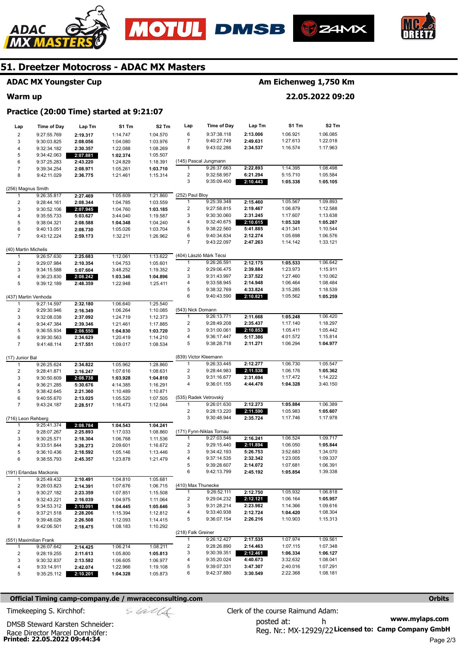







# **ADAC MX Youngster Cup**

# **Warm up**

# **Am Eichenweg 1,750 Km**

**22.05.2022 09:20** 

# **Practice (20:00 Time) started at 9:21:07**

| Lap                     | Time of Day                | Lap Tm               | S1 Tm                | S2 Tm                | Lap                 | <b>Time of Day</b>                      | Lap Tm               | S1 Tm                | S <sub>2</sub> Tm    |
|-------------------------|----------------------------|----------------------|----------------------|----------------------|---------------------|-----------------------------------------|----------------------|----------------------|----------------------|
| $\overline{\mathbf{c}}$ | 9:27:55.769                | 2:19.317             | 1:14.747             | 1:04.570             | 6                   | 9:37:38.118                             | 2:13.006             | 1:06.921             | 1:06.085             |
| 3                       | 9:30:03.825                | 2:08.056             | 1:04.080             | 1:03.976             | 7                   | 9:40:27.749                             | 2:49.631             | 1:27.613             | 1:22.018             |
| $\overline{\mathbf{4}}$ | 9:32:34.182                | 2:30.357             | 1:22.088             | 1:08.269             | 8                   | 9:43:02.286                             | 2:34.537             | 1:16.574             | 1:17.963             |
| 5                       | 9:34:42.063                | 2:07.881             | 1:02.374             | 1:05.507             |                     |                                         |                      |                      |                      |
| 6                       | 9:37:25.283                | 2:43.220             | 1:24.829             | 1:18.391             |                     | (145) Pascal Jungmann                   |                      |                      |                      |
| $\overline{7}$          | 9:39:34.254                | 2:08.971             | 1:05.261             | 1:03.710             | 1                   | 9:26:37.663                             | 2:22.893             | 1:14.395             | 1:08.498             |
| 8                       | 9:42:11.029                | 2:36.775             | 1:21.461             | 1:15.314             | 2                   | 9:32:58.957                             | 6:21.294             | 5:15.710             | 1:05.584             |
|                         |                            |                      |                      |                      | 3                   | 9:35:09.400                             | 2:10.443             | 1:05.338             | 1:05.105             |
| (256) Magnus Smith      |                            |                      |                      |                      |                     |                                         |                      |                      |                      |
| 1                       | 9:26:35.817                | 2:27.469             | 1:05.609             | 1:21.860             | (252) Paul Bloy     |                                         |                      |                      |                      |
| 2                       | 9:28:44.161                | 2:08.344             | 1:04.785             | 1:03.559             | 1<br>$\overline{c}$ | 9:25:39.348                             | 2:15.460             | 1:05.567             | 1:09.893             |
| 3                       | 9:30:52.106                | 2:07.945             | 1:04.760             | 1:03.185             | 3                   | 9:27:58.815<br>9:30:30.060              | 2:19.467<br>2:31.245 | 1:06.879             | 1:12.588             |
| $\overline{\mathbf{4}}$ | 9:35:55.733                | 5:03.627             | 3:44.040             | 1:19.587             | 4                   | 9:32:40.675                             | 2:10.615             | 1:17.607<br>1:05.328 | 1:13.638<br>1:05.287 |
| 5<br>6                  | 9:38:04.321<br>9:40:13.051 | 2:08.588<br>2:08.730 | 1:04.348<br>1:05.026 | 1:04.240<br>1:03.704 | 5                   | 9:38:22.560                             | 5:41.885             | 4:31.341             | 1:10.544             |
| $\overline{7}$          | 9:43:12.224                | 2:59.173             | 1:32.211             | 1:26.962             | 6                   | 9:40:34.834                             | 2:12.274             | 1:05.698             | 1:06.576             |
|                         |                            |                      |                      |                      | $\overline{7}$      | 9:43:22.097                             | 2:47.263             | 1:14.142             | 1:33.121             |
| (40) Martin Michelis    |                            |                      |                      |                      |                     |                                         |                      |                      |                      |
| 1                       | 9:26:57.630                | 2:25.683             | 1:12.061             | 1:13.622             |                     | (404) László Márk Técsi                 |                      |                      |                      |
| $\overline{\mathbf{c}}$ | 9:29:07.984                | 2:10.354             | 1:04.753             | 1:05.601             | 1                   | 9:26:26.591                             | 2:12.175             | 1:05.533             | 1:06.642             |
| 3                       | 9:34:15.588                | 5:07.604             | 3:48.252             | 1:19.352             | $\overline{c}$      | 9:29:06.475                             | 2:39.884             | 1:23.973             | 1:15.911             |
| 4                       | 9:36:23.830                | 2:08.242             | 1:03.346             | 1:04.896             | 3                   | 9:31:43.997                             | 2:37.522             | 1:27.460             | 1:10.062             |
| 5                       | 9:39:12.189                | 2:48.359             | 1:22.948             | 1:25.411             | 4                   | 9:33:58.945                             | 2:14.948             | 1:06.464             | 1:08.484             |
|                         |                            |                      |                      |                      | 5                   | 9:38:32.769                             | 4:33.824             | 3:15.285             | 1:18.539             |
| (437) Martin Venhoda    |                            |                      |                      |                      | 6                   | 9:40:43.590                             | 2:10.821             | 1:05.562             | 1:05.259             |
| 1                       | 9:27:14.597                | 2:32.180             | 1:06.640             | 1:25.540             |                     |                                         |                      |                      |                      |
| $\overline{\mathbf{c}}$ | 9:29:30.946                | 2:16.349             | 1:06.264             | 1:10.085             | (543) Nick Domann   |                                         |                      |                      |                      |
| 3                       | 9:32:08.038                | 2:37.092             | 1:24.719             | 1:12.373             | 1                   | 9:26:13.771                             | 2:11.668             | 1:05.248             | 1:06.420             |
| $\overline{\mathbf{4}}$ | 9:34:47.384                | 2:39.346             | 1:21.461             | 1:17.885             | 2<br>3              | 9:28:49.208                             | 2:35.437             | 1:17.140             | 1:18.297             |
| 5<br>6                  | 9:36:55.934                | 2:08.550             | 1:04.830             | 1:03.720             | 4                   | 9:31:00.061<br>9:36:17.447              | 2:10.853<br>5:17.386 | 1:05.411<br>4:01.572 | 1:05.442<br>1:15.814 |
| $\overline{7}$          | 9:39:30.563<br>9:41:48.114 | 2:34.629<br>2:17.551 | 1:20.419<br>1:09.017 | 1:14.210<br>1:08.534 | 5                   | 9:38:28.718                             | 2:11.271             | 1:06.294             | 1:04.977             |
|                         |                            |                      |                      |                      |                     |                                         |                      |                      |                      |
| (17) Junior Bal         |                            |                      |                      |                      |                     | (839) Victor Kleemann                   |                      |                      |                      |
| 1                       | 9:26:25.624                | 2:34.822             | 1:05.962             | 1:28.860             | 1                   | 9:26:33.445                             | 2:12.277             | 1:06.730             | 1:05.547             |
| $\overline{\mathbf{c}}$ | 9:28:41.871                | 2:16.247             | 1:07.616             | 1:08.631             | 2                   | 9:28:44.983                             | 2:11.538             | 1:06.176             | 1:05.362             |
| 3                       | 9:30:50.609                | 2:08.738             | 1:03.928             | 1:04.810             | 3                   | 9:31:16.677                             | 2:31.694             | 1:17.472             | 1:14.222             |
| 4                       | 9:36:21.285                | 5:30.676             | 4:14.385             | 1:16.291             | 4                   | 9:36:01.155                             | 4:44.478             | 1:04.328             | 3:40.150             |
| 5                       | 9:38:42.645                | 2:21.360             | 1:10.489             | 1:10.871             |                     |                                         |                      |                      |                      |
| 6                       | 9:40:55.670                | 2:13.025             | 1:05.520             | 1:07.505             |                     | (535) Radek Vetrovský                   |                      |                      |                      |
| $\overline{7}$          | 9:43:24.187                | 2:28.517             | 1:16.473             | 1:12.044             | 1                   | 9:26:01.630                             | 2:12.273             | 1:05.884             | 1:06.389             |
|                         |                            |                      |                      |                      | 2                   | 9:28:13.220                             | 2:11.590             | 1:05.983             | 1:05.607             |
| (716) Leon Rehberg      |                            |                      |                      |                      | 3                   | 9:30:48.944                             | 2:35.724             | 1:17.746             | 1:17.978             |
| 1                       | 9:25:41.374                | 2:08.784             | 1:04.543             | 1:04.241             |                     |                                         |                      |                      |                      |
| $\overline{\mathbf{c}}$ | 9:28:07.267                | 2:25.893             | 1:17.033             | 1:08.860             | 1                   | (171) Fynn-Niklas Tornau<br>9:27:03.546 | 2:16.241             | 1:06.524             | 1:09.717             |
| 3<br>4                  | 9:30:25.571                | 2:18.304             | 1:06.768             | 1:11.536             | 2                   | 9:29:15.440                             | 2:11.894             | 1:06.050             | 1:05.844             |
| 5                       | 9:33:51.844<br>9:36:10.436 | 3:26.273<br>2:18.592 | 2:09.601<br>1:05.146 | 1:16.672<br>1:13.446 | 3                   | 9:34:42.193                             | 5:26.753             | 3:52.683             | 1:34.070             |
| 6                       | 9:38:55.793                | 2:45.357             | 1:23.878             | 1:21.479             | 4                   | 9:37:14.535                             | 2:32.342             | 1:23.005             | 1:09.337             |
|                         |                            |                      |                      |                      | 5                   | 9:39:28.607                             | 2:14.072             | 1:07.681             | 1:06.391             |
|                         | (191) Erlandas Mackonis    |                      |                      |                      | 6                   | 9:42:13.799                             | 2:45.192             | 1:05.854             | 1:39.338             |
| $\mathbf{1}$            | 9:25:49.432                | 2:10.491             | 1:04.810             | 1:05.681             |                     |                                         |                      |                      |                      |
| $\overline{\mathbf{c}}$ | 9:28:03.823                | 2:14.391             | 1:07.676             | 1:06.715             | (410) Max Thunecke  |                                         |                      |                      |                      |
| 3                       | 9:30:27.182                | 2:23.359             | 1:07.851             | 1:15.508             | $\mathbf{1}$        | 9:26:52.111                             | 2:12.750             | 1:05.932             | 1:06.818             |
| 4                       | 9:32:43.221                | 2:16.039             | 1:04.975             | 1:11.064             | 2                   | 9:29:04.232                             | 2:12.121             | 1:06.164             | 1:05.957             |
| 5                       | 9:34:53.312                | 2:10.091             | 1:04.445             | 1:05.646             | 3                   | 9:31:28.214                             | 2:23.982             | 1:14.366             | 1:09.616             |
| 6                       | 9:37:21.518                | 2:28.206             | 1:15.394             | 1:12.812             | 4                   | 9:33:40.938                             | 2:12.724             | 1:04.420             | 1:08.304             |
| 7                       | 9:39:48.026                | 2:26.508             | 1:12.093             | 1:14.415             | 5                   | 9:36:07.154                             | 2:26.216             | 1:10.903             | 1:15.313             |
| 8                       | 9:42:06.501                | 2:18.475             | 1:08.183             | 1:10.292             |                     |                                         |                      |                      |                      |
|                         |                            |                      |                      |                      | (218) Falk Greiner  |                                         |                      |                      |                      |
|                         | (551) Maximilian Frank     |                      |                      |                      | 1                   | 9:26:12.427                             | 2:17.535             | 1:07.974             | 1:09.561             |
| 1                       | 9:26:07.642                | 2:14.425             | 1:06.214             | 1:08.211             | 2<br>3              | 9:28:26.890<br>9:30:39.351              | 2:14.463             | 1:07.115<br>1:06.334 | 1:07.348<br>1:06.127 |
| 2<br>3                  | 9:28:19.255                | 2:11.613             | 1:05.800<br>1:06.605 | 1:05.813             | 4                   | 9:35:20.024                             | 2:12.461<br>4:40.673 | 3:32.632             | 1:08.041             |
| 4                       | 9:30:32.837<br>9:33:14.911 | 2:13.582<br>2:42.074 | 1:22.966             | 1:06.977             | 5                   | 9:39:07.331                             | 3:47.307             | 2:40.016             | 1:07.291             |
| 5                       | 9:35:25.112                | 2:10.201             | 1:04.328             | 1:19.108<br>1:05.873 | 6                   | 9:42:37.880                             | 3:30.549             | 2:22.368             | 1:08.181             |
|                         |                            |                      |                      |                      |                     |                                         |                      |                      |                      |

## **Official Timing camp-company.de / mwraceconsulting.com <b>Orbits Orbits Orbits Orbits**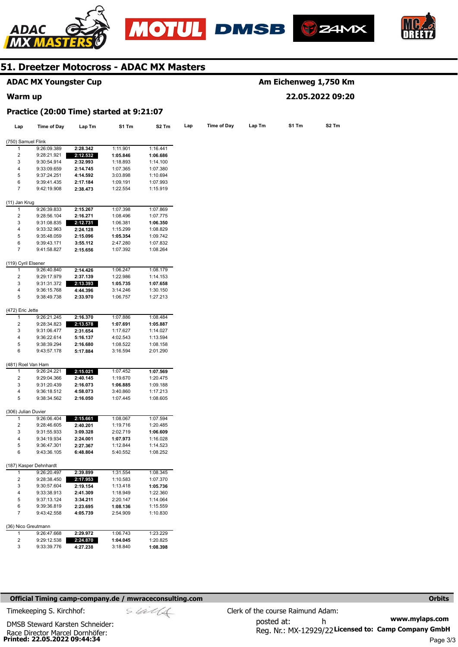







|                                     | <b>ADAC MX Youngster Cup</b>             |                      |                      |                      |     |             |        | Am Eichenweg 1,750 Km |                   |
|-------------------------------------|------------------------------------------|----------------------|----------------------|----------------------|-----|-------------|--------|-----------------------|-------------------|
| Warm up                             |                                          |                      |                      |                      |     |             |        | 22.05.2022 09:20      |                   |
|                                     | Practice (20:00 Time) started at 9:21:07 |                      |                      |                      |     |             |        |                       |                   |
| Lap                                 | <b>Time of Day</b>                       | Lap Tm               | S1 Tm                | S <sub>2</sub> Tm    | Lap | Time of Day | Lap Tm | S1 Tm                 | S <sub>2</sub> Tm |
| (750) Samuel Flink                  |                                          |                      |                      |                      |     |             |        |                       |                   |
| 1                                   | 9:26:09.389                              | 2:28.342             | 1:11.901             | 1:16.441             |     |             |        |                       |                   |
| $\overline{c}$                      | 9:28:21.921                              | 2:12.532             | 1:05.846             | 1:06.686             |     |             |        |                       |                   |
| 3                                   | 9:30:54.914                              | 2:32.993             | 1:18.893             | 1:14.100             |     |             |        |                       |                   |
| 4                                   |                                          |                      |                      |                      |     |             |        |                       |                   |
|                                     | 9:33:09.659                              | 2:14.745             | 1:07.365             | 1:07.380             |     |             |        |                       |                   |
| 5                                   | 9:37:24.251                              | 4:14.592             | 3:03.898             | 1:10.694             |     |             |        |                       |                   |
| 6<br>7                              | 9:39:41.435<br>9:42:19.908               | 2:17.184<br>2:38.473 | 1:09.191<br>1:22.554 | 1:07.993<br>1:15.919 |     |             |        |                       |                   |
|                                     |                                          |                      |                      |                      |     |             |        |                       |                   |
| (11) Jan Krug                       |                                          |                      |                      |                      |     |             |        |                       |                   |
| 1                                   | 9:26:39.833                              | 2:15.267             | 1:07.398             | 1:07.869             |     |             |        |                       |                   |
| $\overline{c}$                      | 9:28:56.104                              | 2:16.271             | 1:08.496             | 1:07.775             |     |             |        |                       |                   |
| 3                                   | 9:31:08.835                              | 2:12.731             | 1:06.381             | 1:06.350             |     |             |        |                       |                   |
| 4                                   | 9:33:32.963                              | 2:24.128             | 1:15.299             | 1:08.829             |     |             |        |                       |                   |
| 5                                   | 9:35:48.059                              | 2:15.096             | 1:05.354             | 1:09.742             |     |             |        |                       |                   |
| 6                                   | 9:39:43.171                              | 3:55.112             | 2:47.280             | 1:07.832             |     |             |        |                       |                   |
| 7                                   | 9:41:58.827                              | 2:15.656             | 1:07.392             | 1:08.264             |     |             |        |                       |                   |
| (119) Cyril Elsener                 |                                          |                      |                      |                      |     |             |        |                       |                   |
| 1                                   | 9:26:40.840                              | 2:14.426             | 1:06.247             | 1:08.179             |     |             |        |                       |                   |
| 2                                   | 9:29:17.979                              | 2:37.139             | 1:22.986             | 1:14.153             |     |             |        |                       |                   |
| 3                                   | 9:31:31.372                              | 2:13.393             | 1:05.735             | 1:07.658             |     |             |        |                       |                   |
| 4                                   | 9:36:15.768                              |                      | 3:14.246             | 1:30.150             |     |             |        |                       |                   |
| 5                                   |                                          | 4:44.396             |                      |                      |     |             |        |                       |                   |
|                                     | 9:38:49.738                              | 2:33.970             | 1:06.757             | 1:27.213             |     |             |        |                       |                   |
| (472) Eric Jette                    |                                          |                      |                      |                      |     |             |        |                       |                   |
| 1                                   | 9:26:21.245                              | 2:16.370             | 1:07.886             | 1:08.484             |     |             |        |                       |                   |
| $\overline{2}$                      | 9:28:34.823                              | 2:13.578             | 1:07.691             | 1:05.887             |     |             |        |                       |                   |
| 3                                   | 9:31:06.477                              | 2:31.654             | 1:17.627             | 1:14.027             |     |             |        |                       |                   |
| 4                                   | 9:36:22.614                              | 5:16.137             | 4:02.543             | 1:13.594             |     |             |        |                       |                   |
| 5                                   | 9:38:39.294                              | 2:16.680             | 1:08.522             | 1:08.158             |     |             |        |                       |                   |
| 6                                   | 9:43:57.178                              | 5:17.884             | 3:16.594             | 2:01.290             |     |             |        |                       |                   |
| (481) Roel Van Ham                  |                                          |                      |                      |                      |     |             |        |                       |                   |
| 1                                   | 9:26:24.221                              | 2:15.021             | 1:07.452             | 1:07.569             |     |             |        |                       |                   |
| 2                                   | 9:29:04.366                              | 2:40.145             | 1:19.670             | 1:20.475             |     |             |        |                       |                   |
| 3                                   | 9:31:20.439                              | 2:16.073             | 1:06.885             | 1:09.188             |     |             |        |                       |                   |
| 4                                   | 9:36:18.512                              | 4:58.073             | 3:40.860             | 1:17.213             |     |             |        |                       |                   |
| 5                                   | 9:38:34.562                              | 2:16.050             | 1:07.445             | 1:08.605             |     |             |        |                       |                   |
|                                     |                                          |                      |                      |                      |     |             |        |                       |                   |
| (306) Julian Duvier<br>$\mathbf{1}$ |                                          | 2:15.661             | 1:08.067             | 1:07.594             |     |             |        |                       |                   |
|                                     | 9:26:06.404                              |                      |                      |                      |     |             |        |                       |                   |
| 2                                   | 9:28:46.605                              | 2:40.201             | 1:19.716             | 1:20.485             |     |             |        |                       |                   |
| 3                                   | 9:31:55.933                              | 3:09.328             | 2:02.719             | 1:06.609             |     |             |        |                       |                   |
| 4                                   | 9:34:19.934                              | 2:24.001             | 1:07.973             | 1:16.028             |     |             |        |                       |                   |
| 5                                   | 9:36:47.301                              | 2:27.367             | 1:12.844             | 1:14.523             |     |             |        |                       |                   |
| 6                                   | 9:43:36.105                              | 6:48.804             | 5:40.552             | 1:08.252             |     |             |        |                       |                   |
|                                     | (187) Kasper Dehnhardt                   |                      |                      |                      |     |             |        |                       |                   |
| 1                                   | 9:26:20.497                              | 2:39.899             | 1:31.554             | 1:08.345             |     |             |        |                       |                   |
| 2                                   | 9:28:38.450                              | 2:17.953             | 1:10.583             | 1:07.370             |     |             |        |                       |                   |
| 3                                   | 9:30:57.604                              | 2:19.154             | 1:13.418             | 1:05.736             |     |             |        |                       |                   |
| 4                                   | 9:33:38.913                              | 2:41.309             | 1:18.949             | 1:22.360             |     |             |        |                       |                   |
| 5                                   | 9:37:13.124                              | 3:34.211             | 2:20.147             | 1:14.064             |     |             |        |                       |                   |
| 6                                   | 9:39:36.819                              | 2:23.695             | 1:08.136             | 1:15.559             |     |             |        |                       |                   |
| $\overline{7}$                      | 9:43:42.558                              | 4:05.739             | 2:54.909             | 1:10.830             |     |             |        |                       |                   |
|                                     |                                          |                      |                      |                      |     |             |        |                       |                   |
| 1                                   | (36) Nico Greutmann<br>9:26:47.668       | 2:29.972             | 1:06.743             | 1:23.229             |     |             |        |                       |                   |
| 2                                   | 9:29:12.538                              | 2:24.870             | 1:04.045             | 1:20.825             |     |             |        |                       |                   |
|                                     |                                          |                      |                      |                      |     |             |        |                       |                   |
| 3                                   | 9:33:39.776                              | 4:27.238             | 3:18.840             | 1:08.398             |     |             |        |                       |                   |

### **Official Timing camp-company.de / mwraceconsulting.com <b>Orbits Orbits Orbits Orbits**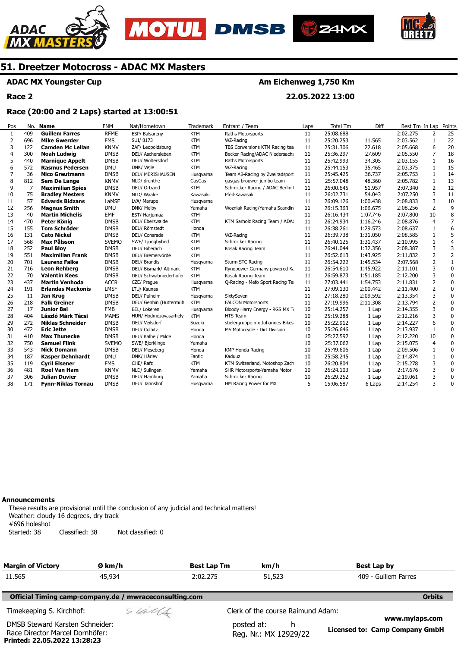





**Am Eichenweg 1,750 Km** 

**22.05.2022 13:00** 



# **51. Dreetzer Motocross - ADAC MX Masters**

# **ADAC MX Youngster Cup**

**Race 2** 

# **Race (20:00 and 2 Laps) started at 13:00:51**

| Pos            | No. | <b>Name</b>               | <b>FNM</b>   | Nat/Hometown           | Trademark  | Entrant / Team                   | Laps | <b>Total Tm</b> | Diff     | Best Tm In Lap |                | Points         |
|----------------|-----|---------------------------|--------------|------------------------|------------|----------------------------------|------|-----------------|----------|----------------|----------------|----------------|
| $\mathbf{1}$   | 409 | <b>Guillem Farres</b>     | <b>RFME</b>  | ESP/ Balsareny         | <b>KTM</b> | Raths Motorsports                | 11   | 25:08.688       |          | 2:02.275       | 2              | 25             |
| 2              | 696 | <b>Mike Gwerder</b>       | <b>FMS</b>   | SUI/8173               | <b>KTM</b> | WZ-Racing                        | 11   | 25:20.253       | 11.565   | 2:03.562       | 1              | 22             |
| 3              | 122 | <b>Camden Mc Lellan</b>   | <b>KNMV</b>  | ZAF/ Leopoldsburg      | <b>KTM</b> | TBS Conversions KTM Racing tea   | 11   | 25:31.306       | 22.618   | 2:05.668       | 6              | 20             |
| $\overline{a}$ | 300 | Noah Ludwig               | <b>DMSB</b>  | DEU/ Aschersleben      | <b>KTM</b> | Becker Racing/ADAC Niedersachs   | 11   | 25:36.297       | 27.609   | 2:05.550       | 7              | 18             |
| 5              | 440 | <b>Marnique Appelt</b>    | <b>DMSB</b>  | DEU/ Woltersdorf       | <b>KTM</b> | Raths Motorsports                | 11   | 25:42.993       | 34.305   | 2:03.155       | 1              | 16             |
| 6              | 572 | <b>Rasmus Pedersen</b>    | <b>DMU</b>   | DNK/ Vejle             | <b>KTM</b> | WZ-Racing                        | 11   | 25:44.153       | 35.465   | 2:03.375       | $\mathbf{1}$   | 15             |
| 7              | 36  | <b>Nico Greutmann</b>     | <b>DMSB</b>  | DEU/ MERISHAUSEN       | Husqvarna  | Team AB-Racing by Zweiradsport   | 11   | 25:45.425       | 36.737   | 2:05.753       | 1              | 14             |
| 8              | 812 | <b>Sem De Lange</b>       | <b>KNMV</b>  | NLD/ drenthe           | GasGas     | gasgas brouwer jumbo team        | 11   | 25:57.048       | 48.360   | 2:05.782       | 1              | 13             |
| 9              | 7   | <b>Maximilian Spies</b>   | <b>DMSB</b>  | DEU/ Ortrand           | <b>KTM</b> | Schmicker Racing / ADAC Berlin I | 11   | 26:00.645       | 51.957   | 2:07.340       | 2              | 12             |
| 10             | 75  | <b>Bradley Mesters</b>    | <b>KNMV</b>  | NLD/ Waalre            | Kawasaki   | Pfeil-Kawasaki                   | 11   | 26:02.731       | 54.043   | 2:07.250       | 3              | 11             |
| 11             | 57  | <b>Edvards Bidzans</b>    | LaMSF        | LVA/ Marupe            | Husqvarna  |                                  | 11   | 26:09.126       | 1:00.438 | 2:08.833       | 3              | 10             |
| 12             | 256 | <b>Magnus Smith</b>       | <b>DMU</b>   | DNK/ Melby             | Yamaha     | Wozniak Racing/Yamaha Scandin    | 11   | 26:15.363       | 1:06.675 | 2:08.256       | $\overline{2}$ | 9              |
| 13             | 40  | <b>Martin Michelis</b>    | <b>EMF</b>   | EST/ Harjumaa          | <b>KTM</b> |                                  | 11   | 26:16.434       | 1:07.746 | 2:07.800       | 10             | 8              |
| 14             | 470 | Peter König               | <b>DMSB</b>  | DEU/ Eberswalde        | <b>KTM</b> | KTM Sarholz Racing Team / ADA    | 11   | 26:24.934       | 1:16.246 | 2:08.876       | $\overline{4}$ | $\overline{7}$ |
| 15             | 155 | <b>Tom Schröder</b>       | <b>DMSB</b>  | DEU/ Römstedt          | Honda      |                                  | 11   | 26:38.261       | 1:29.573 | 2:08.637       | 1              | 6              |
| 16             | 131 | <b>Cato Nickel</b>        | <b>DMSB</b>  | DEU/ Consrade          | <b>KTM</b> | WZ-Racing                        | 11   | 26:39.738       | 1:31.050 | 2:08.585       | 1              | 5              |
| 17             | 568 | Max Pålsson               | <b>SVEMO</b> | SWE/ Ljungbyhed        | <b>KTM</b> | Schmicker Racing                 | 11   | 26:40.125       | 1:31.437 | 2:10.995       | $\mathbf{1}$   | $\overline{4}$ |
| 18             | 252 | <b>Paul Bloy</b>          | <b>DMSB</b>  | DEU/ Biberach          | <b>KTM</b> | Kosak Racing Team                | 11   | 26:41.044       | 1:32.356 | 2:08.387       | 3              | 3              |
| 19             | 551 | <b>Maximilian Frank</b>   | <b>DMSB</b>  | DEU/ Bremervörde       | <b>KTM</b> |                                  | 11   | 26:52.613       | 1:43.925 | 2:11.832       | $\overline{2}$ | $\overline{2}$ |
| 20             | 701 | <b>Laurenz Falke</b>      | <b>DMSB</b>  | DEU/ Brandis           | Husgvarna  | Sturm STC Racing                 | 11   | 26:54.222       | 1:45.534 | 2:07.568       | $\overline{2}$ | $\mathbf{1}$   |
| 21             | 716 | <b>Leon Rehberg</b>       | <b>DMSB</b>  | DEU/ Bismark/ Altmark  | <b>KTM</b> | Rynopower Germany powered Ka     | 11   | 26:54.610       | 1:45.922 | 2:11.101       | 3              | $\Omega$       |
| 22             | 70  | <b>Valentin Kees</b>      | <b>DMSB</b>  | DEU/ Schwabniederhofer | <b>KTM</b> | Kosak Racing Team                | 11   | 26:59.873       | 1:51.185 | 2:12.200       | 3              | $\mathbf{0}$   |
| 23             | 437 | <b>Martin Venhoda</b>     | <b>ACCR</b>  | CZE/ Prague            | Husgvarna  | Q-Racing - Mefo Sport Racing Te  | 11   | 27:03.441       | 1:54.753 | 2:11.831       | $\overline{2}$ | $\mathbf 0$    |
| 24             | 191 | <b>Erlandas Mackonis</b>  | <b>LMSF</b>  | LTU/ Kaunas            | <b>KTM</b> |                                  | 11   | 27:09.130       | 2:00.442 | 2:11.400       | 2              | $\mathbf 0$    |
| 25             | 11  | Jan Krug                  | <b>DMSB</b>  | DEU/ Pulheim           | Husgvarna  | SixtySeven                       | 11   | 27:18.280       | 2:09.592 | 2:13.354       | 3              | 0              |
| 26             | 218 | <b>Falk Greiner</b>       | <b>DMSB</b>  | DEU/ Genhin (Hüttermüh | <b>KTM</b> | <b>FALCON Motorsports</b>        | 11   | 27:19.996       | 2:11.308 | 2:13.794       | $\overline{2}$ | $\mathbf 0$    |
| 27             | 17  | <b>Junior Bal</b>         | <b>FMB</b>   | BEL/ Lokeren           | Husqvarna  | Bloody Harry Energy - RGS MX Ti  | 10   | 25:14.257       | 1 Lap    | 2:14.355       | 3              | 0              |
| 28             | 404 | László Márk Técsi         | <b>MAMS</b>  | HUN/ Hodmezovasarhely  | <b>KTM</b> | <b>HTS Team</b>                  | 10   | 25:19.288       | 1 Lap    | 2:12.216       | 3              | 0              |
| 29             | 272 | <b>Niklas Schneider</b>   | <b>DMSB</b>  | DEU/ Veilsdorf         | Suzuki     | stielergruppe.mx Johannes-Bikes  | 10   | 25:22.912       | 1 Lap    | 2:14.227       | 6              | 0              |
| 30             | 472 | <b>Eric Jette</b>         | <b>DMSB</b>  | DEU/ Colbitz           | Honda      | MS Motorcycle - Dirt Division    | 10   | 25:26.646       | 1 Lap    | 2:13.937       | 1              | 0              |
| 31             | 410 | <b>Max Thunecke</b>       | <b>DMSB</b>  | DEU/ Kalbe / Milde     | Honda      |                                  | 10   | 25:27.592       | 1 Lap    | 2:12.220       | 10             | $\pmb{0}$      |
| 32             | 750 | <b>Samuel Flink</b>       | <b>SVEMO</b> | SWE/ Bjorklinge        | Yamaha     |                                  | 10   | 25:37.062       | 1 Lap    | 2:15.075       | $\overline{4}$ | 0              |
| 33             | 543 | <b>Nick Domann</b>        | <b>DMSB</b>  | DEU/ Meseberg          | Honda      | KMP Honda Racing                 | 10   | 25:49.606       | 1 Lap    | 2:09.506       | 1              | 0              |
| 34             | 187 | <b>Kasper Dehnhardt</b>   | <b>DMU</b>   | DNK/ Hårlev            | Fantic     | Kaduuz                           | 10   | 25:58.245       | 1 Lap    | 2:14.874       | 1              | 0              |
| 35             | 119 | <b>Cyril Elsener</b>      | <b>FMS</b>   | CHE/ Rafz              | <b>KTM</b> | KTM Switzerland, Motoshop Zach   | 10   | 26:20.804       | 1 Lap    | 2:15.278       | 3              | $\Omega$       |
| 36             | 481 | <b>Roel Van Ham</b>       | <b>KNMV</b>  | NLD/ Sulingen          | Yamaha     | SHR Motorsports-Yamaha Motor     | 10   | 26:24.103       | 1 Lap    | 2:17.676       | 3              | 0              |
| 37             | 306 | <b>Julian Duvier</b>      | <b>DMSB</b>  | DEU/ Hamburg           | Yamaha     | Schmicker Racing                 | 10   | 26:29.252       | 1 Lap    | 2:19.061       | 3              | 0              |
| 38             | 171 | <b>Fynn-Niklas Tornau</b> | <b>DMSB</b>  | DEU/ Jahnshof          | Husavarna  | HM Racing Power for MX           | 5    | 15:06.587       | 6 Laps   | 2:14.254       | 3              | $\mathbf{0}$   |

#### **Announcements**

**Printed: 22.05.2022 13:28:23** 

These results are provisional until the conclusion of any judicial and technical matters! Weather: cloudy 16 degrees, dry track #696 holeshot Started: 38 Classified: 38 Not classified: 0

| <b>Margin of Victory</b>                                           | Ø km/h                                                 | <b>Best Lap Tm</b> | km/h                                     | Best Lap by                                      |
|--------------------------------------------------------------------|--------------------------------------------------------|--------------------|------------------------------------------|--------------------------------------------------|
| 11.565                                                             | 45,934<br>2:02.275                                     |                    | 51,523                                   | 409 - Guillem Farres                             |
|                                                                    | Official Timing camp-company.de / mwraceconsulting.com |                    |                                          | <b>Orbits</b>                                    |
| Timekeeping S. Kirchhof:                                           | sulls                                                  |                    | Clerk of the course Raimund Adam:        |                                                  |
| DMSB Steward Karsten Schneider:<br>Race Director Marcel Dornhöfer: |                                                        |                    | posted at:<br>h<br>Reg. Nr.: MX 12929/22 | www.mylaps.com<br>Licensed to: Camp Company GmbH |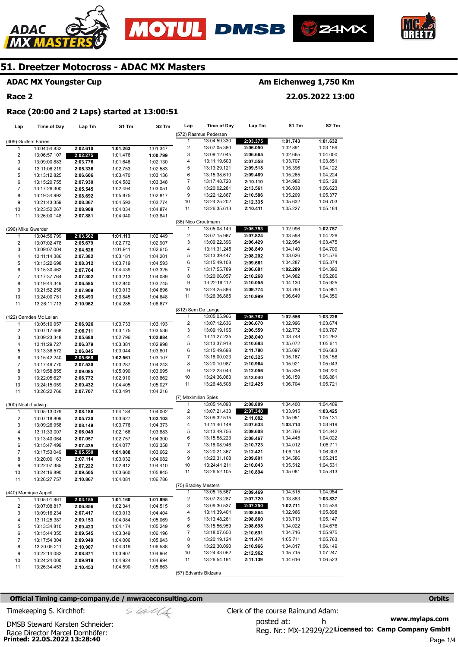







# **ADAC MX Youngster Cup**

## **Race 2**

# **Am Eichenweg 1,750 Km**

**22.05.2022 13:00** 

#### **Race (20:00 and 2 Laps) started at 13:00:51**

| Lap                     | <b>Time of Day</b>     | Lap Tm   | S1 Tm    | S <sub>2</sub> Tm | Lap                     | <b>Time of Day</b>    | Lap Tm               | S1 Tm    | S2 Tm    |
|-------------------------|------------------------|----------|----------|-------------------|-------------------------|-----------------------|----------------------|----------|----------|
|                         |                        |          |          |                   |                         | (572) Rasmus Pedersen |                      |          |          |
| (409) Guillem Farres    |                        |          |          |                   | $\mathbf{1}$            | 13:04:59.330          | 2:03.375             | 1:01.743 | 1:01.632 |
| 1                       | 13:04:54.832           | 2:02.610 | 1:01.263 | 1:01.347          | $\overline{\mathbf{c}}$ | 13:07:05.380          | 2:06.050             | 1:02.891 | 1:03.159 |
| $\overline{c}$          | 13:06:57.107           | 2:02.275 | 1:01.476 | 1:00.799          | 3                       | 13:09:12.045          | 2:06.665             | 1:02.665 | 1:04.000 |
| 3                       | 13:09:00.883           | 2:03.776 | 1:01.646 | 1:02.130          | 4                       | 13:11:19.603          | 2:07.558             | 1:03.707 | 1:03.851 |
| 4                       | 13:11:06.219           | 2:05.336 | 1:02.753 | 1:02.583          | 5                       | 13:13:29.121          | 2:09.518             | 1:05.396 | 1:04.122 |
| 5                       | 13:13:12.825           | 2:06.606 | 1:03.470 | 1:03.136          | 6                       | 13:15:38.610          | 2:09.489             | 1:05.265 | 1:04.224 |
| 6                       | 13:15:20.755           | 2:07.930 | 1:04.582 | 1:03.348          | 7                       | 13:17:48.720          | 2:10.110             | 1:04.982 | 1:05.128 |
| $\boldsymbol{7}$        | 13:17:26.300           | 2:05.545 | 1:02.494 | 1:03.051          | 8                       | 13:20:02.281          | 2:13.561             | 1:06.938 | 1:06.623 |
| 8                       | 13:19:34.992           | 2:08.692 | 1:05.875 | 1:02.817          | 9                       | 13:22:12.867          | 2:10.586             | 1:05.209 | 1:05.377 |
| 9                       | 13:21:43.359           | 2:08.367 | 1:04.593 | 1:03.774          | 10                      | 13:24:25.202          | 2:12.335             | 1:05.632 | 1:06.703 |
| 10                      | 13:23:52.267           | 2:08.908 | 1:04.034 | 1:04.874          | 11                      | 13:26:35.613          | 2:10.411             | 1:05.227 | 1:05.184 |
| 11                      | 13:26:00.148           | 2:07.881 | 1:04.040 | 1:03.841          |                         |                       |                      |          |          |
|                         |                        |          |          |                   | (36) Nico Greutmann     |                       |                      |          |          |
| (696) Mike Gwerder      |                        |          |          |                   | 1                       | 13:05:08.143          | 2:05.753             | 1:02.996 | 1:02.757 |
| $\mathbf{1}$            | 13:04:56.799           | 2:03.562 | 1:01.113 | 1:02.449          | $\overline{\mathbf{c}}$ | 13:07:15.967          | 2:07.824             | 1:03.598 | 1:04.226 |
| $\overline{\mathbf{c}}$ | 13:07:02.478           | 2:05.679 | 1:02.772 | 1:02.907          | 3                       | 13:09:22.396          | 2:06.429             | 1:02.954 | 1:03.475 |
| 3                       | 13:09:07.004           | 2:04.526 | 1:01.911 | 1:02.615          | 4                       | 13:11:31.245          | 2:08.849             | 1:04.140 | 1:04.709 |
| 4                       | 13:11:14.386           | 2:07.382 | 1:03.181 | 1:04.201          | 5                       | 13:13:39.447          | 2:08.202             | 1:03.626 | 1:04.576 |
| 5                       | 13:13:22.698           | 2:08.312 | 1:03.719 | 1:04.593          | 6                       | 13:15:49.108          | 2:09.661             | 1:04.287 | 1:05.374 |
| 6                       | 13:15:30.462           | 2:07.764 | 1:04.439 | 1:03.325          | 7                       | 13:17:55.789          | 2:06.681             | 1:02.289 | 1:04.392 |
| $\boldsymbol{7}$        | 13:17:37.764           | 2:07.302 | 1:03.213 | 1:04.089          | 8                       | 13:20:06.057          | 2:10.268             | 1:04.982 | 1:05.286 |
| 8                       | 13:19:44.349           | 2:06.585 | 1:02.840 | 1:03.745          | 9                       | 13:22:16.112          | 2:10.055             | 1:04.130 | 1:05.925 |
| 9                       | 13:21:52.258           | 2:07.909 | 1:03.013 | 1:04.896          | 10                      | 13:24:25.886          | 2:09.774             | 1:03.793 | 1:05.981 |
| 10                      | 13:24:00.751           | 2:08.493 | 1:03.845 | 1:04.648          | 11                      | 13:26:36.885          | 2:10.999             | 1:06.649 | 1:04.350 |
| 11                      | 13:26:11.713           | 2:10.962 | 1:04.285 | 1:06.677          |                         |                       |                      |          |          |
|                         |                        |          |          |                   | (812) Sem De Lange      |                       |                      |          |          |
|                         | (122) Camden Mc Lellan |          |          |                   | $\mathbf{1}$            | 13:05:05.966          | 2:05.782             | 1:02.556 | 1:03.226 |
| 1                       | 13:05:10.957           | 2:06.926 | 1:03.733 | 1:03.193          | $\overline{\mathbf{c}}$ | 13:07:12.636          | 2:06.670             | 1:02.996 | 1:03.674 |
| $\overline{\mathbf{c}}$ | 13:07:17.668           | 2:06.711 | 1:03.175 | 1:03.536          | 3                       | 13:09:19.195          | 2:06.559             | 1:02.772 | 1:03.787 |
| 3                       | 13:09:23.348           | 2:05.680 | 1:02.796 | 1:02.884          | 4                       | 13:11:27.235          | 2:08.040             | 1:03.748 | 1:04.292 |
| 4                       | 13:11:29.727           | 2:06.379 | 1:03.381 | 1:02.998          | 5                       | 13:13:37.918          | 2:10.683             | 1:05.072 | 1:05.611 |
| 5                       | 13:13:36.572           | 2:06.845 | 1:03.044 | 1:03.801          | 6                       | 13:15:49.698          | 2:11.780             | 1:05.097 | 1:06.683 |
| 6                       | 13:15:42.240           | 2:05.668 | 1:02.561 | 1:03.107          | 7                       | 13:18:00.023          | 2:10.325             | 1:05.167 | 1:05.158 |
| $\overline{7}$          | 13:17:49.770           | 2:07.530 | 1:03.287 | 1:04.243          | 8                       | 13:20:10.987          | 2:10.964             | 1:05.921 | 1:05.043 |
| 8                       | 13:19:58.855           | 2:09.085 | 1:05.090 | 1:03.995          | 9                       | 13:22:23.043          | 2:12.056             | 1:05.836 | 1:06.220 |
| 9                       | 13:22:05.627           | 2:06.772 | 1:02.910 | 1:03.862          | 10                      | 13:24:36.083          | 2:13.040             | 1:06.159 | 1:06.881 |
| 10                      | 13:24:15.059           | 2:09.432 | 1:04.405 | 1:05.027          | 11                      | 13:26:48.508          | 2:12.425             | 1:06.704 | 1:05.721 |
| 11                      | 13:26:22.766           | 2:07.707 | 1:03.491 | 1:04.216          |                         |                       |                      |          |          |
|                         |                        |          |          |                   | (7) Maximilian Spies    |                       |                      |          |          |
| (300) Noah Ludwig       |                        |          |          |                   | $\mathbf{1}$            | 13:05:14.093          | 2:08.809             | 1:04.400 | 1:04.409 |
| $\mathbf{1}$            | 13:05:13.079           | 2:08.186 | 1:04.184 | 1:04.002          | $\overline{\mathbf{c}}$ | 13:07:21.433          | 2:07.340             | 1:03.915 | 1:03.425 |
| 2                       | 13:07:18.809           | 2:05.730 | 1:03.627 | 1:02.103          | 3                       | 13:09:32.515          | 2:11.082             | 1:05.951 | 1:05.131 |
| 3                       | 13:09:26.958           | 2:08.149 | 1:03.776 | 1:04.373          | 4                       | 13:11:40.148          | 2:07.633             | 1:03.714 | 1:03.919 |
| 4                       | 13:11:33.007           | 2:06.049 | 1:02.166 | 1:03.883          | 5                       | 13:13:49.756          | 2:09.608             | 1:04.766 | 1:04.842 |
| 5                       | 13:13:40.064           | 2:07.057 | 1:02.757 | 1:04.300          | 6                       | 13:15:58.223          | 2:08.467             | 1:04.445 | 1:04.022 |
| 6                       | 13:15:47.499           | 2:07.435 | 1:04.077 | 1:03.358          | 7                       | 13:18:08.946          | 2:10.723             | 1:04.012 | 1:06.711 |
| $\overline{7}$          | 13:17:53.049           | 2:05.550 | 1:01.888 | 1:03.662          | 8                       | 13:20:21.367          | 2:12.421             | 1:06.118 | 1:06.303 |
| 8                       | 13:20:00.163           | 2:07.114 | 1:03.032 | 1:04.082          | 9                       | 13:22:31.168          | 2:09.801             | 1:04.586 | 1:05.215 |
| 9                       | 13:22:07.385           | 2:07.222 | 1:02.812 | 1:04.410          | 10                      | 13:24:41.211          | 2:10.043             | 1:05.512 | 1:04.531 |
| 10                      | 13:24:16.890           | 2:09.505 | 1:03.660 | 1:05.845          | 11                      | 13:26:52.105          | 2:10.894             | 1:05.081 | 1:05.813 |
|                         |                        |          |          |                   |                         |                       |                      |          |          |
| 11                      | 13:26:27.757           | 2:10.867 | 1:04.081 | 1:06.786          | (75) Bradley Mesters    |                       |                      |          |          |
|                         |                        |          |          |                   | 1                       | 13:05:15.567          |                      | 1:04.515 | 1:04.954 |
|                         | (440) Marnique Appelt  |          |          |                   | 2                       |                       | 2:09.469<br>2:07.720 |          |          |
| $\mathbf{1}$            | 13:05:01.961           | 2:03.155 | 1:01.160 | 1:01.995          |                         | 13:07:23.287          |                      | 1:03.883 | 1:03.837 |
| 2                       | 13:07:08.817           | 2:06.856 | 1:02.341 | 1:04.515          | 3                       | 13:09:30.537          | 2:07.250             | 1:02.711 | 1:04.539 |
| 3                       | 13:09:16.234           | 2:07.417 | 1:03.013 | 1:04.404          | 4                       | 13:11:39.401          | 2:08.864             | 1:02.966 | 1:05.898 |
| 4                       | 13:11:25.387           | 2:09.153 | 1:04.084 | 1:05.069          | 5                       | 13:13:48.261          | 2:08.860             | 1:03.713 | 1:05.147 |
| 5                       | 13:13:34.810           | 2:09.423 | 1:04.174 | 1:05.249          | 6                       | 13:15:56.959          | 2:08.698             | 1:04.022 | 1:04.676 |
| 6                       | 13:15:44.355           | 2:09.545 | 1:03.349 | 1:06.196          | 7                       | 13:18:07.650          | 2:10.691             | 1:04.716 | 1:05.975 |
| $\overline{7}$          | 13:17:54.304           | 2:09.949 | 1:04.006 | 1:05.943          | 8                       | 13:20:19.124          | 2:11.474             | 1:05.711 | 1:05.763 |
| 8                       | 13:20:05.211           | 2:10.907 | 1:04.319 | 1:06.588          | 9                       | 13:22:30.090          | 2:10.966             | 1:04.817 | 1:06.149 |
| 9                       | 13:22:14.082           | 2:08.871 | 1:03.907 | 1:04.964          | 10                      | 13:24:43.052          | 2:12.962             | 1:05.715 | 1:07.247 |
| 10                      | 13:24:24.000           | 2:09.918 | 1:04.924 | 1:04.994          | 11                      | 13:26:54.191          | 2:11.139             | 1:04.616 | 1:06.523 |
| 11                      | 13:26:34.453           | 2:10.453 | 1:04.590 | 1:05.863          |                         |                       |                      |          |          |
|                         |                        |          |          |                   | (57) Edvards Bidzans    |                       |                      |          |          |

### **Official Timing camp-company.de / mwraceconsulting.com <b>Orbits Orbits Orbits Orbits**

Race Director Marcel Dornhöfer:<br>**Printed: 22.05.2022 13:28:40** 

DMSB Steward Karsten Schneider: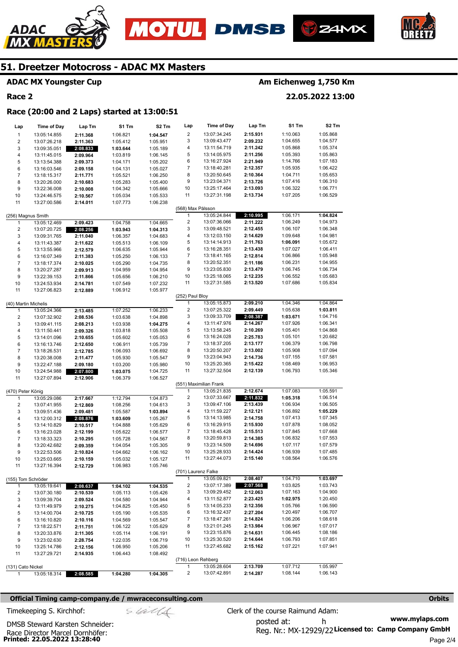





#### **ADAC MX Youngster Cup**

# **Race 2**

ADAC

# **Am Eichenweg 1,750 Km**

**22.05.2022 13:00** 

# **Race (20:00 and 2 Laps) started at 13:00:51**

| Lap                     | <b>Time of Day</b>   | Lap Tm   | S1 Tm    | S2 Tm    | Lap                     | Time of Day            | Lap Tm   | S1 Tm    | S2 Tm    |
|-------------------------|----------------------|----------|----------|----------|-------------------------|------------------------|----------|----------|----------|
| $\mathbf{1}$            | 13:05:14.855         | 2:11.368 | 1:06.821 | 1:04.547 | $\overline{\mathbf{c}}$ | 13:07:34.245           | 2:15.931 | 1:10.063 | 1:05.868 |
| $\overline{\mathbf{c}}$ | 13:07:26.218         | 2:11.363 | 1:05.412 | 1:05.951 | 3                       | 13:09:43.477           | 2:09.232 | 1:04.655 | 1:04.577 |
| 3                       | 13:09:35.051         | 2:08.833 | 1:03.644 | 1:05.189 | 4                       | 13:11:54.719           | 2:11.242 | 1:05.868 | 1:05.374 |
| 4                       |                      |          |          |          | 5                       | 13:14:05.975           | 2:11.256 | 1:05.393 | 1:05.863 |
|                         | 13:11:45.015         | 2:09.964 | 1:03.819 | 1:06.145 | 6                       | 13:16:27.924           | 2:21.949 | 1:14.766 | 1:07.183 |
| 5                       | 13:13:54.388         | 2:09.373 | 1:04.171 | 1:05.202 |                         |                        |          |          |          |
| 6                       | 13:16:03.546         | 2:09.158 | 1:04.131 | 1:05.027 | 7                       | 13:18:40.281           | 2:12.357 | 1:05.935 | 1:06.422 |
| $\overline{7}$          | 13:18:15.317         | 2:11.771 | 1:05.521 | 1:06.250 | 8                       | 13:20:50.645           | 2:10.364 | 1:04.711 | 1:05.653 |
| 8                       | 13:20:26.000         | 2:10.683 | 1:05.283 | 1:05.400 | 9                       | 13:23:04.371           | 2:13.726 | 1:07.416 | 1:06.310 |
| 9                       | 13:22:36.008         | 2:10.008 | 1:04.342 | 1:05.666 | 10                      | 13:25:17.464           | 2:13.093 | 1:06.322 | 1:06.771 |
| 10                      | 13:24:46.575         | 2:10.567 | 1:05.034 | 1:05.533 | 11                      | 13:27:31.198           | 2:13.734 | 1:07.205 | 1:06.529 |
| 11                      | 13:27:00.586         | 2:14.011 | 1:07.773 | 1:06.238 |                         |                        |          |          |          |
|                         |                      |          |          |          | (568) Max Pålsson       |                        |          |          |          |
|                         | (256) Magnus Smith   |          |          |          | $\mathbf{1}$            | 13:05:24.844           | 2:10.995 | 1:06.171 | 1:04.824 |
| 1                       | 13:05:12.469         | 2:09.423 | 1:04.758 | 1:04.665 | $\overline{\mathbf{c}}$ | 13:07:36.066           | 2:11.222 | 1:06.249 | 1:04.973 |
| 2                       | 13:07:20.725         | 2:08.256 | 1:03.943 | 1:04.313 | 3                       | 13:09:48.521           | 2:12.455 | 1:06.107 | 1:06.348 |
| 3                       | 13:09:31.765         | 2:11.040 | 1:06.357 | 1:04.683 | 4                       | 13:12:03.150           | 2:14.629 | 1:09.648 | 1:04.981 |
| 4                       | 13:11:43.387         | 2:11.622 | 1:05.513 | 1:06.109 | 5                       | 13:14:14.913           | 2:11.763 | 1:06.091 | 1:05.672 |
| 5                       | 13:13:55.966         | 2:12.579 | 1:06.635 | 1:05.944 | 6                       | 13:16:28.351           | 2:13.438 | 1:07.027 | 1:06.411 |
| 6                       | 13:16:07.349         |          | 1:05.250 | 1:06.133 | 7                       | 13:18:41.165           | 2:12.814 | 1:06.866 | 1:05.948 |
|                         |                      | 2:11.383 |          |          | 8                       | 13:20:52.351           | 2:11.186 | 1:06.231 | 1:04.955 |
| $\overline{7}$          | 13:18:17.374         | 2:10.025 | 1:05.290 | 1:04.735 |                         |                        |          |          |          |
| 8                       | 13:20:27.287         | 2:09.913 | 1:04.959 | 1:04.954 | 9                       | 13:23:05.830           | 2:13.479 | 1:06.745 | 1:06.734 |
| 9                       | 13:22:39.153         | 2:11.866 | 1:05.656 | 1:06.210 | 10                      | 13:25:18.065           | 2:12.235 | 1:06.552 | 1:05.683 |
| 10                      | 13:24:53.934         | 2:14.781 | 1:07.549 | 1:07.232 | 11                      | 13:27:31.585           | 2:13.520 | 1:07.686 | 1:05.834 |
| 11                      | 13:27:06.823         | 2:12.889 | 1:06.912 | 1:05.977 |                         |                        |          |          |          |
|                         |                      |          |          |          | (252) Paul Bloy         |                        |          |          |          |
|                         | (40) Martin Michelis |          |          |          | $\mathbf{1}$            | 13:05:15.873           | 2:09.210 | 1:04.346 | 1:04.864 |
| $\mathbf{1}$            | 13:05:24.366         | 2:13.485 | 1:07.252 | 1:06.233 | $\overline{\mathbf{c}}$ | 13:07:25.322           | 2:09.449 | 1:05.638 | 1:03.811 |
| 2                       | 13:07:32.902         | 2:08.536 | 1:03.638 | 1:04.898 | 3                       | 13:09:33.709           | 2:08.387 | 1:03.671 | 1:04.716 |
| 3                       | 13:09:41.115         | 2:08.213 | 1:03.938 | 1:04.275 | 4                       | 13:11:47.976           | 2:14.267 | 1:07.926 | 1:06.341 |
| 4                       | 13:11:50.441         | 2:09.326 | 1:03.818 | 1:05.508 | 5                       | 13:13:58.245           | 2:10.269 | 1:05.401 | 1:04.868 |
| 5                       | 13:14:01.096         | 2:10.655 | 1:05.602 | 1:05.053 | 6                       | 13:16:24.028           | 2:25.783 | 1:05.101 | 1:20.682 |
| 6                       | 13:16:13.746         | 2:12.650 | 1:06.911 | 1:05.739 | $\overline{7}$          | 13:18:37.205           | 2:13.177 | 1:06.379 | 1:06.798 |
| 7                       |                      |          |          |          | 8                       | 13:20:50.207           | 2:13.002 | 1:05.908 | 1:07.094 |
|                         | 13:18:26.531         | 2:12.785 | 1:06.093 | 1:06.692 | 9                       | 13:23:04.943           | 2:14.736 | 1:07.155 | 1:07.581 |
| 8                       | 13:20:38.008         | 2:11.477 | 1:05.930 | 1:05.547 |                         |                        |          |          |          |
| 9                       | 13:22:47.188         | 2:09.180 | 1:03.200 | 1:05.980 | 10                      | 13:25:20.365           | 2:15.422 | 1:08.469 | 1:06.953 |
| 10                      | 13:24:54.988         | 2:07.800 | 1:03.075 | 1:04.725 | 11                      | 13:27:32.504           | 2:12.139 | 1:06.793 | 1:05.346 |
| 11                      | 13:27:07.894         | 2:12.906 | 1:06.379 | 1:06.527 |                         |                        |          |          |          |
|                         |                      |          |          |          |                         | (551) Maximilian Frank |          |          |          |
| (470) Peter König       |                      |          |          |          | $\mathbf{1}$            | 13:05:21.835           | 2:12.674 | 1:07.083 | 1:05.591 |
| 1                       | 13:05:29.086         | 2:17.667 | 1:12.794 | 1:04.873 | $\overline{\mathbf{c}}$ | 13:07:33.667           | 2:11.832 | 1:05.318 | 1:06.514 |
| 2                       | 13:07:41.955         | 2:12.869 | 1:08.256 | 1:04.613 | 3                       | 13:09:47.106           | 2:13.439 | 1:06.934 | 1:06.505 |
| 3                       | 13:09:51.436         | 2:09.481 | 1:05.587 | 1:03.894 | 4                       | 13:11:59.227           | 2:12.121 | 1:06.892 | 1:05.229 |
| 4                       | 13:12:00.312         | 2:08.876 | 1:03.609 | 1:05.267 | 5                       | 13:14:13.985           | 2:14.758 | 1:07.413 | 1:07.345 |
| 5                       | 13:14:10.829         | 2:10.517 | 1:04.888 | 1:05.629 | 6                       | 13:16:29.915           | 2:15.930 | 1:07.878 | 1:08.052 |
| 6                       | 13:16:23.028         | 2:12.199 | 1:05.622 | 1:06.577 | $\overline{7}$          | 13:18:45.428           | 2:15.513 | 1:07.845 | 1:07.668 |
| 7                       | 13:18:33.323         | 2:10.295 | 1:05.728 | 1:04.567 | 8                       | 13:20:59.813           | 2:14.385 | 1:06.832 | 1:07.553 |
| 8                       | 13:20:42.682         | 2:09.359 | 1:04.054 |          | 9                       | 13:23:14.509           | 2:14.696 | 1:07.117 | 1:07.579 |
|                         |                      |          |          | 1:05.305 |                         | 13:25:28.933           |          | 1:06.939 | 1:07.485 |
| 9                       | 13:22:53.506         | 2:10.824 | 1:04.662 | 1:06.162 | 10<br>11                | 13:27:44.073           | 2:14.424 | 1:08.564 | 1:06.576 |
| 10                      | 13:25:03.665         | 2:10.159 | 1:05.032 | 1:05.127 |                         |                        | 2:15.140 |          |          |
| 11                      | 13:27:16.394         | 2:12.729 | 1:06.983 | 1:05.746 |                         |                        |          |          |          |
|                         |                      |          |          |          | (701) Laurenz Falke     |                        |          |          |          |
|                         | (155) Tom Schröder   |          |          |          | 1                       | 13:05:09.821           | 2:08.407 | 1:04.710 | 1:03.697 |
| 1                       | 13:05:19.641         | 2:08.637 | 1:04.102 | 1:04.535 | 2                       | 13:07:17.389           | 2:07.568 | 1:03.825 | 1:03.743 |
| 2                       | 13:07:30.180         | 2:10.539 | 1:05.113 | 1:05.426 | 3                       | 13:09:29.452           | 2:12.063 | 1:07.163 | 1:04.900 |
| 3                       | 13:09:39.704         | 2:09.524 | 1:04.580 | 1:04.944 | 4                       | 13:11:52.877           | 2:23.425 | 1:02.975 | 1:20.450 |
| 4                       | 13:11:49.979         | 2:10.275 | 1:04.825 | 1:05.450 | 5                       | 13:14:05.233           | 2:12.356 | 1:05.766 | 1:06.590 |
| 5                       | 13:14:00.704         | 2:10.725 | 1:05.190 | 1:05.535 | 6                       | 13:16:32.437           | 2:27.204 | 1:20.497 | 1:06.707 |
| 6                       | 13:16:10.820         | 2:10.116 | 1:04.569 | 1:05.547 | 7                       | 13:18:47.261           | 2:14.824 | 1:06.206 | 1:08.618 |
| 7                       | 13:18:22.571         | 2:11.751 | 1:06.122 | 1:05.629 | 8                       | 13:21:01.245           | 2:13.984 | 1:06.967 | 1:07.017 |
| 8                       | 13:20:33.876         | 2:11.305 | 1:05.114 | 1:06.191 | 9                       | 13:23:15.876           | 2:14.631 | 1:06.445 | 1:08.186 |
| 9                       | 13:23:02.630         |          | 1:22.035 | 1:06.719 | 10                      | 13:25:30.520           | 2:14.644 | 1:06.793 | 1:07.851 |
|                         |                      | 2:28.754 |          |          | 11                      | 13:27:45.682           | 2:15.162 | 1:07.221 | 1:07.941 |
| 10                      | 13:25:14.786         | 2:12.156 | 1:06.950 | 1:05.206 |                         |                        |          |          |          |
| 11                      | 13:27:29.721         | 2:14.935 | 1:06.443 | 1:08.492 |                         |                        |          |          |          |
|                         |                      |          |          |          | (716) Leon Rehberg      |                        |          |          |          |
| (131) Cato Nickel       |                      |          |          |          | 1                       | 13:05:28.604           | 2:13.709 | 1:07.712 | 1:05.997 |
| 1                       | 13:05:18.314         | 2:08.585 | 1:04.280 | 1:04.305 | 2                       | 13:07:42.891           | 2:14.287 | 1:08.144 | 1:06.143 |

## **Official Timing camp-company.de / mwraceconsulting.com <b>Orbits and Company.de Company** orbits **Orbits Orbits**

$$
\mathcal{S}\mathcal{U}\mathcal{U}\mathcal{U}
$$

**www.mylaps.com**  Reg. Nr.: MX-12929/22 Licensed to: Camp Company GmbH posted at: h Timekeeping S. Kirchhof:  $\le \frac{1}{2}$  Clerk of the course Raimund Adam:

Race Director Marcel Dornhöfer:<br>**Printed: 22.05.2022 13:28:40** DMSB Steward Karsten Schneider: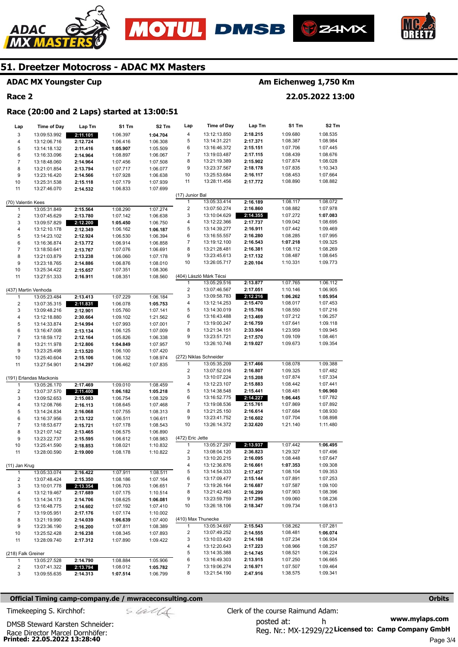





## **ADAC MX Youngster Cup**

## **Race 2**

ADAC

# **Am Eichenweg 1,750 Km**

**22.05.2022 13:00** 

# **Race (20:00 and 2 Laps) started at 13:00:51**

| Lap                     | <b>Time of Day</b>      | Lap Tm   | S1 Tm    | S <sub>2</sub> Tm | Lap                     | Time of Day             | Lap Tm   | S1 Tm    | S <sub>2</sub> Tm |
|-------------------------|-------------------------|----------|----------|-------------------|-------------------------|-------------------------|----------|----------|-------------------|
| 3                       | 13:09:53.992            | 2:11.101 | 1:06.397 | 1:04.704          | 4                       | 13:12:13.850            | 2:18.215 | 1:09.680 | 1:08.535          |
| 4                       | 13:12:06.716            | 2:12.724 | 1:06.416 | 1:06.308          | 5                       | 13:14:31.221            | 2:17.371 | 1:08.387 | 1:08.984          |
| 5                       | 13:14:18.132            | 2:11.416 | 1:05.907 | 1:05.509          | 6                       | 13:16:46.372            | 2:15.151 | 1:07.706 | 1:07.445          |
| 6                       | 13:16:33.096            | 2:14.964 | 1:08.897 | 1:06.067          | 7                       | 13:19:03.487            | 2:17.115 | 1:08.439 | 1:08.676          |
| $\overline{7}$          | 13:18:48.060            | 2:14.964 | 1:07.456 | 1:07.508          | 8                       | 13:21:19.389            | 2:15.902 | 1:07.874 | 1:08.028          |
| 8                       | 13:21:01.854            | 2:13.794 | 1:07.717 | 1:06.077          | 9                       | 13:23:37.567            | 2:18.178 | 1:07.835 | 1:10.343          |
| 9                       | 13:23:16.420            | 2:14.566 | 1:07.928 | 1:06.638          | 10                      | 13:25:53.684            | 2:16.117 | 1:08.453 | 1:07.664          |
| 10                      | 13:25:31.538            | 2:15.118 | 1:07.179 | 1:07.939          | 11                      | 13:28:11.456            | 2:17.772 | 1:08.890 | 1:08.882          |
| 11                      | 13:27:46.070            | 2:14.532 | 1:06.833 | 1:07.699          |                         |                         |          |          |                   |
|                         |                         |          |          |                   | (17) Junior Bal         |                         |          |          |                   |
| (70) Valentin Kees      |                         |          |          |                   | $\mathbf{1}$            | 13:05:33.414            | 2:16.189 | 1:08.117 | 1:08.072          |
| 1                       | 13:05:31.849            | 2:15.564 | 1:08.290 | 1:07.274          | $\overline{c}$          | 13:07:50.274            | 2:16.860 | 1:08.882 | 1:07.978          |
| $\overline{\mathbf{c}}$ | 13:07:45.629            | 2:13.780 | 1:07.142 | 1:06.638          | 3                       | 13:10:04.629            | 2:14.355 | 1:07.272 | 1:07.083          |
| 3                       | 13:09:57.829            | 2:12.200 | 1:05.450 | 1:06.750          | 4                       | 13:12:22.366            | 2:17.737 | 1:09.042 | 1:08.695          |
| 4                       | 13:12:10.178            | 2:12.349 | 1:06.162 | 1:06.187          | 5                       | 13:14:39.277            | 2:16.911 | 1:07.442 | 1:09.469          |
| 5                       | 13:14:23.102            | 2:12.924 | 1:06.530 | 1:06.394          | 6                       | 13:16:55.557            | 2:16.280 | 1:08.285 | 1:07.995          |
| 6                       | 13:16:36.874            | 2:13.772 | 1:06.914 | 1:06.858          | 7                       | 13:19:12.100            | 2:16.543 | 1:07.218 | 1:09.325          |
| $\overline{7}$          | 13:18:50.641            | 2:13.767 | 1:07.076 | 1:06.691          | 8                       | 13:21:28.481            | 2:16.381 | 1:08.112 | 1:08.269          |
| 8                       | 13:21:03.879            | 2:13.238 | 1:06.060 | 1:07.178          | 9                       | 13:23:45.613            | 2:17.132 | 1:08.487 | 1:08.645          |
| 9                       | 13:23:18.765            | 2:14.886 | 1:06.876 | 1:08.010          | 10                      | 13:26:05.717            | 2:20.104 | 1:10.331 | 1:09.773          |
| 10                      | 13:25:34.422            | 2:15.657 | 1:07.351 | 1:08.306          |                         | (404) László Márk Técsi |          |          |                   |
| 11                      | 13:27:51.333            | 2:16.911 | 1:08.351 | 1:08.560          | 1                       | 13:05:29.516            | 2:13.877 | 1:07.765 | 1:06.112          |
|                         | (437) Martin Venhoda    |          |          |                   | $\overline{\mathbf{c}}$ | 13:07:46.567            | 2:17.051 | 1:10.146 | 1:06.905          |
| 1                       | 13:05:23.484            | 2:13.413 | 1:07.229 | 1:06.184          | 3                       | 13:09:58.783            | 2:12.216 | 1:06.262 | 1:05.954          |
| $\overline{c}$          | 13:07:35.315            | 2:11.831 | 1:06.078 | 1:05.753          | 4                       | 13:12:14.253            | 2:15.470 | 1:08.017 | 1:07.453          |
| 3                       | 13:09:48.216            | 2:12.901 | 1:05.760 | 1:07.141          | 5                       | 13:14:30.019            | 2:15.766 | 1:08.550 | 1:07.216          |
| 4                       | 13:12:18.880            | 2:30.664 | 1:09.102 | 1:21.562          | 6                       | 13:16:43.488            | 2:13.469 | 1:07.212 | 1:06.257          |
| 5                       | 13:14:33.874            | 2:14.994 | 1:07.993 | 1:07.001          | 7                       | 13:19:00.247            | 2:16.759 | 1:07.641 | 1:09.118          |
| 6                       | 13:16:47.008            | 2:13.134 | 1:06.125 | 1:07.009          | 8                       | 13:21:34.151            | 2:33.904 | 1:23.959 | 1:09.945          |
| $\overline{7}$          | 13:18:59.172            | 2:12.164 | 1:05.826 | 1:06.338          | 9                       | 13:23:51.721            | 2:17.570 | 1:09.109 | 1:08.461          |
| 8                       | 13:21:11.978            | 2:12.806 | 1:04.849 | 1:07.957          | 10                      | 13:26:10.748            | 2:19.027 | 1:09.673 | 1:09.354          |
| 9                       | 13:23:25.498            | 2:13.520 | 1:06.100 | 1:07.420          |                         |                         |          |          |                   |
| 10                      | 13:25:40.604            | 2:15.106 | 1:06.132 | 1:08.974          |                         | (272) Niklas Schneider  |          |          |                   |
| 11                      | 13:27:54.901            | 2:14.297 | 1:06.462 | 1:07.835          | 1                       | 13:05:35.209            | 2:17.466 | 1:08.078 | 1:09.388          |
|                         |                         |          |          |                   | 2                       | 13:07:52.016            | 2:16.807 | 1:09.325 | 1:07.482          |
|                         | (191) Erlandas Mackonis |          |          |                   | 3                       | 13:10:07.224            | 2:15.208 | 1:07.874 | 1:07.334          |
| 1                       | 13:05:26.170            | 2:17.469 | 1:09.010 | 1:08.459          | 4                       | 13:12:23.107            | 2:15.883 | 1:08.442 | 1:07.441          |
| $\overline{2}$          | 13:07:37.570            | 2:11.400 | 1:06.182 | 1:05.218          | 5                       | 13:14:38.548            | 2:15.441 | 1:08.481 | 1:06.960          |
| 3                       | 13:09:52.653            | 2:15.083 | 1:06.754 | 1:08.329          | 6                       | 13:16:52.775            | 2:14.227 | 1:06.445 | 1:07.782          |
| 4                       | 13:12:08.766            | 2:16.113 | 1:08.645 | 1:07.468          | 7                       | 13:19:08.536            | 2:15.761 | 1:07.869 | 1:07.892          |
| 5                       | 13:14:24.834            | 2:16.068 | 1:07.755 | 1:08.313          | 8                       | 13:21:25.150            | 2:16.614 | 1:07.684 | 1:08.930          |
| 6                       | 13:16:37.956            | 2:13.122 | 1:06.511 | 1:06.611          | 9                       | 13:23:41.752            | 2:16.602 | 1:07.704 | 1:08.898          |
| $\overline{7}$          | 13:18:53.677            | 2:15.721 | 1:07.178 | 1:08.543          | 10                      | 13:26:14.372            | 2:32.620 | 1:21.140 | 1:11.480          |
| 8                       | 13:21:07.142            | 2:13.465 | 1:06.575 | 1:06.890          |                         |                         |          |          |                   |
| 9                       | 13:23:22.737            | 2:15.595 | 1:06.612 | 1:08.983          | (472) Eric Jette<br>1   | 13:05:27.297            | 2:13.937 | 1:07.442 | 1:06.495          |
| 10                      | 13:25:41.590            | 2:18.853 | 1:08.021 | 1:10.832          | $\overline{\mathbf{c}}$ | 13:08:04.120            | 2:36.823 | 1:29.327 | 1:07.496          |
| 11                      | 13:28:00.590            | 2:19.000 | 1:08.178 | 1:10.822          | 3                       | 13:10:20.215            | 2:16.095 | 1:08.448 | 1:07.647          |
| (11) Jan Krug           |                         |          |          |                   | 4                       | 13:12:36.876            | 2:16.661 | 1:07.353 | 1:09.308          |
| 1                       | 13:05:33.074            | 2:16.422 | 1:07.911 | 1:08.511          | 5                       | 13:14:54.333            | 2:17.457 | 1:08.104 | 1:09.353          |
| 2                       | 13:07:48.424            | 2:15.350 | 1:08.186 | 1:07.164          | 6                       | 13:17:09.477            | 2:15.144 | 1:07.891 | 1:07.253          |
| 3                       | 13:10:01.778            | 2:13.354 | 1:06.703 | 1:06.651          | 7                       | 13:19:26.164            | 2:16.687 | 1:07.587 | 1:09.100          |
| 4                       | 13:12:19.467            | 2:17.689 | 1:07.175 | 1:10.514          | 8                       | 13:21:42.463            | 2:16.299 | 1:07.903 | 1:08.396          |
| 5                       | 13:14:34.173            | 2:14.706 | 1:08.625 | 1:06.081          | 9                       | 13:23:59.759            | 2:17.296 | 1:09.060 | 1:08.236          |
| 6                       | 13:16:48.775            | 2:14.602 | 1:07.192 | 1:07.410          | 10                      | 13:26:18.106            | 2:18.347 | 1:09.734 | 1:08.613          |
| 7                       | 13:19:05.951            | 2:17.176 | 1:07.174 | 1:10.002          |                         |                         |          |          |                   |
| 8                       | 13:21:19.990            | 2:14.039 | 1:06.639 | 1:07.400          | (410) Max Thunecke      |                         |          |          |                   |
| 9                       | 13:23:36.190            | 2:16.200 | 1:07.811 | 1:08.389          | 1                       | 13:05:34.697            | 2:15.543 | 1:08.262 | 1:07.281          |
| 10                      | 13:25:52.428            | 2:16.238 | 1:08.345 | 1:07.893          | 2                       | 13:07:49.252            | 2:14.555 | 1:08.481 | 1:06.074          |
| 11                      | 13:28:09.740            | 2:17.312 | 1:07.890 | 1:09.422          | 3                       | 13:10:03.420            | 2:14.168 | 1:07.234 | 1:06.934          |
|                         |                         |          |          |                   | 4                       | 13:12:20.643            | 2:17.223 | 1:08.966 | 1:08.257          |
| (218) Falk Greiner      |                         |          |          |                   | 5                       | 13:14:35.388            | 2:14.745 | 1:08.521 | 1:06.224          |
| 1                       | 13:05:27.528            | 2:14.790 | 1:08.884 | 1:05.906          | 6                       | 13:16:49.303            | 2:13.915 | 1:07.250 | 1:06.665          |
| 2                       | 13:07:41.322            | 2:13.794 | 1:08.012 | 1:05.782          | 7                       | 13:19:06.274            | 2:16.971 | 1:07.507 | 1:09.464          |
| 3                       | 13:09:55.635            | 2:14.313 | 1:07.514 | 1:06.799          | 8                       | 13:21:54.190            | 2:47.916 | 1:38.575 | 1:09.341          |

#### **Official Timing camp-company.de / mwraceconsulting.com <b>Orbits and Company.de Company** orbits **Orbits Orbits**

Race Director Marcel Dornhöfer:<br>**Printed: 22.05.2022 13:28:40** 

DMSB Steward Karsten Schneider: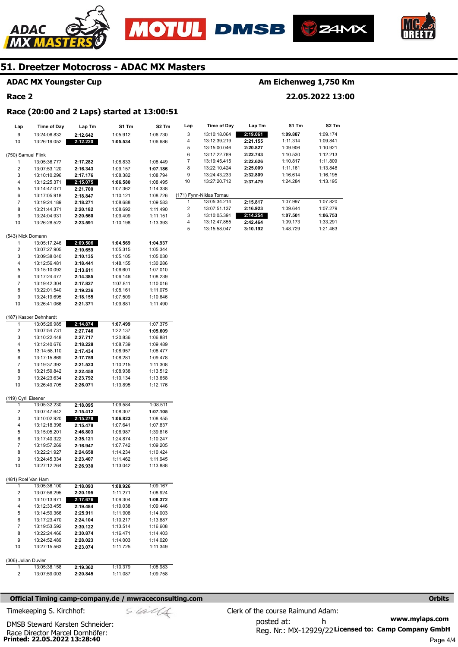





**Am Eichenweg 1,750 Km** 

**22.05.2022 13:00** 



# **51. Dreetzer Motocross - ADAC MX Masters**

# **ADAC MX Youngster Cup**

## **Race 2**

# **Race (20:00 and 2 Laps) started at 13:00:51**

| Lap                 | <b>Time of Day</b>           | Lap Tm               | S1 Tm                | S <sub>2</sub> Tm    | Lap              | Time of Day              | Lap Tm   | S1 Tm    | S2 Tm    |
|---------------------|------------------------------|----------------------|----------------------|----------------------|------------------|--------------------------|----------|----------|----------|
| 9                   | 13:24:06.832                 | 2:12.642             | 1:05.912             | 1:06.730             | 3                | 13:10:18.064             | 2:19.061 | 1:09.887 | 1:09.174 |
| 10                  | 13:26:19.052                 | 2:12.220             | 1:05.534             | 1:06.686             | 4                | 13:12:39.219             | 2:21.155 | 1:11.314 | 1:09.841 |
|                     |                              |                      |                      |                      | 5                | 13:15:00.046             | 2:20.827 | 1:09.906 | 1:10.921 |
| (750) Samuel Flink  |                              |                      |                      |                      | 6                | 13:17:22.789             | 2:22.743 | 1:10.530 | 1:12.213 |
| $\mathbf{1}$        | 13:05:36.777                 | 2:17.282             | 1:08.833             | 1:08.449             | $\boldsymbol{7}$ | 13:19:45.415             | 2:22.626 | 1:10.817 | 1:11.809 |
| $\overline{c}$      | 13:07:53.120                 | 2:16.343             | 1:09.157             | 1:07.186             | 8                | 13:22:10.424             | 2:25.009 | 1:11.161 | 1:13.848 |
| 3                   | 13:10:10.296                 | 2:17.176             | 1:08.382             | 1:08.794             | 9                | 13:24:43.233             | 2:32.809 | 1:16.614 | 1:16.195 |
| 4                   | 13:12:25.371                 | 2:15.075             | 1:06.580             | 1:08.495             | 10               | 13:27:20.712             | 2:37.479 | 1:24.284 | 1:13.195 |
| 5                   | 13:14:47.071                 | 2:21.700             | 1:07.362             | 1:14.338             |                  |                          |          |          |          |
| 6                   | 13:17:05.918                 | 2:18.847             | 1:10.121             | 1:08.726             |                  | (171) Fynn-Niklas Tornau |          |          |          |
| $\overline{7}$      | 13:19:24.189                 | 2:18.271             | 1:08.688             | 1:09.583             | 1                | 13:05:34.214             | 2:15.817 | 1:07.997 | 1:07.820 |
| 8                   | 13:21:44.371                 | 2:20.182             | 1:08.692             | 1:11.490             | 2                | 13:07:51.137             | 2:16.923 | 1:09.644 | 1:07.279 |
| 9                   | 13:24:04.931                 | 2:20.560             | 1:09.409             | 1:11.151             | 3                | 13:10:05.391             | 2:14.254 | 1:07.501 | 1:06.753 |
| 10                  | 13:26:28.522                 | 2:23.591             | 1:10.198             | 1:13.393             | 4<br>5           | 13:12:47.855             | 2:42.464 | 1:09.173 | 1:33.291 |
| (543) Nick Domann   |                              |                      |                      |                      |                  | 13:15:58.047             | 3:10.192 | 1:48.729 | 1:21.463 |
| $\mathbf{1}$        | 13:05:17.246                 | 2:09.506             | 1:04.569             | 1:04.937             |                  |                          |          |          |          |
| 2                   | 13:07:27.905                 | 2:10.659             | 1:05.315             | 1:05.344             |                  |                          |          |          |          |
| 3                   | 13:09:38.040                 | 2:10.135             | 1:05.105             | 1:05.030             |                  |                          |          |          |          |
| 4                   | 13:12:56.481                 | 3:18.441             | 1:48.155             | 1:30.286             |                  |                          |          |          |          |
| 5                   | 13:15:10.092                 | 2:13.611             | 1:06.601             | 1:07.010             |                  |                          |          |          |          |
| 6                   | 13:17:24.477                 | 2:14.385             | 1:06.146             | 1:08.239             |                  |                          |          |          |          |
| $\overline{7}$      | 13:19:42.304                 | 2:17.827             | 1:07.811             | 1:10.016             |                  |                          |          |          |          |
| 8                   | 13:22:01.540                 | 2:19.236             | 1:08.161             | 1:11.075             |                  |                          |          |          |          |
| 9                   | 13:24:19.695                 | 2:18.155             | 1:07.509             | 1:10.646             |                  |                          |          |          |          |
| 10                  | 13:26:41.066                 | 2:21.371             | 1:09.881             | 1:11.490             |                  |                          |          |          |          |
|                     | (187) Kasper Dehnhardt       |                      |                      |                      |                  |                          |          |          |          |
| $\mathbf{1}$        | 13:05:26.985                 | 2:14.874             | 1:07.499             | 1:07.375             |                  |                          |          |          |          |
| $\overline{c}$      | 13:07:54.731                 | 2:27.746             | 1:22.137             | 1:05.609             |                  |                          |          |          |          |
| 3                   | 13:10:22.448                 | 2:27.717             | 1:20.836             | 1:06.881             |                  |                          |          |          |          |
| 4                   | 13:12:40.676                 | 2:18.228             | 1:08.739             | 1:09.489             |                  |                          |          |          |          |
| 5                   | 13:14:58.110                 | 2:17.434             | 1:08.957             | 1:08.477             |                  |                          |          |          |          |
| 6                   | 13:17:15.869                 | 2:17.759             | 1:08.281             | 1:09.478             |                  |                          |          |          |          |
| 7                   | 13:19:37.392                 | 2:21.523             | 1:10.215             | 1:11.308             |                  |                          |          |          |          |
| 8                   | 13:21:59.842                 | 2:22.450             | 1:08.938             | 1:13.512             |                  |                          |          |          |          |
| 9                   | 13:24:23.634                 | 2:23.792             | 1:10.134             | 1:13.658             |                  |                          |          |          |          |
| 10                  | 13:26:49.705                 | 2:26.071             | 1:13.895             | 1:12.176             |                  |                          |          |          |          |
| (119) Cyril Elsener |                              |                      |                      |                      |                  |                          |          |          |          |
| 1                   | 13:05:32.230                 | 2:18.095             | 1:09.584             | 1:08.511             |                  |                          |          |          |          |
| 2                   | 13:07:47.642                 | 2:15.412             | 1:08.307             | 1:07.105             |                  |                          |          |          |          |
| 3                   | 13:10:02.920                 | 2:15.278             | 1:06.823             | 1:08.455             |                  |                          |          |          |          |
| 4                   | 13:12:18.398                 | 2:15.478             | 1:07.641             | 1:07.837             |                  |                          |          |          |          |
| 5                   | 13:15:05.201                 | 2:46.803             | 1:06.987             | 1:39.816             |                  |                          |          |          |          |
| 6                   | 13:17:40.322                 | 2:35.121             | 1:24.874             | 1:10.247             |                  |                          |          |          |          |
| $\overline{7}$      | 13:19:57.269                 | 2:16.947             | 1:07.742             | 1:09.205             |                  |                          |          |          |          |
| 8                   | 13:22:21.927                 | 2:24.658             | 1:14.234             | 1:10.424             |                  |                          |          |          |          |
| 9<br>10             | 13:24:45.334                 | 2:23.407             | 1:11.462             | 1:11.945             |                  |                          |          |          |          |
|                     | 13:27:12.264                 | 2:26.930             | 1:13.042             | 1:13.888             |                  |                          |          |          |          |
| (481) Roel Van Ham  |                              |                      |                      |                      |                  |                          |          |          |          |
| 1                   | 13:05:36.100                 | 2:18.093             | 1:08.926             | 1:09.167             |                  |                          |          |          |          |
| 2                   | 13:07:56.295                 | 2:20.195             | 1:11.271             | 1:08.924             |                  |                          |          |          |          |
| 3                   | 13:10:13.971                 | 2:17.676             | 1:09.304             | 1:08.372             |                  |                          |          |          |          |
| 4                   | 13:12:33.455                 | 2:19.484             | 1:10.038             | 1:09.446             |                  |                          |          |          |          |
| 5<br>6              | 13:14:59.366<br>13:17:23.470 | 2:25.911<br>2:24.104 | 1:11.908<br>1:10.217 | 1:14.003<br>1:13.887 |                  |                          |          |          |          |
| 7                   | 13:19:53.592                 | 2:30.122             | 1:13.514             | 1:16.608             |                  |                          |          |          |          |
| 8                   | 13:22:24.466                 | 2:30.874             | 1:16.471             | 1:14.403             |                  |                          |          |          |          |
| 9                   | 13:24:52.489                 | 2:28.023             | 1:14.003             | 1:14.020             |                  |                          |          |          |          |
| 10                  | 13:27:15.563                 | 2:23.074             | 1:11.725             | 1:11.349             |                  |                          |          |          |          |
|                     |                              |                      |                      |                      |                  |                          |          |          |          |
| (306) Julian Duvier |                              |                      |                      |                      |                  |                          |          |          |          |
| 1                   | 13:05:38.158                 | 2:19.362             | 1:10.379             | 1:08.983             |                  |                          |          |          |          |
| 2                   | 13:07:59.003                 | 2:20.845             | 1:11.087             | 1:09.758             |                  |                          |          |          |          |
|                     |                              |                      |                      |                      |                  |                          |          |          |          |

#### **Official Timing camp-company.de / mwraceconsulting.com <b>Orbits and Company.de Company** orbits **Orbits Orbits**

Race Director Marcel Dornhöfer:<br>**Printed: 22.05.2022 13:28:40** DMSB Steward Karsten Schneider: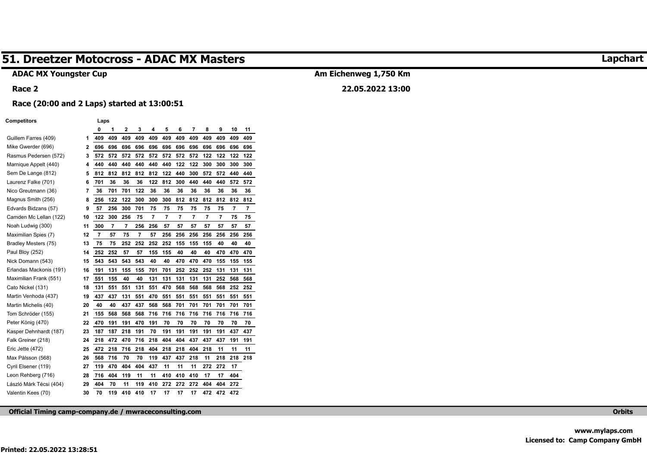# **ADAC MX Youngster Cup**

#### **Race 2**

# **Am Eichenweg 1,750 Km**

# **22.05.2022 13:00**

# **Race (20:00 and 2 Laps) started at 13:00:51**

#### **Competitors Laps**

|                         |    | 0              | 1   | 2   | 3   | 4   | 5   | 6   | 7   | 8   | 9   | 10  | 11  |
|-------------------------|----|----------------|-----|-----|-----|-----|-----|-----|-----|-----|-----|-----|-----|
| Guillem Farres (409)    | 1  | 409            | 409 | 409 | 409 | 409 | 409 | 409 | 409 | 409 | 409 | 409 | 409 |
| Mike Gwerder (696)      | 2  | 696            | 696 | 696 | 696 | 696 | 696 | 696 | 696 | 696 | 696 | 696 | 696 |
| Rasmus Pedersen (572)   | 3  | 572            | 572 | 572 | 572 | 572 | 572 | 572 | 572 | 122 | 122 | 122 | 122 |
| Marnique Appelt (440)   | 4  | 440            | 440 | 440 | 440 | 440 | 440 | 122 | 122 | 300 | 300 | 300 | 300 |
| Sem De Lange (812)      | 5  | 812            | 812 | 812 | 812 | 812 | 122 | 440 | 300 | 572 | 572 | 440 | 440 |
| Laurenz Falke (701)     | 6  | 701            | 36  | 36  | 36  | 122 | 812 | 300 | 440 | 440 | 440 | 572 | 572 |
| Nico Greutmann (36)     | 7  | 36             | 701 | 701 | 122 | 36  | 36  | 36  | 36  | 36  | 36  | 36  | 36  |
| Magnus Smith (256)      | 8  | 256            | 122 | 122 | 300 | 300 | 300 | 812 | 812 | 812 | 812 | 812 | 812 |
| Edvards Bidzans (57)    | 9  | 57             | 256 | 300 | 701 | 75  | 75  | 75  | 75  | 75  | 75  | 7   | 7   |
| Camden Mc Lellan (122)  | 10 | 122            | 300 | 256 | 75  | 7   | 7   | 7   | 7   | 7   | 7   | 75  | 75  |
| Noah Ludwig (300)       | 11 | 300            | 7   | 7   | 256 | 256 | 57  | 57  | 57  | 57  | 57  | 57  | 57  |
| Maximilian Spies (7)    | 12 | $\overline{7}$ | 57  | 75  | 7   | 57  | 256 | 256 | 256 | 256 | 256 | 256 | 256 |
| Bradley Mesters (75)    | 13 | 75             | 75  | 252 | 252 | 252 | 252 | 155 | 155 | 155 | 40  | 40  | 40  |
| Paul Bloy (252)         | 14 | 252            | 252 | 57  | 57  | 155 | 155 | 40  | 40  | 40  | 470 | 470 | 470 |
| Nick Domann (543)       | 15 | 543            | 543 | 543 | 543 | 40  | 40  | 470 | 470 | 470 | 155 | 155 | 155 |
| Erlandas Mackonis (191) | 16 | 191            | 131 | 155 | 155 | 701 | 701 | 252 | 252 | 252 | 131 | 131 | 131 |
| Maximilian Frank (551)  | 17 | 551            | 155 | 40  | 40  | 131 | 131 | 131 | 131 | 131 | 252 | 568 | 568 |
| Cato Nickel (131)       | 18 | 131            | 551 | 551 | 131 | 551 | 470 | 568 | 568 | 568 | 568 | 252 | 252 |
| Martin Venhoda (437)    | 19 | 437            | 437 | 131 | 551 | 470 | 551 | 551 | 551 | 551 | 551 | 551 | 551 |
| Martin Michelis (40)    | 20 | 40             | 40  | 437 | 437 | 568 | 568 | 701 | 701 | 701 | 701 | 701 | 701 |
| Tom Schröder (155)      | 21 | 155            | 568 | 568 | 568 | 716 | 716 | 716 | 716 | 716 | 716 | 716 | 716 |
| Peter König (470)       | 22 | 470            | 191 | 191 | 470 | 191 | 70  | 70  | 70  | 70  | 70  | 70  | 70  |
| Kasper Dehnhardt (187)  | 23 | 187            | 187 | 218 | 191 | 70  | 191 | 191 | 191 | 191 | 191 | 437 | 437 |
| Falk Greiner (218)      | 24 | 218            | 472 | 470 | 716 | 218 | 404 | 404 | 437 | 437 | 437 | 191 | 191 |
| Eric Jette (472)        | 25 | 472            | 218 | 716 | 218 | 404 | 218 | 218 | 404 | 218 | 11  | 11  | 11  |
| Max Pålsson (568)       | 26 | 568            | 716 | 70  | 70  | 119 | 437 | 437 | 218 | 11  | 218 | 218 | 218 |
| Cyril Elsener (119)     | 27 | 119            | 470 | 404 | 404 | 437 | 11  | 11  | 11  | 272 | 272 | 17  |     |
| Leon Rehberg (716)      | 28 | 716            | 404 | 119 | 11  | 11  | 410 | 410 | 410 | 17  | 17  | 404 |     |
| László Márk Técsi (404) | 29 | 404            | 70  | 11  | 119 | 410 | 272 | 272 | 272 | 404 | 404 | 272 |     |
| Valentin Kees (70)      | 30 | 70             | 119 | 410 | 410 | 17  | 17  | 17  | 17  | 472 | 472 | 472 |     |

**Official Timing camp-company.de / mwraceconsulting.com Orbits**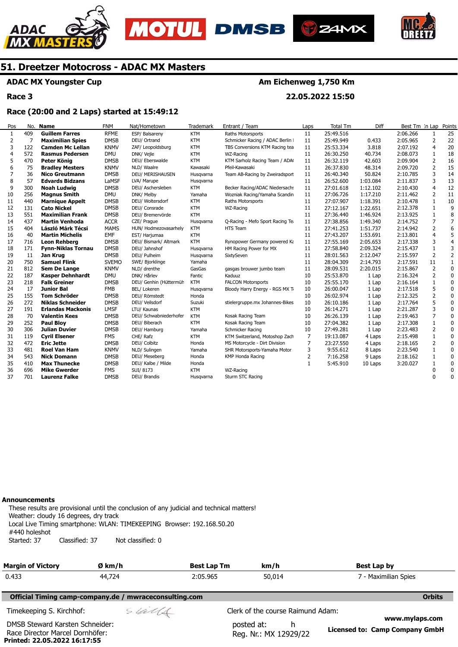







# **ADAC MX Youngster Cup**

**Race 3** 

# **Am Eichenweg 1,750 Km**

**22.05.2022 15:50** 

## **Race (20:00 and 2 Laps) started at 15:49:12**

| Pos            | No. | <b>Name</b>               | <b>FNM</b>   | Nat/Hometown           | <b>Trademark</b> | Entrant / Team                   | Laps         | Total Tm  | Diff     | Best Tm In Lap |                | Points         |
|----------------|-----|---------------------------|--------------|------------------------|------------------|----------------------------------|--------------|-----------|----------|----------------|----------------|----------------|
| $\mathbf{1}$   | 409 | <b>Guillem Farres</b>     | <b>RFME</b>  | ESP/ Balsareny         | <b>KTM</b>       | Raths Motorsports                | 11           | 25:49.516 |          | 2:06.266       | 1              | 25             |
| 2              | 7   | <b>Maximilian Spies</b>   | <b>DMSB</b>  | DEU/ Ortrand           | <b>KTM</b>       | Schmicker Racing / ADAC Berlin I | 11           | 25:49.949 | 0.433    | 2:05.965       | 2              | 22             |
| 3              | 122 | <b>Camden Mc Lellan</b>   | <b>KNMV</b>  | ZAF/ Leopoldsburg      | <b>KTM</b>       | TBS Conversions KTM Racing tea   | 11           | 25:53.334 | 3.818    | 2:07.192       | $\overline{4}$ | 20             |
| $\overline{4}$ | 572 | <b>Rasmus Pedersen</b>    | <b>DMU</b>   | DNK/ Vejle             | <b>KTM</b>       | WZ-Racing                        | 11           | 26:30.250 | 40.734   | 2:08.073       | 1              | 18             |
| 5              | 470 | Peter König               | <b>DMSB</b>  | DEU/ Eberswalde        | <b>KTM</b>       | KTM Sarholz Racing Team / ADA    | 11           | 26:32.119 | 42.603   | 2:09.904       | 2              | 16             |
| 6              | 75  | <b>Bradley Mesters</b>    | <b>KNMV</b>  | NLD/ Waalre            | Kawasaki         | Pfeil-Kawasaki                   | 11           | 26:37.830 | 48.314   | 2:09.720       | $\overline{2}$ | 15             |
| 7              | 36  | <b>Nico Greutmann</b>     | <b>DMSB</b>  | DEU/ MERISHAUSEN       | Husqvarna        | Team AB-Racing by Zweiradsport   | 11           | 26:40.340 | 50.824   | 2:10.785       | 3              | 14             |
| 8              | 57  | <b>Edvards Bidzans</b>    | LaMSF        | LVA/ Marupe            | Husqvarna        |                                  | 11           | 26:52.600 | 1:03.084 | 2:11.837       | 3              | 13             |
| 9              | 300 | <b>Noah Ludwig</b>        | <b>DMSB</b>  | DEU/ Aschersleben      | <b>KTM</b>       | Becker Racing/ADAC Niedersachs   | 11           | 27:01.618 | 1:12.102 | 2:10.430       | $\overline{4}$ | 12             |
| 10             | 256 | <b>Magnus Smith</b>       | <b>DMU</b>   | DNK/ Melby             | Yamaha           | Wozniak Racing/Yamaha Scandin    | 11           | 27:06.726 | 1:17.210 | 2:11.462       | 2              | 11             |
| 11             | 440 | <b>Marnique Appelt</b>    | <b>DMSB</b>  | DEU/ Woltersdorf       | <b>KTM</b>       | Raths Motorsports                | 11           | 27:07.907 | 1:18.391 | 2:10.478       | 1              | 10             |
| 12             | 131 | <b>Cato Nickel</b>        | <b>DMSB</b>  | DEU/ Consrade          | <b>KTM</b>       | WZ-Racing                        | 11           | 27:12.167 | 1:22.651 | 2:12.378       | 1              | 9              |
| 13             | 551 | <b>Maximilian Frank</b>   | <b>DMSB</b>  | DEU/ Bremervörde       | <b>KTM</b>       |                                  | 11           | 27:36.440 | 1:46.924 | 2:13.925       |                | 8              |
| 14             | 437 | <b>Martin Venhoda</b>     | <b>ACCR</b>  | CZE/ Prague            | Husqvarna        | Q-Racing - Mefo Sport Racing Te  | 11           | 27:38.856 | 1:49.340 | 2:14.752       | $\overline{7}$ | $\overline{7}$ |
| 15             | 404 | László Márk Técsi         | <b>MAMS</b>  | HUN/ Hodmezovasarhely  | <b>KTM</b>       | HTS Team                         | 11           | 27:41.253 | 1:51.737 | 2:14.942       | 2              | 6              |
| 16             | 40  | <b>Martin Michelis</b>    | <b>EMF</b>   | EST/ Harjumaa          | <b>KTM</b>       |                                  | 11           | 27:43.207 | 1:53.691 | 2:13.801       | $\overline{4}$ | 5              |
| 17             | 716 | <b>Leon Rehberg</b>       | <b>DMSB</b>  | DEU/ Bismark/ Altmark  | <b>KTM</b>       | Rynopower Germany powered Ka     | 11           | 27:55.169 | 2:05.653 | 2:17.338       | 3              | $\overline{4}$ |
| 18             | 171 | <b>Fynn-Niklas Tornau</b> | <b>DMSB</b>  | DEU/ Jahnshof          | Husqvarna        | HM Racing Power for MX           | 11           | 27:58.840 | 2:09.324 | 2:15.437       | $\mathbf{1}$   | 3              |
| 19             | 11  | Jan Krug                  | <b>DMSB</b>  | DEU/ Pulheim           | Husqvarna        | SixtySeven                       | 11           | 28:01.563 | 2:12.047 | 2:15.597       | $\overline{2}$ | $\overline{2}$ |
| 20             | 750 | <b>Samuel Flink</b>       | <b>SVEMO</b> | SWE/ Bjorklinge        | Yamaha           |                                  | 11           | 28:04.309 | 2:14.793 | 2:17.591       | 11             | $\mathbf{1}$   |
| 21             | 812 | <b>Sem De Lange</b>       | <b>KNMV</b>  | NLD/ drenthe           | GasGas           | gasgas brouwer jumbo team        | 11           | 28:09.531 | 2:20.015 | 2:15.867       | $\overline{2}$ | $\mathbf 0$    |
| 22             | 187 | <b>Kasper Dehnhardt</b>   | <b>DMU</b>   | DNK/ Hårlev            | Fantic           | Kaduuz                           | 10           | 25:53.870 | 1 Lap    | 2:16.324       | 2              | 0              |
| 23             | 218 | <b>Falk Greiner</b>       | <b>DMSB</b>  | DEU/ Genhin (Hüttermüh | <b>KTM</b>       | <b>FALCON Motorsports</b>        | 10           | 25:55.170 | 1 Lap    | 2:16.164       | $\mathbf{1}$   | $\mathbf 0$    |
| 24             | 17  | <b>Junior Bal</b>         | <b>FMB</b>   | BEL/ Lokeren           | Husqvarna        | Bloody Harry Energy - RGS MX Ti  | 10           | 26:00.047 | 1 Lap    | 2:17.518       | 5              | 0              |
| 25             | 155 | <b>Tom Schröder</b>       | <b>DMSB</b>  | DEU/ Römstedt          | Honda            |                                  | 10           | 26:02.974 | 1 Lap    | 2:12.325       | $\overline{2}$ | $\mathbf 0$    |
| 26             | 272 | <b>Niklas Schneider</b>   | <b>DMSB</b>  | DEU/ Veilsdorf         | Suzuki           | stielergruppe.mx Johannes-Bikes  | 10           | 26:10.186 | 1 Lap    | 2:17.764       | 5              | $\mathbf{0}$   |
| 27             | 191 | <b>Erlandas Mackonis</b>  | <b>LMSF</b>  | LTU/ Kaunas            | <b>KTM</b>       |                                  | 10           | 26:14.271 | 1 Lap    | 2:21.287       | 3              | $\mathbf 0$    |
| 28             | 70  | <b>Valentin Kees</b>      | <b>DMSB</b>  | DEU/ Schwabniederhofer | KTM              | Kosak Racing Team                | 10           | 26:26.139 | 1 Lap    | 2:19.463       | 7              | 0              |
| 29             | 252 | <b>Paul Bloy</b>          | <b>DMSB</b>  | DEU/ Biberach          | <b>KTM</b>       | Kosak Racing Team                | 10           | 27:04.382 | 1 Lap    | 2:17.308       | $\mathbf{1}$   | 0              |
| 30             | 306 | <b>Julian Duvier</b>      | <b>DMSB</b>  | DEU/ Hamburg           | Yamaha           | Schmicker Racing                 | 10           | 27:49.281 | 1 Lap    | 2:23.483       | 2              | 0              |
| 31             | 119 | <b>Cyril Elsener</b>      | <b>FMS</b>   | CHE/ Rafz              | <b>KTM</b>       | KTM Switzerland, Motoshop Zach   | 7            | 19:13.087 | 4 Laps   | 2:15.498       | $\mathbf{1}$   | $\mathbf 0$    |
| 32             | 472 | <b>Eric Jette</b>         | <b>DMSB</b>  | DEU/ Colbitz           | Honda            | MS Motorcycle - Dirt Division    | 7            | 23:27.550 | 4 Laps   | 2:18.165       | 2              | 0              |
| 33             | 481 | <b>Roel Van Ham</b>       | <b>KNMV</b>  | NLD/ Sulingen          | Yamaha           | SHR Motorsports-Yamaha Motor     | 3            | 9:55.612  | 8 Laps   | 2:23.540       | $\mathbf{1}$   | 0              |
| 34             | 543 | <b>Nick Domann</b>        | <b>DMSB</b>  | DEU/ Meseberg          | Honda            | KMP Honda Racing                 | 2            | 7:16.258  | 9 Laps   | 2:18.162       | $\mathbf{1}$   | 0              |
| 35             | 410 | <b>Max Thunecke</b>       | <b>DMSB</b>  | DEU/ Kalbe / Milde     | Honda            |                                  | $\mathbf{1}$ | 5:45.910  | 10 Laps  | 3:20.027       | 1              | 0              |
| 36             | 696 | <b>Mike Gwerder</b>       | <b>FMS</b>   | SUI/8173               | <b>KTM</b>       | WZ-Racing                        |              |           |          |                | O              | 0              |
| 37             | 701 | <b>Laurenz Falke</b>      | <b>DMSB</b>  | DEU/ Brandis           | Husgvarna        | Sturm STC Racing                 |              |           |          |                | $\Omega$       | $\mathbf 0$    |

#### **Announcements**

These results are provisional until the conclusion of any judicial and technical matters! Weather: cloudy 16 degrees, dry track Local Live Timing smartphone: WLAN: TIMEKEEPING Browser: 192.168.50.20 #440 holeshot Started: 37 Classified: 37 Not classified: 0

| <b>Margin of Victory</b>        | Ø km/h                                                 | <b>Best Lap Tm</b> | km/h                              | Best Lap by                                              |
|---------------------------------|--------------------------------------------------------|--------------------|-----------------------------------|----------------------------------------------------------|
| 0.433<br>44,724                 |                                                        | 2:05.965           | 50,014                            | 7 - Maximilian Spies                                     |
|                                 | Official Timing camp-company.de / mwraceconsulting.com |                    |                                   | <b>Orbits</b>                                            |
| Timekeeping S. Kirchhof:        | sulls                                                  |                    | Clerk of the course Raimund Adam: |                                                          |
| DMSB Steward Karsten Schneider: |                                                        |                    | posted at:<br>h                   | www.mylaps.com<br><b>Linesand to: Comp Compony Cubil</b> |

**Printed: 22.05.2022 16:17:55**  Race Director Marcel Dornhöfer: Reg. Nr.: MX 12929/22

Licensed to: Camp Company GmbH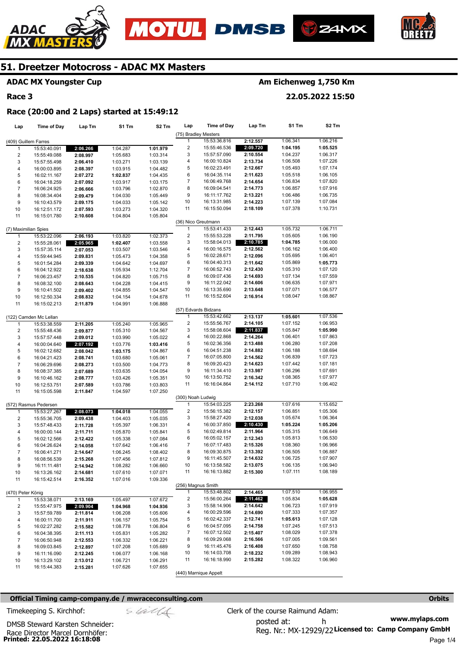







# **ADAC MX Youngster Cup**

## **Race 3**

# **Am Eichenweg 1,750 Km**

**22.05.2022 15:50** 

## **Race (20:00 and 2 Laps) started at 15:49:12**

| Lap                     | <b>Time of Day</b>           | Lap Tm   | S1 Tm                | S <sub>2</sub> Tm | Lap                     | <b>Time of Day</b>    | Lap Tm   | S1 Tm    | S <sub>2</sub> Tm |
|-------------------------|------------------------------|----------|----------------------|-------------------|-------------------------|-----------------------|----------|----------|-------------------|
|                         |                              |          |                      |                   | (75) Bradley Mesters    |                       |          |          |                   |
| (409) Guillem Farres    |                              |          |                      |                   | 1                       | 15:53:36.816          | 2:12.557 | 1:06.341 | 1:06.216          |
| $\mathbf{1}$            | 15:53:40.091                 | 2:06.266 | 1:04.287             | 1:01.979          | $\overline{\mathbf{c}}$ | 15:55:46.536          | 2:09.720 | 1:04.195 | 1:05.525          |
| $\boldsymbol{2}$        | 15:55:49.088                 | 2:08.997 | 1:05.683             | 1:03.314          | 3                       | 15:57:57.090          | 2:10.554 | 1:04.237 | 1:06.317          |
| 3                       | 15:57:55.498                 | 2:06.410 | 1:03.271             | 1:03.139          | 4                       | 16:00:10.824          | 2:13.734 | 1:06.508 | 1:07.226          |
| $\overline{4}$          | 16:00:03.895                 | 2:08.397 | 1:03.915             | 1:04.482          | 5                       | 16:02:23.491          | 2:12.667 | 1:05.493 | 1:07.174          |
| 5                       | 16:02:11.167                 | 2:07.272 | 1:02.837             | 1:04.435          | 6                       | 16:04:35.114          | 2:11.623 | 1:05.518 | 1:06.105          |
| 6                       | 16:04:18.259                 | 2:07.092 | 1:03.917             | 1:03.175          | 7                       | 16:06:49.768          | 2:14.654 | 1:06.834 | 1:07.820          |
| $\overline{7}$          | 16:06:24.925                 | 2:06.666 | 1:03.796             | 1:02.870          | 8                       | 16:09:04.541          | 2:14.773 | 1:06.857 | 1:07.916          |
| 8                       | 16:08:34.404                 | 2:09.479 | 1:04.030             | 1:05.449          | 9                       | 16:11:17.762          | 2:13.221 | 1:06.486 | 1:06.735          |
| 9                       | 16:10:43.579                 | 2:09.175 | 1:04.033             | 1:05.142          | 10                      | 16:13:31.985          | 2:14.223 | 1:07.139 | 1:07.084          |
| 10                      | 16:12:51.172                 | 2:07.593 | 1:03.273             | 1:04.320          | 11                      | 16:15:50.094          | 2:18.109 | 1:07.378 | 1:10.731          |
| 11                      | 16:15:01.780                 | 2:10.608 | 1:04.804             | 1:05.804          |                         |                       |          |          |                   |
|                         |                              |          |                      |                   | (36) Nico Greutmann     |                       |          |          |                   |
| (7) Maximilian Spies    |                              |          |                      |                   | $\mathbf{1}$            | 15:53:41.433          | 2:12.443 | 1:05.732 | 1:06.711          |
| $\mathbf{1}$            | 15:53:22.096                 | 2:06.193 | 1:03.820             | 1:02.373          | $\overline{c}$          | 15:55:53.228          | 2:11.795 | 1:05.605 | 1:06.190          |
| $\overline{\mathbf{c}}$ | 15:55:28.061                 | 2:05.965 | 1:02.407             | 1:03.558          | 3                       | 15:58:04.013          | 2:10.785 | 1:04.785 | 1:06.000          |
| 3                       | 15:57:35.114                 | 2:07.053 | 1:03.507             | 1:03.546          | 4                       | 16:00:16.575          | 2:12.562 | 1:06.162 | 1:06.400          |
| 4                       | 15:59:44.945                 | 2:09.831 | 1:05.473             | 1:04.358          | 5                       | 16:02:28.671          | 2:12.096 | 1:05.695 | 1:06.401          |
| 5                       | 16:01:54.284                 | 2:09.339 | 1:04.642             | 1:04.697          | 6                       | 16:04:40.313          | 2:11.642 | 1:05.869 | 1:05.773          |
| 6                       | 16:04:12.922                 | 2:18.638 | 1:05.934             | 1:12.704          | 7                       | 16:06:52.743          | 2:12.430 | 1:05.310 | 1:07.120          |
| $\overline{7}$          | 16:06:23.457                 | 2:10.535 | 1:04.820             | 1:05.715          | 8                       | 16:09:07.436          | 2:14.693 | 1:07.134 | 1:07.559          |
| 8                       | 16:08:32.100                 | 2:08.643 | 1:04.228             | 1:04.415          | 9                       | 16:11:22.042          | 2:14.606 | 1:06.635 | 1:07.971          |
| 9                       | 16:10:41.502                 | 2:09.402 | 1:04.855             | 1:04.547          | 10                      | 16:13:35.690          | 2:13.648 | 1:07.071 | 1:06.577          |
| 10                      | 16:12:50.334                 | 2:08.832 | 1:04.154             | 1:04.678          | 11                      | 16:15:52.604          | 2:16.914 | 1:08.047 | 1:08.867          |
| 11                      | 16:15:02.213                 | 2:11.879 | 1:04.991             | 1:06.888          |                         |                       |          |          |                   |
|                         |                              |          |                      |                   | (57) Edvards Bidzans    |                       |          |          |                   |
|                         | (122) Camden Mc Lellan       |          |                      |                   | 1                       | 15:53:42.662          | 2:13.137 | 1:05.601 | 1:07.536          |
| $\mathbf{1}$            | 15:53:38.559                 | 2:11.205 | 1:05.240             | 1:05.965          | $\overline{\mathbf{c}}$ | 15:55:56.767          | 2:14.105 | 1:07.152 | 1:06.953          |
| $\boldsymbol{2}$        | 15:55:48.436                 | 2:09.877 | 1:05.310             | 1:04.567          | 3                       | 15:58:08.604          | 2:11.837 | 1:05.847 | 1:05.990          |
| 3                       | 15:57:57.448                 | 2:09.012 | 1:03.990             | 1:05.022          | 4                       | 16:00:22.868          | 2:14.264 | 1:06.401 | 1:07.863          |
| 4                       | 16:00:04.640                 | 2:07.192 | 1:03.776             | 1:03.416          | 5                       | 16:02:36.356          | 2:13.488 | 1:06.280 | 1:07.208          |
| 5                       | 16:02:12.682                 | 2:08.042 | 1:03.175             | 1:04.867          | 6                       | 16:04:51.238          | 2:14.882 | 1:06.188 | 1:08.694          |
| 6                       | 16:04:21.423                 | 2:08.741 | 1:03.680             | 1:05.061          | 7                       | 16:07:05.800          | 2:14.562 | 1:06.839 | 1:07.723          |
| $\overline{7}$          | 16:06:29.696                 | 2:08.273 | 1:03.500             | 1:04.773          | 8                       | 16:09:20.423          | 2:14.623 | 1:07.442 | 1:07.181          |
| 8                       | 16:08:37.385                 | 2:07.689 | 1:03.635             | 1:04.054          | 9                       | 16:11:34.410          | 2:13.987 | 1:06.296 | 1:07.691          |
| 9                       | 16:10:46.162                 | 2:08.777 | 1:03.426             | 1:05.351          | 10                      | 16:13:50.752          | 2:16.342 | 1:08.365 | 1:07.977          |
| 10                      | 16:12:53.751                 | 2:07.589 | 1:03.786             | 1:03.803          | 11                      | 16:16:04.864          | 2:14.112 | 1:07.710 | 1:06.402          |
| 11                      | 16:15:05.598                 | 2:11.847 | 1:04.597             | 1:07.250          |                         |                       |          |          |                   |
|                         |                              |          |                      |                   | (300) Noah Ludwig       |                       |          |          |                   |
|                         | (572) Rasmus Pedersen        |          |                      |                   | 1                       | 15:54:03.225          | 2:23.268 | 1:07.616 | 1:15.652          |
| 1                       | 15:53:27.267                 | 2:08.073 | 1:04.018             | 1:04.055          | $\overline{c}$          | 15:56:15.382          | 2:12.157 | 1:06.851 | 1:05.306          |
| $\sqrt{2}$              | 15:55:36.705                 | 2:09.438 | 1:04.403             | 1:05.035          | 3                       | 15:58:27.420          | 2:12.038 | 1:05.674 | 1:06.364          |
| 3                       | 15:57:48.433                 | 2:11.728 | 1:05.397             | 1:06.331          | 4                       | 16:00:37.850          | 2:10.430 | 1:05.224 | 1:05.206          |
| 4                       | 16:00:00.144                 | 2:11.711 | 1:05.870             | 1:05.841          | 5                       | 16:02:49.814          | 2:11.964 | 1:05.315 | 1:06.649          |
| 5                       | 16:02:12.566                 | 2:12.422 | 1:05.338             | 1:07.084          | 6                       | 16:05:02.157          | 2:12.343 | 1:05.813 | 1:06.530          |
| 6                       | 16:04:26.624                 | 2:14.058 | 1:07.642             | 1:06.416          | 7                       | 16:07:17.483          | 2:15.326 | 1:08.360 | 1:06.966          |
| $\overline{7}$          | 16:06:41.271                 | 2:14.647 | 1:06.245             | 1:08.402          | 8                       | 16:09:30.875          | 2:13.392 | 1:06.505 | 1:06.887          |
| 8                       | 16:08:56.539                 | 2:15.268 | 1:07.456             | 1:07.812          | 9                       | 16:11:45.507          | 2:14.632 | 1:06.725 | 1:07.907          |
| 9                       | 16:11:11.481                 | 2:14.942 | 1:08.282             | 1:06.660          | 10                      | 16:13:58.582          | 2:13.075 | 1:06.135 | 1:06.940          |
| 10                      | 16:13:26.162                 | 2:14.681 | 1:07.610             | 1:07.071          | 11                      | 16:16:13.882          | 2:15.300 | 1:07.111 | 1:08.189          |
| 11                      | 16:15:42.514                 | 2:16.352 | 1:07.016             | 1:09.336          |                         |                       |          |          |                   |
|                         |                              |          |                      |                   | (256) Magnus Smith      |                       |          |          |                   |
| (470) Peter König       |                              |          |                      |                   | $\mathbf{1}$            | 15:53:48.802          | 2:14.465 | 1:07.510 | 1:06.955          |
| 1                       | 15:53:38.071                 | 2:13.169 | 1:05.497             | 1:07.672          | 2                       | 15:56:00.264          | 2:11.462 | 1:05.834 | 1:05.628          |
| 2                       |                              | 2:09.904 |                      | 1:04.936          | 3                       | 15:58:14.906          | 2:14.642 | 1:06.723 | 1:07.919          |
| 3                       | 15:55:47.975                 | 2:11.814 | 1:04.968             | 1:05.606          | 4                       | 16:00:29.596          | 2:14.690 | 1:07.333 | 1:07.357          |
| 4                       | 15:57:59.789<br>16:00:11.700 | 2:11.911 | 1:06.208<br>1:06.157 | 1:05.754          | 5                       | 16:02:42.337          | 2:12.741 | 1:05.613 | 1:07.128          |
|                         |                              |          |                      |                   | 6                       | 16:04:57.095          | 2:14.758 | 1:07.245 | 1:07.513          |
| 5                       | 16:02:27.282                 | 2:15.582 | 1:08.778             | 1:06.804          | 7                       | 16:07:12.502          | 2:15.407 | 1:08.029 | 1:07.378          |
| 6                       | 16:04:38.395                 | 2:11.113 | 1:05.831             | 1:05.282          | 8                       | 16:09:29.068          | 2:16.566 | 1:07.005 | 1:09.561          |
| $\overline{7}$          | 16:06:50.948                 | 2:12.553 | 1:06.332             | 1:06.221          | 9                       | 16:11:45.476          | 2:16.408 | 1:07.650 | 1:08.758          |
| 8                       | 16:09:03.845                 | 2:12.897 | 1:07.208             | 1:05.689          | 10                      | 16:14:03.708          | 2:18.232 | 1:09.289 | 1:08.943          |
| 9                       | 16:11:16.090                 | 2:12.245 | 1:06.077             | 1:06.168          | 11                      |                       |          |          |                   |
| 10                      | 16:13:29.102                 | 2:13.012 | 1:06.721             | 1:06.291          |                         | 16:16:18.990          | 2:15.282 | 1:08.322 | 1:06.960          |
| 11                      | 16:15:44.383                 | 2:15.281 | 1:07.626             | 1:07.655          |                         | (440) Marnique Appelt |          |          |                   |
|                         |                              |          |                      |                   |                         |                       |          |          |                   |

#### **Official Timing camp-company.de / mwraceconsulting.com <b>Orbits and Company.de Company** orbits **Orbits Orbits**

**Printed: 22.05.2022 16:18:08**  Race Director Marcel Dornhöfer:

DMSB Steward Karsten Schneider: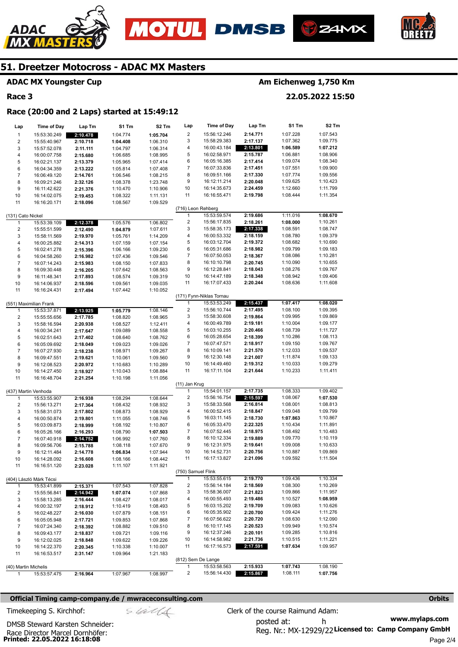





## **ADAC MX Youngster Cup**

## **Race 3**

ADAC

# **Am Eichenweg 1,750 Km**

**22.05.2022 15:50** 

#### **Race (20:00 and 2 Laps) started at 15:49:12**

| Lap                     | <b>Time of Day</b>                   | Lap Tm   | S1 Tm                | S <sub>2</sub> Tm    | Lap                     | Time of Day              | Lap Tm               | S1 Tm    | S2 Tm    |
|-------------------------|--------------------------------------|----------|----------------------|----------------------|-------------------------|--------------------------|----------------------|----------|----------|
| $\mathbf{1}$            | 15:53:30.249                         | 2:10.478 | 1:04.774             | 1:05.704             | $\overline{\mathbf{c}}$ | 15:56:12.246             | 2:14.771             | 1:07.228 | 1:07.543 |
| $\overline{\mathbf{c}}$ | 15:55:40.967                         | 2:10.718 | 1:04.408             | 1:06.310             | 3                       | 15:58:29.383             | 2:17.137             | 1:07.362 | 1:09.775 |
| 3                       | 15:57:52.078                         | 2:11.111 | 1:04.797             | 1:06.314             | 4                       | 16:00:43.184             | 2:13.801             | 1:06.589 | 1:07.212 |
| 4                       | 16:00:07.758                         | 2:15.680 | 1:06.685             | 1:08.995             | 5                       | 16:02:58.971             | 2:15.787             | 1:06.881 | 1:08.906 |
| 5                       | 16:02:21.137                         | 2:13.379 | 1:05.965             | 1:07.414             | 6                       | 16:05:16.385             | 2:17.414             | 1:09.074 | 1:08.340 |
| 6                       | 16:04:34.359                         | 2:13.222 | 1:05.814             | 1:07.408             | $\boldsymbol{7}$        | 16:07:33.836             | 2:17.451             | 1:07.551 | 1:09.900 |
| $\overline{7}$          | 16:06:49.120                         | 2:14.761 | 1:06.546             | 1:08.215             | 8                       | 16:09:51.166             | 2:17.330             | 1:07.774 | 1:09.556 |
| 8                       | 16:09:21.246                         | 2:32.126 | 1:08.378             | 1:23.748             | 9                       | 16:12:11.214             | 2:20.048             | 1:09.625 | 1:10.423 |
| 9                       | 16:11:42.622                         | 2:21.376 | 1:10.470             | 1:10.906             | 10                      | 16:14:35.673             | 2:24.459             | 1:12.660 | 1:11.799 |
| 10                      | 16:14:02.075                         | 2:19.453 | 1:08.322             | 1:11.131             | 11                      | 16:16:55.471             | 2:19.798             | 1:08.444 | 1:11.354 |
| 11                      | 16:16:20.171                         | 2:18.096 | 1:08.567             | 1:09.529             |                         |                          |                      |          |          |
|                         |                                      |          |                      |                      | (716) Leon Rehberg      |                          |                      |          |          |
| (131) Cato Nickel       |                                      |          |                      |                      | $\mathbf{1}$            | 15:53:59.574             | 2:19.686             | 1:11.016 | 1:08.670 |
| 1                       | 15:53:39.109                         | 2:12.378 | 1:05.576             | 1:06.802             | $\overline{\mathbf{c}}$ | 15:56:17.835             | 2:18.261             | 1:08.000 | 1:10.261 |
| $\overline{\mathbf{c}}$ | 15:55:51.599                         | 2:12.490 | 1:04.879             | 1:07.611             | 3                       | 15:58:35.173             | 2:17.338             | 1:08.591 | 1:08.747 |
| 3                       | 15:58:11.569                         | 2:19.970 | 1:05.761             | 1:14.209             | 4                       | 16:00:53.332             | 2:18.159             | 1:08.780 | 1:09.379 |
| 4                       | 16:00:25.882                         | 2:14.313 | 1:07.159             | 1:07.154             | 5                       | 16:03:12.704             | 2:19.372             | 1:08.682 | 1:10.690 |
| 5                       | 16:02:41.278                         | 2:15.396 | 1:06.166             | 1:09.230             | 6                       | 16:05:31.686             | 2:18.982             | 1:09.799 | 1:09.183 |
| 6                       | 16:04:58.260                         | 2:16.982 | 1:07.436             | 1:09.546             | $\overline{7}$          | 16:07:50.053             | 2:18.367             | 1:08.086 | 1:10.281 |
| $\boldsymbol{7}$        | 16:07:14.243                         | 2:15.983 | 1:08.150             | 1:07.833             | 8                       | 16:10:10.798             | 2:20.745             | 1:10.090 | 1:10.655 |
| 8                       | 16:09:30.448                         | 2:16.205 | 1:07.642             | 1:08.563             | 9                       | 16:12:28.841             | 2:18.043             | 1:08.276 | 1:09.767 |
| 9                       | 16:11:48.341                         | 2:17.893 | 1:08.574             | 1:09.319             | 10                      | 16:14:47.189             | 2:18.348             | 1:08.942 | 1:09.406 |
| 10                      | 16:14:06.937                         | 2:18.596 | 1:09.561             | 1:09.035             | 11                      | 16:17:07.433             | 2:20.244             | 1:08.636 | 1:11.608 |
| 11                      | 16:16:24.431                         | 2:17.494 | 1:07.442             | 1:10.052             |                         |                          |                      |          |          |
|                         |                                      |          |                      |                      |                         | (171) Fynn-Niklas Tornau |                      |          |          |
|                         | (551) Maximilian Frank               |          |                      |                      | $\mathbf{1}$            | 15:53:53.249             | 2:15.437             | 1:07.417 | 1:08.020 |
| 1                       | 15:53:37.871                         | 2:13.925 | 1:05.779             | 1:08.146             | $\overline{\mathbf{c}}$ | 15:56:10.744             | 2:17.495             | 1:08.100 | 1:09.395 |
| $\overline{\mathbf{c}}$ | 15:55:55.656                         | 2:17.785 | 1:08.820             | 1:08.965             | 3                       | 15:58:30.608             | 2:19.864             | 1:09.995 | 1:09.869 |
|                         |                                      |          | 1:08.527             |                      | 4                       | 16:00:49.789             | 2:19.181             | 1:10.004 | 1:09.177 |
| 3<br>4                  | 15:58:16.594<br>16:00:34.241         | 2:20.938 | 1:09.089             | 1:12.411<br>1:08.558 | 5                       | 16:03:10.255             | 2:20.466             | 1:08.739 | 1:11.727 |
|                         |                                      | 2:17.647 |                      |                      | 6                       | 16:05:28.654             | 2:18.399             | 1:10.286 | 1:08.113 |
| 5                       | 16:02:51.643                         | 2:17.402 | 1:08.640<br>1:09.023 | 1:08.762<br>1:09.026 | $\boldsymbol{7}$        | 16:07:47.571             | 2:18.917             | 1:09.150 | 1:09.767 |
| 6<br>$\overline{7}$     | 16:05:09.692                         | 2:18.049 |                      |                      | 8                       | 16:10:09.141             | 2:21.570             | 1:12.033 | 1:09.537 |
|                         | 16:07:27.930                         | 2:18.238 | 1:08.971             | 1:09.267             | 9                       | 16:12:30.148             | 2:21.007             | 1:11.874 | 1:09.133 |
| 8                       | 16:09:47.551                         | 2:19.621 | 1:10.061             | 1:09.560             | 10                      | 16:14:49.460             | 2:19.312             | 1:10.033 | 1:09.279 |
| 9                       | 16:12:08.523                         | 2:20.972 | 1:10.683             | 1:10.289             | 11                      | 16:17:11.104             | 2:21.644             | 1:10.233 | 1:11.411 |
| 10                      | 16:14:27.450                         | 2:18.927 | 1:10.043             | 1:08.884             |                         |                          |                      |          |          |
| 11                      | 16:16:48.704                         | 2:21.254 | 1:10.198             | 1:11.056             | (11) Jan Krug           |                          |                      |          |          |
|                         |                                      |          |                      |                      | 1                       | 15:54:01.157             | 2:17.735             | 1:08.333 | 1:09.402 |
|                         | (437) Martin Venhoda<br>15:53:55.907 |          | 1:08.294             | 1:08.644             | $\overline{\mathbf{c}}$ | 15:56:16.754             | 2:15.597             | 1:08.067 | 1:07.530 |
| 1                       |                                      | 2:16.938 |                      |                      | 3                       | 15:58:33.568             | 2:16.814             | 1:08.001 | 1:08.813 |
| $\mathbf 2$             | 15:56:13.271                         | 2:17.364 | 1:08.432             | 1:08.932             | 4                       | 16:00:52.415             |                      | 1:09.048 | 1:09.799 |
| 3                       | 15:58:31.073                         | 2:17.802 | 1:08.873             | 1:08.929             | 5                       | 16:03:11.145             | 2:18.847             | 1:07.863 | 1:10.867 |
| 4                       | 16:00:50.874                         | 2:19.801 | 1:11.055             | 1:08.746             |                         |                          | 2:18.730<br>2:22.325 |          | 1:11.891 |
| 5                       | 16:03:09.873                         | 2:18.999 | 1:08.192             | 1:10.807             | 6<br>$\boldsymbol{7}$   | 16:05:33.470             | 2:18.975             | 1:10.434 |          |
| 6                       | 16:05:26.166                         | 2:16.293 | 1:08.790             | 1:07.503             |                         | 16:07:52.445             |                      | 1:08.492 | 1:10.483 |
| $\overline{7}$          | 16:07:40.918                         | 2:14.752 | 1:06.992             | 1:07.760             | 8                       | 16:10:12.334             | 2:19.889             | 1:09.770 | 1:10.119 |
| 8                       | 16:09:56.706                         | 2:15.788 | 1:08.118             | 1:07.670             | 9                       | 16:12:31.975             | 2:19.641             | 1:09.008 | 1:10.633 |
| 9                       | 16:12:11.484                         | 2:14.778 | 1:06.834             | 1:07.944             | 10                      | 16:14:52.731             | 2:20.756             | 1:10.887 | 1:09.869 |
| 10                      | 16:14:28.092                         | 2:16.608 | 1:08.166             | 1:08.442             | 11                      | 16:17:13.827             | 2:21.096             | 1:09.592 | 1:11.504 |
| 11                      | 16:16:51.120                         | 2:23.028 | 1:11.107             | 1:11.921             |                         |                          |                      |          |          |
|                         |                                      |          |                      |                      | (750) Samuel Flink      |                          |                      |          |          |
|                         | (404) László Márk Técsi              |          |                      |                      | 1                       | 15:53:55.615             | 2:19.770             | 1:09.436 | 1:10.334 |
| 1                       | 15:53:41.899                         | 2:15.371 | 1:07.543             | 1:07.828             | $\overline{\mathbf{c}}$ | 15:56:14.184             | 2:18.569             | 1:08.300 | 1:10.269 |
| 2                       | 15:55:56.841                         | 2:14.942 | 1:07.074             | 1:07.868             | 3                       | 15:58:36.007             | 2:21.823             | 1:09.866 | 1:11.957 |
| 3                       | 15:58:13.285                         | 2:16.444 | 1:08.427             | 1:08.017             | 4                       | 16:00:55.493             | 2:19.486             | 1:10.527 | 1:08.959 |
| 4                       | 16:00:32.197                         | 2:18.912 | 1:10.419             | 1:08.493             | 5                       | 16:03:15.202             | 2:19.709             | 1:09.083 | 1:10.626 |
| 5                       | 16:02:48.227                         | 2:16.030 | 1:07.879             | 1:08.151             | 6                       | 16:05:35.902             | 2:20.700             | 1:09.424 | 1:11.276 |
| 6                       | 16:05:05.948                         | 2:17.721 | 1:09.853             | 1:07.868             | 7                       | 16:07:56.622             | 2:20.720             | 1:08.630 | 1:12.090 |
| 7                       | 16:07:24.340                         | 2:18.392 | 1:08.882             | 1:09.510             | 8                       | 16:10:17.145             | 2:20.523             | 1:09.949 | 1:10.574 |
| 8                       | 16:09:43.177                         | 2:18.837 | 1:09.721             | 1:09.116             | 9                       | 16:12:37.246             | 2:20.101             | 1:09.285 | 1:10.816 |
| 9                       | 16:12:02.025                         | 2:18.848 | 1:09.622             | 1:09.226             | 10                      | 16:14:58.982             | 2:21.736             | 1:10.515 | 1:11.221 |
| 10                      | 16:14:22.370                         | 2:20.345 | 1:10.338             | 1:10.007             | 11                      | 16:17:16.573             | 2:17.591             | 1:07.634 | 1:09.957 |
| 11                      | 16:16:53.517                         | 2:31.147 | 1:09.964             | 1:21.183             |                         |                          |                      |          |          |
|                         |                                      |          |                      |                      | (812) Sem De Lange      |                          |                      |          |          |
|                         | (40) Martin Michelis                 |          |                      |                      | 1                       | 15:53:58.563             | 2:15.933             | 1:07.743 | 1:08.190 |
| 1                       | 15:53:57.475                         | 2:16.964 | 1:07.967             | 1:08.997             | 2                       | 15:56:14.430             | 2:15.867             | 1:08.111 | 1:07.756 |

## **Official Timing camp-company.de / mwraceconsulting.com <b>Orbits and Company.de Company** orbits **Orbits Orbits**

**www.mylaps.com**  posted at: h Timekeeping S. Kirchhof:  $\le \frac{1}{2}$  Clerk of the course Raimund Adam:

**Printed: 22.05.2022 16:18:08**  Race Director Marcel Dornhöfer: DMSB Steward Karsten Schneider:

Reg. Nr.: MX-12929/22 Licensed to: Camp Company GmbH Page 2/4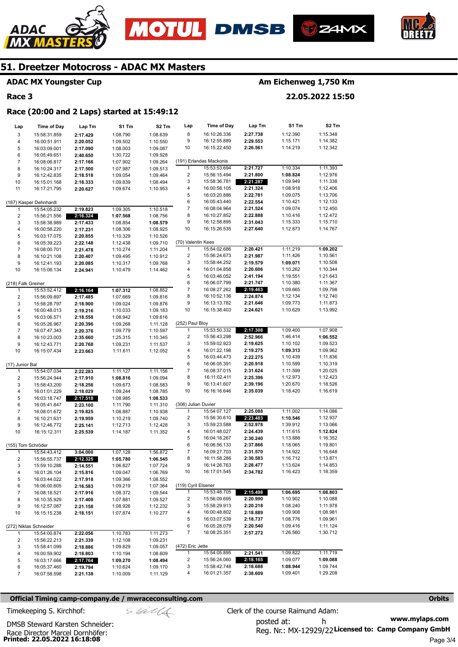





**Lap Tm** 

**Race (20:00 and 2 Laps) started at 15:49:12** 

#### **ADAC MX Youngster Cup**

**Time of Day** 

#### **Race 3**

**Lap** 

# **Am Eichenweg 1,750 Km**

**S1 Tm**  1:12.390 1:15.171 1:14.219

1:10.334 **1:08.824**  1:09.949 1:08.918 1:09.075 1:10.421 1:09.074 1:10.416 1:15.333 1:12.873

**22.05.2022 15:50** 

**S2 Tm**  1:15.348 1:14.382 1:12.342

1:11.393 1:12.976 1:11.338 1:12.406 1:13.706 1:12.133 1:12.450 1:12.472 1:15.710 1:14.767

#### 8 9 10 (191) Erlandas Mackonis 1 2 3 4 5 6 7 8 9 10 16:10:26.336 16:12:55.889 16:15:22.450 15:53:53.694 15:56:15.494 15:58:36.781 16:00:58.105 16:03:20.886 16:05:43.440 16:08:04.964 16:10:27.852 16:12:58.895 16:15:26.535 **2:27.738 2:29.553 2:26.561 2:21.727 2:21.800 2:21.287 2:21.324 2:22.781 2:22.554 2:21.524 2:22.888 2:31.043 2:27.640**  3 4 5 6 7 8 9 10 11 (187) Kasper Dehnhardt 1 2 3 4 5 15:58:31.859 16:00:51.911 16:03:09.001 16:05:49.651 16:08:06.817 16:10:24.317 16:12:42.835 16:15:01.168 16:17:21.795 15:54:05.232 15:56:21.556 15:58:38.989 16:00:56.220 16:03:17.075 **2:17.429 2:20.052 2:17.090 2:40.650 2:17.166 2:17.500 2:18.518 2:18.333 2:20.627 2:19.823 2:16.324 2:17.433 2:17.231 2:20.855**  1:08.790 1:09.502 1:08.003 1:30.722 1:07.902 1:07.987 1:09.054 1:09.839 1:09.674 1:09.305 **1:07.568**  1:08.854 1:08.306 1:10.329 1:08.639 1:10.550 1:09.087 1:09.928 1:09.264 1:09.513 1:09.464 1:08.494 1:10.953 1:10.518 1:08.756 **1:08.579**  1:08.925 1:10.526

**S1 Tm** 

| 6                       | 16:05:39.223           | 2:22.148 | 1:12.438 | 1:09.710 | (70) Valentin Kees       |              |          |          |          |
|-------------------------|------------------------|----------|----------|----------|--------------------------|--------------|----------|----------|----------|
| $\boldsymbol{7}$        | 16:08:00.701           | 2:21.478 | 1:10.274 | 1:11.204 | $\mathbf{1}$             | 15:54:02.686 | 2:20.421 | 1:11.219 | 1:09.202 |
| 8                       | 16:10:21.108           | 2:20.407 | 1:09.495 | 1:10.912 | $\overline{2}$           | 15:56:24.673 | 2:21.987 | 1:11.426 | 1:10.561 |
| 9                       | 16:12:41.193           | 2:20.085 | 1:10.317 | 1:09.768 | 3                        | 15:58:44.252 | 2:19.579 | 1:09.071 | 1:10.508 |
| 10                      | 16:15:06.134           | 2:24.941 | 1:10.479 | 1:14.462 | 4                        | 16:01:04.858 | 2:20.606 | 1:10.262 | 1:10.344 |
|                         |                        |          |          |          | 5                        | 16:03:46.052 | 2:41.194 | 1:19.551 | 1:21.643 |
| (218) Falk Greiner      |                        |          |          |          | 6                        | 16:06:07.799 | 2:21.747 | 1:10.380 | 1:11.367 |
| 1                       | 15:53:52.412           | 2:16.164 | 1:07.312 | 1:08.852 | $\overline{7}$           | 16:08:27.262 | 2:19.463 | 1:09.665 | 1:09.798 |
| $\overline{\mathbf{c}}$ | 15:56:09.897           | 2:17.485 | 1:07.669 | 1:09.816 | 8                        | 16:10:52.136 | 2:24.874 | 1:12.134 | 1:12.740 |
| 3                       | 15:58:28.797           | 2:18.900 | 1:09.024 | 1:09.876 | 9                        | 16:13:13.782 | 2:21.646 | 1:09.773 | 1:11.873 |
| $\pmb{4}$               | 16:00:48.013           | 2:19.216 | 1:10.033 | 1:09.183 | 10                       | 16:15:38.403 | 2:24.621 | 1:10.629 | 1:13.992 |
| 5                       | 16:03:06.571           | 2:18.558 | 1:08.942 | 1:09.616 |                          |              |          |          |          |
| 6                       | 16:05:26.967           | 2:20.396 | 1:09.268 | 1:11.128 | (252) Paul Bloy          |              |          |          |          |
| $\boldsymbol{7}$        | 16:07:47.343           | 2:20.376 | 1:09.779 | 1:10.597 | $\mathbf{1}$             | 15:53:50.332 | 2:17.308 | 1:09.400 | 1:07.908 |
| 8                       | 16:10:23.003           | 2:35.660 | 1:25.315 | 1:10.345 | $\overline{\mathbf{c}}$  | 15:56:43.298 | 2:52.966 | 1:46.414 | 1:06.552 |
| 9                       | 16:12:43.771           | 2:20.768 | 1:09.231 | 1:11.537 | 3                        | 15:59:02.923 | 2:19.625 | 1:10.102 | 1:09.523 |
| 10                      | 16:15:07.434           | 2:23.663 | 1:11.611 | 1:12.052 | 4                        | 16:01:22.198 | 2:19.275 | 1:09.313 | 1:09.962 |
|                         |                        |          |          |          | 5                        | 16:03:44.473 | 2:22.275 | 1:10.439 | 1:11.836 |
| (17) Junior Bal         |                        |          |          |          | 6                        | 16:06:05.391 | 2:20.918 | 1:10.599 | 1:10.319 |
| 1                       | 15:54:07.034           | 2:22.283 | 1:11.127 | 1:11.156 | $\boldsymbol{7}$         | 16:08:37.015 | 2:31.624 | 1:11.599 | 1:20.025 |
| 2                       | 15:56:24.944           | 2:17.910 | 1:08.816 | 1:09.094 | 8                        | 16:11:02.411 | 2:25.396 | 1:12.973 | 1:12.423 |
| 3                       | 15:58:43.200           | 2:18.256 | 1:09.673 | 1:08.583 | 9                        | 16:13:41.607 | 2:39.196 | 1:20.670 | 1:18.526 |
| 4                       | 16:01:01.229           | 2:18.029 | 1:09.244 | 1:08.785 | 10                       | 16:16:16.646 | 2:35.039 | 1:18.420 | 1:16.619 |
| 5                       | 16:03:18.747           | 2:17.518 | 1:08.985 | 1:08.533 |                          |              |          |          |          |
| 6                       | 16:05:41.847           | 2:23.100 | 1:11.790 | 1:11.310 | (306) Julian Duvier      |              |          |          |          |
| $\boldsymbol{7}$        | 16:08:01.672           | 2:19.825 | 1:08.887 | 1:10.938 | $\mathbf{1}$             | 15:54:07.127 | 2:25.088 | 1:11.002 | 1:14.086 |
| 8                       | 16:10:21.631           | 2:19.959 | 1:10.219 | 1:09.740 | 2                        | 15:56:30.610 | 2:23.483 | 1:10.546 | 1:12.937 |
| 9                       | 16:12:46.772           | 2:25.141 | 1:12.713 | 1:12.428 | 3                        | 15:59:23.588 | 2:52.978 | 1:39.912 | 1:13.066 |
| 10                      | 16:15:12.311           | 2:25.539 | 1:14.187 | 1:11.352 | 4                        | 16:01:48.027 | 2:24.439 | 1:11.615 | 1:12.824 |
|                         |                        |          |          |          | 5                        | 16:04:18.267 | 2:30.240 | 1:13.888 | 1:16.352 |
|                         | (155) Tom Schröder     |          |          |          | 6                        | 16:06:56.133 | 2:37.866 | 1:18.065 | 1:19.801 |
| 1                       | 15:54:43.412           | 3:04.000 | 1:07.128 | 1:56.872 | $\overline{\mathcal{I}}$ | 16:09:27.703 | 2:31.570 | 1:14.922 | 1:16.648 |
| $\overline{\mathbf{c}}$ | 15:56:55.737           | 2:12.325 | 1:05.780 | 1:06.545 | 8                        | 16:11:58.286 | 2:30.583 | 1:16.712 | 1:13.871 |
| 3                       | 15:59:10.288           | 2:14.551 | 1:06.827 | 1:07.724 | 9                        | 16:14:26.763 | 2:28.477 | 1:13.624 | 1:14.853 |
| 4                       | 16:01:26.104           | 2:15.816 | 1:09.047 | 1:06.769 | 10                       | 16:17:01.545 | 2:34.782 | 1:16.423 | 1:18.359 |
| 5                       | 16:03:44.022           | 2:17.918 | 1:09.366 | 1:08.552 |                          |              |          |          |          |
| 6                       | 16:06:00.605           | 2:16.583 | 1:09.219 | 1:07.364 | (119) Cyril Elsener      |              |          |          |          |
| $\overline{7}$          | 16:08:18.521           | 2:17.916 | 1:08.372 | 1:09.544 | 1                        | 15:53:48.705 | 2:15.498 | 1:06.695 | 1:08.803 |
| 8                       | 16:10:35.929           | 2:17.408 | 1:07.881 | 1:09.527 | $\overline{\mathbf{c}}$  | 15:56:09.695 | 2:20.990 | 1:10.902 | 1:10.088 |
| 9                       | 16:12:57.087           | 2:21.158 | 1:08.926 | 1:12.232 | 3                        | 15:58:29.913 | 2:20.218 | 1:08.240 | 1:11.978 |
| 10                      | 16:15:15.238           | 2:18.151 | 1:07.874 | 1:10.277 | 4                        | 16:00:48.802 | 2:18.889 | 1:09.908 | 1:08.981 |
|                         |                        |          |          |          | 5                        | 16:03:07.539 | 2:18.737 | 1:08.776 | 1:09.961 |
|                         | (272) Niklas Schneider |          |          |          | 6                        | 16:05:28.079 | 2:20.540 | 1:09.416 | 1:11.124 |
| 1                       | 15:54:00.874           | 2:22.056 | 1:10.783 | 1:11.273 | $\overline{7}$           | 16:08:25.351 | 2:57.272 | 1:26.560 | 1:30.712 |
| 2                       | 15:56:22.213           | 2:21.339 | 1:12.108 | 1:09.231 |                          |              |          |          |          |
| 3                       | 15:58:41.099           | 2:18.886 | 1:09.829 | 1:09.057 | (472) Eric Jette         |              |          |          |          |
| 4                       | 16:00:59.902           | 2:18.803 | 1:10.194 | 1:08.609 | 1                        | 15:54:05.895 | 2:21.541 | 1:09.822 | 1:11.719 |
| 5                       | 16:03:17.666           | 2:17.764 | 1:09.270 | 1:08.494 | $\overline{\mathbf{c}}$  | 15:56:24.060 | 2:18.165 | 1:09.077 | 1:09.088 |
| 6                       | 16:05:37.460           | 2:19.794 | 1:10.624 | 1:09.170 | 3                        | 15:58:42.748 | 2:18.688 | 1:08.944 | 1:09.744 |
| $\boldsymbol{7}$        | 16:07:58.598           | 2:21.138 | 1:10.009 | 1:11.129 | 4                        | 16:01:21.357 | 2:38.609 | 1:09.401 | 1:29.208 |

**Lap** 

**S2 Tm** 

**Time of Day** 

**Lap Tm** 

#### **Official Timing camp-company.de / mwraceconsulting.com <b>Orbits and Company.de Company** orbits **Orbits Orbits**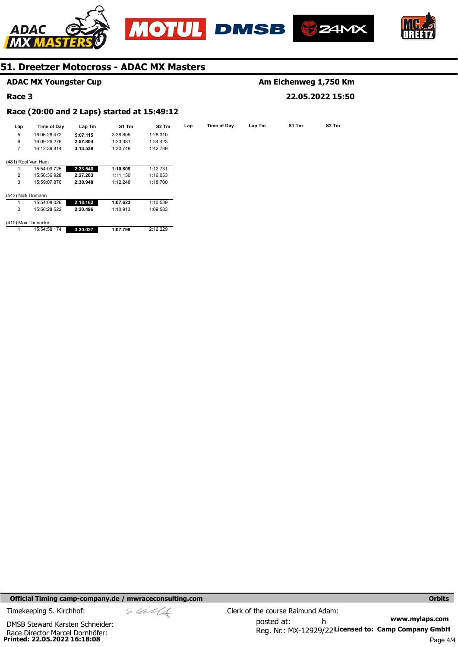







#### **Lap Lap Time of Day Lap Tm S1 Tm S2 Tm**  5 6 7 (481) Roel Van Ham 1 2 3 (543) Nick Domann **Time of Day**  16:06:28.472 16:09:26.276 16:12:39.814 15:54:09.725 15:56:36.928 15:59:07.876 **Lap Tm 5:07.115 2:57.804 3:13.538 2:23.540 2:27.203 2:30.948 S1 Tm**  3:38.805 1:23.381 1:30.749 **1:10.809**  1:11.150 1:12.248 **S2 Tm**  1:28.310 1:34.423 1:42.789 1:12.731 1:16.053 1:18.700 **ADAC MX Youngster Cup Race 3 Race (20:00 and 2 Laps) started at 15:49:12 Am Eichenweg 1,750 Km 22.05.2022 15:50**

(410) Max Thunecke

15:54:08.026 15:56:28.522

1  $\overline{2}$ 

|  | 15:54:58.174 | 3:20.027 | 1:07.798 | 2:12.229 |
|--|--------------|----------|----------|----------|

**2:18.162 2:20.496** 

**1:07.623**  1:10.913 1:10.539 1:09.583

# **Official Timing camp-company.de / mwraceconsulting.com <b>Orbits and Company.de Company** orbits **Orbits Orbits**

**Printed: 22.05.2022 16:18:08**  Race Director Marcel Dornhöfer: DMSB Steward Karsten Schneider:

$$
\mathscr{A}^{\mathscr{A}}
$$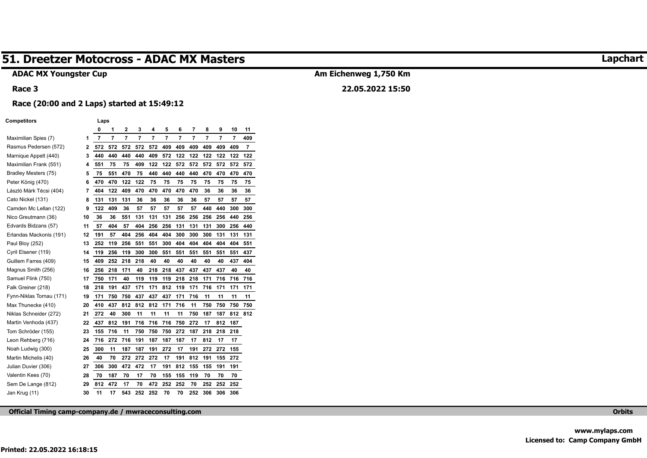# **ADAC MX Youngster Cup**

#### **Race 3**

# **Am Eichenweg 1,750 Km 22.05.2022 15:50**

# **Race (20:00 and 2 Laps) started at 15:49:12**

#### **Competitors Laps**

|                          |    | 0   | 1   | $\overline{\mathbf{2}}$ | 3   | 4   | 5   | 6   | 7   | 8   | 9   | 10  | 11  |
|--------------------------|----|-----|-----|-------------------------|-----|-----|-----|-----|-----|-----|-----|-----|-----|
| Maximilian Spies (7)     | 1  | 7   | 7   | 7                       | 7   | 7   | 7   | 7   | 7   | 7   | 7   | 7   | 409 |
| Rasmus Pedersen (572)    | 2  | 572 | 572 | 572                     | 572 | 572 | 409 | 409 | 409 | 409 | 409 | 409 | 7   |
| Marnique Appelt (440)    | 3  | 440 | 440 | 440                     | 440 | 409 | 572 | 122 | 122 | 122 | 122 | 122 | 122 |
| Maximilian Frank (551)   | 4  | 551 | 75  | 75                      | 409 | 122 | 122 | 572 | 572 | 572 | 572 | 572 | 572 |
| Bradley Mesters (75)     | 5  | 75  | 551 | 470                     | 75  | 440 | 440 | 440 | 440 | 470 | 470 | 470 | 470 |
| Peter König (470)        | 6  | 470 | 470 | 122                     | 122 | 75  | 75  | 75  | 75  | 75  | 75  | 75  | 75  |
| László Márk Técsi (404)  | 7  | 404 | 122 | 409                     | 470 | 470 | 470 | 470 | 470 | 36  | 36  | 36  | 36  |
| Cato Nickel (131)        | 8  | 131 | 131 | 131                     | 36  | 36  | 36  | 36  | 36  | 57  | 57  | 57  | 57  |
| Camden Mc Lellan (122)   | 9  | 122 | 409 | 36                      | 57  | 57  | 57  | 57  | 57  | 440 | 440 | 300 | 300 |
| Nico Greutmann (36)      | 10 | 36  | 36  | 551                     | 131 | 131 | 131 | 256 | 256 | 256 | 256 | 440 | 256 |
| Edvards Bidzans (57)     | 11 | 57  | 404 | 57                      | 404 | 256 | 256 | 131 | 131 | 131 | 300 | 256 | 440 |
| Erlandas Mackonis (191)  | 12 | 191 | 57  | 404                     | 256 | 404 | 404 | 300 | 300 | 300 | 131 | 131 | 131 |
| Paul Bloy (252)          | 13 | 252 | 119 | 256                     | 551 | 551 | 300 | 404 | 404 | 404 | 404 | 404 | 551 |
| Cyril Elsener (119)      | 14 | 119 | 256 | 119                     | 300 | 300 | 551 | 551 | 551 | 551 | 551 | 551 | 437 |
| Guillem Farres (409)     | 15 | 409 | 252 | 218                     | 218 | 40  | 40  | 40  | 40  | 40  | 40  | 437 | 404 |
| Magnus Smith (256)       | 16 | 256 | 218 | 171                     | 40  | 218 | 218 | 437 | 437 | 437 | 437 | 40  | 40  |
| Samuel Flink (750)       | 17 | 750 | 171 | 40                      | 119 | 119 | 119 | 218 | 218 | 171 | 716 | 716 | 716 |
| Falk Greiner (218)       | 18 | 218 | 191 | 437                     | 171 | 171 | 812 | 119 | 171 | 716 | 171 | 171 | 171 |
| Fynn-Niklas Tornau (171) | 19 | 171 | 750 | 750                     | 437 | 437 | 437 | 171 | 716 | 11  | 11  | 11  | 11  |
| Max Thunecke (410)       | 20 | 410 | 437 | 812                     | 812 | 812 | 171 | 716 | 11  | 750 | 750 | 750 | 750 |
| Niklas Schneider (272)   | 21 | 272 | 40  | 300                     | 11  | 11  | 11  | 11  | 750 | 187 | 187 | 812 | 812 |
| Martin Venhoda (437)     | 22 | 437 | 812 | 191                     | 716 | 716 | 716 | 750 | 272 | 17  | 812 | 187 |     |
| Tom Schröder (155)       | 23 | 155 | 716 | 11                      | 750 | 750 | 750 | 272 | 187 | 218 | 218 | 218 |     |
| Leon Rehberg (716)       | 24 | 716 | 272 | 716                     | 191 | 187 | 187 | 187 | 17  | 812 | 17  | 17  |     |
| Noah Ludwig (300)        | 25 | 300 | 11  | 187                     | 187 | 191 | 272 | 17  | 191 | 272 | 272 | 155 |     |
| Martin Michelis (40)     | 26 | 40  | 70  | 272                     | 272 | 272 | 17  | 191 | 812 | 191 | 155 | 272 |     |
| Julian Duvier (306)      | 27 | 306 | 300 | 472                     | 472 | 17  | 191 | 812 | 155 | 155 | 191 | 191 |     |
| Valentin Kees (70)       | 28 | 70  | 187 | 70                      | 17  | 70  | 155 | 155 | 119 | 70  | 70  | 70  |     |
| Sem De Lange (812)       | 29 | 812 | 472 | 17                      | 70  | 472 | 252 | 252 | 70  | 252 | 252 | 252 |     |
| Jan Krug (11)            | 30 | 11  | 17  | 543                     | 252 | 252 | 70  | 70  | 252 | 306 | 306 | 306 |     |

**Official Timing camp-company.de / mwraceconsulting.com Orbits** 

# **Lapchart**